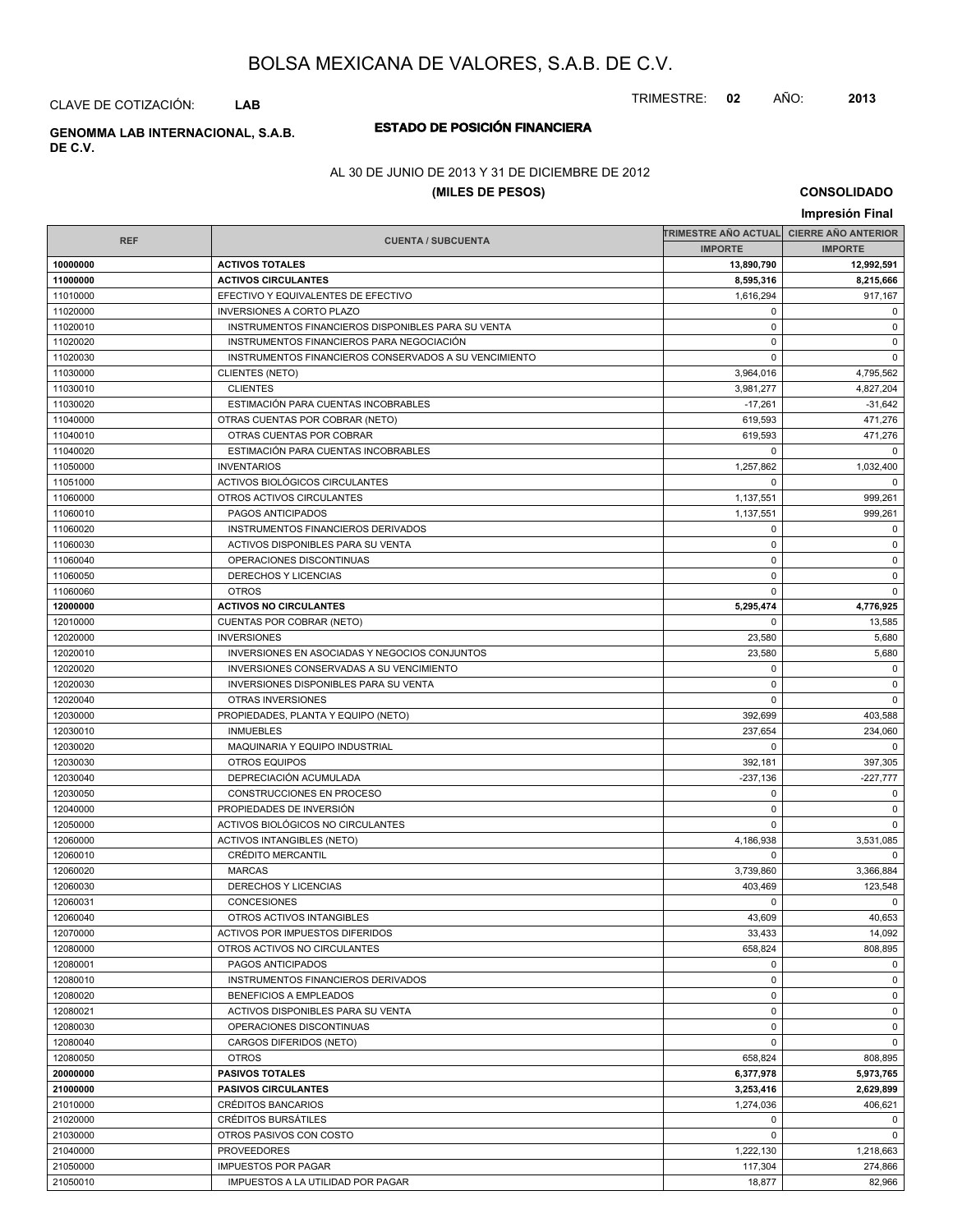TRIMESTRE: **02** AÑO: **2013**

CLAVE DE COTIZACIÓN: **LAB**

# **DE C.V.**

# **ESTADO DE POSICIÓN FINANCIERA GENOMMA LAB INTERNACIONAL, S.A.B.**

### AL 30 DE JUNIO DE 2013 Y 31 DE DICIEMBRE DE 2012

### **(MILES DE PESOS)**

**CONSOLIDADO**

| Impresión Final      |                                                       |                                          |                |  |
|----------------------|-------------------------------------------------------|------------------------------------------|----------------|--|
|                      |                                                       | TRIMESTRE AÑO ACTUAL CIERRE AÑO ANTERIOR |                |  |
| <b>REF</b>           | <b>CUENTA / SUBCUENTA</b>                             | <b>IMPORTE</b>                           | <b>IMPORTE</b> |  |
| 10000000             | <b>ACTIVOS TOTALES</b>                                | 13,890,790                               | 12,992,591     |  |
| 11000000             | <b>ACTIVOS CIRCULANTES</b>                            | 8,595,316                                | 8,215,666      |  |
| 11010000             | EFECTIVO Y EQUIVALENTES DE EFECTIVO                   | 1.616.294                                | 917,167        |  |
| 11020000             | <b>INVERSIONES A CORTO PLAZO</b>                      | $\mathbf 0$                              | 0              |  |
| 11020010             | INSTRUMENTOS FINANCIEROS DISPONIBLES PARA SU VENTA    | $\mathbf 0$                              | $\mathbf 0$    |  |
| 11020020             | INSTRUMENTOS FINANCIEROS PARA NEGOCIACIÓN             | $\mathbf 0$                              | $\mathbf 0$    |  |
| 11020030             | INSTRUMENTOS FINANCIEROS CONSERVADOS A SU VENCIMIENTO | $\mathbf 0$                              | $\mathbf 0$    |  |
| 11030000             | <b>CLIENTES (NETO)</b>                                | 3,964,016                                | 4,795,562      |  |
| 11030010             | <b>CLIENTES</b>                                       | 3.981.277                                | 4,827,204      |  |
| 11030020             | ESTIMACIÓN PARA CUENTAS INCOBRABLES                   | $-17,261$                                | $-31,642$      |  |
| 11040000             | OTRAS CUENTAS POR COBRAR (NETO)                       | 619,593                                  | 471,276        |  |
| 11040010             | OTRAS CUENTAS POR COBRAR                              | 619,593                                  | 471,276        |  |
| 11040020             | ESTIMACIÓN PARA CUENTAS INCOBRABLES                   | $\mathbf 0$                              | $\Omega$       |  |
| 11050000             | <b>INVENTARIOS</b>                                    | 1,257,862                                | 1,032,400      |  |
| 11051000             | ACTIVOS BIOLÓGICOS CIRCULANTES                        | $\mathbf 0$                              | $\Omega$       |  |
| 11060000             | OTROS ACTIVOS CIRCULANTES                             | 1,137,551                                | 999,261        |  |
| 11060010             | PAGOS ANTICIPADOS                                     | 1,137,551                                | 999,261        |  |
| 11060020             | INSTRUMENTOS FINANCIEROS DERIVADOS                    | $\mathbf 0$                              | $\mathbf 0$    |  |
| 11060030             | ACTIVOS DISPONIBLES PARA SU VENTA                     | $\mathbf 0$                              | $\mathbf 0$    |  |
| 11060040             | OPERACIONES DISCONTINUAS                              | $\mathbf 0$                              | $\mathbf 0$    |  |
| 11060050             | DERECHOS Y LICENCIAS                                  | $\mathbf 0$                              | $\mathbf 0$    |  |
| 11060060             | <b>OTROS</b>                                          | $\mathbf 0$                              | $\mathbf 0$    |  |
| 12000000             | <b>ACTIVOS NO CIRCULANTES</b>                         | 5,295,474                                | 4,776,925      |  |
| 12010000             | CUENTAS POR COBRAR (NETO)                             | $\mathbf 0$                              | 13,585         |  |
| 12020000             | <b>INVERSIONES</b>                                    | 23,580                                   | 5,680          |  |
| 12020010             | INVERSIONES EN ASOCIADAS Y NEGOCIOS CONJUNTOS         | 23,580                                   | 5,680          |  |
| 12020020             | INVERSIONES CONSERVADAS A SU VENCIMIENTO              | $\mathbf 0$                              | $\mathbf 0$    |  |
| 12020030             | <b>INVERSIONES DISPONIBLES PARA SU VENTA</b>          | 0                                        | $\mathbf 0$    |  |
| 12020040             | OTRAS INVERSIONES                                     | $\mathbf 0$                              | $\mathbf{0}$   |  |
| 12030000             | PROPIEDADES, PLANTA Y EQUIPO (NETO)                   | 392,699                                  | 403,588        |  |
| 12030010             | <b>INMUEBLES</b>                                      | 237,654                                  | 234,060        |  |
| 12030020             | MAQUINARIA Y EQUIPO INDUSTRIAL                        | 0                                        | $\mathbf 0$    |  |
| 12030030             | <b>OTROS EQUIPOS</b>                                  | 392,181                                  | 397,305        |  |
| 12030040             | DEPRECIACIÓN ACUMULADA                                | $-237,136$                               | $-227,777$     |  |
| 12030050             | CONSTRUCCIONES EN PROCESO                             | $\mathbf 0$                              | 0              |  |
| 12040000             | PROPIEDADES DE INVERSIÓN                              | $\mathbf 0$                              | $\mathbf 0$    |  |
| 12050000             | ACTIVOS BIOLÓGICOS NO CIRCULANTES                     | 0                                        | $\mathbf 0$    |  |
| 12060000             | <b>ACTIVOS INTANGIBLES (NETO)</b>                     | 4,186,938                                | 3,531,085      |  |
| 12060010<br>12060020 | CRÉDITO MERCANTIL<br><b>MARCAS</b>                    | $\mathbf 0$<br>3,739,860                 | 0<br>3.366.884 |  |
| 12060030             | <b>DERECHOS Y LICENCIAS</b>                           | 403,469                                  | 123,548        |  |
| 12060031             | CONCESIONES                                           | 0                                        | 0              |  |
| 12060040             | OTROS ACTIVOS INTANGIBLES                             | 43,609                                   | 40,653         |  |
| 12070000             | ACTIVOS POR IMPUESTOS DIFERIDOS                       | 33,433                                   | 14,092         |  |
| 12080000             | OTROS ACTIVOS NO CIRCULANTES                          | 658,824                                  | 808,895        |  |
| 12080001             | PAGOS ANTICIPADOS                                     | 0                                        | $\mathbf 0$    |  |
| 12080010             | INSTRUMENTOS FINANCIEROS DERIVADOS                    | $\mathbf 0$                              | $\mathbf 0$    |  |
| 12080020             | <b>BENEFICIOS A EMPLEADOS</b>                         | $\mathbf 0$                              | 0              |  |
| 12080021             | ACTIVOS DISPONIBLES PARA SU VENTA                     | $\mathbf 0$                              | $\mathbf 0$    |  |
| 12080030             | OPERACIONES DISCONTINUAS                              | $\mathbf 0$                              | $\mathbf 0$    |  |
| 12080040             | CARGOS DIFERIDOS (NETO)                               | $\mathbf 0$                              | $\mathbf 0$    |  |
| 12080050             | <b>OTROS</b>                                          | 658,824                                  | 808,895        |  |
| 20000000             | <b>PASIVOS TOTALES</b>                                | 6,377,978                                | 5,973,765      |  |
| 21000000             | <b>PASIVOS CIRCULANTES</b>                            | 3,253,416                                | 2,629,899      |  |
| 21010000             | CRÉDITOS BANCARIOS                                    | 1,274,036                                | 406,621        |  |
| 21020000             | CRÉDITOS BURSÁTILES                                   | 0                                        | $\mathbf 0$    |  |
| 21030000             | OTROS PASIVOS CON COSTO                               | $\mathbf 0$                              | $\mathbf 0$    |  |
| 21040000             | <b>PROVEEDORES</b>                                    | 1,222,130                                | 1,218,663      |  |
| 21050000             | <b>IMPUESTOS POR PAGAR</b>                            | 117,304                                  | 274,866        |  |
| 21050010             | IMPUESTOS A LA UTILIDAD POR PAGAR                     | 18,877                                   | 82,966         |  |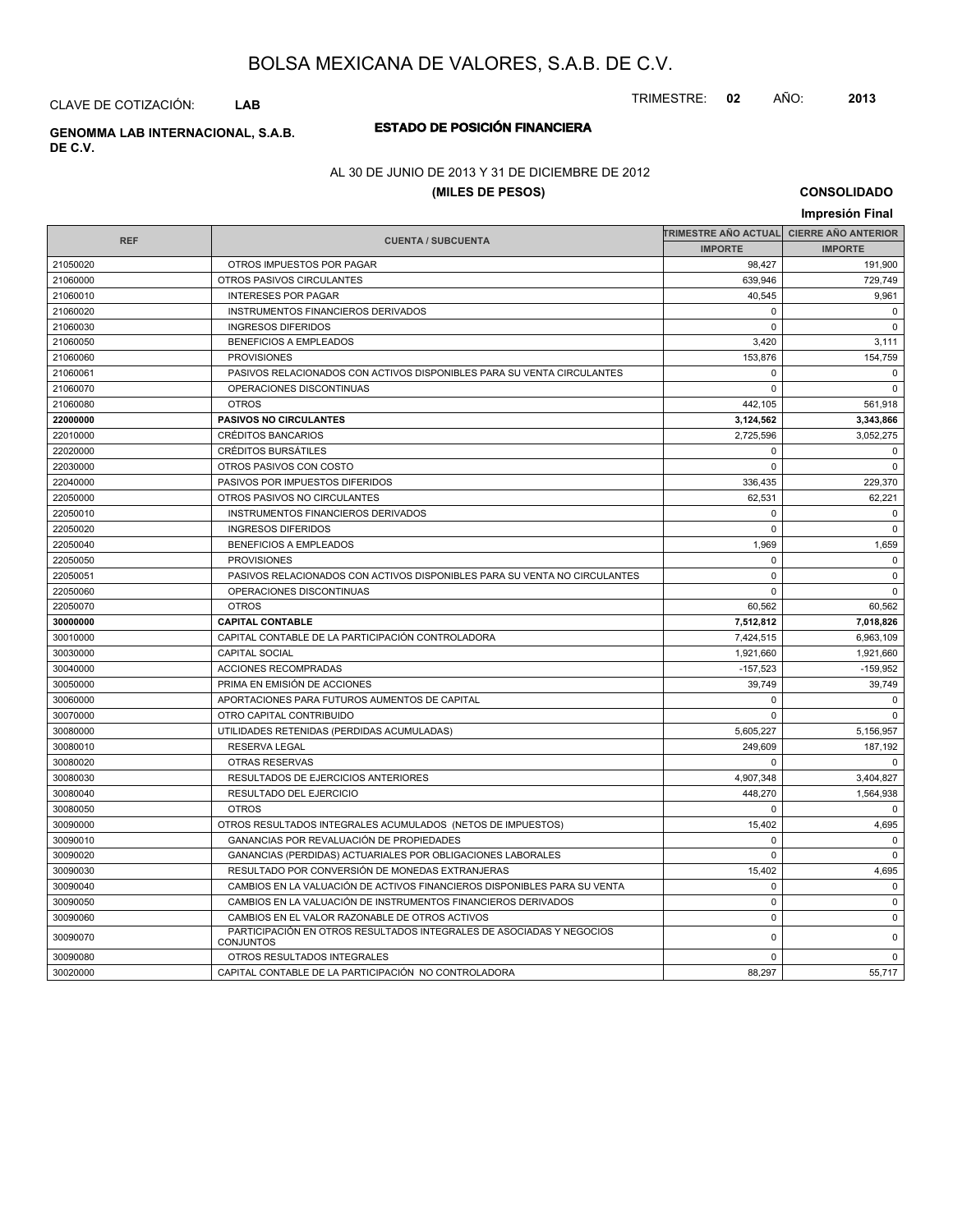TRIMESTRE: **02** AÑO: **2013**

CLAVE DE COTIZACIÓN: **LAB**

# **DE C.V.**

# **ESTADO DE POSICIÓN FINANCIERA GENOMMA LAB INTERNACIONAL, S.A.B.**

### AL 30 DE JUNIO DE 2013 Y 31 DE DICIEMBRE DE 2012

### **(MILES DE PESOS)**

**CONSOLIDADO**

| Impresión Final |                                                                                          |                                           |                |  |
|-----------------|------------------------------------------------------------------------------------------|-------------------------------------------|----------------|--|
|                 |                                                                                          | TRIMESTRE AÑO ACTUAL│ CIERRE AÑO ANTERIOR |                |  |
| <b>REF</b>      | <b>CUENTA / SUBCUENTA</b>                                                                | <b>IMPORTE</b>                            | <b>IMPORTE</b> |  |
| 21050020        | OTROS IMPUESTOS POR PAGAR                                                                | 98,427                                    | 191,900        |  |
| 21060000        | OTROS PASIVOS CIRCULANTES                                                                | 639,946                                   | 729,749        |  |
| 21060010        | <b>INTERESES POR PAGAR</b>                                                               | 40,545                                    | 9,961          |  |
| 21060020        | INSTRUMENTOS FINANCIEROS DERIVADOS                                                       | $\Omega$                                  | $\Omega$       |  |
| 21060030        | <b>INGRESOS DIFERIDOS</b>                                                                | $\Omega$                                  | $\Omega$       |  |
| 21060050        | <b>BENEFICIOS A EMPLEADOS</b>                                                            | 3,420                                     | 3,111          |  |
| 21060060        | <b>PROVISIONES</b>                                                                       | 153,876                                   | 154,759        |  |
| 21060061        | PASIVOS RELACIONADOS CON ACTIVOS DISPONIBLES PARA SU VENTA CIRCULANTES                   | $\mathbf 0$                               | $\mathbf 0$    |  |
| 21060070        | OPERACIONES DISCONTINUAS                                                                 | $\Omega$                                  | $\Omega$       |  |
| 21060080        | <b>OTROS</b>                                                                             | 442,105                                   | 561,918        |  |
| 22000000        | <b>PASIVOS NO CIRCULANTES</b>                                                            | 3,124,562                                 | 3,343,866      |  |
| 22010000        | <b>CRÉDITOS BANCARIOS</b>                                                                | 2,725,596                                 | 3,052,275      |  |
| 22020000        | <b>CRÉDITOS BURSÁTILES</b>                                                               | $\mathbf 0$                               | $\mathbf 0$    |  |
| 22030000        | OTROS PASIVOS CON COSTO                                                                  | $\Omega$                                  | $\mathbf 0$    |  |
| 22040000        | PASIVOS POR IMPUESTOS DIFERIDOS                                                          | 336,435                                   | 229,370        |  |
| 22050000        | OTROS PASIVOS NO CIRCULANTES                                                             | 62,531                                    | 62,221         |  |
| 22050010        | INSTRUMENTOS FINANCIEROS DERIVADOS                                                       | $\Omega$                                  | $\mathbf 0$    |  |
| 22050020        | <b>INGRESOS DIFERIDOS</b>                                                                | $\mathbf 0$                               | $\mathbf 0$    |  |
| 22050040        | <b>BENEFICIOS A EMPLEADOS</b>                                                            | 1,969                                     | 1,659          |  |
| 22050050        | <b>PROVISIONES</b>                                                                       | $\mathbf 0$                               | $\mathbf 0$    |  |
| 22050051        | PASIVOS RELACIONADOS CON ACTIVOS DISPONIBLES PARA SU VENTA NO CIRCULANTES                | $\mathbf 0$                               | $\mathbf 0$    |  |
| 22050060        | OPERACIONES DISCONTINUAS                                                                 | $\Omega$                                  | $\mathbf 0$    |  |
| 22050070        | <b>OTROS</b>                                                                             | 60,562                                    | 60,562         |  |
| 30000000        | <b>CAPITAL CONTABLE</b>                                                                  | 7,512,812                                 | 7,018,826      |  |
| 30010000        | CAPITAL CONTABLE DE LA PARTICIPACIÓN CONTROLADORA                                        | 7,424,515                                 | 6,963,109      |  |
| 30030000        | <b>CAPITAL SOCIAL</b>                                                                    | 1,921,660                                 | 1,921,660      |  |
| 30040000        | ACCIONES RECOMPRADAS                                                                     | $-157,523$                                | $-159,952$     |  |
| 30050000        | PRIMA EN EMISIÓN DE ACCIONES                                                             | 39,749                                    | 39,749         |  |
| 30060000        | APORTACIONES PARA FUTUROS AUMENTOS DE CAPITAL                                            | $\mathbf 0$                               | $\mathbf 0$    |  |
| 30070000        | OTRO CAPITAL CONTRIBUIDO                                                                 | $\Omega$                                  | $\mathbf 0$    |  |
| 30080000        | UTILIDADES RETENIDAS (PERDIDAS ACUMULADAS)                                               | 5,605,227                                 | 5,156,957      |  |
| 30080010        | <b>RESERVA LEGAL</b>                                                                     | 249,609                                   | 187,192        |  |
| 30080020        | <b>OTRAS RESERVAS</b>                                                                    | $\Omega$                                  | $\Omega$       |  |
| 30080030        | RESULTADOS DE EJERCICIOS ANTERIORES                                                      | 4,907,348                                 | 3,404,827      |  |
| 30080040        | RESULTADO DEL EJERCICIO                                                                  | 448,270                                   | 1,564,938      |  |
| 30080050        | <b>OTROS</b>                                                                             | $\mathbf 0$                               | $\mathbf 0$    |  |
| 30090000        | OTROS RESULTADOS INTEGRALES ACUMULADOS (NETOS DE IMPUESTOS)                              | 15,402                                    | 4,695          |  |
| 30090010        | <b>GANANCIAS POR REVALUACIÓN DE PROPIEDADES</b>                                          | $\mathbf 0$                               | $\mathbf 0$    |  |
| 30090020        | GANANCIAS (PERDIDAS) ACTUARIALES POR OBLIGACIONES LABORALES                              | $\mathbf 0$                               | $\mathbf 0$    |  |
| 30090030        | RESULTADO POR CONVERSIÓN DE MONEDAS EXTRANJERAS                                          | 15,402                                    | 4,695          |  |
| 30090040        | CAMBIOS EN LA VALUACIÓN DE ACTIVOS FINANCIEROS DISPONIBLES PARA SU VENTA                 | $\mathbf 0$                               | $\mathbf 0$    |  |
| 30090050        | CAMBIOS EN LA VALUACIÓN DE INSTRUMENTOS FINANCIEROS DERIVADOS                            | $\mathbf 0$                               | $\mathbf 0$    |  |
| 30090060        | CAMBIOS EN EL VALOR RAZONABLE DE OTROS ACTIVOS                                           | $\pmb{0}$                                 | $\mathbf 0$    |  |
| 30090070        | PARTICIPACIÓN EN OTROS RESULTADOS INTEGRALES DE ASOCIADAS Y NEGOCIOS<br><b>CONJUNTOS</b> | 0                                         | $\mathbf 0$    |  |
| 30090080        | OTROS RESULTADOS INTEGRALES                                                              | $\mathbf 0$                               | $\mathbf 0$    |  |
| 30020000        | CAPITAL CONTABLE DE LA PARTICIPACIÓN NO CONTROLADORA                                     | 88,297                                    | 55,717         |  |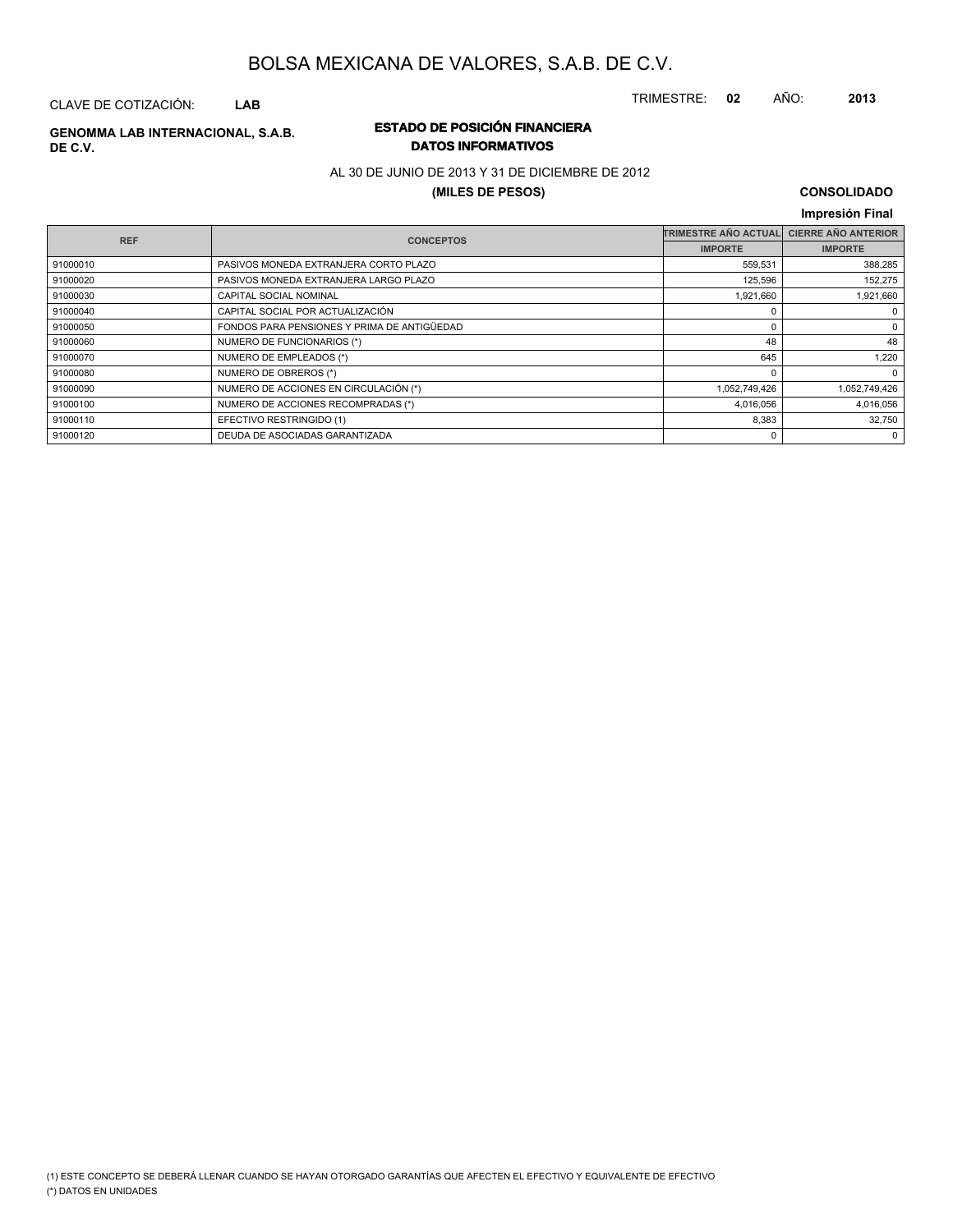CLAVE DE COTIZACIÓN: **LAB**

### **ESTADO DE POSICIÓN FINANCIERA GENOMMA LAB INTERNACIONAL, S.A.B. DE C.V.**

# **DATOS INFORMATIVOS**

AL 30 DE JUNIO DE 2013 Y 31 DE DICIEMBRE DE 2012

### **(MILES DE PESOS)**

# **CONSOLIDADO**

|            |                                             |                             | Impresión Final            |
|------------|---------------------------------------------|-----------------------------|----------------------------|
| <b>REF</b> | <b>CONCEPTOS</b>                            | <b>TRIMESTRE AÑO ACTUAL</b> | <b>CIERRE AÑO ANTERIOR</b> |
|            |                                             | <b>IMPORTE</b>              | <b>IMPORTE</b>             |
| 91000010   | PASIVOS MONEDA EXTRANJERA CORTO PLAZO       | 559,531                     | 388,285                    |
| 91000020   | PASIVOS MONEDA EXTRANJERA LARGO PLAZO       | 125,596                     | 152,275                    |
| 91000030   | CAPITAL SOCIAL NOMINAL                      | 1,921,660                   | 1,921,660                  |
| 91000040   | CAPITAL SOCIAL POR ACTUALIZACIÓN            |                             | $\mathbf 0$                |
| 91000050   | FONDOS PARA PENSIONES Y PRIMA DE ANTIGÜEDAD | 0                           | 0                          |
| 91000060   | NUMERO DE FUNCIONARIOS (*)                  | 48                          | 48                         |
| 91000070   | NUMERO DE EMPLEADOS (*)                     | 645                         | 1,220                      |
| 91000080   | NUMERO DE OBREROS (*)                       | $\Omega$                    | $\mathbf 0$                |
| 91000090   | NUMERO DE ACCIONES EN CIRCULACIÓN (*)       | 1,052,749,426               | 1,052,749,426              |
| 91000100   | NUMERO DE ACCIONES RECOMPRADAS (*)          | 4,016,056                   | 4,016,056                  |
| 91000110   | EFECTIVO RESTRINGIDO (1)                    | 8,383                       | 32,750                     |
| 91000120   | DEUDA DE ASOCIADAS GARANTIZADA              | 0                           | $\mathbf 0$                |

TRIMESTRE: **02** AÑO: **2013**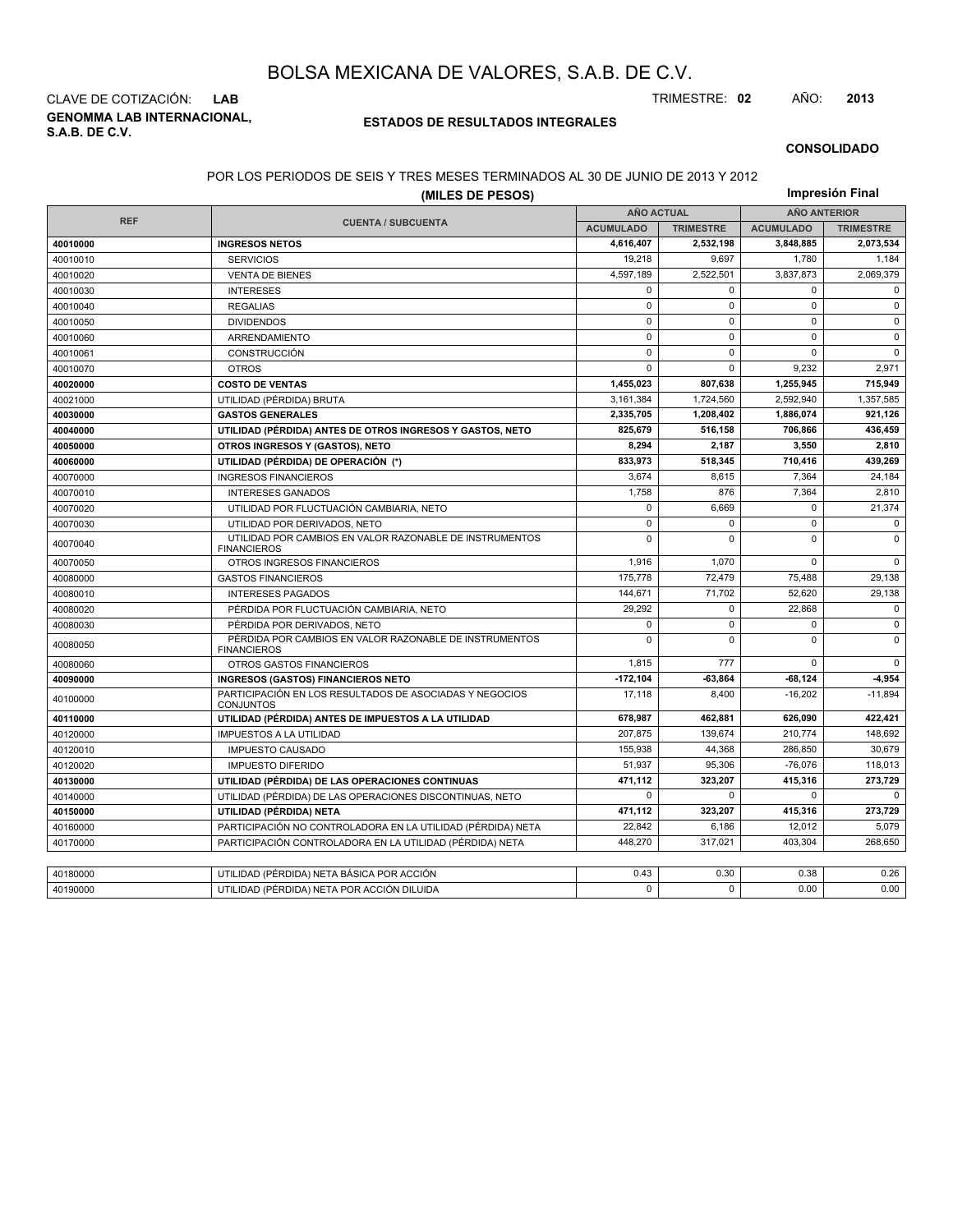**GENOMMA LAB INTERNACIONAL, S.A.B. DE C.V.** CLAVE DE COTIZACIÓN: **LAB** TRIMESTRE: **02** AÑO: **2013**

#### **ESTADOS DE RESULTADOS INTEGRALES**

#### **CONSOLIDADO**

#### POR LOS PERIODOS DE SEIS Y TRES MESES TERMINADOS AL 30 DE JUNIO DE 2013 Y 2012

|            | (MILES DE PESOS)                                                              |                   |                  |                     |                  |  |
|------------|-------------------------------------------------------------------------------|-------------------|------------------|---------------------|------------------|--|
| <b>REF</b> |                                                                               | <b>AÑO ACTUAL</b> |                  | <b>AÑO ANTERIOR</b> |                  |  |
|            | <b>CUENTA / SUBCUENTA</b>                                                     | <b>ACUMULADO</b>  | <b>TRIMESTRE</b> | <b>ACUMULADO</b>    | <b>TRIMESTRE</b> |  |
| 40010000   | <b>INGRESOS NETOS</b>                                                         | 4,616,407         | 2,532,198        | 3,848,885           | 2,073,534        |  |
| 40010010   | <b>SERVICIOS</b>                                                              | 19.218            | 9,697            | 1,780               | 1,184            |  |
| 40010020   | <b>VENTA DE BIENES</b>                                                        | 4,597,189         | 2,522,501        | 3,837,873           | 2,069,379        |  |
| 40010030   | <b>INTERESES</b>                                                              | 0                 | $\Omega$         | 0                   | $\Omega$         |  |
| 40010040   | <b>REGALIAS</b>                                                               | $\pmb{0}$         | $\mathbf 0$      | 0                   | $\mathbf 0$      |  |
| 40010050   | <b>DIVIDENDOS</b>                                                             | $\mathbf 0$       | $\Omega$         | $\Omega$            | $\Omega$         |  |
| 40010060   | ARRENDAMIENTO                                                                 | $\mathbf 0$       | $\mathbf 0$      | 0                   | $\mathbf 0$      |  |
| 40010061   | CONSTRUCCIÓN                                                                  | $\pmb{0}$         | $\mathbf 0$      | $\mathbf 0$         | $\mathbf 0$      |  |
| 40010070   | <b>OTROS</b>                                                                  | $\mathbf 0$       | $\Omega$         | 9,232               | 2,971            |  |
| 40020000   | <b>COSTO DE VENTAS</b>                                                        | 1,455,023         | 807,638          | 1,255,945           | 715,949          |  |
| 40021000   | UTILIDAD (PÉRDIDA) BRUTA                                                      | 3,161,384         | 1.724.560        | 2.592.940           | 1,357,585        |  |
| 40030000   | <b>GASTOS GENERALES</b>                                                       | 2,335,705         | 1,208,402        | 1,886,074           | 921,126          |  |
| 40040000   | UTILIDAD (PÉRDIDA) ANTES DE OTROS INGRESOS Y GASTOS, NETO                     | 825,679           | 516.158          | 706,866             | 436,459          |  |
| 40050000   | OTROS INGRESOS Y (GASTOS), NETO                                               | 8,294             | 2,187            | 3,550               | 2,810            |  |
| 40060000   | UTILIDAD (PÉRDIDA) DE OPERACIÓN (*)                                           | 833,973           | 518.345          | 710,416             | 439,269          |  |
| 40070000   | <b>INGRESOS FINANCIEROS</b>                                                   | 3,674             | 8,615            | 7,364               | 24,184           |  |
| 40070010   | <b>INTERESES GANADOS</b>                                                      | 1.758             | 876              | 7,364               | 2.810            |  |
| 40070020   | UTILIDAD POR FLUCTUACIÓN CAMBIARIA, NETO                                      | $\mathbf 0$       | 6,669            | 0                   | 21,374           |  |
| 40070030   | UTILIDAD POR DERIVADOS, NETO                                                  | 0                 | $\mathbf 0$      | 0                   | $\mathsf 0$      |  |
| 40070040   | UTILIDAD POR CAMBIOS EN VALOR RAZONABLE DE INSTRUMENTOS<br><b>FINANCIEROS</b> | $\Omega$          | $\Omega$         | 0                   | $\mathbf 0$      |  |
| 40070050   | OTROS INGRESOS FINANCIEROS                                                    | 1,916             | 1,070            | 0                   | $\mathbf 0$      |  |
| 40080000   | <b>GASTOS FINANCIEROS</b>                                                     | 175,778           | 72.479           | 75,488              | 29,138           |  |
| 40080010   | <b>INTERESES PAGADOS</b>                                                      | 144,671           | 71,702           | 52,620              | 29,138           |  |
| 40080020   | PÉRDIDA POR FLUCTUACIÓN CAMBIARIA, NETO                                       | 29,292            | $\mathbf 0$      | 22,868              | $\mathbf 0$      |  |
| 40080030   | PÉRDIDA POR DERIVADOS, NETO                                                   | $\mathbf 0$       | $\Omega$         | 0                   | $\mathbf 0$      |  |
| 40080050   | PÉRDIDA POR CAMBIOS EN VALOR RAZONABLE DE INSTRUMENTOS<br><b>FINANCIEROS</b>  | $\Omega$          | $\mathbf 0$      | $\mathbf 0$         | $\mathbf 0$      |  |
| 40080060   | OTROS GASTOS FINANCIEROS                                                      | 1.815             | 777              | $\Omega$            | $\Omega$         |  |
| 40090000   | <b>INGRESOS (GASTOS) FINANCIEROS NETO</b>                                     | $-172, 104$       | $-63,864$        | $-68,124$           | 4,954            |  |
| 40100000   | PARTICIPACIÓN EN LOS RESULTADOS DE ASOCIADAS Y NEGOCIOS<br><b>CONJUNTOS</b>   | 17,118            | 8,400            | $-16,202$           | $-11,894$        |  |
| 40110000   | UTILIDAD (PÉRDIDA) ANTES DE IMPUESTOS A LA UTILIDAD                           | 678,987           | 462.881          | 626.090             | 422,421          |  |
| 40120000   | <b>IMPUESTOS A LA UTILIDAD</b>                                                | 207,875           | 139,674          | 210,774             | 148,692          |  |
| 40120010   | <b>IMPUESTO CAUSADO</b>                                                       | 155.938           | 44,368           | 286.850             | 30.679           |  |
| 40120020   | <b>IMPUESTO DIFERIDO</b>                                                      | 51,937            | 95,306           | $-76,076$           | 118,013          |  |
| 40130000   | UTILIDAD (PÉRDIDA) DE LAS OPERACIONES CONTINUAS                               | 471,112           | 323,207          | 415,316             | 273,729          |  |
| 40140000   | UTILIDAD (PÉRDIDA) DE LAS OPERACIONES DISCONTINUAS, NETO                      | $\mathbf 0$       | $\Omega$         | 0                   | $\Omega$         |  |
| 40150000   | UTILIDAD (PÉRDIDA) NETA                                                       | 471,112           | 323,207          | 415,316             | 273,729          |  |
| 40160000   | PARTICIPACIÓN NO CONTROLADORA EN LA UTILIDAD (PÉRDIDA) NETA                   | 22,842            | 6,186            | 12,012              | 5,079            |  |
| 40170000   | PARTICIPACIÓN CONTROLADORA EN LA UTILIDAD (PÉRDIDA) NETA                      | 448,270           | 317,021          | 403,304             | 268,650          |  |
|            |                                                                               |                   |                  |                     |                  |  |
| 40180000   | UTILIDAD (PÉRDIDA) NETA BÁSICA POR ACCIÓN                                     | 0.43              | 0.30             | 0.38                | 0.26             |  |
| 40190000   | UTILIDAD (PÉRDIDA) NETA POR ACCIÓN DILUIDA                                    | $\mathbf 0$       | $\Omega$         | 0.00                | 0.00             |  |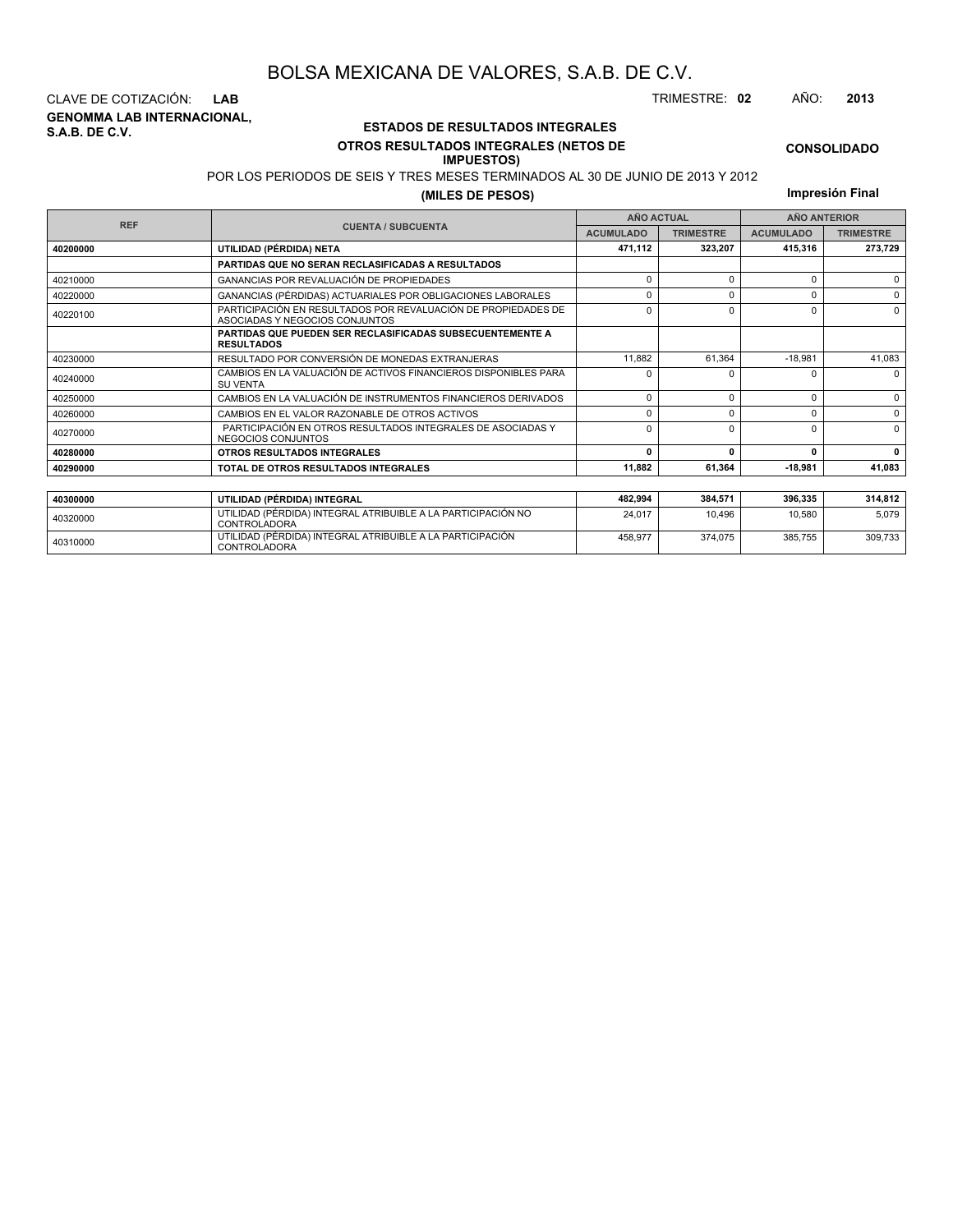**GENOMMA LAB INTERNACIONAL, S.A.B. DE C.V.** CLAVE DE COTIZACIÓN: **LAB** TRIMESTRE: **02** AÑO: **2013**

<sup>40310000</sup> UTILIDAD (PÉRDIDA) INTEGRAL ATRIBUIBLE A LA PARTICIPACIÓN CONTROLADORA

### **ESTADOS DE RESULTADOS INTEGRALES OTROS RESULTADOS INTEGRALES (NETOS DE**

#### **IMPUESTOS)**

**CONSOLIDADO**

POR LOS PERIODOS DE SEIS Y TRES MESES TERMINADOS AL 30 DE JUNIO DE 2013 Y 2012 **(MILES DE PESOS)**

**Impresión Final**

| <b>REF</b> |                                                                                                 | <b>AÑO ACTUAL</b> |                  | <b>AÑO ANTERIOR</b> |                  |  |
|------------|-------------------------------------------------------------------------------------------------|-------------------|------------------|---------------------|------------------|--|
|            | <b>CUENTA / SUBCUENTA</b>                                                                       | <b>ACUMULADO</b>  | <b>TRIMESTRE</b> | <b>ACUMULADO</b>    | <b>TRIMESTRE</b> |  |
| 40200000   | UTILIDAD (PÉRDIDA) NETA                                                                         | 471,112           | 323.207          | 415,316             | 273,729          |  |
|            | PARTIDAS QUE NO SERAN RECLASIFICADAS A RESULTADOS                                               |                   |                  |                     |                  |  |
| 40210000   | GANANCIAS POR REVALUACIÓN DE PROPIEDADES                                                        | $\Omega$          | $\Omega$         | C                   | $\Omega$         |  |
| 40220000   | GANANCIAS (PÉRDIDAS) ACTUARIALES POR OBLIGACIONES LABORALES                                     | $\Omega$          | $\Omega$         |                     | $\Omega$         |  |
| 40220100   | PARTICIPACIÓN EN RESULTADOS POR REVALUACIÓN DE PROPIEDADES DE<br>ASOCIADAS Y NEGOCIOS CONJUNTOS | $\Omega$          | $\Omega$         | C                   | $\Omega$         |  |
|            | <b>PARTIDAS QUE PUEDEN SER RECLASIFICADAS SUBSECUENTEMENTE A</b><br><b>RESULTADOS</b>           |                   |                  |                     |                  |  |
| 40230000   | RESULTADO POR CONVERSIÓN DE MONEDAS EXTRANJERAS                                                 | 11,882            | 61,364           | $-18,981$           | 41,083           |  |
| 40240000   | CAMBIOS EN LA VALUACIÓN DE ACTIVOS FINANCIEROS DISPONIBLES PARA<br><b>SU VENTA</b>              | $\Omega$          | ŋ                |                     | 0                |  |
| 40250000   | CAMBIOS EN LA VALUACIÓN DE INSTRUMENTOS FINANCIEROS DERIVADOS                                   | $\Omega$          | $\Omega$         | O                   | $\mathbf 0$      |  |
| 40260000   | CAMBIOS EN EL VALOR RAZONABLE DE OTROS ACTIVOS                                                  | $\Omega$          | $\Omega$         |                     | $\Omega$         |  |
| 40270000   | PARTICIPACIÓN EN OTROS RESULTADOS INTEGRALES DE ASOCIADAS Y<br><b>NEGOCIOS CONJUNTOS</b>        | $\Omega$          | $\Omega$         |                     | $\Omega$         |  |
| 40280000   | OTROS RESULTADOS INTEGRALES                                                                     | $\Omega$          | $\mathbf{0}$     | n                   | $\Omega$         |  |
| 40290000   | TOTAL DE OTROS RESULTADOS INTEGRALES                                                            | 11.882            | 61,364           | $-18.981$           | 41,083           |  |
|            |                                                                                                 |                   |                  |                     |                  |  |
| 40300000   | UTILIDAD (PÉRDIDA) INTEGRAL                                                                     | 482,994           | 384.571          | 396.335             | 314,812          |  |
| 40320000   | UTILIDAD (PÉRDIDA) INTEGRAL ATRIBUIBLE A LA PARTICIPACIÓN NO<br><b>CONTROLADORA</b>             | 24,017            | 10.496           | 10,580              | 5,079            |  |

458,977 374,075 385,755 309,733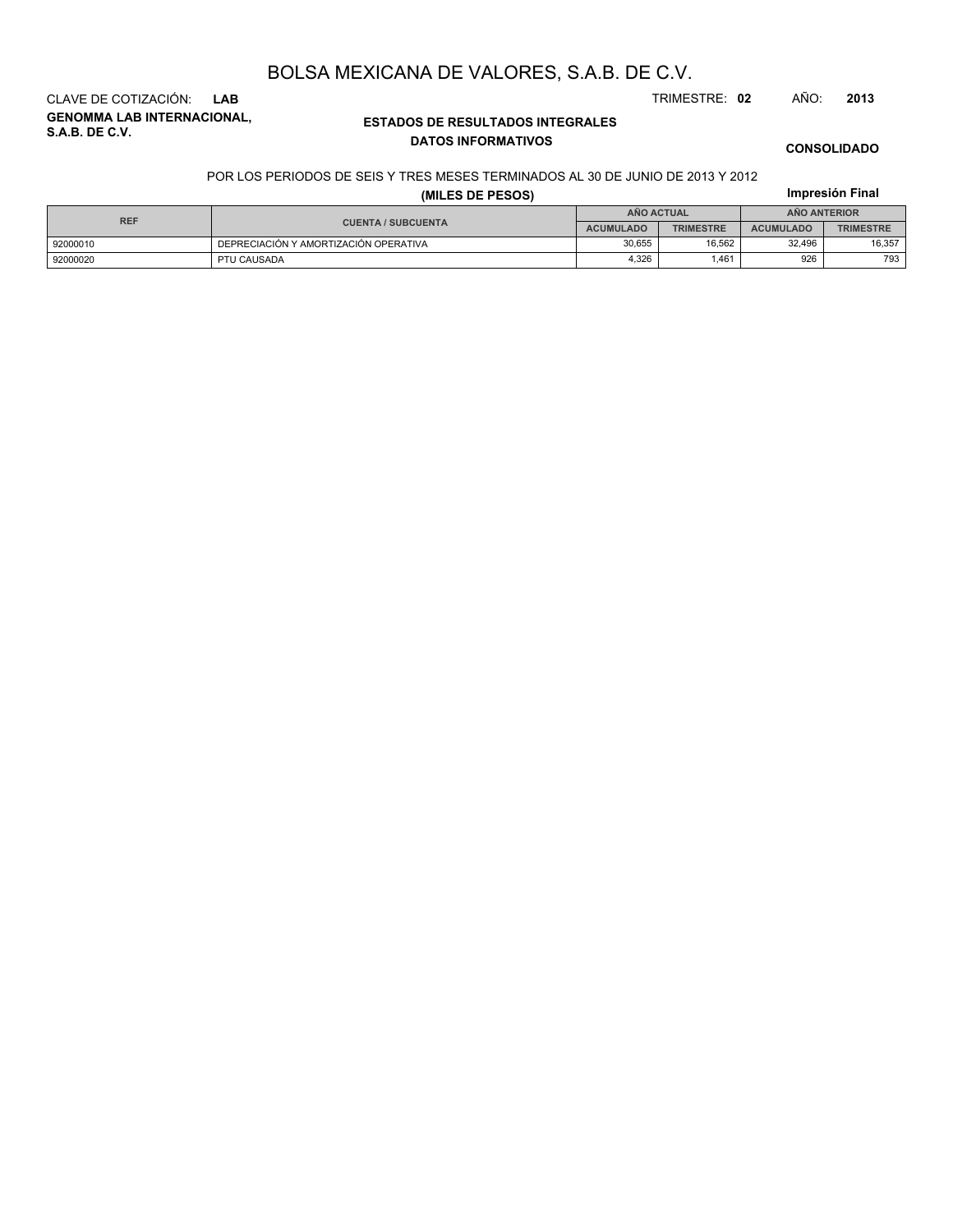**GENOMMA LAB INTERNACIONAL, S.A.B. DE C.V.** CLAVE DE COTIZACIÓN: **LAB** TRIMESTRE: **02** AÑO: **2013**

### **ESTADOS DE RESULTADOS INTEGRALES DATOS INFORMATIVOS**

### **CONSOLIDADO**

**Impresión Final**

#### POR LOS PERIODOS DE SEIS Y TRES MESES TERMINADOS AL 30 DE JUNIO DE 2013 Y 2012

#### **(MILES DE PESOS)**

| <b>REF</b> |                                       |                  | <b>AÑO ACTUAL</b> | AÑO ANTERIOR     |                  |  |
|------------|---------------------------------------|------------------|-------------------|------------------|------------------|--|
|            | <b>CUENTA / SUBCUENTA</b>             | <b>ACUMULADO</b> | <b>TRIMESTRE</b>  | <b>ACUMULADO</b> | <b>TRIMESTRE</b> |  |
| 92000010   | DEPRECIACIÓN Y AMORTIZACIÓN OPERATIVA | 30.655           | 16.562            | 32.496           | 16.357           |  |
| 92000020   | PTU CAUSADA                           | 4.326            | .461              | 926              | 793              |  |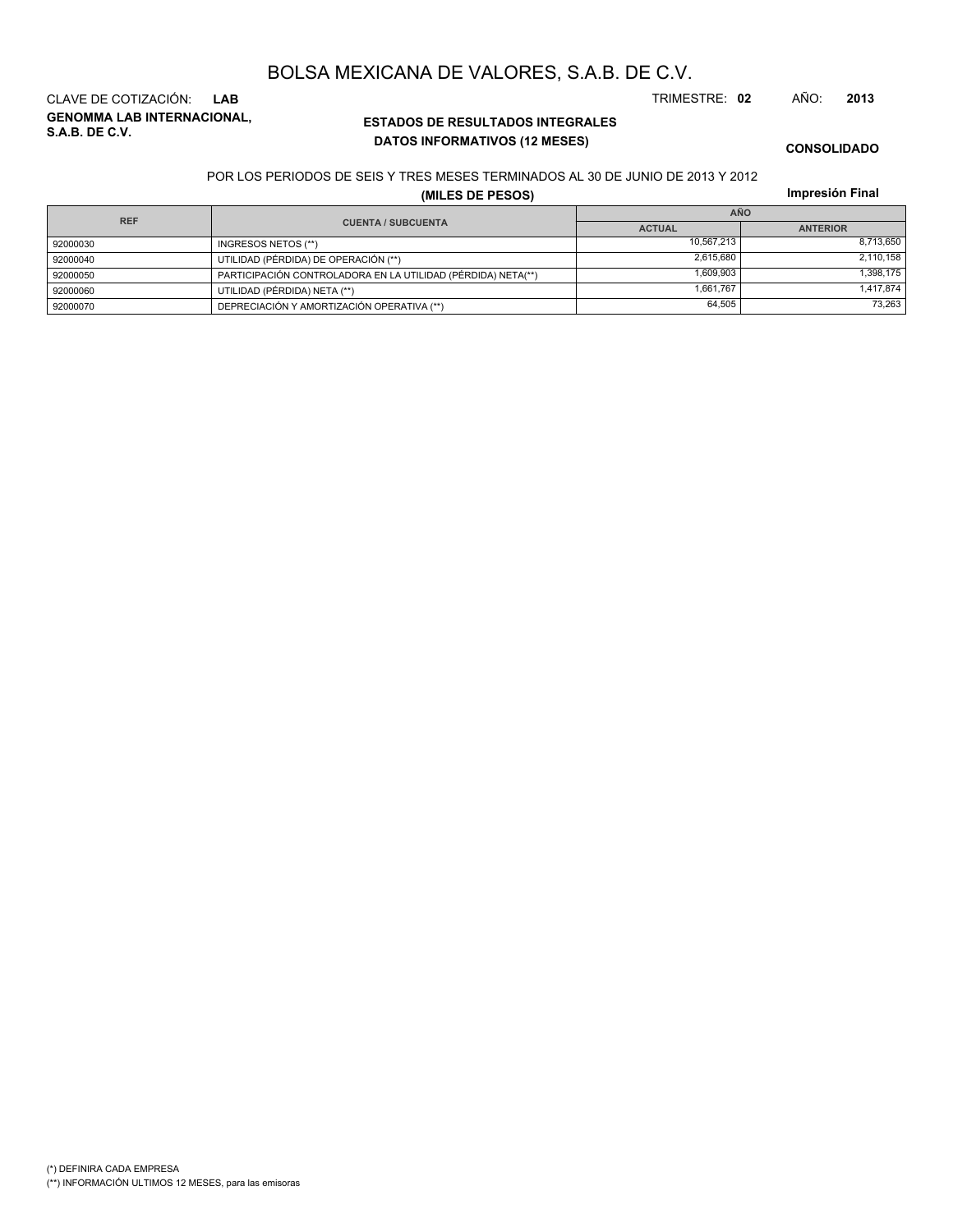**GENOMMA LAB INTERNACIONAL, S.A.B. DE C.V.** CLAVE DE COTIZACIÓN: **LAB** TRIMESTRE: **02** AÑO: **2013**

### **ESTADOS DE RESULTADOS INTEGRALES DATOS INFORMATIVOS (12 MESES)**

#### **CONSOLIDADO**

POR LOS PERIODOS DE SEIS Y TRES MESES TERMINADOS AL 30 DE JUNIO DE 2013 Y 2012

**(MILES DE PESOS)**

**Impresión Final**

| <b>REF</b>                |                                                              | <b>AÑO</b>    |                 |  |  |
|---------------------------|--------------------------------------------------------------|---------------|-----------------|--|--|
| <b>CUENTA / SUBCUENTA</b> |                                                              | <b>ACTUAL</b> | <b>ANTERIOR</b> |  |  |
| 92000030                  | INGRESOS NETOS (**)                                          | 10.567.213    | 8,713,650       |  |  |
| 92000040                  | UTILIDAD (PÉRDIDA) DE OPERACIÓN (**)                         | 2,615,680     | 2,110,158       |  |  |
| 92000050                  | PARTICIPACIÓN CONTROLADORA EN LA UTILIDAD (PÉRDIDA) NETA(**) | 1.609.903     | 1,398,175       |  |  |
| 92000060                  | UTILIDAD (PÉRDIDA) NETA (**)                                 | 1.661.767     | 1,417,874       |  |  |
| 92000070                  | DEPRECIACIÓN Y AMORTIZACIÓN OPERATIVA (**)                   | 64,505        | 73,263          |  |  |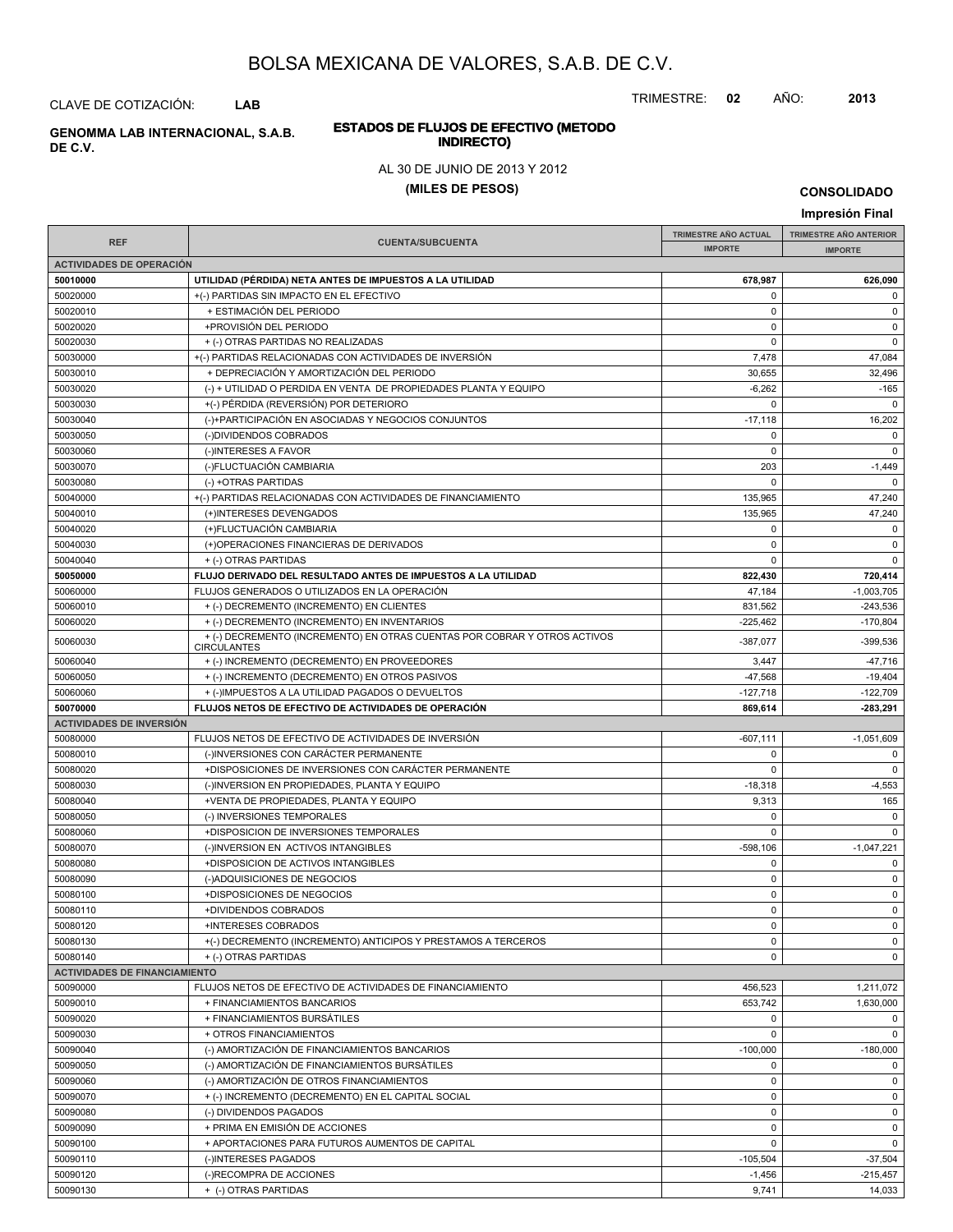TRIMESTRE: **02** AÑO: **2013**

#### **ESTADOS DE FLUJOS DE EFECTIVO (METODO INDIRECTO) GENOMMA LAB INTERNACIONAL, S.A.B.**

### AL 30 DE JUNIO DE 2013 Y 2012

#### **(MILES DE PESOS)**

**CONSOLIDADO**

#### **Impresión Final IMPRESIÓN FINAL AND SUBCUENTA**<br> **IMPORTE TRIMESTRE AÑO ACTUAL IMPORTE IMPORTE REF TRIMESTRE AÑO ANTERIOR IMPORTE ACTIVIDADES DE OPERACIÓN 50010000 UTILIDAD (PÉRDIDA) NETA ANTES DE IMPUESTOS A LA UTILIDAD 678,987 626,090** 50020000 +(-) PARTIDAS SIN IMPACTO EN EL EFECTIVO 0 0 50020010 + ESTIMACIÓN DEL PERIODO 0 0 50020020 +PROVISIÓN DEL PERIODO 0 0 50020030 + (-) OTRAS PARTIDAS NO REALIZADAS 0 0 50030000 +(-) PARTIDAS RELACIONADAS CON ACTIVIDADES DE INVERSIÓN 7,478 47,084 50030010 + DEPRECIACIÓN Y AMORTIZACIÓN DEL PERIODO 30,655 32,496 50030020 (-) + UTILIDAD O PERDIDA EN VENTA DE PROPIEDADES PLANTA Y EQUIPO -6,262 -165 50030030 +(-) PÉRDIDA (REVERSIÓN) POR DETERIORO 0 0 50030040 (-)+PARTICIPACIÓN EN ASOCIADAS Y NEGOCIOS CONJUNTOS -17,118 -17,118 16,202 50030050 (-)DIVIDENDOS COBRADOS 0 0 50030060 (-)INTERESES A FAVOR 0 0 50030070 (-)FLUCTUACIÓN CAMBIARIA 203 -1,449 50030080 (-) +OTRAS PARTIDAS 0 0 50040000 + (-) PARTIDAS RELACIONADAS CON ACTIVIDADES DE FINANCIAMIENTO 135,965 47,240 50040010 (+)INTERESES DEVENGADOS 47,240 50040020 (+)FLUCTUACIÓN CAMBIARIA 0 0 50040030 (+)OPERACIONES FINANCIERAS DE DERIVADOS 0 0 50040040 + (-) OTRAS PARTIDAS 0 0 **50050000 FLUJO DERIVADO DEL RESULTADO ANTES DE IMPUESTOS A LA UTILIDAD 822,430 720,414** 50060000 FLUJOS GENERADOS O UTILIZADOS EN LA OPERACIÓN 47,184 47,184 -1,003,705 50060010 + (-) DECREMENTO (INCREMENTO) EN CLIENTES 831,562 -243,536 50060020 + (-) DECREMENTO (INCREMENTO) EN INVENTARIOS -225.462 -225.462 -170.804  $+(-)$ DECREMENTO (INCREMENTO) EN OTRAS CUENTAS POR COBRAR Y OTROS ACTIVOS 4387,077 -339,536 **CIRCULANTES** 50060040 + (-) INCREMENTO (DECREMENTO) EN PROVEEDORES 3,447 3,447 + 3,447 + 3,447 + 47,716 50060050 + (-) INCREMENTO (DECREMENTO) EN OTROS PASIVOS + 19,404 = 19,404 = 19,404 = 19,404 50060060 + (-)IMPUESTOS A LA UTILIDAD PAGADOS O DEVUELTOS -127,718 -122,709 **50070000 FLUJOS NETOS DE EFECTIVO DE ACTIVIDADES DE OPERACIÓN 869,614 -283,291 ACTIVIDADES DE INVERSIÓN** 50080000 FLUJOS NETOS DE EFECTIVO DE ACTIVIDADES DE INVERSIÓN CONTRADICTOS DE LA CONSTRUITION DE LA COSTA EN L 50080010 (-)INVERSIONES CON CARÁCTER PERMANENTE 0 0 50080020 +DISPOSICIONES DE INVERSIONES CON CARÁCTER PERMANENTE 0 0 50080030 (-)INVERSION EN PROPIEDADES, PLANTA Y EQUIPO -18,318 -18,318 -18,318 -18,318 -4,553 50080040 +VENTA DE PROPIEDADES, PLANTA Y EQUIPO 9,313 165 50080050 (-) INVERSIONES TEMPORALES 0 0 50080060 +DISPOSICION DE INVERSIONES TEMPORALES 0 0 50080070 (-)INVERSION EN ACTIVOS INTANGIBLES - 1,047,221 50080080 +DISPOSICION DE ACTIVOS INTANGIBLES 0 0 50080090 (-)ADQUISICIONES DE NEGOCIOS 0 0 50080100 +DISPOSICIONES DE NEGOCIOS 0 0 50080110 +DIVIDENDOS COBRADOS 0 0 50080120 +INTERESES COBRADOS 0 0 50080130 +(-) DECREMENTO (INCREMENTO) ANTICIPOS Y PRESTAMOS A TERCEROS 0 0 50080140 + (-) OTRAS PARTIDAS 0 0 **ACTIVIDADES DE FINANCIAMIENTO** 50090000 FLUJOS NETOS DE EFECTIVO DE ACTIVIDADES DE FINANCIAMIENTO 456,523 1,211,072 50090010 + FINANCIAMIENTOS BANCARIOS 653,742 1,630,000 50090020 + FINANCIAMIENTOS BURSÁTILES 0 0 50090030 + OTROS FINANCIAMIENTOS 0 0 50090040 (-) AMORTIZACIÓN DE FINANCIAMIENTOS BANCARIOS -100,000 -180,000 50090050 (-) AMORTIZACIÓN DE FINANCIAMIENTOS BURSÁTILES 0 0 50090060 (-) AMORTIZACIÓN DE OTROS FINANCIAMIENTOS 0 0 50090070 + (-) INCREMENTO (DECREMENTO) EN EL CAPITAL SOCIAL 0 0 50090080 (-) DIVIDENDOS PAGADOS 0 0 50090090 + PRIMA EN EMISIÓN DE ACCIONES de la componentación de la componentación de la componentación de la c 50090100 + APORTACIONES PARA FUTUROS AUMENTOS DE CAPITAL 0 0 50090110 | (-)INTERESES PAGADOS -105,504 | -37,504 50090120 (-)RECOMPRA DE ACCIONES -1,456 -215,457

50090130 + (-) OTRAS PARTIDAS 9,741 14,033

**DE C.V.**

CLAVE DE COTIZACIÓN: **LAB**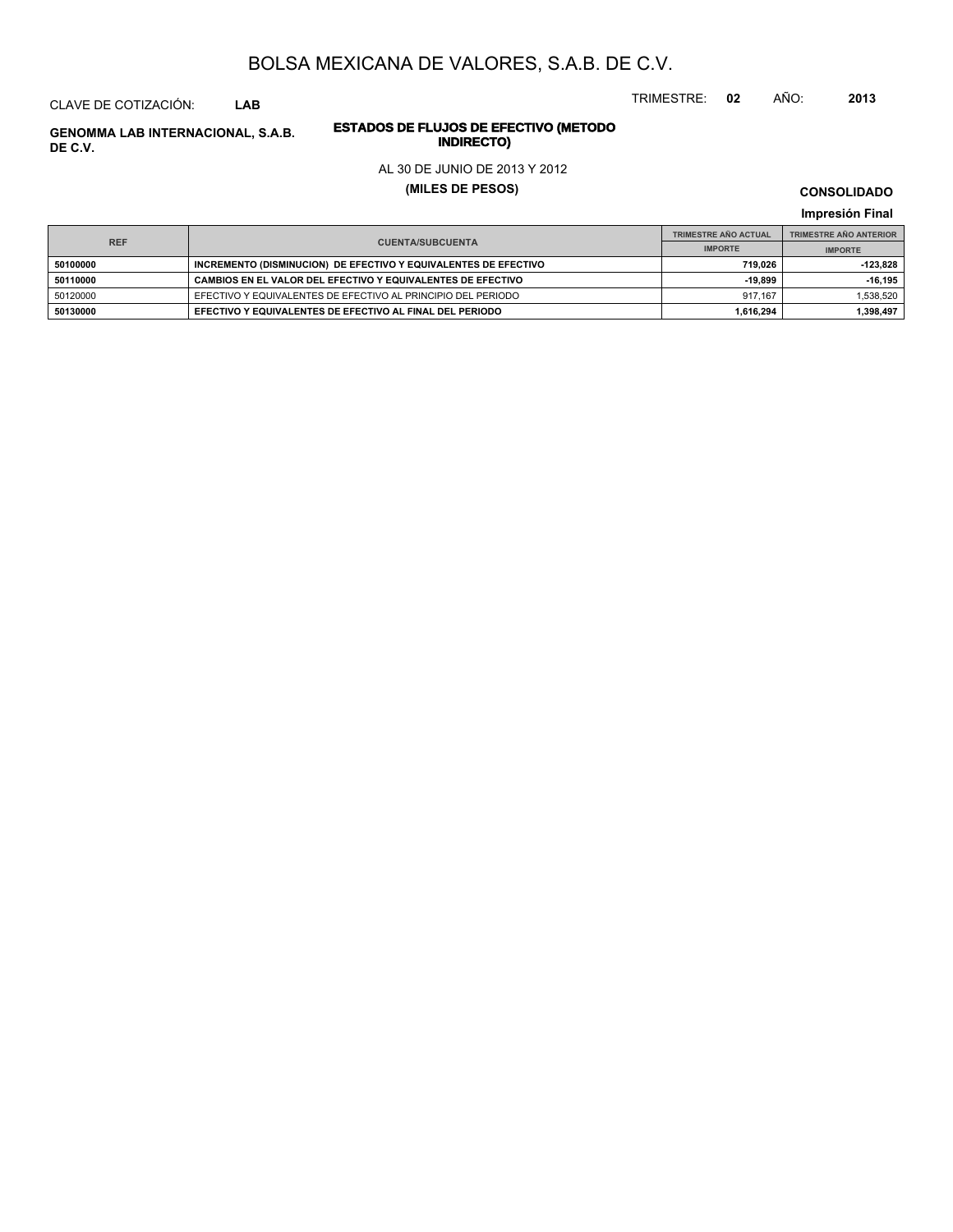CLAVE DE COTIZACIÓN: **LAB**

# **INDIRECTO) GENOMMA LAB INTERNACIONAL, S.A.B. DE C.V.**

# **ESTADOS DE FLUJOS DE EFECTIVO (METODO**

### AL 30 DE JUNIO DE 2013 Y 2012

**(MILES DE PESOS)**

**CONSOLIDADO**

**Impresión Final**

| <b>REF</b> |                                                                 | <b>TRIMESTRE AÑO ACTUAL</b> | <b>TRIMESTRE AÑO ANTERIOR</b> |
|------------|-----------------------------------------------------------------|-----------------------------|-------------------------------|
|            | <b>CUENTA/SUBCUENTA</b>                                         | <b>IMPORTE</b>              | <b>IMPORTE</b>                |
| 50100000   | INCREMENTO (DISMINUCION) DE EFECTIVO Y EQUIVALENTES DE EFECTIVO | 719.026                     | -123.828                      |
| 50110000   | CAMBIOS EN EL VALOR DEL EFECTIVO Y EQUIVALENTES DE EFECTIVO     | $-19.899$                   | -16.195                       |
| 50120000   | EFECTIVO Y EQUIVALENTES DE EFECTIVO AL PRINCIPIO DEL PERIODO    | 917.167                     | 1.538.520                     |
| 50130000   | EFECTIVO Y EQUIVALENTES DE EFECTIVO AL FINAL DEL PERIODO        | 1.616.294                   | 1,398,497                     |

TRIMESTRE: **02** AÑO: **2013**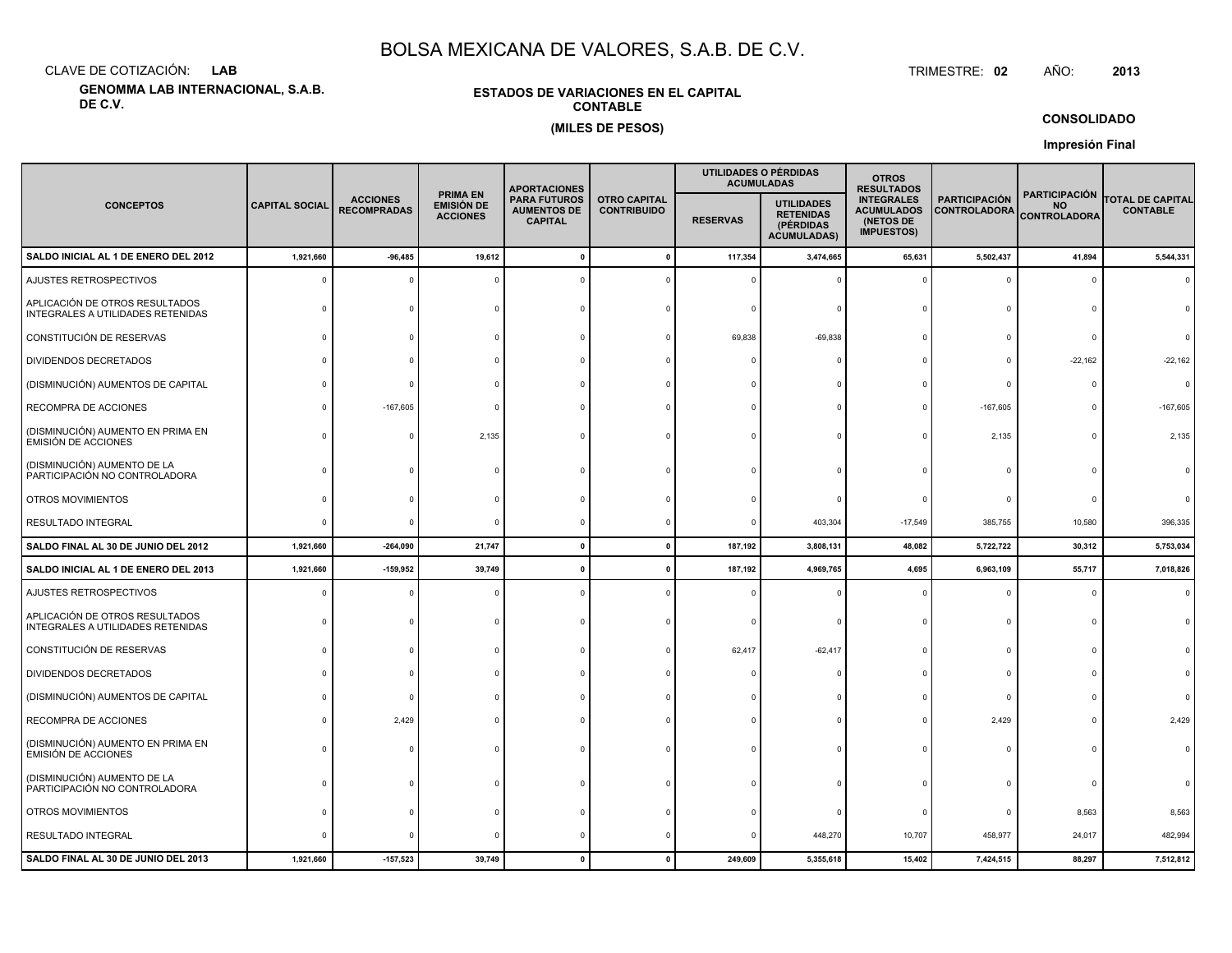CLAVE DE COTIZACIÓN:**LAB**

**GENOMMA LAB INTERNACIONAL, S.A.B. DE C.V.**

### **ESTADOS DE VARIACIONES EN EL CAPITALCONTABLE(MILES DE PESOS)**

 TRIMESTRE:TRIMESTRE: 02 AÑO: **<sup>2013</sup>**

**CONSOLIDADO**

**Impresión Final**

|                                                                     |                       |                                       |                                                         | <b>APORTACIONES</b>                                         |                                           |                 | UTILIDADES O PÉRDIDAS<br><b>ACUMULADAS</b>                               | <b>OTROS</b><br><b>RESULTADOS</b>                                        |                                             |                                                          |                                            |
|---------------------------------------------------------------------|-----------------------|---------------------------------------|---------------------------------------------------------|-------------------------------------------------------------|-------------------------------------------|-----------------|--------------------------------------------------------------------------|--------------------------------------------------------------------------|---------------------------------------------|----------------------------------------------------------|--------------------------------------------|
| <b>CONCEPTOS</b>                                                    | <b>CAPITAL SOCIAL</b> | <b>ACCIONES</b><br><b>RECOMPRADAS</b> | <b>PRIMA EN</b><br><b>EMISIÓN DE</b><br><b>ACCIONES</b> | <b>PARA FUTUROS</b><br><b>AUMENTOS DE</b><br><b>CAPITAL</b> | <b>OTRO CAPITAL</b><br><b>CONTRIBUIDO</b> | <b>RESERVAS</b> | <b>UTILIDADES</b><br><b>RETENIDAS</b><br>(PÉRDIDAS<br><b>ACUMULADAS)</b> | <b>INTEGRALES</b><br><b>ACUMULADOS</b><br>(NETOS DE<br><b>IMPUESTOS)</b> | <b>PARTICIPACIÓN</b><br><b>CONTROLADORA</b> | <b>PARTICIPACIÓN</b><br><b>NO</b><br><b>CONTROLADORA</b> | <b>TOTAL DE CAPITAL</b><br><b>CONTABLE</b> |
| SALDO INICIAL AL 1 DE ENERO DEL 2012                                | 1,921,660             | $-96,485$                             | 19,612                                                  |                                                             |                                           | 117,354         | 3,474,665                                                                | 65,631                                                                   | 5,502,437                                   | 41,894                                                   | 5,544,331                                  |
| AJUSTES RETROSPECTIVOS                                              | $\Omega$              |                                       |                                                         |                                                             |                                           |                 |                                                                          |                                                                          | $\Omega$                                    | $\Omega$                                                 | $\Omega$                                   |
| APLICACIÓN DE OTROS RESULTADOS<br>INTEGRALES A UTILIDADES RETENIDAS |                       |                                       |                                                         |                                                             |                                           |                 |                                                                          |                                                                          |                                             | $\Omega$                                                 |                                            |
| CONSTITUCIÓN DE RESERVAS                                            |                       |                                       |                                                         |                                                             |                                           | 69,838          | $-69,838$                                                                |                                                                          | $\Omega$                                    | $\Omega$                                                 |                                            |
| DIVIDENDOS DECRETADOS                                               |                       |                                       |                                                         |                                                             |                                           |                 |                                                                          |                                                                          | $\Omega$                                    | $-22,162$                                                | $-22,162$                                  |
| (DISMINUCIÓN) AUMENTOS DE CAPITAL                                   |                       |                                       |                                                         |                                                             |                                           |                 |                                                                          |                                                                          | $\Omega$                                    | $\Omega$                                                 | $\Omega$                                   |
| RECOMPRA DE ACCIONES                                                |                       | $-167,605$                            |                                                         |                                                             |                                           |                 |                                                                          |                                                                          | $-167,605$                                  |                                                          | $-167,605$                                 |
| (DISMINUCIÓN) AUMENTO EN PRIMA EN<br><b>EMISIÓN DE ACCIONES</b>     |                       |                                       | 2,135                                                   |                                                             |                                           |                 |                                                                          |                                                                          | 2,135                                       | $\Omega$                                                 | 2,135                                      |
| (DISMINUCIÓN) AUMENTO DE LA<br>PARTICIPACIÓN NO CONTROLADORA        |                       |                                       |                                                         |                                                             |                                           |                 |                                                                          |                                                                          | $\Omega$                                    | $\Omega$                                                 |                                            |
| OTROS MOVIMIENTOS                                                   |                       |                                       |                                                         |                                                             |                                           |                 |                                                                          |                                                                          | $^{\circ}$                                  | $\Omega$                                                 |                                            |
| RESULTADO INTEGRAL                                                  |                       |                                       | $\Omega$                                                |                                                             |                                           |                 | 403,304                                                                  | $-17,549$                                                                | 385,755                                     | 10,580                                                   | 396,335                                    |
| SALDO FINAL AL 30 DE JUNIO DEL 2012                                 | 1,921,660             | $-264,090$                            | 21,747                                                  |                                                             |                                           | 187,192         | 3,808,131                                                                | 48,082                                                                   | 5,722,722                                   | 30,312                                                   | 5,753,034                                  |
| SALDO INICIAL AL 1 DE ENERO DEL 2013                                | 1,921,660             | $-159,952$                            | 39,749                                                  |                                                             |                                           | 187,192         | 4,969,765                                                                | 4,695                                                                    | 6,963,109                                   | 55,717                                                   | 7,018,826                                  |
| AJUSTES RETROSPECTIVOS                                              |                       |                                       |                                                         |                                                             |                                           |                 |                                                                          |                                                                          | $\Omega$                                    | $\mathbf 0$                                              |                                            |
| APLICACIÓN DE OTROS RESULTADOS<br>INTEGRALES A UTILIDADES RETENIDAS |                       |                                       |                                                         |                                                             |                                           |                 |                                                                          |                                                                          | $\Omega$                                    | $\Omega$                                                 |                                            |
| CONSTITUCIÓN DE RESERVAS                                            |                       |                                       |                                                         |                                                             |                                           | 62,417          | $-62,417$                                                                |                                                                          | $\mathbf 0$                                 |                                                          |                                            |
| DIVIDENDOS DECRETADOS                                               |                       |                                       |                                                         |                                                             |                                           |                 |                                                                          |                                                                          | $\Omega$                                    |                                                          |                                            |
| (DISMINUCIÓN) AUMENTOS DE CAPITAL                                   |                       |                                       |                                                         |                                                             |                                           |                 |                                                                          |                                                                          | $\Omega$                                    |                                                          |                                            |
| RECOMPRA DE ACCIONES                                                |                       | 2,429                                 |                                                         |                                                             |                                           |                 |                                                                          |                                                                          | 2,429                                       | $\Omega$                                                 | 2,429                                      |
| (DISMINUCIÓN) AUMENTO EN PRIMA EN<br><b>EMISIÓN DE ACCIONES</b>     |                       |                                       |                                                         |                                                             |                                           |                 |                                                                          |                                                                          | $\Omega$                                    |                                                          |                                            |
| (DISMINUCIÓN) AUMENTO DE LA<br>PARTICIPACIÓN NO CONTROLADORA        |                       |                                       |                                                         |                                                             |                                           |                 |                                                                          |                                                                          |                                             |                                                          |                                            |
| OTROS MOVIMIENTOS                                                   |                       |                                       |                                                         |                                                             |                                           |                 |                                                                          |                                                                          | $\Omega$                                    | 8,563                                                    | 8,563                                      |
| RESULTADO INTEGRAL                                                  |                       |                                       |                                                         |                                                             |                                           |                 | 448,270                                                                  | 10,707                                                                   | 458,977                                     | 24,017                                                   | 482,994                                    |
| SALDO FINAL AL 30 DE JUNIO DEL 2013                                 | 1,921,660             | $-157,523$                            | 39,749                                                  |                                                             |                                           | 249,609         | 5,355,618                                                                | 15,402                                                                   | 7,424,515                                   | 88,297                                                   | 7,512,812                                  |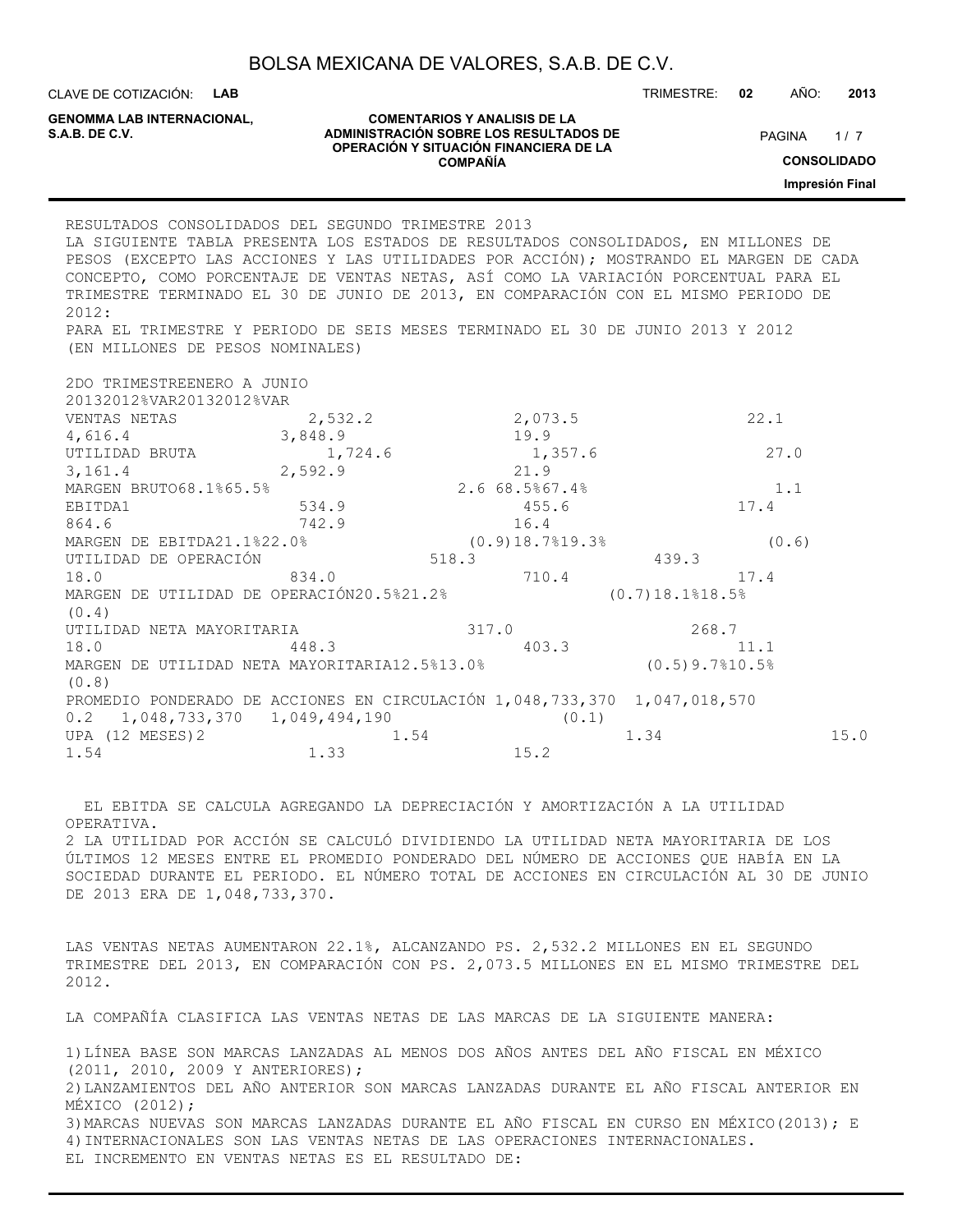| BOLSA MEXICANA DE VALORES, S.A.B. DE C.V. |  |  |  |
|-------------------------------------------|--|--|--|
|-------------------------------------------|--|--|--|

TRIMESTRE: **02** AÑO: **2013**

**GENOMMA LAB INTERNACIONAL,**

#### **COMENTARIOS Y ANALISIS DE LA ADMINISTRACIÓN SOBRE LOS RESULTADOS DE PAGINA 1/7 OPERACIÓN Y SITUACIÓN FINANCIERA DE LA COMPAÑÍA**

 $1/7$ **CONSOLIDADO**

**Impresión Final**

RESULTADOS CONSOLIDADOS DEL SEGUNDO TRIMESTRE 2013 LA SIGUIENTE TABLA PRESENTA LOS ESTADOS DE RESULTADOS CONSOLIDADOS, EN MILLONES DE PESOS (EXCEPTO LAS ACCIONES Y LAS UTILIDADES POR ACCIÓN); MOSTRANDO EL MARGEN DE CADA CONCEPTO, COMO PORCENTAJE DE VENTAS NETAS, ASÍ COMO LA VARIACIÓN PORCENTUAL PARA EL TRIMESTRE TERMINADO EL 30 DE JUNIO DE 2013, EN COMPARACIÓN CON EL MISMO PERIODO DE 2012: PARA EL TRIMESTRE Y PERIODO DE SEIS MESES TERMINADO EL 30 DE JUNIO 2013 Y 2012 (EN MILLONES DE PESOS NOMINALES) 2DO TRIMESTREENERO A JUNIO 20132012%VAR20132012%VAR VENTAS NETAS 2,532.2 2,073.5 22.1 4,616.4 3,848.9 19.9 UTILIDAD BRUTA 1,724.6 1,357.6 27.0 3,161.4 2,592.9 21.9 MARGEN BRUTO68.1%65.5% 2.6 68.5%67.4% 1.1 EBITDA1 534.9 534.9 455.6 17.4 864.6 742.9 16.4 MARGEN DE EBITDA21.1%22.0% (0.9)18.7%19.3% (0.6) UTILIDAD DE OPERACIÓN  $518.3$  439.3 18.0 834.0 710.4 17.4 MARGEN DE UTILIDAD DE OPERACIÓN20.5%21.2% (0.7)18.1%18.5% (0.4) UTILIDAD NETA MAYORITARIA 317.0 268.7 18.0 448.3 403.3 11.1 MARGEN DE UTILIDAD NETA MAYORITARIA12.5%13.0% (0.5)9.7%10.5% (0.8) PROMEDIO PONDERADO DE ACCIONES EN CIRCULACIÓN 1,048,733,370 1,047,018,570 0.2 1,048,733,370 1,049,494,190 (0.1) UPA (12 MESES) 2 1.54 1.54 1.34 15.0 1.54 1.33 15.2

 EL EBITDA SE CALCULA AGREGANDO LA DEPRECIACIÓN Y AMORTIZACIÓN A LA UTILIDAD OPERATIVA. 2 LA UTILIDAD POR ACCIÓN SE CALCULÓ DIVIDIENDO LA UTILIDAD NETA MAYORITARIA DE LOS ÚLTIMOS 12 MESES ENTRE EL PROMEDIO PONDERADO DEL NÚMERO DE ACCIONES QUE HABÍA EN LA SOCIEDAD DURANTE EL PERIODO. EL NÚMERO TOTAL DE ACCIONES EN CIRCULACIÓN AL 30 DE JUNIO DE 2013 ERA DE 1,048,733,370.

LAS VENTAS NETAS AUMENTARON 22.1%, ALCANZANDO PS. 2,532.2 MILLONES EN EL SEGUNDO TRIMESTRE DEL 2013, EN COMPARACIÓN CON PS. 2,073.5 MILLONES EN EL MISMO TRIMESTRE DEL 2012.

LA COMPAÑÍA CLASIFICA LAS VENTAS NETAS DE LAS MARCAS DE LA SIGUIENTE MANERA:

1)LÍNEA BASE SON MARCAS LANZADAS AL MENOS DOS AÑOS ANTES DEL AÑO FISCAL EN MÉXICO (2011, 2010, 2009 Y ANTERIORES); 2)LANZAMIENTOS DEL AÑO ANTERIOR SON MARCAS LANZADAS DURANTE EL AÑO FISCAL ANTERIOR EN MÉXICO (2012); 3)MARCAS NUEVAS SON MARCAS LANZADAS DURANTE EL AÑO FISCAL EN CURSO EN MÉXICO(2013); E 4)INTERNACIONALES SON LAS VENTAS NETAS DE LAS OPERACIONES INTERNACIONALES. EL INCREMENTO EN VENTAS NETAS ES EL RESULTADO DE:

CLAVE DE COTIZACIÓN: **LAB**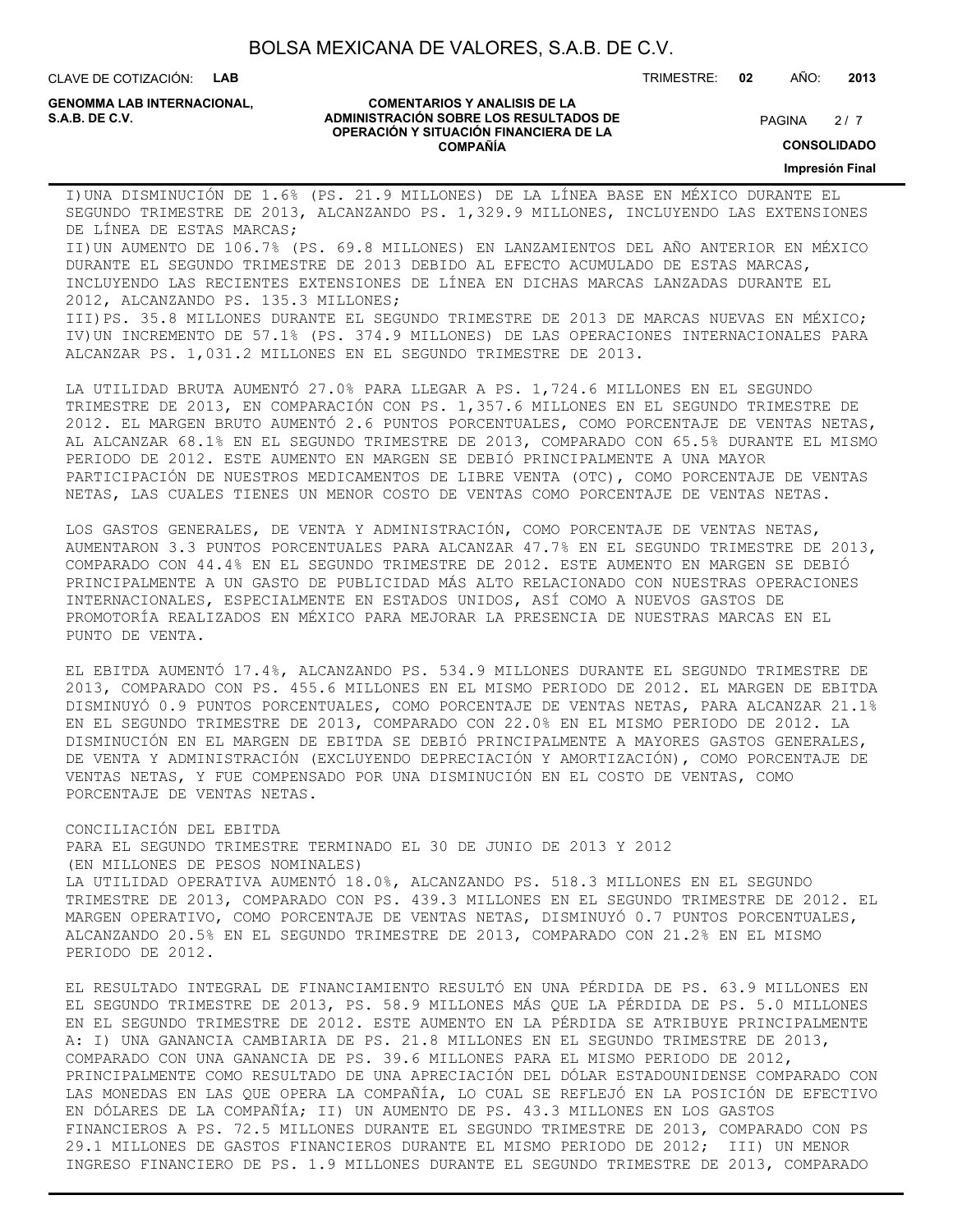CLAVE DE COTIZACIÓN: **LAB**

**GENOMMA LAB INTERNACIONAL,**

#### **COMENTARIOS Y ANALISIS DE LA ADMINISTRACIÓN SOBRE LOS RESULTADOS DE PAGINA 2/7 PAGINA 2/7 OPERACIÓN Y SITUACIÓN FINANCIERA DE LA COMPAÑÍA**

 $2/7$ 

**CONSOLIDADO**

**Impresión Final**

I)UNA DISMINUCIÓN DE 1.6% (PS. 21.9 MILLONES) DE LA LÍNEA BASE EN MÉXICO DURANTE EL SEGUNDO TRIMESTRE DE 2013, ALCANZANDO PS. 1,329.9 MILLONES, INCLUYENDO LAS EXTENSIONES DE LÍNEA DE ESTAS MARCAS;

II)UN AUMENTO DE 106.7% (PS. 69.8 MILLONES) EN LANZAMIENTOS DEL AÑO ANTERIOR EN MÉXICO DURANTE EL SEGUNDO TRIMESTRE DE 2013 DEBIDO AL EFECTO ACUMULADO DE ESTAS MARCAS, INCLUYENDO LAS RECIENTES EXTENSIONES DE LÍNEA EN DICHAS MARCAS LANZADAS DURANTE EL 2012, ALCANZANDO PS. 135.3 MILLONES; III)PS. 35.8 MILLONES DURANTE EL SEGUNDO TRIMESTRE DE 2013 DE MARCAS NUEVAS EN MÉXICO;

IV)UN INCREMENTO DE 57.1% (PS. 374.9 MILLONES) DE LAS OPERACIONES INTERNACIONALES PARA ALCANZAR PS. 1,031.2 MILLONES EN EL SEGUNDO TRIMESTRE DE 2013.

LA UTILIDAD BRUTA AUMENTÓ 27.0% PARA LLEGAR A PS. 1,724.6 MILLONES EN EL SEGUNDO TRIMESTRE DE 2013, EN COMPARACIÓN CON PS. 1,357.6 MILLONES EN EL SEGUNDO TRIMESTRE DE 2012. EL MARGEN BRUTO AUMENTÓ 2.6 PUNTOS PORCENTUALES, COMO PORCENTAJE DE VENTAS NETAS, AL ALCANZAR 68.1% EN EL SEGUNDO TRIMESTRE DE 2013, COMPARADO CON 65.5% DURANTE EL MISMO PERIODO DE 2012. ESTE AUMENTO EN MARGEN SE DEBIÓ PRINCIPALMENTE A UNA MAYOR PARTICIPACIÓN DE NUESTROS MEDICAMENTOS DE LIBRE VENTA (OTC), COMO PORCENTAJE DE VENTAS NETAS, LAS CUALES TIENES UN MENOR COSTO DE VENTAS COMO PORCENTAJE DE VENTAS NETAS.

LOS GASTOS GENERALES, DE VENTA Y ADMINISTRACIÓN, COMO PORCENTAJE DE VENTAS NETAS, AUMENTARON 3.3 PUNTOS PORCENTUALES PARA ALCANZAR 47.7% EN EL SEGUNDO TRIMESTRE DE 2013, COMPARADO CON 44.4% EN EL SEGUNDO TRIMESTRE DE 2012. ESTE AUMENTO EN MARGEN SE DEBIÓ PRINCIPALMENTE A UN GASTO DE PUBLICIDAD MÁS ALTO RELACIONADO CON NUESTRAS OPERACIONES INTERNACIONALES, ESPECIALMENTE EN ESTADOS UNIDOS, ASÍ COMO A NUEVOS GASTOS DE PROMOTORÍA REALIZADOS EN MÉXICO PARA MEJORAR LA PRESENCIA DE NUESTRAS MARCAS EN EL PUNTO DE VENTA.

EL EBITDA AUMENTÓ 17.4%, ALCANZANDO PS. 534.9 MILLONES DURANTE EL SEGUNDO TRIMESTRE DE 2013, COMPARADO CON PS. 455.6 MILLONES EN EL MISMO PERIODO DE 2012. EL MARGEN DE EBITDA DISMINUYÓ 0.9 PUNTOS PORCENTUALES, COMO PORCENTAJE DE VENTAS NETAS, PARA ALCANZAR 21.1% EN EL SEGUNDO TRIMESTRE DE 2013, COMPARADO CON 22.0% EN EL MISMO PERIODO DE 2012. LA DISMINUCIÓN EN EL MARGEN DE EBITDA SE DEBIÓ PRINCIPALMENTE A MAYORES GASTOS GENERALES, DE VENTA Y ADMINISTRACIÓN (EXCLUYENDO DEPRECIACIÓN Y AMORTIZACIÓN), COMO PORCENTAJE DE VENTAS NETAS, Y FUE COMPENSADO POR UNA DISMINUCIÓN EN EL COSTO DE VENTAS, COMO PORCENTAJE DE VENTAS NETAS.

#### CONCILIACIÓN DEL EBITDA

PARA EL SEGUNDO TRIMESTRE TERMINADO EL 30 DE JUNIO DE 2013 Y 2012 (EN MILLONES DE PESOS NOMINALES)

LA UTILIDAD OPERATIVA AUMENTÓ 18.0%, ALCANZANDO PS. 518.3 MILLONES EN EL SEGUNDO TRIMESTRE DE 2013, COMPARADO CON PS. 439.3 MILLONES EN EL SEGUNDO TRIMESTRE DE 2012. EL MARGEN OPERATIVO, COMO PORCENTAJE DE VENTAS NETAS, DISMINUYÓ 0.7 PUNTOS PORCENTUALES, ALCANZANDO 20.5% EN EL SEGUNDO TRIMESTRE DE 2013, COMPARADO CON 21.2% EN EL MISMO PERIODO DE 2012.

EL RESULTADO INTEGRAL DE FINANCIAMIENTO RESULTÓ EN UNA PÉRDIDA DE PS. 63.9 MILLONES EN EL SEGUNDO TRIMESTRE DE 2013, PS. 58.9 MILLONES MÁS QUE LA PÉRDIDA DE PS. 5.0 MILLONES EN EL SEGUNDO TRIMESTRE DE 2012. ESTE AUMENTO EN LA PÉRDIDA SE ATRIBUYE PRINCIPALMENTE A: I) UNA GANANCIA CAMBIARIA DE PS. 21.8 MILLONES EN EL SEGUNDO TRIMESTRE DE 2013, COMPARADO CON UNA GANANCIA DE PS. 39.6 MILLONES PARA EL MISMO PERIODO DE 2012, PRINCIPALMENTE COMO RESULTADO DE UNA APRECIACIÓN DEL DÓLAR ESTADOUNIDENSE COMPARADO CON LAS MONEDAS EN LAS QUE OPERA LA COMPAÑÍA, LO CUAL SE REFLEJÓ EN LA POSICIÓN DE EFECTIVO EN DÓLARES DE LA COMPAÑÍA; II) UN AUMENTO DE PS. 43.3 MILLONES EN LOS GASTOS FINANCIEROS A PS. 72.5 MILLONES DURANTE EL SEGUNDO TRIMESTRE DE 2013, COMPARADO CON PS 29.1 MILLONES DE GASTOS FINANCIEROS DURANTE EL MISMO PERIODO DE 2012; III) UN MENOR INGRESO FINANCIERO DE PS. 1.9 MILLONES DURANTE EL SEGUNDO TRIMESTRE DE 2013, COMPARADO

TRIMESTRE: **02** AÑO: **2013**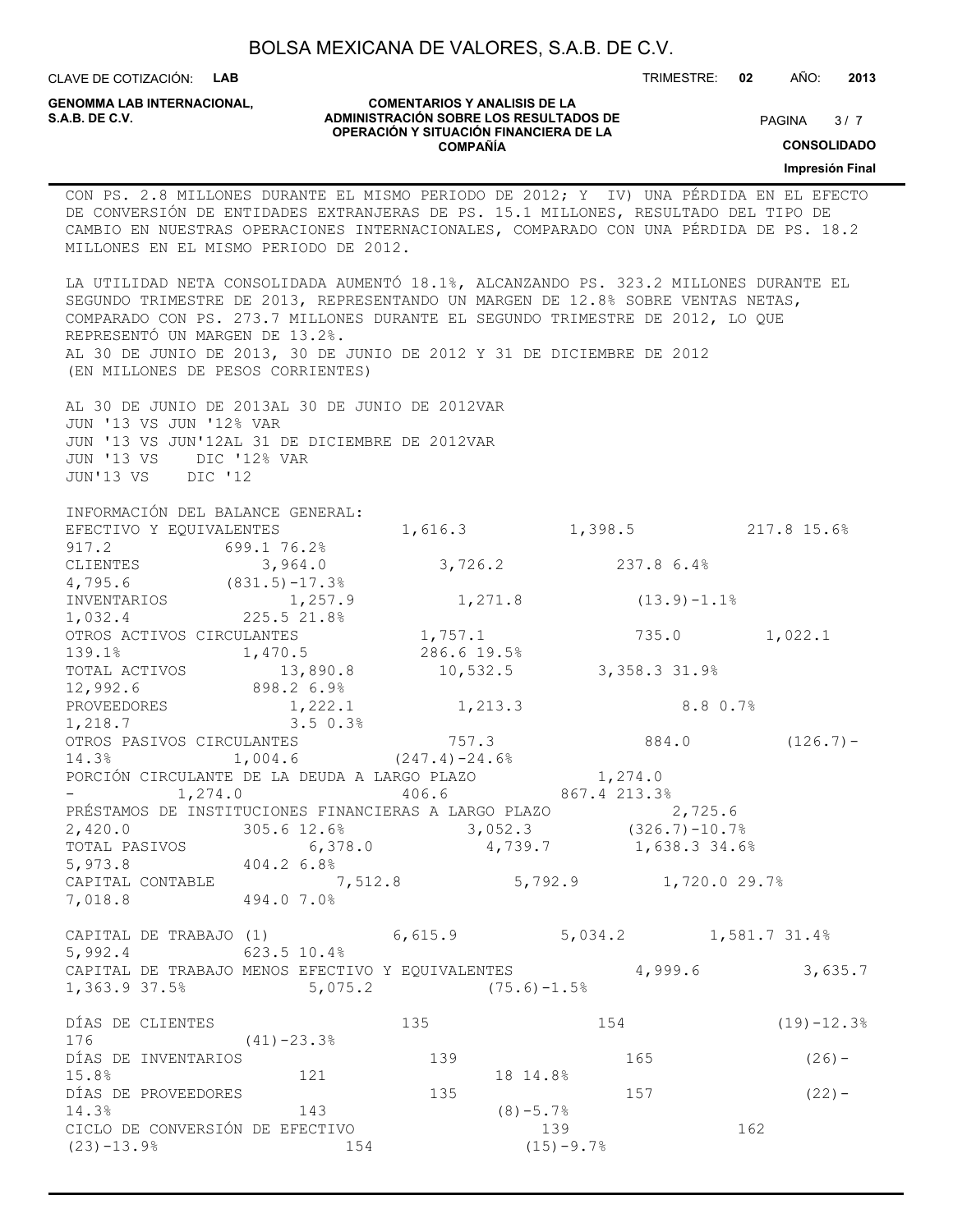CLAVE DE COTIZACIÓN: **LAB**

**GENOMMA LAB INTERNACIONAL,**

#### **COMENTARIOS Y ANALISIS DE LA ADMINISTRACIÓN SOBRE LOS RESULTADOS DE S.A.B. DE C.V.** PAGINA / 7 **OPERACIÓN Y SITUACIÓN FINANCIERA DE LA COMPAÑÍA**

 $3/7$ 

TRIMESTRE: **02** AÑO: **2013**

**CONSOLIDADO**

**Impresión Final**

# CON PS. 2.8 MILLONES DURANTE EL MISMO PERIODO DE 2012; Y IV) UNA PÉRDIDA EN EL EFECTO DE CONVERSIÓN DE ENTIDADES EXTRANJERAS DE PS. 15.1 MILLONES, RESULTADO DEL TIPO DE CAMBIO EN NUESTRAS OPERACIONES INTERNACIONALES, COMPARADO CON UNA PÉRDIDA DE PS. 18.2 MILLONES EN EL MISMO PERIODO DE 2012. LA UTILIDAD NETA CONSOLIDADA AUMENTÓ 18.1%, ALCANZANDO PS. 323.2 MILLONES DURANTE EL SEGUNDO TRIMESTRE DE 2013, REPRESENTANDO UN MARGEN DE 12.8% SOBRE VENTAS NETAS, COMPARADO CON PS. 273.7 MILLONES DURANTE EL SEGUNDO TRIMESTRE DE 2012, LO QUE REPRESENTÓ UN MARGEN DE 13.2%. AL 30 DE JUNIO DE 2013, 30 DE JUNIO DE 2012 Y 31 DE DICIEMBRE DE 2012 (EN MILLONES DE PESOS CORRIENTES) AL 30 DE JUNIO DE 2013AL 30 DE JUNIO DE 2012VAR JUN '13 VS JUN '12% VAR JUN '13 VS JUN'12AL 31 DE DICIEMBRE DE 2012VAR JUN '13 VS DIC '12% VAR JUN'13 VS DIC '12 INFORMACIÓN DEL BALANCE GENERAL: EFECTIVO Y EQUIVALENTES 1,616.3 1,398.5 217.8 15.6% 917.2 699.1 76.2% CLIENTES 3,964.0 3,726.2 237.8 6.4% 4,795.6 (831.5)-17.3% INVENTARIOS 1,257.9 1,271.8 (13.9)-1.1% 1,032.4 225.5 21.8% OTROS ACTIVOS CIRCULANTES 1,757.1 735.0 1,022.1 139.1% 1,470.5 286.6 19.5% TOTAL ACTIVOS 13,890.8 10,532.5 3,358.3 31.9% 12,992.6 898.2 6.9% PROVEEDORES 1,222.1 1,213.3 8.8 0.7% 1,218.7 3.5 0.3% OTROS PASIVOS CIRCULANTES  $757.3$  884.0 (126.7) -14.3% 1,004.6 (247.4)-24.6% PORCIÓN CIRCULANTE DE LA DEUDA A LARGO PLAZO  $1,274.0$ - 1,274.0 406.6 867.4 213.3% PRÉSTAMOS DE INSTITUCIONES FINANCIERAS A LARGO PLAZO 2,725.6 2,420.0 305.6 12.6% 3,052.3 (326.7)-10.7% TOTAL PASIVOS 6,378.0 4,739.7 1,638.3 34.6% 5,973.8 404.2 6.8% CAPITAL CONTABLE 7,512.8 5,792.9 1,720.0 29.7% 7,018.8 494.0 7.0% CAPITAL DE TRABAJO (1) 6,615.9 5,034.2 1,581.7 31.4% 5,992.4 623.5 10.4% CAPITAL DE TRABAJO MENOS EFECTIVO Y EQUIVALENTES 4,999.6 3,635.7 1,363.9 37.5% 5,075.2 (75.6)-1.5% DÍAS DE CLIENTES 135 154 (19)-12.3% 176 (41)-23.3% DÍAS DE INVENTARIOS 139 165 165 (26) -15.8% 121 18 14.8% DÍAS DE PROVEEDORES 135 157 (22)- 14.3% 143 (8)-5.7% CICLO DE CONVERSIÓN DE EFECTIVO  $139$  139 162  $(23)$  -13.9% 154 (15) -9.7%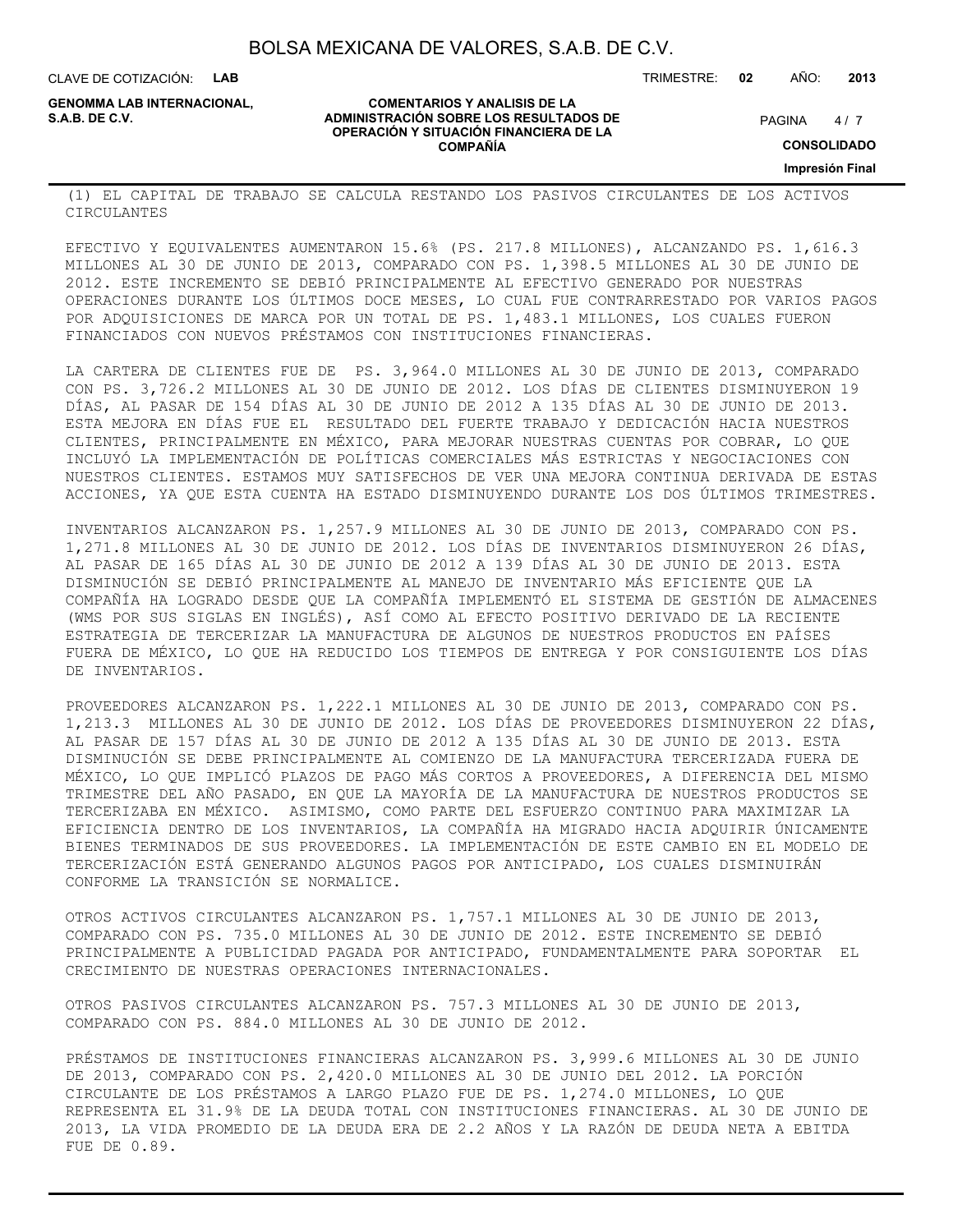CLAVE DE COTIZACIÓN: **LAB**

**GENOMMA LAB INTERNACIONAL,**

**COMENTARIOS Y ANALISIS DE LA ADMINISTRACIÓN SOBRE LOS RESULTADOS DE PAGINA 1997 E PAGINA 2018 OPERACIÓN Y SITUACIÓN FINANCIERA DE LA COMPAÑÍA**

 $4/7$ 

TRIMESTRE: **02** AÑO: **2013**

**CONSOLIDADO**

**Impresión Final**

(1) EL CAPITAL DE TRABAJO SE CALCULA RESTANDO LOS PASIVOS CIRCULANTES DE LOS ACTIVOS CIRCULANTES

EFECTIVO Y EQUIVALENTES AUMENTARON 15.6% (PS. 217.8 MILLONES), ALCANZANDO PS. 1,616.3 MILLONES AL 30 DE JUNIO DE 2013, COMPARADO CON PS. 1,398.5 MILLONES AL 30 DE JUNIO DE 2012. ESTE INCREMENTO SE DEBIÓ PRINCIPALMENTE AL EFECTIVO GENERADO POR NUESTRAS OPERACIONES DURANTE LOS ÚLTIMOS DOCE MESES, LO CUAL FUE CONTRARRESTADO POR VARIOS PAGOS POR ADQUISICIONES DE MARCA POR UN TOTAL DE PS. 1,483.1 MILLONES, LOS CUALES FUERON FINANCIADOS CON NUEVOS PRÉSTAMOS CON INSTITUCIONES FINANCIERAS.

LA CARTERA DE CLIENTES FUE DE PS. 3,964.0 MILLONES AL 30 DE JUNIO DE 2013, COMPARADO CON PS. 3,726.2 MILLONES AL 30 DE JUNIO DE 2012. LOS DÍAS DE CLIENTES DISMINUYERON 19 DÍAS, AL PASAR DE 154 DÍAS AL 30 DE JUNIO DE 2012 A 135 DÍAS AL 30 DE JUNIO DE 2013. ESTA MEJORA EN DÍAS FUE EL RESULTADO DEL FUERTE TRABAJO Y DEDICACIÓN HACIA NUESTROS CLIENTES, PRINCIPALMENTE EN MÉXICO, PARA MEJORAR NUESTRAS CUENTAS POR COBRAR, LO QUE INCLUYÓ LA IMPLEMENTACIÓN DE POLÍTICAS COMERCIALES MÁS ESTRICTAS Y NEGOCIACIONES CON NUESTROS CLIENTES. ESTAMOS MUY SATISFECHOS DE VER UNA MEJORA CONTINUA DERIVADA DE ESTAS ACCIONES, YA QUE ESTA CUENTA HA ESTADO DISMINUYENDO DURANTE LOS DOS ÚLTIMOS TRIMESTRES.

INVENTARIOS ALCANZARON PS. 1,257.9 MILLONES AL 30 DE JUNIO DE 2013, COMPARADO CON PS. 1,271.8 MILLONES AL 30 DE JUNIO DE 2012. LOS DÍAS DE INVENTARIOS DISMINUYERON 26 DÍAS, AL PASAR DE 165 DÍAS AL 30 DE JUNIO DE 2012 A 139 DÍAS AL 30 DE JUNIO DE 2013. ESTA DISMINUCIÓN SE DEBIÓ PRINCIPALMENTE AL MANEJO DE INVENTARIO MÁS EFICIENTE QUE LA COMPAÑÍA HA LOGRADO DESDE QUE LA COMPAÑÍA IMPLEMENTÓ EL SISTEMA DE GESTIÓN DE ALMACENES (WMS POR SUS SIGLAS EN INGLÉS), ASÍ COMO AL EFECTO POSITIVO DERIVADO DE LA RECIENTE ESTRATEGIA DE TERCERIZAR LA MANUFACTURA DE ALGUNOS DE NUESTROS PRODUCTOS EN PAÍSES FUERA DE MÉXICO, LO QUE HA REDUCIDO LOS TIEMPOS DE ENTREGA Y POR CONSIGUIENTE LOS DÍAS DE INVENTARIOS.

PROVEEDORES ALCANZARON PS. 1,222.1 MILLONES AL 30 DE JUNIO DE 2013, COMPARADO CON PS. 1,213.3 MILLONES AL 30 DE JUNIO DE 2012. LOS DÍAS DE PROVEEDORES DISMINUYERON 22 DÍAS, AL PASAR DE 157 DÍAS AL 30 DE JUNIO DE 2012 A 135 DÍAS AL 30 DE JUNIO DE 2013. ESTA DISMINUCIÓN SE DEBE PRINCIPALMENTE AL COMIENZO DE LA MANUFACTURA TERCERIZADA FUERA DE MÉXICO, LO QUE IMPLICÓ PLAZOS DE PAGO MÁS CORTOS A PROVEEDORES, A DIFERENCIA DEL MISMO TRIMESTRE DEL AÑO PASADO, EN QUE LA MAYORÍA DE LA MANUFACTURA DE NUESTROS PRODUCTOS SE TERCERIZABA EN MÉXICO. ASIMISMO, COMO PARTE DEL ESFUERZO CONTINUO PARA MAXIMIZAR LA EFICIENCIA DENTRO DE LOS INVENTARIOS, LA COMPAÑÍA HA MIGRADO HACIA ADQUIRIR ÚNICAMENTE BIENES TERMINADOS DE SUS PROVEEDORES. LA IMPLEMENTACIÓN DE ESTE CAMBIO EN EL MODELO DE TERCERIZACIÓN ESTÁ GENERANDO ALGUNOS PAGOS POR ANTICIPADO, LOS CUALES DISMINUIRÁN CONFORME LA TRANSICIÓN SE NORMALICE.

OTROS ACTIVOS CIRCULANTES ALCANZARON PS. 1,757.1 MILLONES AL 30 DE JUNIO DE 2013, COMPARADO CON PS. 735.0 MILLONES AL 30 DE JUNIO DE 2012. ESTE INCREMENTO SE DEBIÓ PRINCIPALMENTE A PUBLICIDAD PAGADA POR ANTICIPADO, FUNDAMENTALMENTE PARA SOPORTAR EL CRECIMIENTO DE NUESTRAS OPERACIONES INTERNACIONALES.

OTROS PASIVOS CIRCULANTES ALCANZARON PS. 757.3 MILLONES AL 30 DE JUNIO DE 2013, COMPARADO CON PS. 884.0 MILLONES AL 30 DE JUNIO DE 2012.

PRÉSTAMOS DE INSTITUCIONES FINANCIERAS ALCANZARON PS. 3,999.6 MILLONES AL 30 DE JUNIO DE 2013, COMPARADO CON PS. 2,420.0 MILLONES AL 30 DE JUNIO DEL 2012. LA PORCIÓN CIRCULANTE DE LOS PRÉSTAMOS A LARGO PLAZO FUE DE PS. 1,274.0 MILLONES, LO QUE REPRESENTA EL 31.9% DE LA DEUDA TOTAL CON INSTITUCIONES FINANCIERAS. AL 30 DE JUNIO DE 2013, LA VIDA PROMEDIO DE LA DEUDA ERA DE 2.2 AÑOS Y LA RAZÓN DE DEUDA NETA A EBITDA FUE DE 0.89.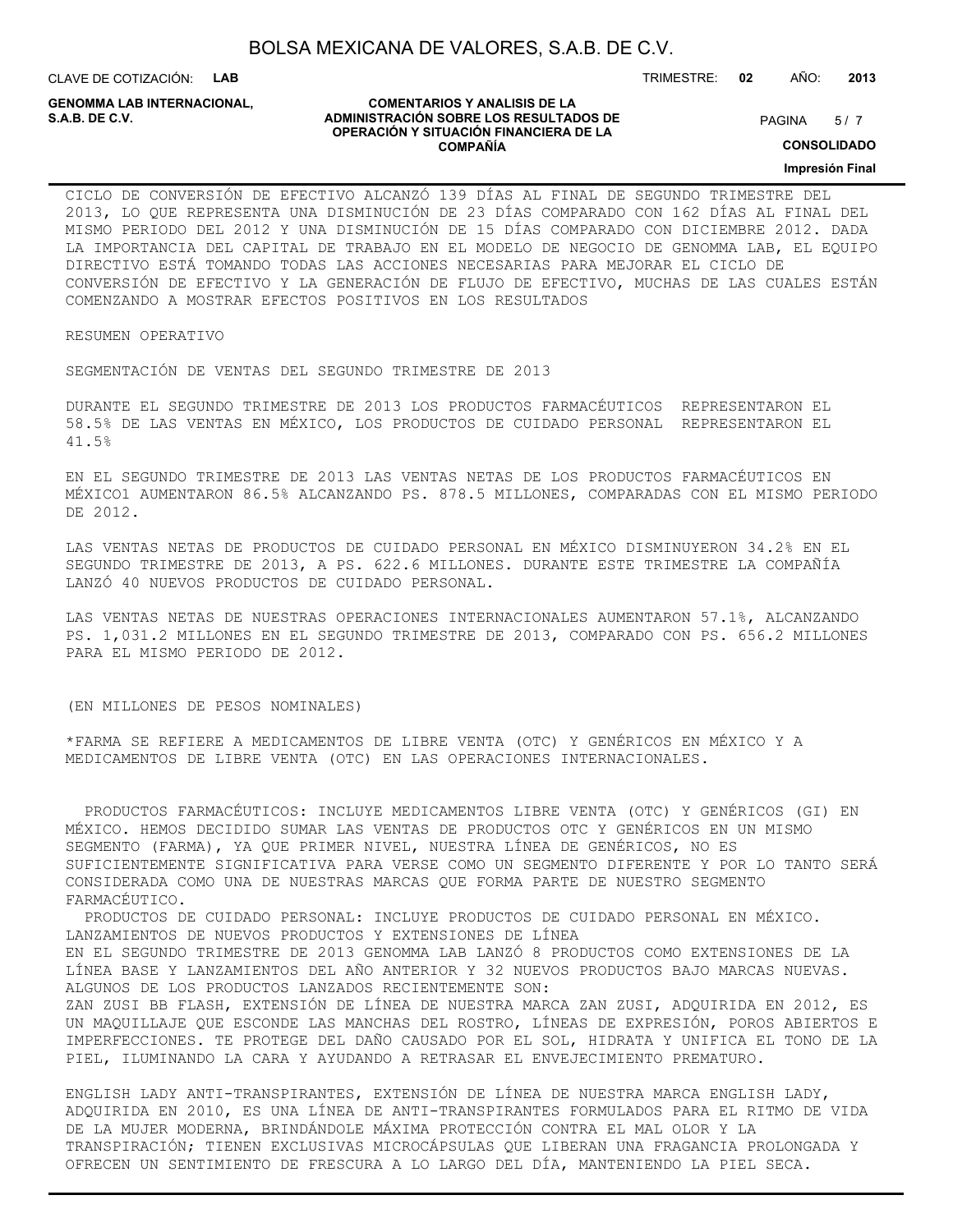CLAVE DE COTIZACIÓN: **LAB**

**GENOMMA LAB INTERNACIONAL,**

#### **COMENTARIOS Y ANALISIS DE LA ADMINISTRACIÓN SOBRE LOS RESULTADOS DE S.A.B. DE C.V.** PAGINA / 7 **OPERACIÓN Y SITUACIÓN FINANCIERA DE LA COMPAÑÍA**

 $5/7$ 

TRIMESTRE: **02** AÑO: **2013**

**CONSOLIDADO**

**Impresión Final**

CICLO DE CONVERSIÓN DE EFECTIVO ALCANZÓ 139 DÍAS AL FINAL DE SEGUNDO TRIMESTRE DEL 2013, LO QUE REPRESENTA UNA DISMINUCIÓN DE 23 DÍAS COMPARADO CON 162 DÍAS AL FINAL DEL MISMO PERIODO DEL 2012 Y UNA DISMINUCIÓN DE 15 DÍAS COMPARADO CON DICIEMBRE 2012. DADA LA IMPORTANCIA DEL CAPITAL DE TRABAJO EN EL MODELO DE NEGOCIO DE GENOMMA LAB, EL EQUIPO DIRECTIVO ESTÁ TOMANDO TODAS LAS ACCIONES NECESARIAS PARA MEJORAR EL CICLO DE CONVERSIÓN DE EFECTIVO Y LA GENERACIÓN DE FLUJO DE EFECTIVO, MUCHAS DE LAS CUALES ESTÁN COMENZANDO A MOSTRAR EFECTOS POSITIVOS EN LOS RESULTADOS

RESUMEN OPERATIVO

SEGMENTACIÓN DE VENTAS DEL SEGUNDO TRIMESTRE DE 2013

DURANTE EL SEGUNDO TRIMESTRE DE 2013 LOS PRODUCTOS FARMACÉUTICOS REPRESENTARON EL 58.5% DE LAS VENTAS EN MÉXICO, LOS PRODUCTOS DE CUIDADO PERSONAL REPRESENTARON EL 41.5%

EN EL SEGUNDO TRIMESTRE DE 2013 LAS VENTAS NETAS DE LOS PRODUCTOS FARMACÉUTICOS EN MÉXICO1 AUMENTARON 86.5% ALCANZANDO PS. 878.5 MILLONES, COMPARADAS CON EL MISMO PERIODO DE 2012.

LAS VENTAS NETAS DE PRODUCTOS DE CUIDADO PERSONAL EN MÉXICO DISMINUYERON 34.2% EN EL SEGUNDO TRIMESTRE DE 2013, A PS. 622.6 MILLONES. DURANTE ESTE TRIMESTRE LA COMPAÑÍA LANZÓ 40 NUEVOS PRODUCTOS DE CUIDADO PERSONAL.

LAS VENTAS NETAS DE NUESTRAS OPERACIONES INTERNACIONALES AUMENTARON 57.1%, ALCANZANDO PS. 1,031.2 MILLONES EN EL SEGUNDO TRIMESTRE DE 2013, COMPARADO CON PS. 656.2 MILLONES PARA EL MISMO PERIODO DE 2012.

(EN MILLONES DE PESOS NOMINALES)

\*FARMA SE REFIERE A MEDICAMENTOS DE LIBRE VENTA (OTC) Y GENÉRICOS EN MÉXICO Y A MEDICAMENTOS DE LIBRE VENTA (OTC) EN LAS OPERACIONES INTERNACIONALES.

 PRODUCTOS FARMACÉUTICOS: INCLUYE MEDICAMENTOS LIBRE VENTA (OTC) Y GENÉRICOS (GI) EN MÉXICO. HEMOS DECIDIDO SUMAR LAS VENTAS DE PRODUCTOS OTC Y GENÉRICOS EN UN MISMO SEGMENTO (FARMA), YA QUE PRIMER NIVEL, NUESTRA LÍNEA DE GENÉRICOS, NO ES SUFICIENTEMENTE SIGNIFICATIVA PARA VERSE COMO UN SEGMENTO DIFERENTE Y POR LO TANTO SERÁ CONSIDERADA COMO UNA DE NUESTRAS MARCAS QUE FORMA PARTE DE NUESTRO SEGMENTO FARMACÉUTICO.

 PRODUCTOS DE CUIDADO PERSONAL: INCLUYE PRODUCTOS DE CUIDADO PERSONAL EN MÉXICO. LANZAMIENTOS DE NUEVOS PRODUCTOS Y EXTENSIONES DE LÍNEA EN EL SEGUNDO TRIMESTRE DE 2013 GENOMMA LAB LANZÓ 8 PRODUCTOS COMO EXTENSIONES DE LA

LÍNEA BASE Y LANZAMIENTOS DEL AÑO ANTERIOR Y 32 NUEVOS PRODUCTOS BAJO MARCAS NUEVAS. ALGUNOS DE LOS PRODUCTOS LANZADOS RECIENTEMENTE SON:

ZAN ZUSI BB FLASH, EXTENSIÓN DE LÍNEA DE NUESTRA MARCA ZAN ZUSI, ADQUIRIDA EN 2012, ES UN MAQUILLAJE QUE ESCONDE LAS MANCHAS DEL ROSTRO, LÍNEAS DE EXPRESIÓN, POROS ABIERTOS E IMPERFECCIONES. TE PROTEGE DEL DAÑO CAUSADO POR EL SOL, HIDRATA Y UNIFICA EL TONO DE LA PIEL, ILUMINANDO LA CARA Y AYUDANDO A RETRASAR EL ENVEJECIMIENTO PREMATURO.

ENGLISH LADY ANTI-TRANSPIRANTES, EXTENSIÓN DE LÍNEA DE NUESTRA MARCA ENGLISH LADY, ADQUIRIDA EN 2010, ES UNA LÍNEA DE ANTI-TRANSPIRANTES FORMULADOS PARA EL RITMO DE VIDA DE LA MUJER MODERNA, BRINDÁNDOLE MÁXIMA PROTECCIÓN CONTRA EL MAL OLOR Y LA TRANSPIRACIÓN; TIENEN EXCLUSIVAS MICROCÁPSULAS QUE LIBERAN UNA FRAGANCIA PROLONGADA Y OFRECEN UN SENTIMIENTO DE FRESCURA A LO LARGO DEL DÍA, MANTENIENDO LA PIEL SECA.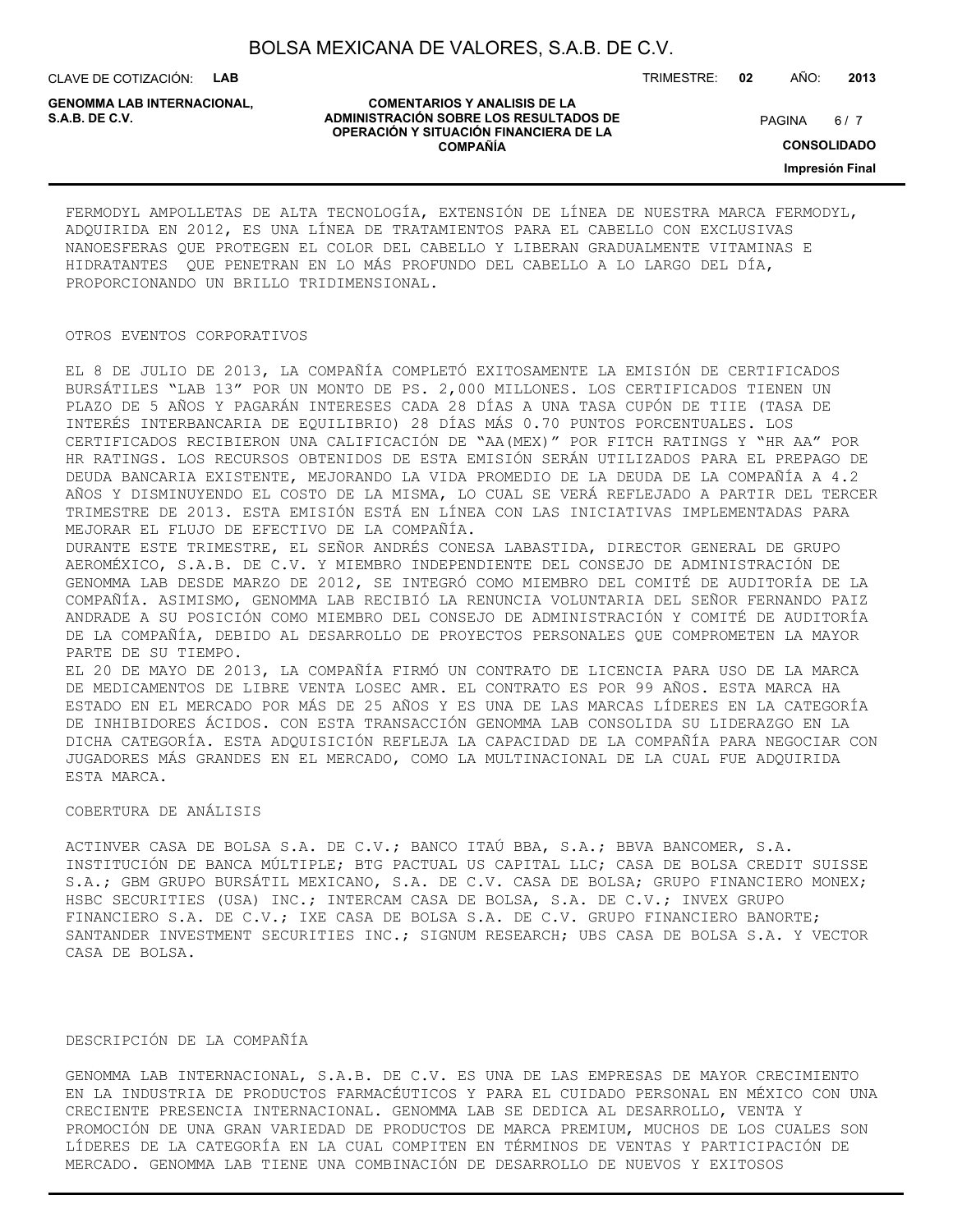CLAVE DE COTIZACIÓN: **LAB**

**GENOMMA LAB INTERNACIONAL,**

#### **COMENTARIOS Y ANALISIS DE LA ADMINISTRACIÓN SOBRE LOS RESULTADOS DE S.A.B. DE C.V.** PAGINA / 7 **OPERACIÓN Y SITUACIÓN FINANCIERA DE LA COMPAÑÍA**

 $6/7$ 

TRIMESTRE: **02** AÑO: **2013**

**CONSOLIDADO**

**Impresión Final**

FERMODYL AMPOLLETAS DE ALTA TECNOLOGÍA, EXTENSIÓN DE LÍNEA DE NUESTRA MARCA FERMODYL, ADQUIRIDA EN 2012, ES UNA LÍNEA DE TRATAMIENTOS PARA EL CABELLO CON EXCLUSIVAS NANOESFERAS QUE PROTEGEN EL COLOR DEL CABELLO Y LIBERAN GRADUALMENTE VITAMINAS E HIDRATANTES QUE PENETRAN EN LO MÁS PROFUNDO DEL CABELLO A LO LARGO DEL DÍA, PROPORCIONANDO UN BRILLO TRIDIMENSIONAL.

#### OTROS EVENTOS CORPORATIVOS

EL 8 DE JULIO DE 2013, LA COMPAÑÍA COMPLETÓ EXITOSAMENTE LA EMISIÓN DE CERTIFICADOS BURSÁTILES "LAB 13" POR UN MONTO DE PS. 2,000 MILLONES. LOS CERTIFICADOS TIENEN UN PLAZO DE 5 AÑOS Y PAGARÁN INTERESES CADA 28 DÍAS A UNA TASA CUPÓN DE TIIE (TASA DE INTERÉS INTERBANCARIA DE EQUILIBRIO) 28 DÍAS MÁS 0.70 PUNTOS PORCENTUALES. LOS CERTIFICADOS RECIBIERON UNA CALIFICACIÓN DE "AA(MEX)" POR FITCH RATINGS Y "HR AA" POR HR RATINGS. LOS RECURSOS OBTENIDOS DE ESTA EMISIÓN SERÁN UTILIZADOS PARA EL PREPAGO DE DEUDA BANCARIA EXISTENTE, MEJORANDO LA VIDA PROMEDIO DE LA DEUDA DE LA COMPAÑÍA A 4.2 AÑOS Y DISMINUYENDO EL COSTO DE LA MISMA, LO CUAL SE VERÁ REFLEJADO A PARTIR DEL TERCER TRIMESTRE DE 2013. ESTA EMISIÓN ESTÁ EN LÍNEA CON LAS INICIATIVAS IMPLEMENTADAS PARA MEJORAR EL FLUJO DE EFECTIVO DE LA COMPAÑÍA.

DURANTE ESTE TRIMESTRE, EL SEÑOR ANDRÉS CONESA LABASTIDA, DIRECTOR GENERAL DE GRUPO AEROMÉXICO, S.A.B. DE C.V. Y MIEMBRO INDEPENDIENTE DEL CONSEJO DE ADMINISTRACIÓN DE GENOMMA LAB DESDE MARZO DE 2012, SE INTEGRÓ COMO MIEMBRO DEL COMITÉ DE AUDITORÍA DE LA COMPAÑÍA. ASIMISMO, GENOMMA LAB RECIBIÓ LA RENUNCIA VOLUNTARIA DEL SEÑOR FERNANDO PAIZ ANDRADE A SU POSICIÓN COMO MIEMBRO DEL CONSEJO DE ADMINISTRACIÓN Y COMITÉ DE AUDITORÍA DE LA COMPAÑÍA, DEBIDO AL DESARROLLO DE PROYECTOS PERSONALES QUE COMPROMETEN LA MAYOR PARTE DE SU TIEMPO.

EL 20 DE MAYO DE 2013, LA COMPAÑÍA FIRMÓ UN CONTRATO DE LICENCIA PARA USO DE LA MARCA DE MEDICAMENTOS DE LIBRE VENTA LOSEC AMR. EL CONTRATO ES POR 99 AÑOS. ESTA MARCA HA ESTADO EN EL MERCADO POR MÁS DE 25 AÑOS Y ES UNA DE LAS MARCAS LÍDERES EN LA CATEGORÍA DE INHIBIDORES ÁCIDOS. CON ESTA TRANSACCIÓN GENOMMA LAB CONSOLIDA SU LIDERAZGO EN LA DICHA CATEGORÍA. ESTA ADQUISICIÓN REFLEJA LA CAPACIDAD DE LA COMPAÑÍA PARA NEGOCIAR CON JUGADORES MÁS GRANDES EN EL MERCADO, COMO LA MULTINACIONAL DE LA CUAL FUE ADQUIRIDA ESTA MARCA.

#### COBERTURA DE ANÁLISIS

ACTINVER CASA DE BOLSA S.A. DE C.V.; BANCO ITAÚ BBA, S.A.; BBVA BANCOMER, S.A. INSTITUCIÓN DE BANCA MÚLTIPLE; BTG PACTUAL US CAPITAL LLC; CASA DE BOLSA CREDIT SUISSE S.A.; GBM GRUPO BURSÁTIL MEXICANO, S.A. DE C.V. CASA DE BOLSA; GRUPO FINANCIERO MONEX; HSBC SECURITIES (USA) INC.; INTERCAM CASA DE BOLSA, S.A. DE C.V.; INVEX GRUPO FINANCIERO S.A. DE C.V.; IXE CASA DE BOLSA S.A. DE C.V. GRUPO FINANCIERO BANORTE; SANTANDER INVESTMENT SECURITIES INC.; SIGNUM RESEARCH; UBS CASA DE BOLSA S.A. Y VECTOR CASA DE BOLSA.

#### DESCRIPCIÓN DE LA COMPAÑÍA

GENOMMA LAB INTERNACIONAL, S.A.B. DE C.V. ES UNA DE LAS EMPRESAS DE MAYOR CRECIMIENTO EN LA INDUSTRIA DE PRODUCTOS FARMACÉUTICOS Y PARA EL CUIDADO PERSONAL EN MÉXICO CON UNA CRECIENTE PRESENCIA INTERNACIONAL. GENOMMA LAB SE DEDICA AL DESARROLLO, VENTA Y PROMOCIÓN DE UNA GRAN VARIEDAD DE PRODUCTOS DE MARCA PREMIUM, MUCHOS DE LOS CUALES SON LÍDERES DE LA CATEGORÍA EN LA CUAL COMPITEN EN TÉRMINOS DE VENTAS Y PARTICIPACIÓN DE MERCADO. GENOMMA LAB TIENE UNA COMBINACIÓN DE DESARROLLO DE NUEVOS Y EXITOSOS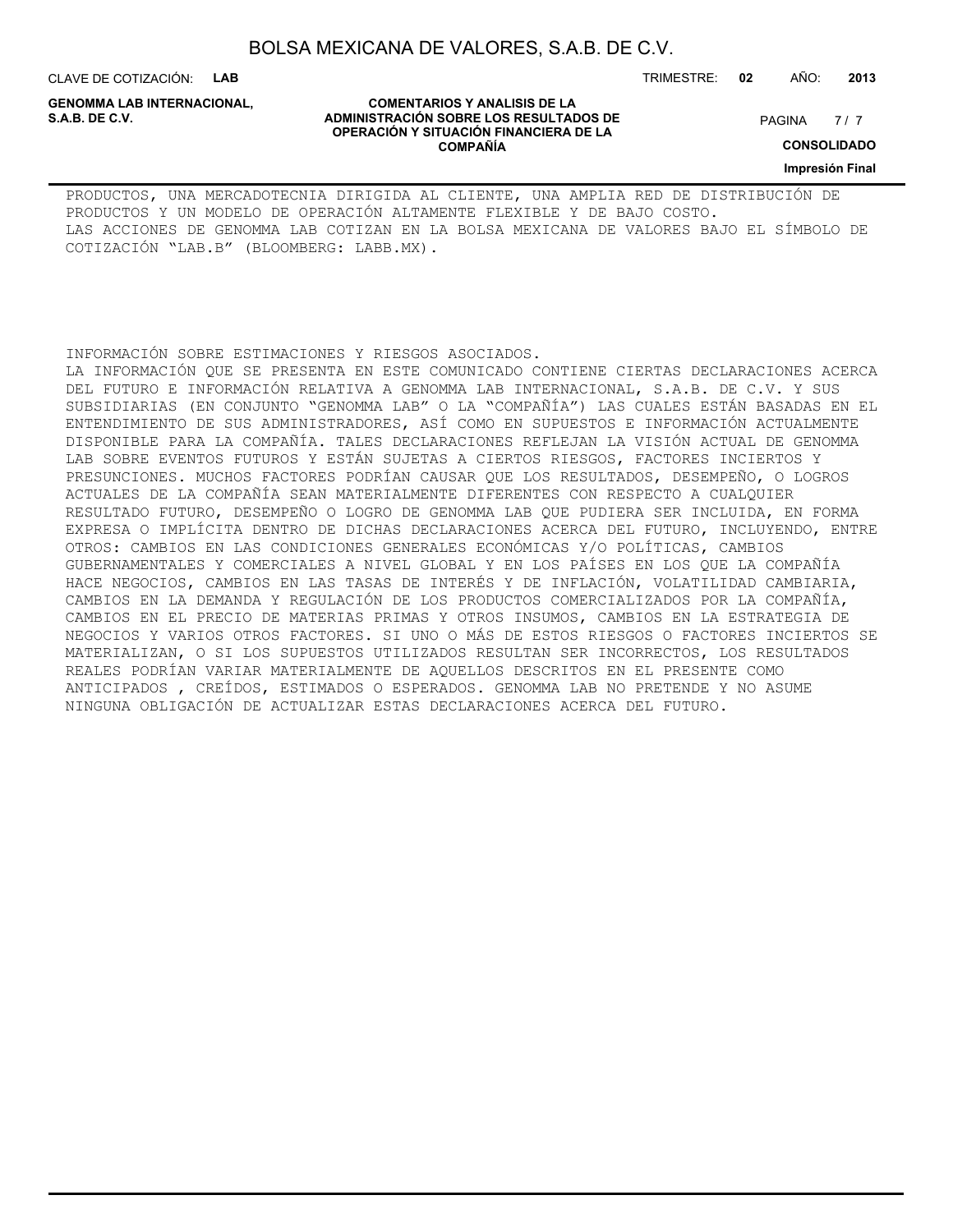CLAVE DE COTIZACIÓN: **LAB**

**GENOMMA LAB INTERNACIONAL,**

**COMENTARIOS Y ANALISIS DE LA ADMINISTRACIÓN SOBRE LOS RESULTADOS DE PAGINA 1997 EN 1998 EL CONTRACIÓN SOBRE LOS RESULTADOS DE OPERACIÓN Y SITUACIÓN FINANCIERA DE LA COMPAÑÍA**

 $7/7$ 

**CONSOLIDADO**

**Impresión Final**

PRODUCTOS, UNA MERCADOTECNIA DIRIGIDA AL CLIENTE, UNA AMPLIA RED DE DISTRIBUCIÓN DE PRODUCTOS Y UN MODELO DE OPERACIÓN ALTAMENTE FLEXIBLE Y DE BAJO COSTO. LAS ACCIONES DE GENOMMA LAB COTIZAN EN LA BOLSA MEXICANA DE VALORES BAJO EL SÍMBOLO DE COTIZACIÓN "LAB.B" (BLOOMBERG: LABB.MX).

INFORMACIÓN SOBRE ESTIMACIONES Y RIESGOS ASOCIADOS.

LA INFORMACIÓN QUE SE PRESENTA EN ESTE COMUNICADO CONTIENE CIERTAS DECLARACIONES ACERCA DEL FUTURO E INFORMACIÓN RELATIVA A GENOMMA LAB INTERNACIONAL, S.A.B. DE C.V. Y SUS SUBSIDIARIAS (EN CONJUNTO "GENOMMA LAB" O LA "COMPAÑÍA") LAS CUALES ESTÁN BASADAS EN EL ENTENDIMIENTO DE SUS ADMINISTRADORES, ASÍ COMO EN SUPUESTOS E INFORMACIÓN ACTUALMENTE DISPONIBLE PARA LA COMPAÑÍA. TALES DECLARACIONES REFLEJAN LA VISIÓN ACTUAL DE GENOMMA LAB SOBRE EVENTOS FUTUROS Y ESTÁN SUJETAS A CIERTOS RIESGOS, FACTORES INCIERTOS Y PRESUNCIONES. MUCHOS FACTORES PODRÍAN CAUSAR QUE LOS RESULTADOS, DESEMPEÑO, O LOGROS ACTUALES DE LA COMPAÑÍA SEAN MATERIALMENTE DIFERENTES CON RESPECTO A CUALQUIER RESULTADO FUTURO, DESEMPEÑO O LOGRO DE GENOMMA LAB QUE PUDIERA SER INCLUIDA, EN FORMA EXPRESA O IMPLÍCITA DENTRO DE DICHAS DECLARACIONES ACERCA DEL FUTURO, INCLUYENDO, ENTRE OTROS: CAMBIOS EN LAS CONDICIONES GENERALES ECONÓMICAS Y/O POLÍTICAS, CAMBIOS GUBERNAMENTALES Y COMERCIALES A NIVEL GLOBAL Y EN LOS PAÍSES EN LOS QUE LA COMPAÑÍA HACE NEGOCIOS, CAMBIOS EN LAS TASAS DE INTERÉS Y DE INFLACIÓN, VOLATILIDAD CAMBIARIA, CAMBIOS EN LA DEMANDA Y REGULACIÓN DE LOS PRODUCTOS COMERCIALIZADOS POR LA COMPAÑÍA, CAMBIOS EN EL PRECIO DE MATERIAS PRIMAS Y OTROS INSUMOS, CAMBIOS EN LA ESTRATEGIA DE NEGOCIOS Y VARIOS OTROS FACTORES. SI UNO O MÁS DE ESTOS RIESGOS O FACTORES INCIERTOS SE MATERIALIZAN, O SI LOS SUPUESTOS UTILIZADOS RESULTAN SER INCORRECTOS, LOS RESULTADOS REALES PODRÍAN VARIAR MATERIALMENTE DE AQUELLOS DESCRITOS EN EL PRESENTE COMO ANTICIPADOS , CREÍDOS, ESTIMADOS O ESPERADOS. GENOMMA LAB NO PRETENDE Y NO ASUME NINGUNA OBLIGACIÓN DE ACTUALIZAR ESTAS DECLARACIONES ACERCA DEL FUTURO.

TRIMESTRE: **02** AÑO: **2013**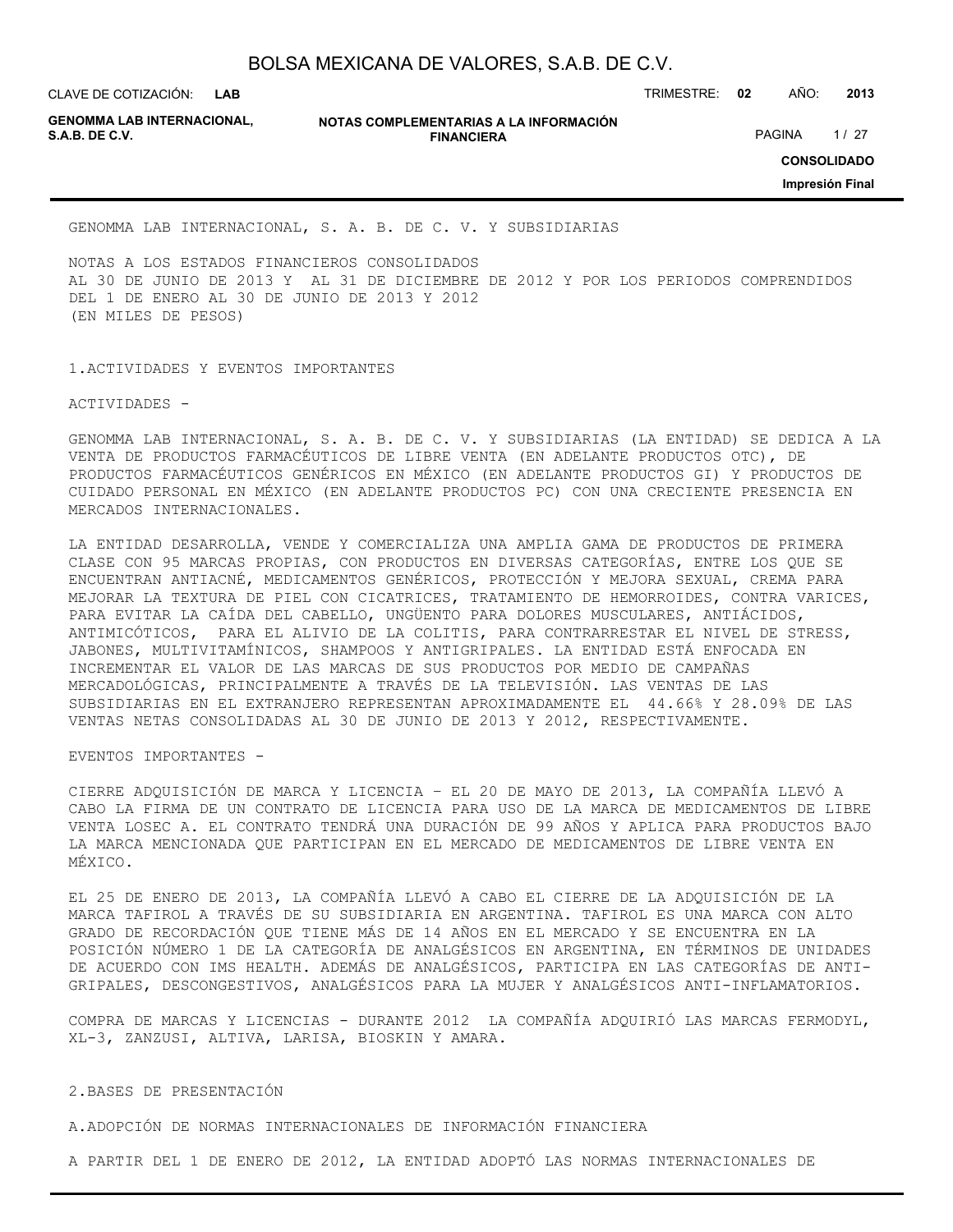**LAB GENOMMA LAB INTERNACIONAL,**

**NOTAS COMPLEMENTARIAS A LA INFORMACIÓN FINANCIERA S.A.B. DE C.V.** PAGINA 1 / 27

CLAVE DE COTIZACIÓN: TRIMESTRE: **02** AÑO: **2013**

**CONSOLIDADO**

**Impresión Final**

GENOMMA LAB INTERNACIONAL, S. A. B. DE C. V. Y SUBSIDIARIAS

NOTAS A LOS ESTADOS FINANCIEROS CONSOLIDADOS AL 30 DE JUNIO DE 2013 Y AL 31 DE DICIEMBRE DE 2012 Y POR LOS PERIODOS COMPRENDIDOS DEL 1 DE ENERO AL 30 DE JUNIO DE 2013 Y 2012 (EN MILES DE PESOS)

1.ACTIVIDADES Y EVENTOS IMPORTANTES

ACTIVIDADES -

GENOMMA LAB INTERNACIONAL, S. A. B. DE C. V. Y SUBSIDIARIAS (LA ENTIDAD) SE DEDICA A LA VENTA DE PRODUCTOS FARMACÉUTICOS DE LIBRE VENTA (EN ADELANTE PRODUCTOS OTC), DE PRODUCTOS FARMACÉUTICOS GENÉRICOS EN MÉXICO (EN ADELANTE PRODUCTOS GI) Y PRODUCTOS DE CUIDADO PERSONAL EN MÉXICO (EN ADELANTE PRODUCTOS PC) CON UNA CRECIENTE PRESENCIA EN MERCADOS INTERNACIONALES.

LA ENTIDAD DESARROLLA, VENDE Y COMERCIALIZA UNA AMPLIA GAMA DE PRODUCTOS DE PRIMERA CLASE CON 95 MARCAS PROPIAS, CON PRODUCTOS EN DIVERSAS CATEGORÍAS, ENTRE LOS QUE SE ENCUENTRAN ANTIACNÉ, MEDICAMENTOS GENÉRICOS, PROTECCIÓN Y MEJORA SEXUAL, CREMA PARA MEJORAR LA TEXTURA DE PIEL CON CICATRICES, TRATAMIENTO DE HEMORROIDES, CONTRA VARICES, PARA EVITAR LA CAÍDA DEL CABELLO, UNGÜENTO PARA DOLORES MUSCULARES, ANTIÁCIDOS, ANTIMICÓTICOS, PARA EL ALIVIO DE LA COLITIS, PARA CONTRARRESTAR EL NIVEL DE STRESS, JABONES, MULTIVITAMÍNICOS, SHAMPOOS Y ANTIGRIPALES. LA ENTIDAD ESTÁ ENFOCADA EN INCREMENTAR EL VALOR DE LAS MARCAS DE SUS PRODUCTOS POR MEDIO DE CAMPAÑAS MERCADOLÓGICAS, PRINCIPALMENTE A TRAVÉS DE LA TELEVISIÓN. LAS VENTAS DE LAS SUBSIDIARIAS EN EL EXTRANJERO REPRESENTAN APROXIMADAMENTE EL 44.66% Y 28.09% DE LAS VENTAS NETAS CONSOLIDADAS AL 30 DE JUNIO DE 2013 Y 2012, RESPECTIVAMENTE.

EVENTOS IMPORTANTES -

CIERRE ADQUISICIÓN DE MARCA Y LICENCIA – EL 20 DE MAYO DE 2013, LA COMPAÑÍA LLEVÓ A CABO LA FIRMA DE UN CONTRATO DE LICENCIA PARA USO DE LA MARCA DE MEDICAMENTOS DE LIBRE VENTA LOSEC A. EL CONTRATO TENDRÁ UNA DURACIÓN DE 99 AÑOS Y APLICA PARA PRODUCTOS BAJO LA MARCA MENCIONADA QUE PARTICIPAN EN EL MERCADO DE MEDICAMENTOS DE LIBRE VENTA EN MÉXICO.

EL 25 DE ENERO DE 2013, LA COMPAÑÍA LLEVÓ A CABO EL CIERRE DE LA ADQUISICIÓN DE LA MARCA TAFIROL A TRAVÉS DE SU SUBSIDIARIA EN ARGENTINA. TAFIROL ES UNA MARCA CON ALTO GRADO DE RECORDACIÓN QUE TIENE MÁS DE 14 AÑOS EN EL MERCADO Y SE ENCUENTRA EN LA POSICIÓN NÚMERO 1 DE LA CATEGORÍA DE ANALGÉSICOS EN ARGENTINA, EN TÉRMINOS DE UNIDADES DE ACUERDO CON IMS HEALTH. ADEMÁS DE ANALGÉSICOS, PARTICIPA EN LAS CATEGORÍAS DE ANTI-GRIPALES, DESCONGESTIVOS, ANALGÉSICOS PARA LA MUJER Y ANALGÉSICOS ANTI-INFLAMATORIOS.

COMPRA DE MARCAS Y LICENCIAS - DURANTE 2012 LA COMPAÑÍA ADQUIRIÓ LAS MARCAS FERMODYL, XL-3, ZANZUSI, ALTIVA, LARISA, BIOSKIN Y AMARA.

2.BASES DE PRESENTACIÓN

A.ADOPCIÓN DE NORMAS INTERNACIONALES DE INFORMACIÓN FINANCIERA

A PARTIR DEL 1 DE ENERO DE 2012, LA ENTIDAD ADOPTÓ LAS NORMAS INTERNACIONALES DE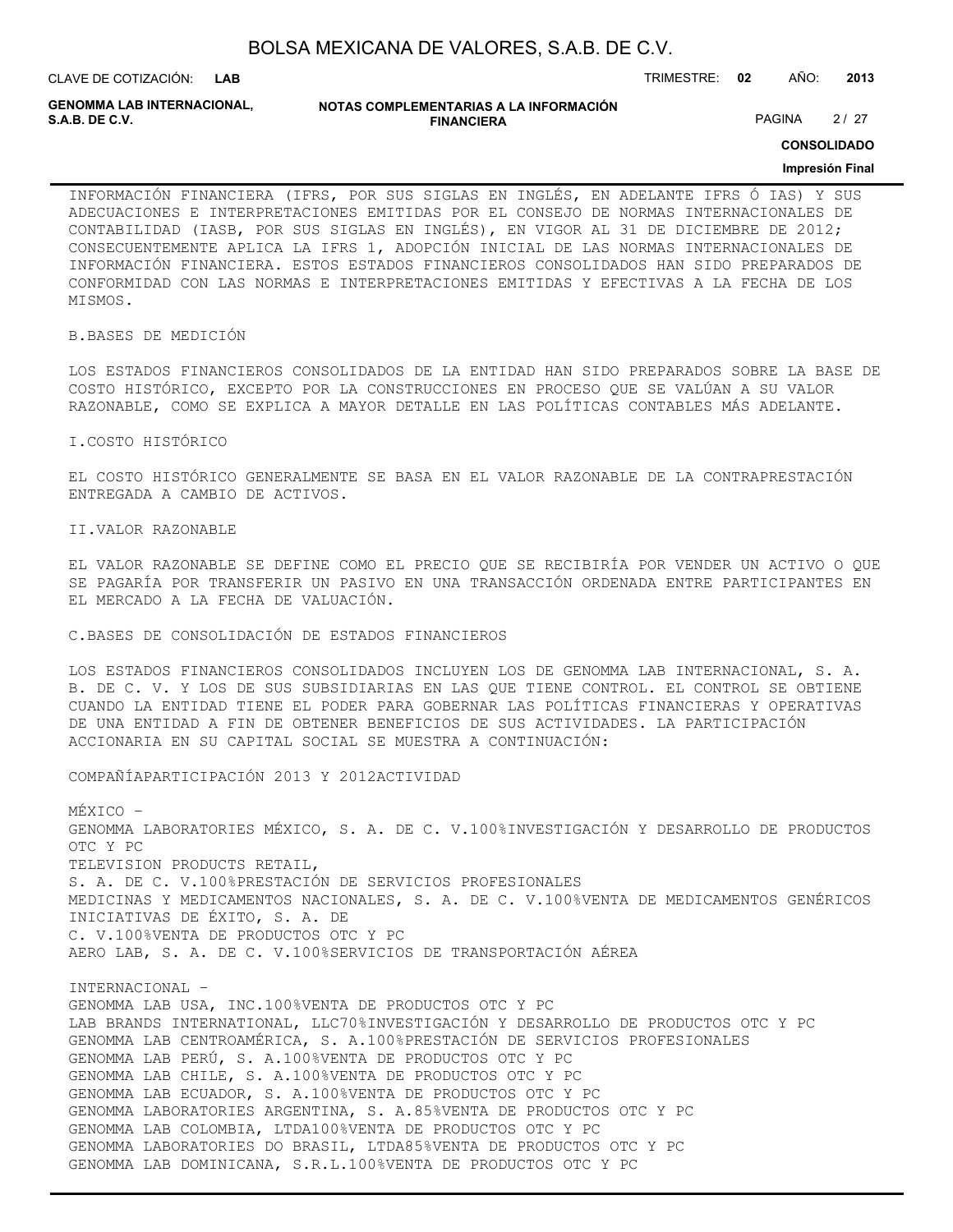| BOLSA MEXICANA DE VALORES, S.A.B. DE C.V. |  |  |
|-------------------------------------------|--|--|
|-------------------------------------------|--|--|

**GENOMMA LAB INTERNACIONAL,**

**NOTAS COMPLEMENTARIAS A LA INFORMACIÓN FINANCIERA S.A.B. DE C.V.** PAGINA 2 / 27

**CONSOLIDADO**

#### **Impresión Final**

INFORMACIÓN FINANCIERA (IFRS, POR SUS SIGLAS EN INGLÉS, EN ADELANTE IFRS Ó IAS) Y SUS ADECUACIONES E INTERPRETACIONES EMITIDAS POR EL CONSEJO DE NORMAS INTERNACIONALES DE CONTABILIDAD (IASB, POR SUS SIGLAS EN INGLÉS), EN VIGOR AL 31 DE DICIEMBRE DE 2012; CONSECUENTEMENTE APLICA LA IFRS 1, ADOPCIÓN INICIAL DE LAS NORMAS INTERNACIONALES DE INFORMACIÓN FINANCIERA. ESTOS ESTADOS FINANCIEROS CONSOLIDADOS HAN SIDO PREPARADOS DE CONFORMIDAD CON LAS NORMAS E INTERPRETACIONES EMITIDAS Y EFECTIVAS A LA FECHA DE LOS MISMOS.

B.BASES DE MEDICIÓN

LOS ESTADOS FINANCIEROS CONSOLIDADOS DE LA ENTIDAD HAN SIDO PREPARADOS SOBRE LA BASE DE COSTO HISTÓRICO, EXCEPTO POR LA CONSTRUCCIONES EN PROCESO QUE SE VALÚAN A SU VALOR RAZONABLE, COMO SE EXPLICA A MAYOR DETALLE EN LAS POLÍTICAS CONTABLES MÁS ADELANTE.

I.COSTO HISTÓRICO

EL COSTO HISTÓRICO GENERALMENTE SE BASA EN EL VALOR RAZONABLE DE LA CONTRAPRESTACIÓN ENTREGADA A CAMBIO DE ACTIVOS.

II.VALOR RAZONABLE

EL VALOR RAZONABLE SE DEFINE COMO EL PRECIO QUE SE RECIBIRÍA POR VENDER UN ACTIVO O QUE SE PAGARÍA POR TRANSFERIR UN PASIVO EN UNA TRANSACCIÓN ORDENADA ENTRE PARTICIPANTES EN EL MERCADO A LA FECHA DE VALUACIÓN.

C.BASES DE CONSOLIDACIÓN DE ESTADOS FINANCIEROS

LOS ESTADOS FINANCIEROS CONSOLIDADOS INCLUYEN LOS DE GENOMMA LAB INTERNACIONAL, S. A. B. DE C. V. Y LOS DE SUS SUBSIDIARIAS EN LAS QUE TIENE CONTROL. EL CONTROL SE OBTIENE CUANDO LA ENTIDAD TIENE EL PODER PARA GOBERNAR LAS POLÍTICAS FINANCIERAS Y OPERATIVAS DE UNA ENTIDAD A FIN DE OBTENER BENEFICIOS DE SUS ACTIVIDADES. LA PARTICIPACIÓN ACCIONARIA EN SU CAPITAL SOCIAL SE MUESTRA A CONTINUACIÓN:

COMPAÑÍAPARTICIPACIÓN 2013 Y 2012ACTIVIDAD

MÉXICO – GENOMMA LABORATORIES MÉXICO, S. A. DE C. V.100%INVESTIGACIÓN Y DESARROLLO DE PRODUCTOS OTC Y PC TELEVISION PRODUCTS RETAIL, S. A. DE C. V.100%PRESTACIÓN DE SERVICIOS PROFESIONALES MEDICINAS Y MEDICAMENTOS NACIONALES, S. A. DE C. V.100%VENTA DE MEDICAMENTOS GENÉRICOS INICIATIVAS DE ÉXITO, S. A. DE C. V.100%VENTA DE PRODUCTOS OTC Y PC AERO LAB, S. A. DE C. V.100%SERVICIOS DE TRANSPORTACIÓN AÉREA

INTERNACIONAL – GENOMMA LAB USA, INC.100%VENTA DE PRODUCTOS OTC Y PC LAB BRANDS INTERNATIONAL, LLC70%INVESTIGACIÓN Y DESARROLLO DE PRODUCTOS OTC Y PC GENOMMA LAB CENTROAMÉRICA, S. A.100%PRESTACIÓN DE SERVICIOS PROFESIONALES GENOMMA LAB PERÚ, S. A.100%VENTA DE PRODUCTOS OTC Y PC GENOMMA LAB CHILE, S. A.100%VENTA DE PRODUCTOS OTC Y PC GENOMMA LAB ECUADOR, S. A.100%VENTA DE PRODUCTOS OTC Y PC GENOMMA LABORATORIES ARGENTINA, S. A.85%VENTA DE PRODUCTOS OTC Y PC GENOMMA LAB COLOMBIA, LTDA100%VENTA DE PRODUCTOS OTC Y PC GENOMMA LABORATORIES DO BRASIL, LTDA85%VENTA DE PRODUCTOS OTC Y PC GENOMMA LAB DOMINICANA, S.R.L.100%VENTA DE PRODUCTOS OTC Y PC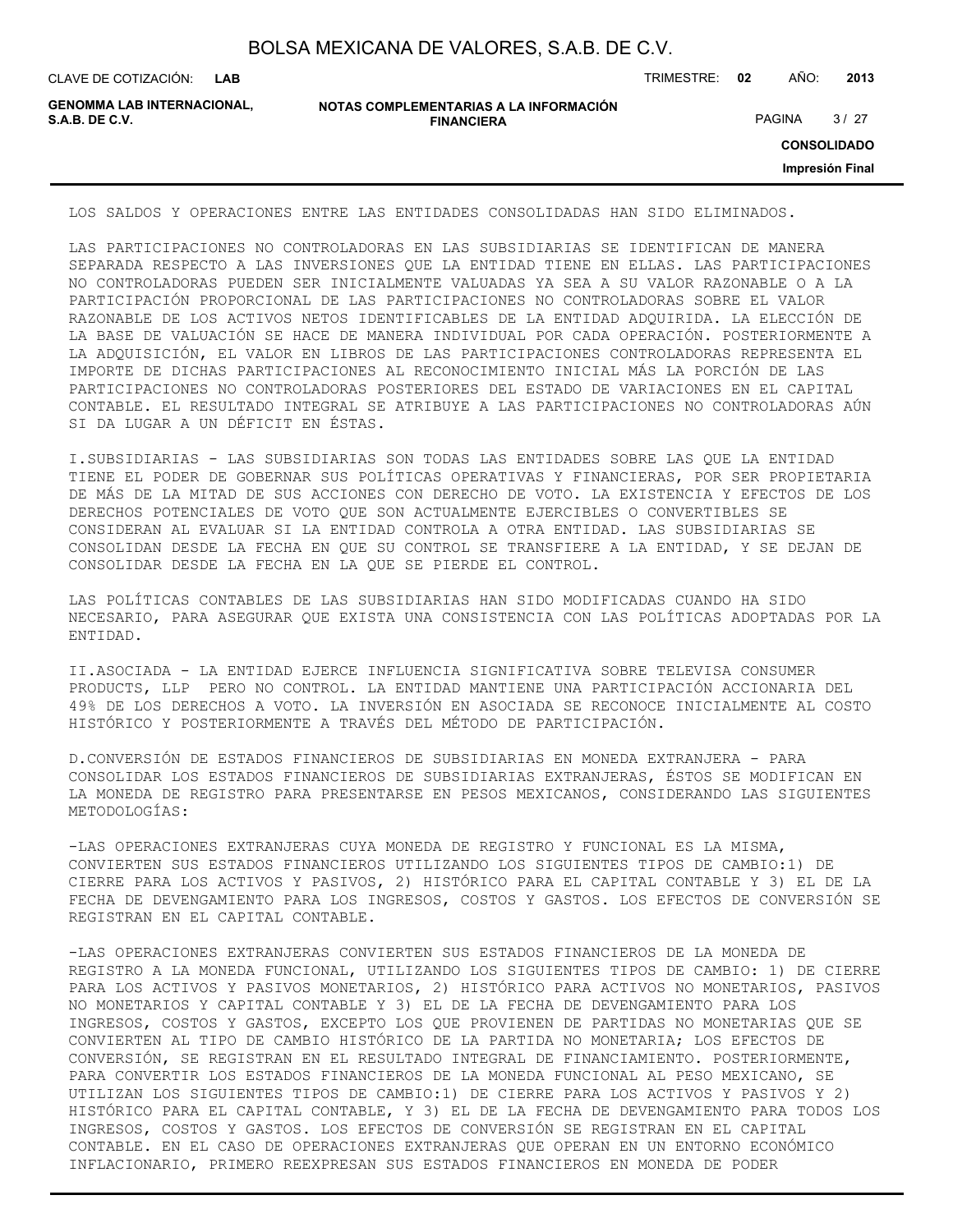| BOLSA MEXICANA DE VALORES, S.A.B. DE C.V. |  |  |  |
|-------------------------------------------|--|--|--|
|-------------------------------------------|--|--|--|

CLAVE DE COTIZACIÓN: TRIMESTRE: **02** AÑO: **2013**

**GENOMMA LAB INTERNACIONAL,**

```
NOTAS COMPLEMENTARIAS A LA INFORMACIÓN
                        FINANCIERA
S.A.B. DE C.V. PAGINA 27 27
```
**CONSOLIDADO**

**Impresión Final**

LOS SALDOS Y OPERACIONES ENTRE LAS ENTIDADES CONSOLIDADAS HAN SIDO ELIMINADOS.

LAS PARTICIPACIONES NO CONTROLADORAS EN LAS SUBSIDIARIAS SE IDENTIFICAN DE MANERA SEPARADA RESPECTO A LAS INVERSIONES QUE LA ENTIDAD TIENE EN ELLAS. LAS PARTICIPACIONES NO CONTROLADORAS PUEDEN SER INICIALMENTE VALUADAS YA SEA A SU VALOR RAZONABLE O A LA PARTICIPACIÓN PROPORCIONAL DE LAS PARTICIPACIONES NO CONTROLADORAS SOBRE EL VALOR RAZONABLE DE LOS ACTIVOS NETOS IDENTIFICABLES DE LA ENTIDAD ADQUIRIDA. LA ELECCIÓN DE LA BASE DE VALUACIÓN SE HACE DE MANERA INDIVIDUAL POR CADA OPERACIÓN. POSTERIORMENTE A LA ADQUISICIÓN, EL VALOR EN LIBROS DE LAS PARTICIPACIONES CONTROLADORAS REPRESENTA EL IMPORTE DE DICHAS PARTICIPACIONES AL RECONOCIMIENTO INICIAL MÁS LA PORCIÓN DE LAS PARTICIPACIONES NO CONTROLADORAS POSTERIORES DEL ESTADO DE VARIACIONES EN EL CAPITAL CONTABLE. EL RESULTADO INTEGRAL SE ATRIBUYE A LAS PARTICIPACIONES NO CONTROLADORAS AÚN SI DA LUGAR A UN DÉFICIT EN ÉSTAS.

I.SUBSIDIARIAS - LAS SUBSIDIARIAS SON TODAS LAS ENTIDADES SOBRE LAS QUE LA ENTIDAD TIENE EL PODER DE GOBERNAR SUS POLÍTICAS OPERATIVAS Y FINANCIERAS, POR SER PROPIETARIA DE MÁS DE LA MITAD DE SUS ACCIONES CON DERECHO DE VOTO. LA EXISTENCIA Y EFECTOS DE LOS DERECHOS POTENCIALES DE VOTO QUE SON ACTUALMENTE EJERCIBLES O CONVERTIBLES SE CONSIDERAN AL EVALUAR SI LA ENTIDAD CONTROLA A OTRA ENTIDAD. LAS SUBSIDIARIAS SE CONSOLIDAN DESDE LA FECHA EN QUE SU CONTROL SE TRANSFIERE A LA ENTIDAD, Y SE DEJAN DE CONSOLIDAR DESDE LA FECHA EN LA QUE SE PIERDE EL CONTROL.

LAS POLÍTICAS CONTABLES DE LAS SUBSIDIARIAS HAN SIDO MODIFICADAS CUANDO HA SIDO NECESARIO, PARA ASEGURAR QUE EXISTA UNA CONSISTENCIA CON LAS POLÍTICAS ADOPTADAS POR LA ENTIDAD.

II.ASOCIADA - LA ENTIDAD EJERCE INFLUENCIA SIGNIFICATIVA SOBRE TELEVISA CONSUMER PRODUCTS, LLP PERO NO CONTROL. LA ENTIDAD MANTIENE UNA PARTICIPACIÓN ACCIONARIA DEL 49% DE LOS DERECHOS A VOTO. LA INVERSIÓN EN ASOCIADA SE RECONOCE INICIALMENTE AL COSTO HISTÓRICO Y POSTERIORMENTE A TRAVÉS DEL MÉTODO DE PARTICIPACIÓN.

D.CONVERSIÓN DE ESTADOS FINANCIEROS DE SUBSIDIARIAS EN MONEDA EXTRANJERA - PARA CONSOLIDAR LOS ESTADOS FINANCIEROS DE SUBSIDIARIAS EXTRANJERAS, ÉSTOS SE MODIFICAN EN LA MONEDA DE REGISTRO PARA PRESENTARSE EN PESOS MEXICANOS, CONSIDERANDO LAS SIGUIENTES METODOLOGÍAS:

-LAS OPERACIONES EXTRANJERAS CUYA MONEDA DE REGISTRO Y FUNCIONAL ES LA MISMA, CONVIERTEN SUS ESTADOS FINANCIEROS UTILIZANDO LOS SIGUIENTES TIPOS DE CAMBIO:1) DE CIERRE PARA LOS ACTIVOS Y PASIVOS, 2) HISTÓRICO PARA EL CAPITAL CONTABLE Y 3) EL DE LA FECHA DE DEVENGAMIENTO PARA LOS INGRESOS, COSTOS Y GASTOS. LOS EFECTOS DE CONVERSIÓN SE REGISTRAN EN EL CAPITAL CONTABLE.

-LAS OPERACIONES EXTRANJERAS CONVIERTEN SUS ESTADOS FINANCIEROS DE LA MONEDA DE REGISTRO A LA MONEDA FUNCIONAL, UTILIZANDO LOS SIGUIENTES TIPOS DE CAMBIO: 1) DE CIERRE PARA LOS ACTIVOS Y PASIVOS MONETARIOS, 2) HISTÓRICO PARA ACTIVOS NO MONETARIOS, PASIVOS NO MONETARIOS Y CAPITAL CONTABLE Y 3) EL DE LA FECHA DE DEVENGAMIENTO PARA LOS INGRESOS, COSTOS Y GASTOS, EXCEPTO LOS QUE PROVIENEN DE PARTIDAS NO MONETARIAS QUE SE CONVIERTEN AL TIPO DE CAMBIO HISTÓRICO DE LA PARTIDA NO MONETARIA; LOS EFECTOS DE CONVERSIÓN, SE REGISTRAN EN EL RESULTADO INTEGRAL DE FINANCIAMIENTO. POSTERIORMENTE, PARA CONVERTIR LOS ESTADOS FINANCIEROS DE LA MONEDA FUNCIONAL AL PESO MEXICANO, SE UTILIZAN LOS SIGUIENTES TIPOS DE CAMBIO:1) DE CIERRE PARA LOS ACTIVOS Y PASIVOS Y 2) HISTÓRICO PARA EL CAPITAL CONTABLE, Y 3) EL DE LA FECHA DE DEVENGAMIENTO PARA TODOS LOS INGRESOS, COSTOS Y GASTOS. LOS EFECTOS DE CONVERSIÓN SE REGISTRAN EN EL CAPITAL CONTABLE. EN EL CASO DE OPERACIONES EXTRANJERAS QUE OPERAN EN UN ENTORNO ECONÓMICO INFLACIONARIO, PRIMERO REEXPRESAN SUS ESTADOS FINANCIEROS EN MONEDA DE PODER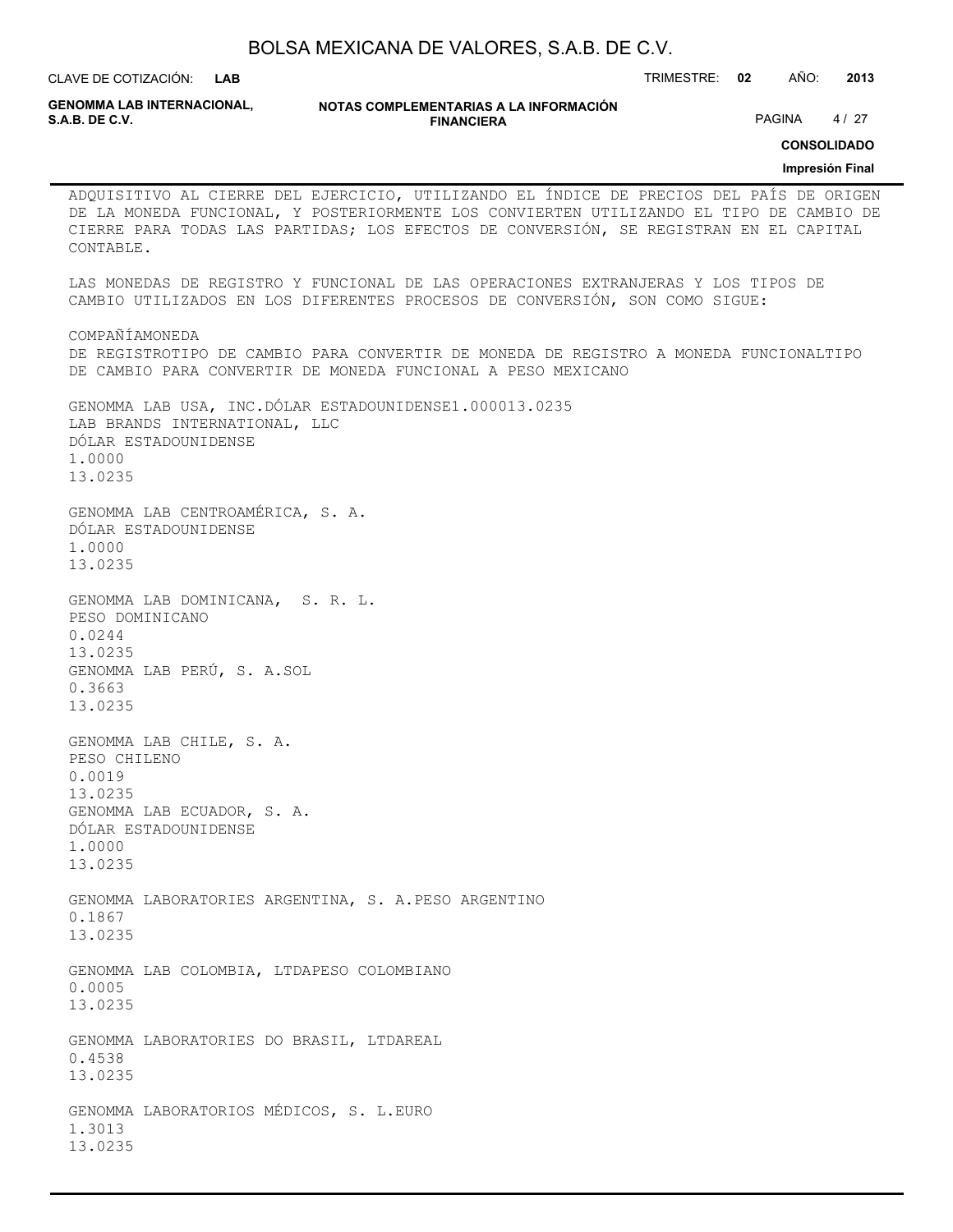**GENOMMA LAB INTERNACIONAL,**

**NOTAS COMPLEMENTARIAS A LA INFORMACIÓN FINANCIERA S.A.B. DE C.V.** PAGINA 4 / 27

**CONSOLIDADO**

**Impresión Final**

ADQUISITIVO AL CIERRE DEL EJERCICIO, UTILIZANDO EL ÍNDICE DE PRECIOS DEL PAÍS DE ORIGEN DE LA MONEDA FUNCIONAL, Y POSTERIORMENTE LOS CONVIERTEN UTILIZANDO EL TIPO DE CAMBIO DE CIERRE PARA TODAS LAS PARTIDAS; LOS EFECTOS DE CONVERSIÓN, SE REGISTRAN EN EL CAPITAL CONTABLE. LAS MONEDAS DE REGISTRO Y FUNCIONAL DE LAS OPERACIONES EXTRANJERAS Y LOS TIPOS DE CAMBIO UTILIZADOS EN LOS DIFERENTES PROCESOS DE CONVERSIÓN, SON COMO SIGUE: COMPAÑÍAMONEDA DE REGISTROTIPO DE CAMBIO PARA CONVERTIR DE MONEDA DE REGISTRO A MONEDA FUNCIONALTIPO DE CAMBIO PARA CONVERTIR DE MONEDA FUNCIONAL A PESO MEXICANO GENOMMA LAB USA, INC.DÓLAR ESTADOUNIDENSE1.000013.0235 LAB BRANDS INTERNATIONAL, LLC DÓLAR ESTADOUNIDENSE 1.0000 13.0235 GENOMMA LAB CENTROAMÉRICA, S. A. DÓLAR ESTADOUNIDENSE 1.0000 13.0235 GENOMMA LAB DOMINICANA, S. R. L. PESO DOMINICANO 0.0244 13.0235 GENOMMA LAB PERÚ, S. A.SOL 0.3663 13.0235 GENOMMA LAB CHILE, S. A. PESO CHILENO 0.0019 13.0235 GENOMMA LAB ECUADOR, S. A. DÓLAR ESTADOUNIDENSE 1.0000 13.0235 GENOMMA LABORATORIES ARGENTINA, S. A.PESO ARGENTINO 0.1867 13.0235 GENOMMA LAB COLOMBIA, LTDAPESO COLOMBIANO 0.0005 13.0235 GENOMMA LABORATORIES DO BRASIL, LTDAREAL 0.4538 13.0235 GENOMMA LABORATORIOS MÉDICOS, S. L.EURO 1.3013 13.0235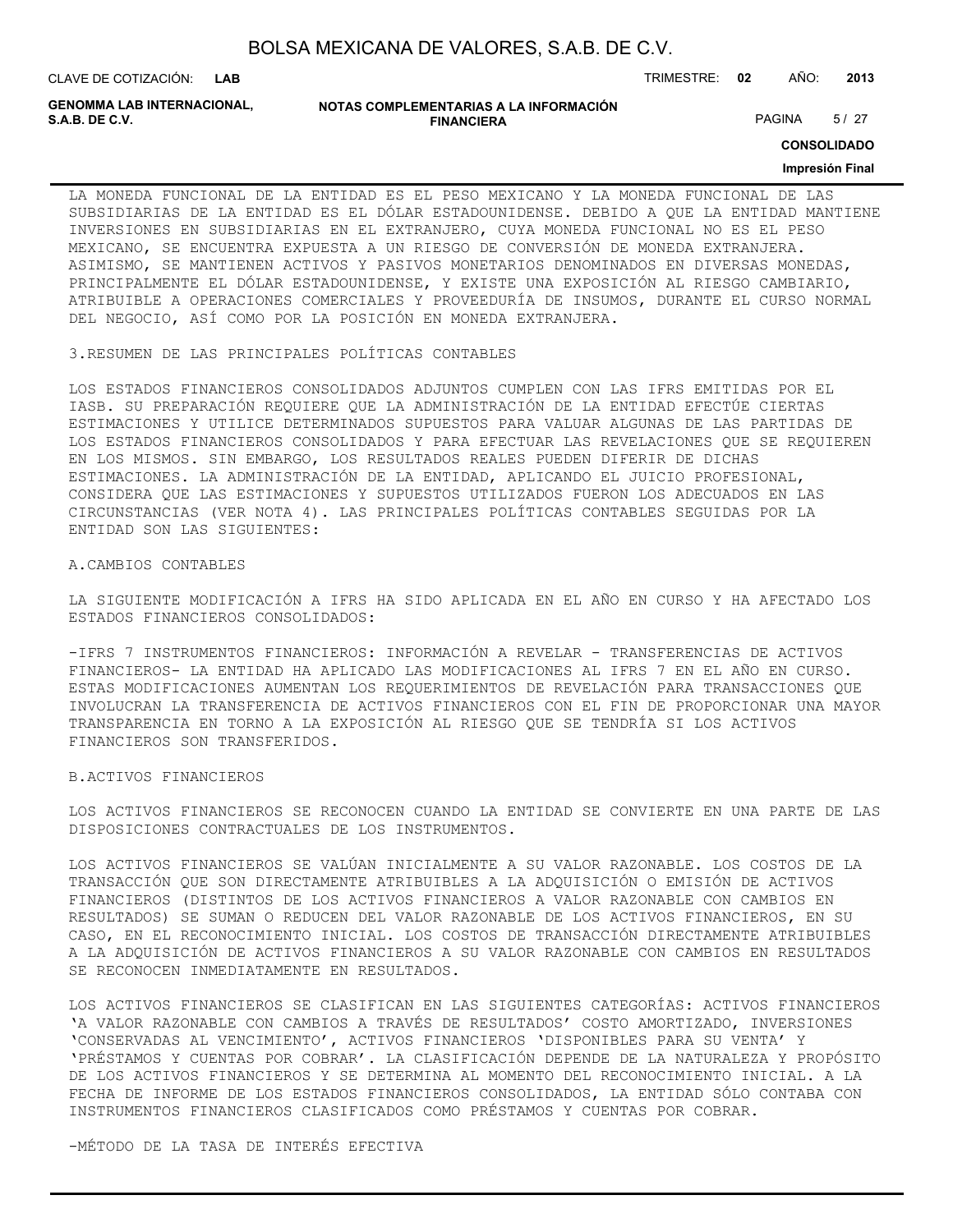| BOLSA MEXICANA DE VALORES, S.A.B. DE C.V. |  |  |
|-------------------------------------------|--|--|
|-------------------------------------------|--|--|

**GENOMMA LAB INTERNACIONAL,**

**NOTAS COMPLEMENTARIAS A LA INFORMACIÓN FINANCIERA S.A.B. DE C.V.** PAGINA 5/27

**CONSOLIDADO**

#### **Impresión Final**

LA MONEDA FUNCIONAL DE LA ENTIDAD ES EL PESO MEXICANO Y LA MONEDA FUNCIONAL DE LAS SUBSIDIARIAS DE LA ENTIDAD ES EL DÓLAR ESTADOUNIDENSE. DEBIDO A QUE LA ENTIDAD MANTIENE INVERSIONES EN SUBSIDIARIAS EN EL EXTRANJERO, CUYA MONEDA FUNCIONAL NO ES EL PESO MEXICANO, SE ENCUENTRA EXPUESTA A UN RIESGO DE CONVERSIÓN DE MONEDA EXTRANJERA. ASIMISMO, SE MANTIENEN ACTIVOS Y PASIVOS MONETARIOS DENOMINADOS EN DIVERSAS MONEDAS, PRINCIPALMENTE EL DÓLAR ESTADOUNIDENSE, Y EXISTE UNA EXPOSICIÓN AL RIESGO CAMBIARIO, ATRIBUIBLE A OPERACIONES COMERCIALES Y PROVEEDURÍA DE INSUMOS, DURANTE EL CURSO NORMAL DEL NEGOCIO, ASÍ COMO POR LA POSICIÓN EN MONEDA EXTRANJERA.

3.RESUMEN DE LAS PRINCIPALES POLÍTICAS CONTABLES

LOS ESTADOS FINANCIEROS CONSOLIDADOS ADJUNTOS CUMPLEN CON LAS IFRS EMITIDAS POR EL IASB. SU PREPARACIÓN REQUIERE QUE LA ADMINISTRACIÓN DE LA ENTIDAD EFECTÚE CIERTAS ESTIMACIONES Y UTILICE DETERMINADOS SUPUESTOS PARA VALUAR ALGUNAS DE LAS PARTIDAS DE LOS ESTADOS FINANCIEROS CONSOLIDADOS Y PARA EFECTUAR LAS REVELACIONES QUE SE REQUIEREN EN LOS MISMOS. SIN EMBARGO, LOS RESULTADOS REALES PUEDEN DIFERIR DE DICHAS ESTIMACIONES. LA ADMINISTRACIÓN DE LA ENTIDAD, APLICANDO EL JUICIO PROFESIONAL, CONSIDERA QUE LAS ESTIMACIONES Y SUPUESTOS UTILIZADOS FUERON LOS ADECUADOS EN LAS CIRCUNSTANCIAS (VER NOTA 4). LAS PRINCIPALES POLÍTICAS CONTABLES SEGUIDAS POR LA ENTIDAD SON LAS SIGUIENTES:

#### A.CAMBIOS CONTABLES

LA SIGUIENTE MODIFICACIÓN A IFRS HA SIDO APLICADA EN EL AÑO EN CURSO Y HA AFECTADO LOS ESTADOS FINANCIEROS CONSOLIDADOS:

-IFRS 7 INSTRUMENTOS FINANCIEROS: INFORMACIÓN A REVELAR - TRANSFERENCIAS DE ACTIVOS FINANCIEROS- LA ENTIDAD HA APLICADO LAS MODIFICACIONES AL IFRS 7 EN EL AÑO EN CURSO. ESTAS MODIFICACIONES AUMENTAN LOS REQUERIMIENTOS DE REVELACIÓN PARA TRANSACCIONES QUE INVOLUCRAN LA TRANSFERENCIA DE ACTIVOS FINANCIEROS CON EL FIN DE PROPORCIONAR UNA MAYOR TRANSPARENCIA EN TORNO A LA EXPOSICIÓN AL RIESGO QUE SE TENDRÍA SI LOS ACTIVOS FINANCIEROS SON TRANSFERIDOS.

#### B.ACTIVOS FINANCIEROS

LOS ACTIVOS FINANCIEROS SE RECONOCEN CUANDO LA ENTIDAD SE CONVIERTE EN UNA PARTE DE LAS DISPOSICIONES CONTRACTUALES DE LOS INSTRUMENTOS.

LOS ACTIVOS FINANCIEROS SE VALÚAN INICIALMENTE A SU VALOR RAZONABLE. LOS COSTOS DE LA TRANSACCIÓN QUE SON DIRECTAMENTE ATRIBUIBLES A LA ADQUISICIÓN O EMISIÓN DE ACTIVOS FINANCIEROS (DISTINTOS DE LOS ACTIVOS FINANCIEROS A VALOR RAZONABLE CON CAMBIOS EN RESULTADOS) SE SUMAN O REDUCEN DEL VALOR RAZONABLE DE LOS ACTIVOS FINANCIEROS, EN SU CASO, EN EL RECONOCIMIENTO INICIAL. LOS COSTOS DE TRANSACCIÓN DIRECTAMENTE ATRIBUIBLES A LA ADQUISICIÓN DE ACTIVOS FINANCIEROS A SU VALOR RAZONABLE CON CAMBIOS EN RESULTADOS SE RECONOCEN INMEDIATAMENTE EN RESULTADOS.

LOS ACTIVOS FINANCIEROS SE CLASIFICAN EN LAS SIGUIENTES CATEGORÍAS: ACTIVOS FINANCIEROS 'A VALOR RAZONABLE CON CAMBIOS A TRAVÉS DE RESULTADOS' COSTO AMORTIZADO, INVERSIONES 'CONSERVADAS AL VENCIMIENTO', ACTIVOS FINANCIEROS 'DISPONIBLES PARA SU VENTA' Y 'PRÉSTAMOS Y CUENTAS POR COBRAR'. LA CLASIFICACIÓN DEPENDE DE LA NATURALEZA Y PROPÓSITO DE LOS ACTIVOS FINANCIEROS Y SE DETERMINA AL MOMENTO DEL RECONOCIMIENTO INICIAL. A LA FECHA DE INFORME DE LOS ESTADOS FINANCIEROS CONSOLIDADOS, LA ENTIDAD SÓLO CONTABA CON INSTRUMENTOS FINANCIEROS CLASIFICADOS COMO PRÉSTAMOS Y CUENTAS POR COBRAR.

-MÉTODO DE LA TASA DE INTERÉS EFECTIVA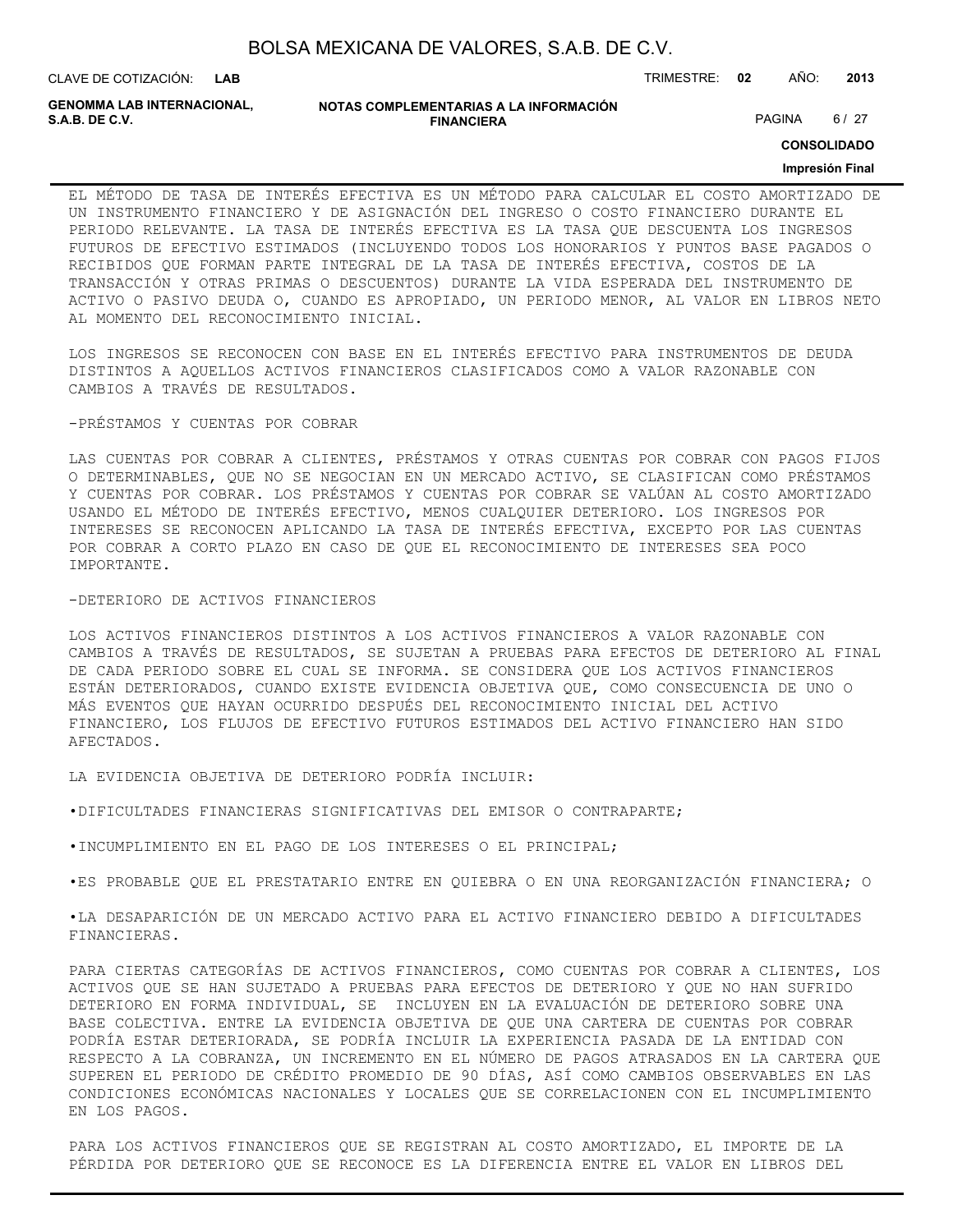| BOLSA MEXICANA DE VALORES, S.A.B. DE C.V. |  |
|-------------------------------------------|--|
|-------------------------------------------|--|

**NOTAS COMPLEMENTARIAS A LA INFORMACIÓN FINANCIERA S.A.B. DE C.V.** PAGINA 6 / 27

**CONSOLIDADO**

#### **Impresión Final**

EL MÉTODO DE TASA DE INTERÉS EFECTIVA ES UN MÉTODO PARA CALCULAR EL COSTO AMORTIZADO DE UN INSTRUMENTO FINANCIERO Y DE ASIGNACIÓN DEL INGRESO O COSTO FINANCIERO DURANTE EL PERIODO RELEVANTE. LA TASA DE INTERÉS EFECTIVA ES LA TASA QUE DESCUENTA LOS INGRESOS FUTUROS DE EFECTIVO ESTIMADOS (INCLUYENDO TODOS LOS HONORARIOS Y PUNTOS BASE PAGADOS O RECIBIDOS QUE FORMAN PARTE INTEGRAL DE LA TASA DE INTERÉS EFECTIVA, COSTOS DE LA TRANSACCIÓN Y OTRAS PRIMAS O DESCUENTOS) DURANTE LA VIDA ESPERADA DEL INSTRUMENTO DE ACTIVO O PASIVO DEUDA O, CUANDO ES APROPIADO, UN PERIODO MENOR, AL VALOR EN LIBROS NETO AL MOMENTO DEL RECONOCIMIENTO INICIAL.

LOS INGRESOS SE RECONOCEN CON BASE EN EL INTERÉS EFECTIVO PARA INSTRUMENTOS DE DEUDA DISTINTOS A AQUELLOS ACTIVOS FINANCIEROS CLASIFICADOS COMO A VALOR RAZONABLE CON CAMBIOS A TRAVÉS DE RESULTADOS.

#### -PRÉSTAMOS Y CUENTAS POR COBRAR

LAS CUENTAS POR COBRAR A CLIENTES, PRÉSTAMOS Y OTRAS CUENTAS POR COBRAR CON PAGOS FIJOS O DETERMINABLES, QUE NO SE NEGOCIAN EN UN MERCADO ACTIVO, SE CLASIFICAN COMO PRÉSTAMOS Y CUENTAS POR COBRAR. LOS PRÉSTAMOS Y CUENTAS POR COBRAR SE VALÚAN AL COSTO AMORTIZADO USANDO EL MÉTODO DE INTERÉS EFECTIVO, MENOS CUALQUIER DETERIORO. LOS INGRESOS POR INTERESES SE RECONOCEN APLICANDO LA TASA DE INTERÉS EFECTIVA, EXCEPTO POR LAS CUENTAS POR COBRAR A CORTO PLAZO EN CASO DE QUE EL RECONOCIMIENTO DE INTERESES SEA POCO IMPORTANTE.

#### -DETERIORO DE ACTIVOS FINANCIEROS

LOS ACTIVOS FINANCIEROS DISTINTOS A LOS ACTIVOS FINANCIEROS A VALOR RAZONABLE CON CAMBIOS A TRAVÉS DE RESULTADOS, SE SUJETAN A PRUEBAS PARA EFECTOS DE DETERIORO AL FINAL DE CADA PERIODO SOBRE EL CUAL SE INFORMA. SE CONSIDERA QUE LOS ACTIVOS FINANCIEROS ESTÁN DETERIORADOS, CUANDO EXISTE EVIDENCIA OBJETIVA QUE, COMO CONSECUENCIA DE UNO O MÁS EVENTOS QUE HAYAN OCURRIDO DESPUÉS DEL RECONOCIMIENTO INICIAL DEL ACTIVO FINANCIERO, LOS FLUJOS DE EFECTIVO FUTUROS ESTIMADOS DEL ACTIVO FINANCIERO HAN SIDO AFECTADOS.

LA EVIDENCIA OBJETIVA DE DETERIORO PODRÍA INCLUIR:

•DIFICULTADES FINANCIERAS SIGNIFICATIVAS DEL EMISOR O CONTRAPARTE;

•INCUMPLIMIENTO EN EL PAGO DE LOS INTERESES O EL PRINCIPAL;

•ES PROBABLE QUE EL PRESTATARIO ENTRE EN QUIEBRA O EN UNA REORGANIZACIÓN FINANCIERA; O

•LA DESAPARICIÓN DE UN MERCADO ACTIVO PARA EL ACTIVO FINANCIERO DEBIDO A DIFICULTADES FINANCIERAS.

PARA CIERTAS CATEGORÍAS DE ACTIVOS FINANCIEROS, COMO CUENTAS POR COBRAR A CLIENTES, LOS ACTIVOS QUE SE HAN SUJETADO A PRUEBAS PARA EFECTOS DE DETERIORO Y QUE NO HAN SUFRIDO DETERIORO EN FORMA INDIVIDUAL, SE INCLUYEN EN LA EVALUACIÓN DE DETERIORO SOBRE UNA BASE COLECTIVA. ENTRE LA EVIDENCIA OBJETIVA DE QUE UNA CARTERA DE CUENTAS POR COBRAR PODRÍA ESTAR DETERIORADA, SE PODRÍA INCLUIR LA EXPERIENCIA PASADA DE LA ENTIDAD CON RESPECTO A LA COBRANZA, UN INCREMENTO EN EL NÚMERO DE PAGOS ATRASADOS EN LA CARTERA QUE SUPEREN EL PERIODO DE CRÉDITO PROMEDIO DE 90 DÍAS, ASÍ COMO CAMBIOS OBSERVABLES EN LAS CONDICIONES ECONÓMICAS NACIONALES Y LOCALES QUE SE CORRELACIONEN CON EL INCUMPLIMIENTO EN LOS PAGOS.

PARA LOS ACTIVOS FINANCIEROS QUE SE REGISTRAN AL COSTO AMORTIZADO, EL IMPORTE DE LA PÉRDIDA POR DETERIORO QUE SE RECONOCE ES LA DIFERENCIA ENTRE EL VALOR EN LIBROS DEL

**GENOMMA LAB INTERNACIONAL,**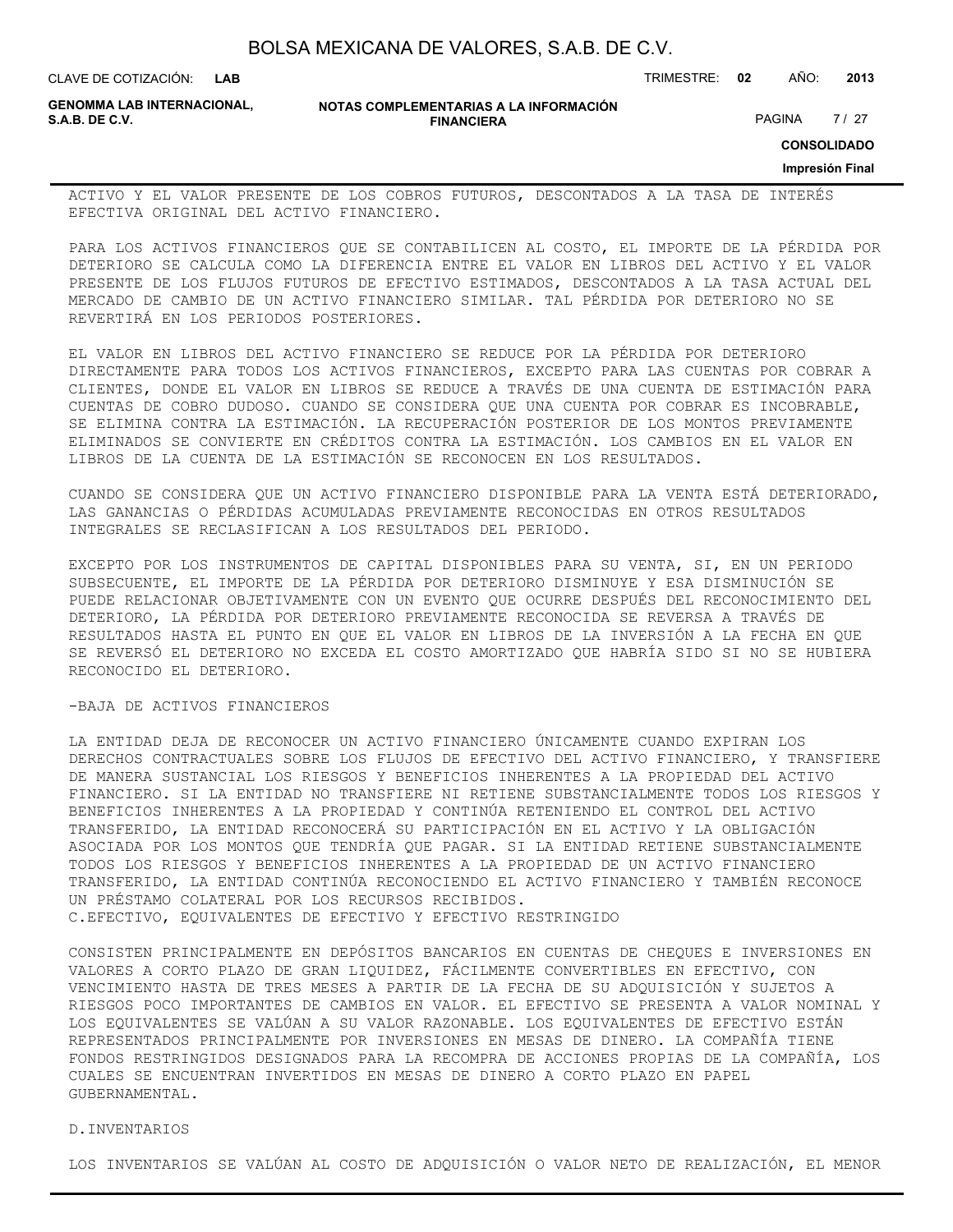**LAB**

CLAVE DE COTIZACIÓN: TRIMESTRE: **02** AÑO: **2013**

**GENOMMA LAB INTERNACIONAL,**

**NOTAS COMPLEMENTARIAS A LA INFORMACIÓN FINANCIERA S.A.B. DE C.V.** PAGINA 27 / 27

**CONSOLIDADO**

**Impresión Final**

ACTIVO Y EL VALOR PRESENTE DE LOS COBROS FUTUROS, DESCONTADOS A LA TASA DE INTERÉS EFECTIVA ORIGINAL DEL ACTIVO FINANCIERO.

PARA LOS ACTIVOS FINANCIEROS QUE SE CONTABILICEN AL COSTO, EL IMPORTE DE LA PÉRDIDA POR DETERIORO SE CALCULA COMO LA DIFERENCIA ENTRE EL VALOR EN LIBROS DEL ACTIVO Y EL VALOR PRESENTE DE LOS FLUJOS FUTUROS DE EFECTIVO ESTIMADOS, DESCONTADOS A LA TASA ACTUAL DEL MERCADO DE CAMBIO DE UN ACTIVO FINANCIERO SIMILAR. TAL PÉRDIDA POR DETERIORO NO SE REVERTIRÁ EN LOS PERIODOS POSTERIORES.

EL VALOR EN LIBROS DEL ACTIVO FINANCIERO SE REDUCE POR LA PÉRDIDA POR DETERIORO DIRECTAMENTE PARA TODOS LOS ACTIVOS FINANCIEROS, EXCEPTO PARA LAS CUENTAS POR COBRAR A CLIENTES, DONDE EL VALOR EN LIBROS SE REDUCE A TRAVÉS DE UNA CUENTA DE ESTIMACIÓN PARA CUENTAS DE COBRO DUDOSO. CUANDO SE CONSIDERA QUE UNA CUENTA POR COBRAR ES INCOBRABLE, SE ELIMINA CONTRA LA ESTIMACIÓN. LA RECUPERACIÓN POSTERIOR DE LOS MONTOS PREVIAMENTE ELIMINADOS SE CONVIERTE EN CRÉDITOS CONTRA LA ESTIMACIÓN. LOS CAMBIOS EN EL VALOR EN LIBROS DE LA CUENTA DE LA ESTIMACIÓN SE RECONOCEN EN LOS RESULTADOS.

CUANDO SE CONSIDERA QUE UN ACTIVO FINANCIERO DISPONIBLE PARA LA VENTA ESTÁ DETERIORADO, LAS GANANCIAS O PÉRDIDAS ACUMULADAS PREVIAMENTE RECONOCIDAS EN OTROS RESULTADOS INTEGRALES SE RECLASIFICAN A LOS RESULTADOS DEL PERIODO.

EXCEPTO POR LOS INSTRUMENTOS DE CAPITAL DISPONIBLES PARA SU VENTA, SI, EN UN PERIODO SUBSECUENTE, EL IMPORTE DE LA PÉRDIDA POR DETERIORO DISMINUYE Y ESA DISMINUCIÓN SE PUEDE RELACIONAR OBJETIVAMENTE CON UN EVENTO QUE OCURRE DESPUÉS DEL RECONOCIMIENTO DEL DETERIORO, LA PÉRDIDA POR DETERIORO PREVIAMENTE RECONOCIDA SE REVERSA A TRAVÉS DE RESULTADOS HASTA EL PUNTO EN QUE EL VALOR EN LIBROS DE LA INVERSIÓN A LA FECHA EN QUE SE REVERSÓ EL DETERIORO NO EXCEDA EL COSTO AMORTIZADO QUE HABRÍA SIDO SI NO SE HUBIERA RECONOCIDO EL DETERIORO.

#### -BAJA DE ACTIVOS FINANCIEROS

LA ENTIDAD DEJA DE RECONOCER UN ACTIVO FINANCIERO ÚNICAMENTE CUANDO EXPIRAN LOS DERECHOS CONTRACTUALES SOBRE LOS FLUJOS DE EFECTIVO DEL ACTIVO FINANCIERO, Y TRANSFIERE DE MANERA SUSTANCIAL LOS RIESGOS Y BENEFICIOS INHERENTES A LA PROPIEDAD DEL ACTIVO FINANCIERO. SI LA ENTIDAD NO TRANSFIERE NI RETIENE SUBSTANCIALMENTE TODOS LOS RIESGOS Y BENEFICIOS INHERENTES A LA PROPIEDAD Y CONTINÚA RETENIENDO EL CONTROL DEL ACTIVO TRANSFERIDO, LA ENTIDAD RECONOCERÁ SU PARTICIPACIÓN EN EL ACTIVO Y LA OBLIGACIÓN ASOCIADA POR LOS MONTOS QUE TENDRÍA QUE PAGAR. SI LA ENTIDAD RETIENE SUBSTANCIALMENTE TODOS LOS RIESGOS Y BENEFICIOS INHERENTES A LA PROPIEDAD DE UN ACTIVO FINANCIERO TRANSFERIDO, LA ENTIDAD CONTINÚA RECONOCIENDO EL ACTIVO FINANCIERO Y TAMBIÉN RECONOCE UN PRÉSTAMO COLATERAL POR LOS RECURSOS RECIBIDOS. C.EFECTIVO, EQUIVALENTES DE EFECTIVO Y EFECTIVO RESTRINGIDO

CONSISTEN PRINCIPALMENTE EN DEPÓSITOS BANCARIOS EN CUENTAS DE CHEQUES E INVERSIONES EN VALORES A CORTO PLAZO DE GRAN LIQUIDEZ, FÁCILMENTE CONVERTIBLES EN EFECTIVO, CON VENCIMIENTO HASTA DE TRES MESES A PARTIR DE LA FECHA DE SU ADQUISICIÓN Y SUJETOS A RIESGOS POCO IMPORTANTES DE CAMBIOS EN VALOR. EL EFECTIVO SE PRESENTA A VALOR NOMINAL Y LOS EQUIVALENTES SE VALÚAN A SU VALOR RAZONABLE. LOS EQUIVALENTES DE EFECTIVO ESTÁN REPRESENTADOS PRINCIPALMENTE POR INVERSIONES EN MESAS DE DINERO. LA COMPAÑÍA TIENE FONDOS RESTRINGIDOS DESIGNADOS PARA LA RECOMPRA DE ACCIONES PROPIAS DE LA COMPAÑÍA, LOS CUALES SE ENCUENTRAN INVERTIDOS EN MESAS DE DINERO A CORTO PLAZO EN PAPEL GUBERNAMENTAL.

#### D.INVENTARIOS

LOS INVENTARIOS SE VALÚAN AL COSTO DE ADQUISICIÓN O VALOR NETO DE REALIZACIÓN, EL MENOR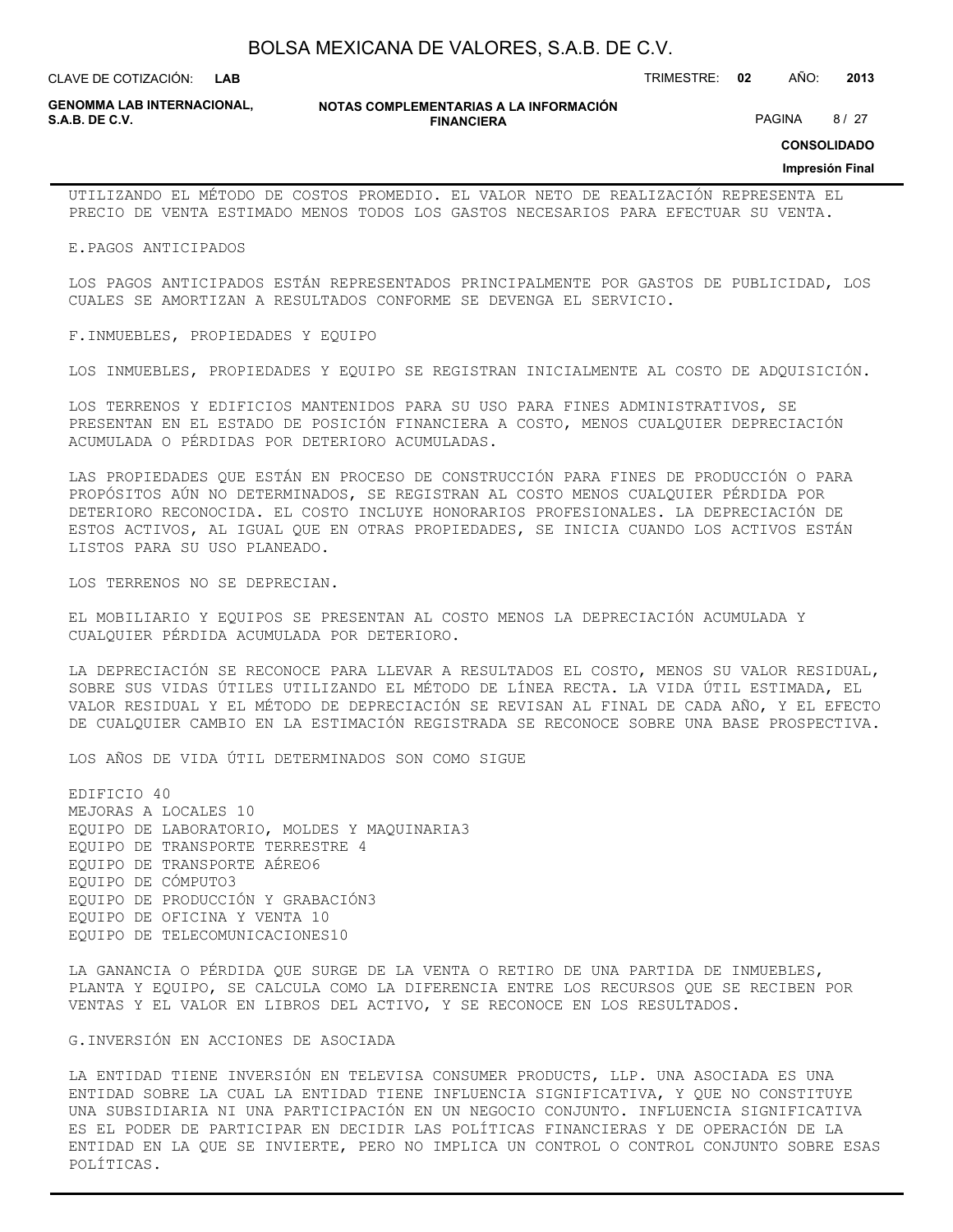**LAB**

CLAVE DE COTIZACIÓN: TRIMESTRE: **02** AÑO: **2013**

**GENOMMA LAB INTERNACIONAL,**

**NOTAS COMPLEMENTARIAS A LA INFORMACIÓN FINANCIERA S.A.B. DE C.V.** PAGINA 8 / 27

**CONSOLIDADO**

#### **Impresión Final**

UTILIZANDO EL MÉTODO DE COSTOS PROMEDIO. EL VALOR NETO DE REALIZACIÓN REPRESENTA EL PRECIO DE VENTA ESTIMADO MENOS TODOS LOS GASTOS NECESARIOS PARA EFECTUAR SU VENTA.

E.PAGOS ANTICIPADOS

LOS PAGOS ANTICIPADOS ESTÁN REPRESENTADOS PRINCIPALMENTE POR GASTOS DE PUBLICIDAD, LOS CUALES SE AMORTIZAN A RESULTADOS CONFORME SE DEVENGA EL SERVICIO.

F.INMUEBLES, PROPIEDADES Y EQUIPO

LOS INMUEBLES, PROPIEDADES Y EQUIPO SE REGISTRAN INICIALMENTE AL COSTO DE ADQUISICIÓN.

LOS TERRENOS Y EDIFICIOS MANTENIDOS PARA SU USO PARA FINES ADMINISTRATIVOS, SE PRESENTAN EN EL ESTADO DE POSICIÓN FINANCIERA A COSTO, MENOS CUALQUIER DEPRECIACIÓN ACUMULADA O PÉRDIDAS POR DETERIORO ACUMULADAS.

LAS PROPIEDADES QUE ESTÁN EN PROCESO DE CONSTRUCCIÓN PARA FINES DE PRODUCCIÓN O PARA PROPÓSITOS AÚN NO DETERMINADOS, SE REGISTRAN AL COSTO MENOS CUALQUIER PÉRDIDA POR DETERIORO RECONOCIDA. EL COSTO INCLUYE HONORARIOS PROFESIONALES. LA DEPRECIACIÓN DE ESTOS ACTIVOS, AL IGUAL QUE EN OTRAS PROPIEDADES, SE INICIA CUANDO LOS ACTIVOS ESTÁN LISTOS PARA SU USO PLANEADO.

LOS TERRENOS NO SE DEPRECIAN.

EL MOBILIARIO Y EQUIPOS SE PRESENTAN AL COSTO MENOS LA DEPRECIACIÓN ACUMULADA Y CUALQUIER PÉRDIDA ACUMULADA POR DETERIORO.

LA DEPRECIACIÓN SE RECONOCE PARA LLEVAR A RESULTADOS EL COSTO, MENOS SU VALOR RESIDUAL, SOBRE SUS VIDAS ÚTILES UTILIZANDO EL MÉTODO DE LÍNEA RECTA. LA VIDA ÚTIL ESTIMADA, EL VALOR RESIDUAL Y EL MÉTODO DE DEPRECIACIÓN SE REVISAN AL FINAL DE CADA AÑO, Y EL EFECTO DE CUALQUIER CAMBIO EN LA ESTIMACIÓN REGISTRADA SE RECONOCE SOBRE UNA BASE PROSPECTIVA.

LOS AÑOS DE VIDA ÚTIL DETERMINADOS SON COMO SIGUE

EDIFICIO 40 MEJORAS A LOCALES 10 EQUIPO DE LABORATORIO, MOLDES Y MAQUINARIA3 EQUIPO DE TRANSPORTE TERRESTRE 4 EQUIPO DE TRANSPORTE AÉREO6 EQUIPO DE CÓMPUTO3 EQUIPO DE PRODUCCIÓN Y GRABACIÓN3 EQUIPO DE OFICINA Y VENTA 10 EQUIPO DE TELECOMUNICACIONES10

LA GANANCIA O PÉRDIDA QUE SURGE DE LA VENTA O RETIRO DE UNA PARTIDA DE INMUEBLES, PLANTA Y EQUIPO, SE CALCULA COMO LA DIFERENCIA ENTRE LOS RECURSOS QUE SE RECIBEN POR VENTAS Y EL VALOR EN LIBROS DEL ACTIVO, Y SE RECONOCE EN LOS RESULTADOS.

G.INVERSIÓN EN ACCIONES DE ASOCIADA

LA ENTIDAD TIENE INVERSIÓN EN TELEVISA CONSUMER PRODUCTS, LLP. UNA ASOCIADA ES UNA ENTIDAD SOBRE LA CUAL LA ENTIDAD TIENE INFLUENCIA SIGNIFICATIVA, Y QUE NO CONSTITUYE UNA SUBSIDIARIA NI UNA PARTICIPACIÓN EN UN NEGOCIO CONJUNTO. INFLUENCIA SIGNIFICATIVA ES EL PODER DE PARTICIPAR EN DECIDIR LAS POLÍTICAS FINANCIERAS Y DE OPERACIÓN DE LA ENTIDAD EN LA QUE SE INVIERTE, PERO NO IMPLICA UN CONTROL O CONTROL CONJUNTO SOBRE ESAS POLÍTICAS.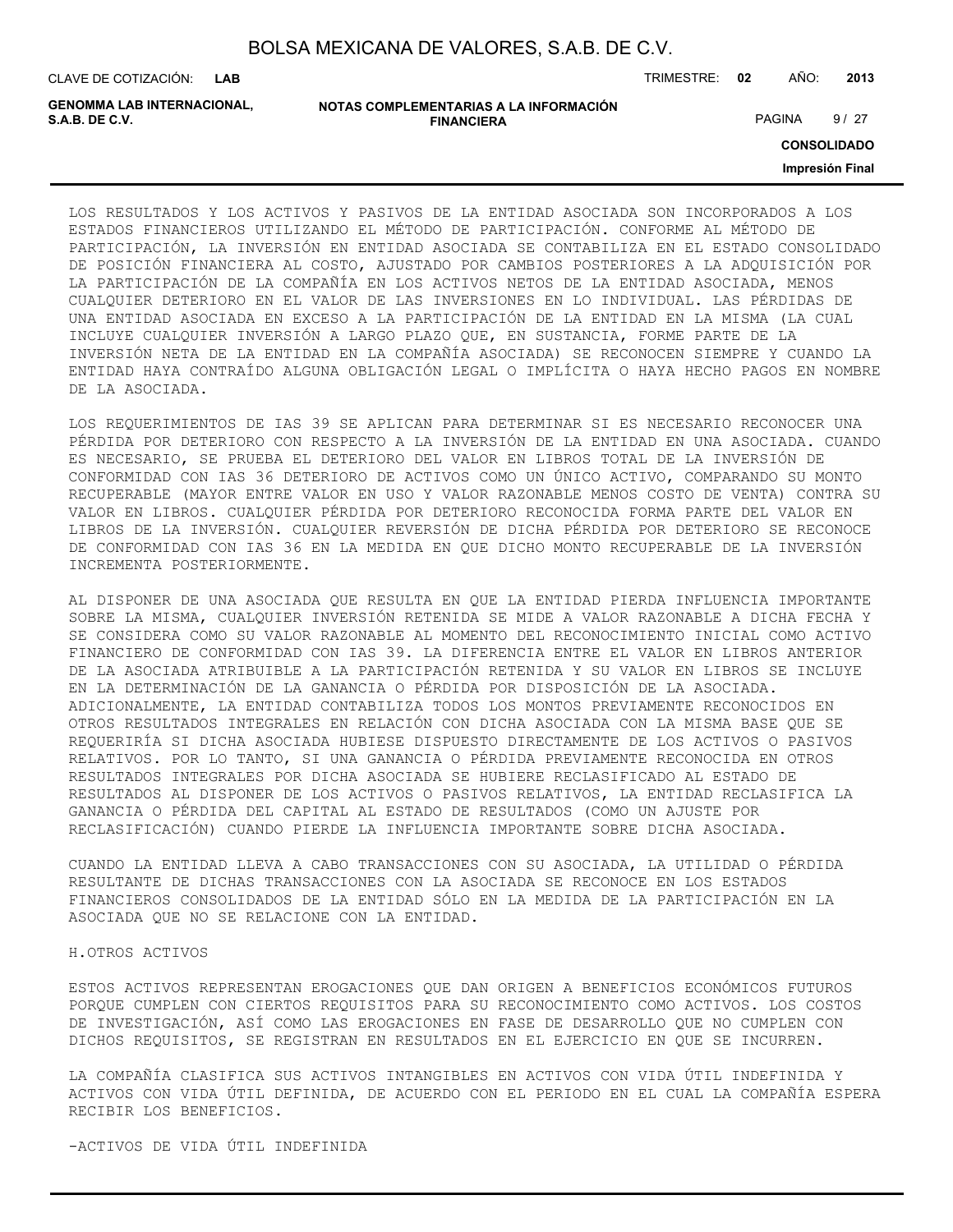| BOLSA MEXICANA DE VALORES, S.A.B. DE C.V. |  |  |
|-------------------------------------------|--|--|
|-------------------------------------------|--|--|

CLAVE DE COTIZACIÓN: TRIMESTRE: **02** AÑO: **2013**

| <b>GENOMMA LAB INTERNACIONAL.</b> | NOTAS COMPLEMENTARIAS A LA INFORMACIÓN |               |      |
|-----------------------------------|----------------------------------------|---------------|------|
| S.A.B. DE C.V.                    | <b>FINANCIERA</b>                      | <b>PAGINA</b> | 9/27 |

**CONSOLIDADO**

**Impresión Final**

LOS RESULTADOS Y LOS ACTIVOS Y PASIVOS DE LA ENTIDAD ASOCIADA SON INCORPORADOS A LOS ESTADOS FINANCIEROS UTILIZANDO EL MÉTODO DE PARTICIPACIÓN. CONFORME AL MÉTODO DE PARTICIPACIÓN, LA INVERSIÓN EN ENTIDAD ASOCIADA SE CONTABILIZA EN EL ESTADO CONSOLIDADO DE POSICIÓN FINANCIERA AL COSTO, AJUSTADO POR CAMBIOS POSTERIORES A LA ADQUISICIÓN POR LA PARTICIPACIÓN DE LA COMPAÑÍA EN LOS ACTIVOS NETOS DE LA ENTIDAD ASOCIADA, MENOS CUALQUIER DETERIORO EN EL VALOR DE LAS INVERSIONES EN LO INDIVIDUAL. LAS PÉRDIDAS DE UNA ENTIDAD ASOCIADA EN EXCESO A LA PARTICIPACIÓN DE LA ENTIDAD EN LA MISMA (LA CUAL INCLUYE CUALQUIER INVERSIÓN A LARGO PLAZO QUE, EN SUSTANCIA, FORME PARTE DE LA INVERSIÓN NETA DE LA ENTIDAD EN LA COMPAÑÍA ASOCIADA) SE RECONOCEN SIEMPRE Y CUANDO LA ENTIDAD HAYA CONTRAÍDO ALGUNA OBLIGACIÓN LEGAL O IMPLÍCITA O HAYA HECHO PAGOS EN NOMBRE DE LA ASOCIADA.

LOS REQUERIMIENTOS DE IAS 39 SE APLICAN PARA DETERMINAR SI ES NECESARIO RECONOCER UNA PÉRDIDA POR DETERIORO CON RESPECTO A LA INVERSIÓN DE LA ENTIDAD EN UNA ASOCIADA. CUANDO ES NECESARIO, SE PRUEBA EL DETERIORO DEL VALOR EN LIBROS TOTAL DE LA INVERSIÓN DE CONFORMIDAD CON IAS 36 DETERIORO DE ACTIVOS COMO UN ÚNICO ACTIVO, COMPARANDO SU MONTO RECUPERABLE (MAYOR ENTRE VALOR EN USO Y VALOR RAZONABLE MENOS COSTO DE VENTA) CONTRA SU VALOR EN LIBROS. CUALQUIER PÉRDIDA POR DETERIORO RECONOCIDA FORMA PARTE DEL VALOR EN LIBROS DE LA INVERSIÓN. CUALQUIER REVERSIÓN DE DICHA PÉRDIDA POR DETERIORO SE RECONOCE DE CONFORMIDAD CON IAS 36 EN LA MEDIDA EN QUE DICHO MONTO RECUPERABLE DE LA INVERSIÓN INCREMENTA POSTERIORMENTE.

AL DISPONER DE UNA ASOCIADA QUE RESULTA EN QUE LA ENTIDAD PIERDA INFLUENCIA IMPORTANTE SOBRE LA MISMA, CUALQUIER INVERSIÓN RETENIDA SE MIDE A VALOR RAZONABLE A DICHA FECHA Y SE CONSIDERA COMO SU VALOR RAZONABLE AL MOMENTO DEL RECONOCIMIENTO INICIAL COMO ACTIVO FINANCIERO DE CONFORMIDAD CON IAS 39. LA DIFERENCIA ENTRE EL VALOR EN LIBROS ANTERIOR DE LA ASOCIADA ATRIBUIBLE A LA PARTICIPACIÓN RETENIDA Y SU VALOR EN LIBROS SE INCLUYE EN LA DETERMINACIÓN DE LA GANANCIA O PÉRDIDA POR DISPOSICIÓN DE LA ASOCIADA. ADICIONALMENTE, LA ENTIDAD CONTABILIZA TODOS LOS MONTOS PREVIAMENTE RECONOCIDOS EN OTROS RESULTADOS INTEGRALES EN RELACIÓN CON DICHA ASOCIADA CON LA MISMA BASE QUE SE REQUERIRÍA SI DICHA ASOCIADA HUBIESE DISPUESTO DIRECTAMENTE DE LOS ACTIVOS O PASIVOS RELATIVOS. POR LO TANTO, SI UNA GANANCIA O PÉRDIDA PREVIAMENTE RECONOCIDA EN OTROS RESULTADOS INTEGRALES POR DICHA ASOCIADA SE HUBIERE RECLASIFICADO AL ESTADO DE RESULTADOS AL DISPONER DE LOS ACTIVOS O PASIVOS RELATIVOS, LA ENTIDAD RECLASIFICA LA GANANCIA O PÉRDIDA DEL CAPITAL AL ESTADO DE RESULTADOS (COMO UN AJUSTE POR RECLASIFICACIÓN) CUANDO PIERDE LA INFLUENCIA IMPORTANTE SOBRE DICHA ASOCIADA.

CUANDO LA ENTIDAD LLEVA A CABO TRANSACCIONES CON SU ASOCIADA, LA UTILIDAD O PÉRDIDA RESULTANTE DE DICHAS TRANSACCIONES CON LA ASOCIADA SE RECONOCE EN LOS ESTADOS FINANCIEROS CONSOLIDADOS DE LA ENTIDAD SÓLO EN LA MEDIDA DE LA PARTICIPACIÓN EN LA ASOCIADA QUE NO SE RELACIONE CON LA ENTIDAD.

#### H.OTROS ACTIVOS

ESTOS ACTIVOS REPRESENTAN EROGACIONES QUE DAN ORIGEN A BENEFICIOS ECONÓMICOS FUTUROS PORQUE CUMPLEN CON CIERTOS REQUISITOS PARA SU RECONOCIMIENTO COMO ACTIVOS. LOS COSTOS DE INVESTIGACIÓN, ASÍ COMO LAS EROGACIONES EN FASE DE DESARROLLO QUE NO CUMPLEN CON DICHOS REQUISITOS, SE REGISTRAN EN RESULTADOS EN EL EJERCICIO EN QUE SE INCURREN.

LA COMPAÑÍA CLASIFICA SUS ACTIVOS INTANGIBLES EN ACTIVOS CON VIDA ÚTIL INDEFINIDA Y ACTIVOS CON VIDA ÚTIL DEFINIDA, DE ACUERDO CON EL PERIODO EN EL CUAL LA COMPAÑÍA ESPERA RECIBIR LOS BENEFICIOS.

-ACTIVOS DE VIDA ÚTIL INDEFINIDA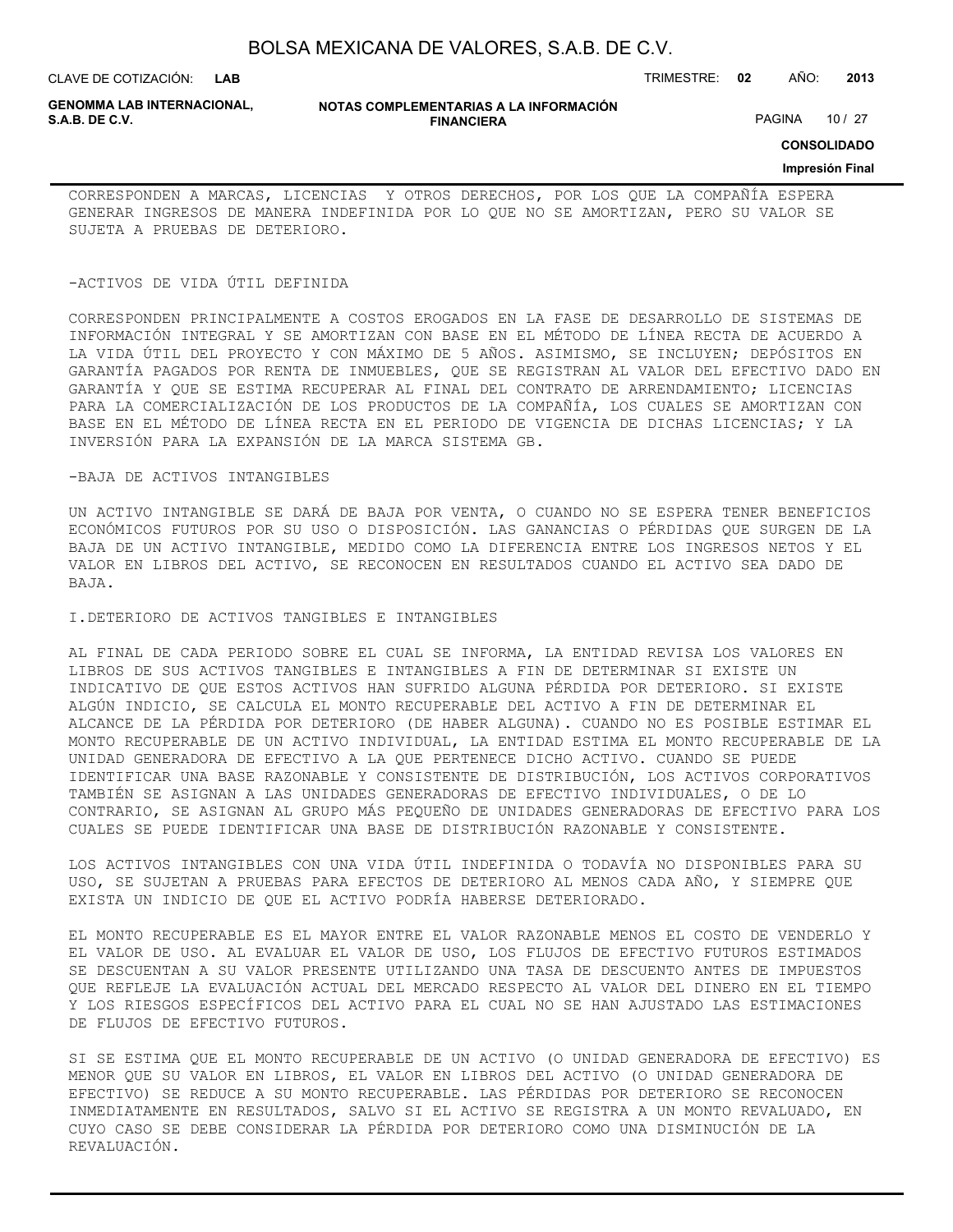| BOLSA MEXICANA DE VALORES, S.A.B. DE C.V. |  |  |
|-------------------------------------------|--|--|
|-------------------------------------------|--|--|

CLAVE DE COTIZACIÓN: TRIMESTRE: **02** AÑO: **2013**

**GENOMMA LAB INTERNACIONAL,**

**NOTAS COMPLEMENTARIAS A LA INFORMACIÓN FINANCIERA**

PAGINA 10 / 27

**CONSOLIDADO**

#### **Impresión Final**

CORRESPONDEN A MARCAS, LICENCIAS Y OTROS DERECHOS, POR LOS QUE LA COMPAÑÍA ESPERA GENERAR INGRESOS DE MANERA INDEFINIDA POR LO QUE NO SE AMORTIZAN, PERO SU VALOR SE SUJETA A PRUEBAS DE DETERIORO.

#### -ACTIVOS DE VIDA ÚTIL DEFINIDA

CORRESPONDEN PRINCIPALMENTE A COSTOS EROGADOS EN LA FASE DE DESARROLLO DE SISTEMAS DE INFORMACIÓN INTEGRAL Y SE AMORTIZAN CON BASE EN EL MÉTODO DE LÍNEA RECTA DE ACUERDO A LA VIDA ÚTIL DEL PROYECTO Y CON MÁXIMO DE 5 AÑOS. ASIMISMO, SE INCLUYEN; DEPÓSITOS EN GARANTÍA PAGADOS POR RENTA DE INMUEBLES, QUE SE REGISTRAN AL VALOR DEL EFECTIVO DADO EN GARANTÍA Y QUE SE ESTIMA RECUPERAR AL FINAL DEL CONTRATO DE ARRENDAMIENTO; LICENCIAS PARA LA COMERCIALIZACIÓN DE LOS PRODUCTOS DE LA COMPAÑÍA, LOS CUALES SE AMORTIZAN CON BASE EN EL MÉTODO DE LÍNEA RECTA EN EL PERIODO DE VIGENCIA DE DICHAS LICENCIAS; Y LA INVERSIÓN PARA LA EXPANSIÓN DE LA MARCA SISTEMA GB.

#### -BAJA DE ACTIVOS INTANGIBLES

UN ACTIVO INTANGIBLE SE DARÁ DE BAJA POR VENTA, O CUANDO NO SE ESPERA TENER BENEFICIOS ECONÓMICOS FUTUROS POR SU USO O DISPOSICIÓN. LAS GANANCIAS O PÉRDIDAS QUE SURGEN DE LA BAJA DE UN ACTIVO INTANGIBLE, MEDIDO COMO LA DIFERENCIA ENTRE LOS INGRESOS NETOS Y EL VALOR EN LIBROS DEL ACTIVO, SE RECONOCEN EN RESULTADOS CUANDO EL ACTIVO SEA DADO DE BAJA.

#### I.DETERIORO DE ACTIVOS TANGIBLES E INTANGIBLES

AL FINAL DE CADA PERIODO SOBRE EL CUAL SE INFORMA, LA ENTIDAD REVISA LOS VALORES EN LIBROS DE SUS ACTIVOS TANGIBLES E INTANGIBLES A FIN DE DETERMINAR SI EXISTE UN INDICATIVO DE QUE ESTOS ACTIVOS HAN SUFRIDO ALGUNA PÉRDIDA POR DETERIORO. SI EXISTE ALGÚN INDICIO, SE CALCULA EL MONTO RECUPERABLE DEL ACTIVO A FIN DE DETERMINAR EL ALCANCE DE LA PÉRDIDA POR DETERIORO (DE HABER ALGUNA). CUANDO NO ES POSIBLE ESTIMAR EL MONTO RECUPERABLE DE UN ACTIVO INDIVIDUAL, LA ENTIDAD ESTIMA EL MONTO RECUPERABLE DE LA UNIDAD GENERADORA DE EFECTIVO A LA QUE PERTENECE DICHO ACTIVO. CUANDO SE PUEDE IDENTIFICAR UNA BASE RAZONABLE Y CONSISTENTE DE DISTRIBUCIÓN, LOS ACTIVOS CORPORATIVOS TAMBIÉN SE ASIGNAN A LAS UNIDADES GENERADORAS DE EFECTIVO INDIVIDUALES, O DE LO CONTRARIO, SE ASIGNAN AL GRUPO MÁS PEQUEÑO DE UNIDADES GENERADORAS DE EFECTIVO PARA LOS CUALES SE PUEDE IDENTIFICAR UNA BASE DE DISTRIBUCIÓN RAZONABLE Y CONSISTENTE.

LOS ACTIVOS INTANGIBLES CON UNA VIDA ÚTIL INDEFINIDA O TODAVÍA NO DISPONIBLES PARA SU USO, SE SUJETAN A PRUEBAS PARA EFECTOS DE DETERIORO AL MENOS CADA AÑO, Y SIEMPRE QUE EXISTA UN INDICIO DE QUE EL ACTIVO PODRÍA HABERSE DETERIORADO.

EL MONTO RECUPERABLE ES EL MAYOR ENTRE EL VALOR RAZONABLE MENOS EL COSTO DE VENDERLO Y EL VALOR DE USO. AL EVALUAR EL VALOR DE USO, LOS FLUJOS DE EFECTIVO FUTUROS ESTIMADOS SE DESCUENTAN A SU VALOR PRESENTE UTILIZANDO UNA TASA DE DESCUENTO ANTES DE IMPUESTOS QUE REFLEJE LA EVALUACIÓN ACTUAL DEL MERCADO RESPECTO AL VALOR DEL DINERO EN EL TIEMPO Y LOS RIESGOS ESPECÍFICOS DEL ACTIVO PARA EL CUAL NO SE HAN AJUSTADO LAS ESTIMACIONES DE FLUJOS DE EFECTIVO FUTUROS.

SI SE ESTIMA QUE EL MONTO RECUPERABLE DE UN ACTIVO (O UNIDAD GENERADORA DE EFECTIVO) ES MENOR QUE SU VALOR EN LIBROS, EL VALOR EN LIBROS DEL ACTIVO (O UNIDAD GENERADORA DE EFECTIVO) SE REDUCE A SU MONTO RECUPERABLE. LAS PÉRDIDAS POR DETERIORO SE RECONOCEN INMEDIATAMENTE EN RESULTADOS, SALVO SI EL ACTIVO SE REGISTRA A UN MONTO REVALUADO, EN CUYO CASO SE DEBE CONSIDERAR LA PÉRDIDA POR DETERIORO COMO UNA DISMINUCIÓN DE LA REVALUACIÓN.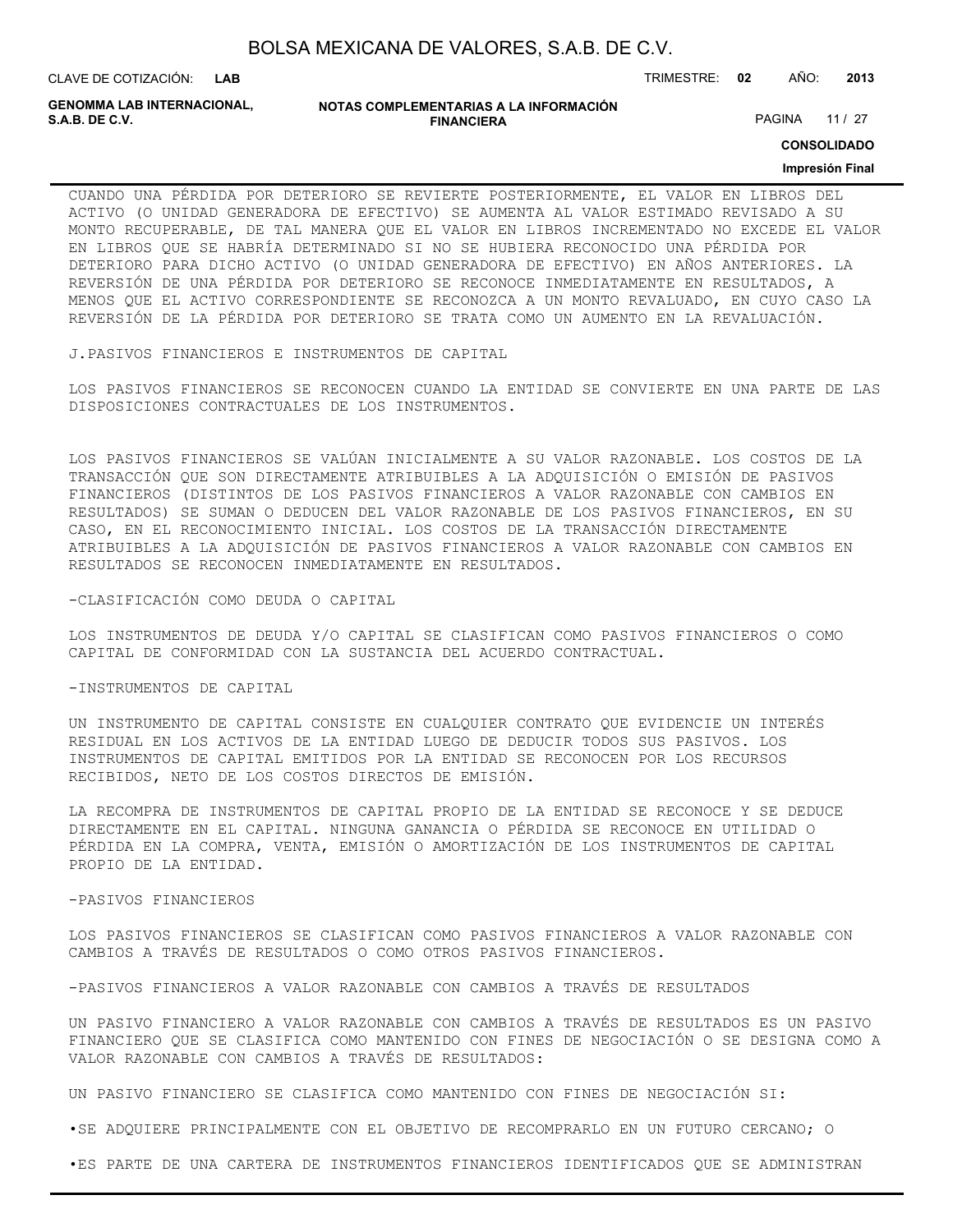CLAVE DE COTIZACIÓN: TRIMESTRE: **02** AÑO: **2013**

**GENOMMA LAB INTERNACIONAL,**

```
NOTAS COMPLEMENTARIAS A LA INFORMACIÓN
               FINANCIERA
```
PAGINA 11 / 27

**CONSOLIDADO**

#### **Impresión Final**

CUANDO UNA PÉRDIDA POR DETERIORO SE REVIERTE POSTERIORMENTE, EL VALOR EN LIBROS DEL ACTIVO (O UNIDAD GENERADORA DE EFECTIVO) SE AUMENTA AL VALOR ESTIMADO REVISADO A SU MONTO RECUPERABLE, DE TAL MANERA QUE EL VALOR EN LIBROS INCREMENTADO NO EXCEDE EL VALOR EN LIBROS QUE SE HABRÍA DETERMINADO SI NO SE HUBIERA RECONOCIDO UNA PÉRDIDA POR DETERIORO PARA DICHO ACTIVO (O UNIDAD GENERADORA DE EFECTIVO) EN AÑOS ANTERIORES. LA REVERSIÓN DE UNA PÉRDIDA POR DETERIORO SE RECONOCE INMEDIATAMENTE EN RESULTADOS, A MENOS QUE EL ACTIVO CORRESPONDIENTE SE RECONOZCA A UN MONTO REVALUADO, EN CUYO CASO LA REVERSIÓN DE LA PÉRDIDA POR DETERIORO SE TRATA COMO UN AUMENTO EN LA REVALUACIÓN.

J.PASIVOS FINANCIEROS E INSTRUMENTOS DE CAPITAL

LOS PASIVOS FINANCIEROS SE RECONOCEN CUANDO LA ENTIDAD SE CONVIERTE EN UNA PARTE DE LAS DISPOSICIONES CONTRACTUALES DE LOS INSTRUMENTOS.

LOS PASIVOS FINANCIEROS SE VALÚAN INICIALMENTE A SU VALOR RAZONABLE. LOS COSTOS DE LA TRANSACCIÓN QUE SON DIRECTAMENTE ATRIBUIBLES A LA ADQUISICIÓN O EMISIÓN DE PASIVOS FINANCIEROS (DISTINTOS DE LOS PASIVOS FINANCIEROS A VALOR RAZONABLE CON CAMBIOS EN RESULTADOS) SE SUMAN O DEDUCEN DEL VALOR RAZONABLE DE LOS PASIVOS FINANCIEROS, EN SU CASO, EN EL RECONOCIMIENTO INICIAL. LOS COSTOS DE LA TRANSACCIÓN DIRECTAMENTE ATRIBUIBLES A LA ADQUISICIÓN DE PASIVOS FINANCIEROS A VALOR RAZONABLE CON CAMBIOS EN RESULTADOS SE RECONOCEN INMEDIATAMENTE EN RESULTADOS.

-CLASIFICACIÓN COMO DEUDA O CAPITAL

LOS INSTRUMENTOS DE DEUDA Y/O CAPITAL SE CLASIFICAN COMO PASIVOS FINANCIEROS O COMO CAPITAL DE CONFORMIDAD CON LA SUSTANCIA DEL ACUERDO CONTRACTUAL.

-INSTRUMENTOS DE CAPITAL

UN INSTRUMENTO DE CAPITAL CONSISTE EN CUALQUIER CONTRATO QUE EVIDENCIE UN INTERÉS RESIDUAL EN LOS ACTIVOS DE LA ENTIDAD LUEGO DE DEDUCIR TODOS SUS PASIVOS. LOS INSTRUMENTOS DE CAPITAL EMITIDOS POR LA ENTIDAD SE RECONOCEN POR LOS RECURSOS RECIBIDOS, NETO DE LOS COSTOS DIRECTOS DE EMISIÓN.

LA RECOMPRA DE INSTRUMENTOS DE CAPITAL PROPIO DE LA ENTIDAD SE RECONOCE Y SE DEDUCE DIRECTAMENTE EN EL CAPITAL. NINGUNA GANANCIA O PÉRDIDA SE RECONOCE EN UTILIDAD O PÉRDIDA EN LA COMPRA, VENTA, EMISIÓN O AMORTIZACIÓN DE LOS INSTRUMENTOS DE CAPITAL PROPIO DE LA ENTIDAD.

-PASIVOS FINANCIEROS

LOS PASIVOS FINANCIEROS SE CLASIFICAN COMO PASIVOS FINANCIEROS A VALOR RAZONABLE CON CAMBIOS A TRAVÉS DE RESULTADOS O COMO OTROS PASIVOS FINANCIEROS.

-PASIVOS FINANCIEROS A VALOR RAZONABLE CON CAMBIOS A TRAVÉS DE RESULTADOS

UN PASIVO FINANCIERO A VALOR RAZONABLE CON CAMBIOS A TRAVÉS DE RESULTADOS ES UN PASIVO FINANCIERO QUE SE CLASIFICA COMO MANTENIDO CON FINES DE NEGOCIACIÓN O SE DESIGNA COMO A VALOR RAZONABLE CON CAMBIOS A TRAVÉS DE RESULTADOS:

UN PASIVO FINANCIERO SE CLASIFICA COMO MANTENIDO CON FINES DE NEGOCIACIÓN SI:

•SE ADQUIERE PRINCIPALMENTE CON EL OBJETIVO DE RECOMPRARLO EN UN FUTURO CERCANO; O

•ES PARTE DE UNA CARTERA DE INSTRUMENTOS FINANCIEROS IDENTIFICADOS QUE SE ADMINISTRAN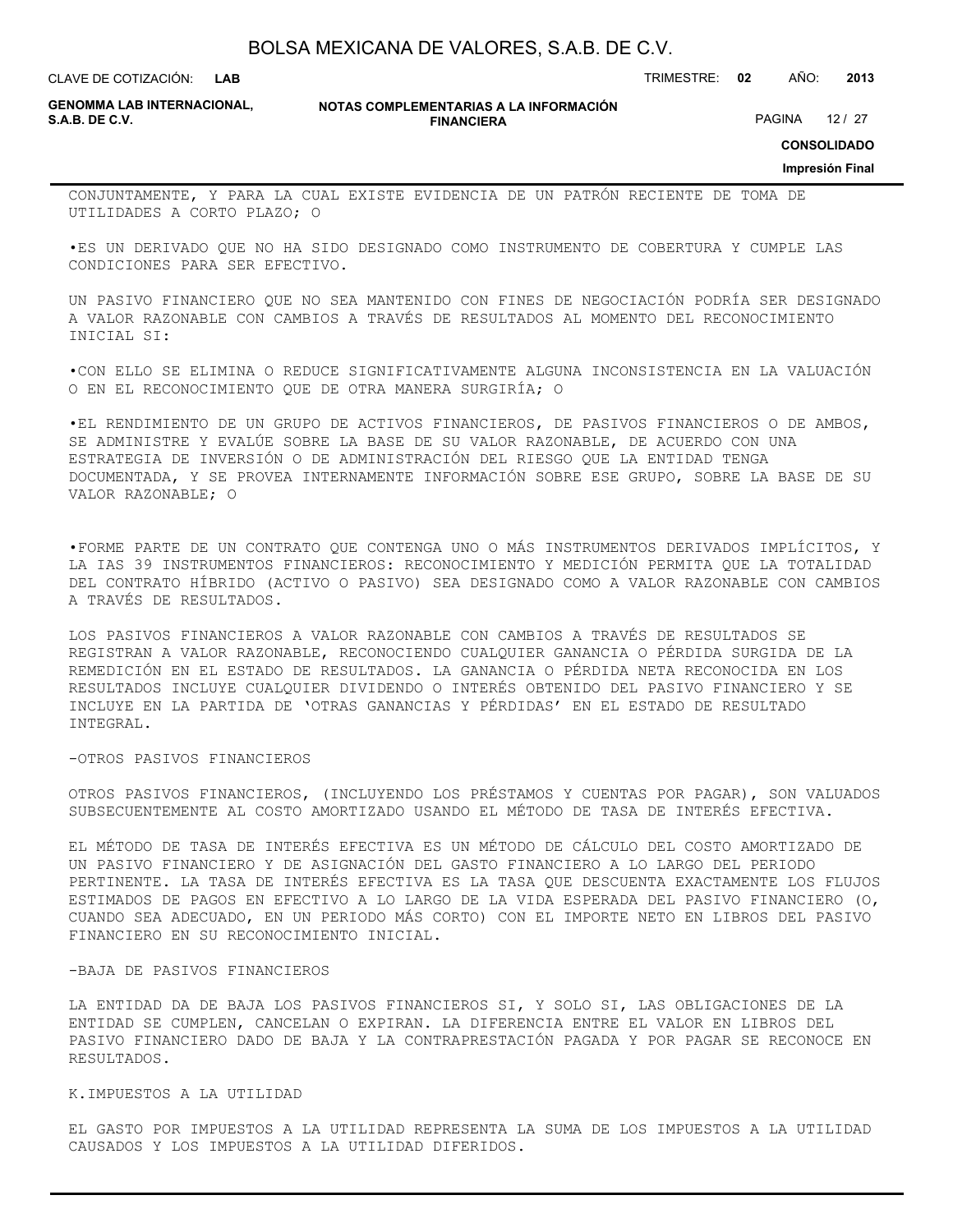**LAB**

CLAVE DE COTIZACIÓN: TRIMESTRE: **02** AÑO: **2013**

**GENOMMA LAB INTERNACIONAL,**

**NOTAS COMPLEMENTARIAS A LA INFORMACIÓN FINANCIERA**

PAGINA 12 / 27

**CONSOLIDADO**

**Impresión Final**

CONJUNTAMENTE, Y PARA LA CUAL EXISTE EVIDENCIA DE UN PATRÓN RECIENTE DE TOMA DE UTILIDADES A CORTO PLAZO; O

•ES UN DERIVADO QUE NO HA SIDO DESIGNADO COMO INSTRUMENTO DE COBERTURA Y CUMPLE LAS CONDICIONES PARA SER EFECTIVO.

UN PASIVO FINANCIERO QUE NO SEA MANTENIDO CON FINES DE NEGOCIACIÓN PODRÍA SER DESIGNADO A VALOR RAZONABLE CON CAMBIOS A TRAVÉS DE RESULTADOS AL MOMENTO DEL RECONOCIMIENTO INICIAL SI:

•CON ELLO SE ELIMINA O REDUCE SIGNIFICATIVAMENTE ALGUNA INCONSISTENCIA EN LA VALUACIÓN O EN EL RECONOCIMIENTO QUE DE OTRA MANERA SURGIRÍA; O

•EL RENDIMIENTO DE UN GRUPO DE ACTIVOS FINANCIEROS, DE PASIVOS FINANCIEROS O DE AMBOS, SE ADMINISTRE Y EVALÚE SOBRE LA BASE DE SU VALOR RAZONABLE, DE ACUERDO CON UNA ESTRATEGIA DE INVERSIÓN O DE ADMINISTRACIÓN DEL RIESGO QUE LA ENTIDAD TENGA DOCUMENTADA, Y SE PROVEA INTERNAMENTE INFORMACIÓN SOBRE ESE GRUPO, SOBRE LA BASE DE SU VALOR RAZONABLE; O

•FORME PARTE DE UN CONTRATO QUE CONTENGA UNO O MÁS INSTRUMENTOS DERIVADOS IMPLÍCITOS, Y LA IAS 39 INSTRUMENTOS FINANCIEROS: RECONOCIMIENTO Y MEDICIÓN PERMITA QUE LA TOTALIDAD DEL CONTRATO HÍBRIDO (ACTIVO O PASIVO) SEA DESIGNADO COMO A VALOR RAZONABLE CON CAMBIOS A TRAVÉS DE RESULTADOS.

LOS PASIVOS FINANCIEROS A VALOR RAZONABLE CON CAMBIOS A TRAVÉS DE RESULTADOS SE REGISTRAN A VALOR RAZONABLE, RECONOCIENDO CUALQUIER GANANCIA O PÉRDIDA SURGIDA DE LA REMEDICIÓN EN EL ESTADO DE RESULTADOS. LA GANANCIA O PÉRDIDA NETA RECONOCIDA EN LOS RESULTADOS INCLUYE CUALQUIER DIVIDENDO O INTERÉS OBTENIDO DEL PASIVO FINANCIERO Y SE INCLUYE EN LA PARTIDA DE 'OTRAS GANANCIAS Y PÉRDIDAS' EN EL ESTADO DE RESULTADO INTEGRAL.

-OTROS PASIVOS FINANCIEROS

OTROS PASIVOS FINANCIEROS, (INCLUYENDO LOS PRÉSTAMOS Y CUENTAS POR PAGAR), SON VALUADOS SUBSECUENTEMENTE AL COSTO AMORTIZADO USANDO EL MÉTODO DE TASA DE INTERÉS EFECTIVA.

EL MÉTODO DE TASA DE INTERÉS EFECTIVA ES UN MÉTODO DE CÁLCULO DEL COSTO AMORTIZADO DE UN PASIVO FINANCIERO Y DE ASIGNACIÓN DEL GASTO FINANCIERO A LO LARGO DEL PERIODO PERTINENTE. LA TASA DE INTERÉS EFECTIVA ES LA TASA QUE DESCUENTA EXACTAMENTE LOS FLUJOS ESTIMADOS DE PAGOS EN EFECTIVO A LO LARGO DE LA VIDA ESPERADA DEL PASIVO FINANCIERO (O, CUANDO SEA ADECUADO, EN UN PERIODO MÁS CORTO) CON EL IMPORTE NETO EN LIBROS DEL PASIVO FINANCIERO EN SU RECONOCIMIENTO INICIAL.

#### -BAJA DE PASIVOS FINANCIEROS

LA ENTIDAD DA DE BAJA LOS PASIVOS FINANCIEROS SI, Y SOLO SI, LAS OBLIGACIONES DE LA ENTIDAD SE CUMPLEN, CANCELAN O EXPIRAN. LA DIFERENCIA ENTRE EL VALOR EN LIBROS DEL PASIVO FINANCIERO DADO DE BAJA Y LA CONTRAPRESTACIÓN PAGADA Y POR PAGAR SE RECONOCE EN RESULTADOS.

K.IMPUESTOS A LA UTILIDAD

EL GASTO POR IMPUESTOS A LA UTILIDAD REPRESENTA LA SUMA DE LOS IMPUESTOS A LA UTILIDAD CAUSADOS Y LOS IMPUESTOS A LA UTILIDAD DIFERIDOS.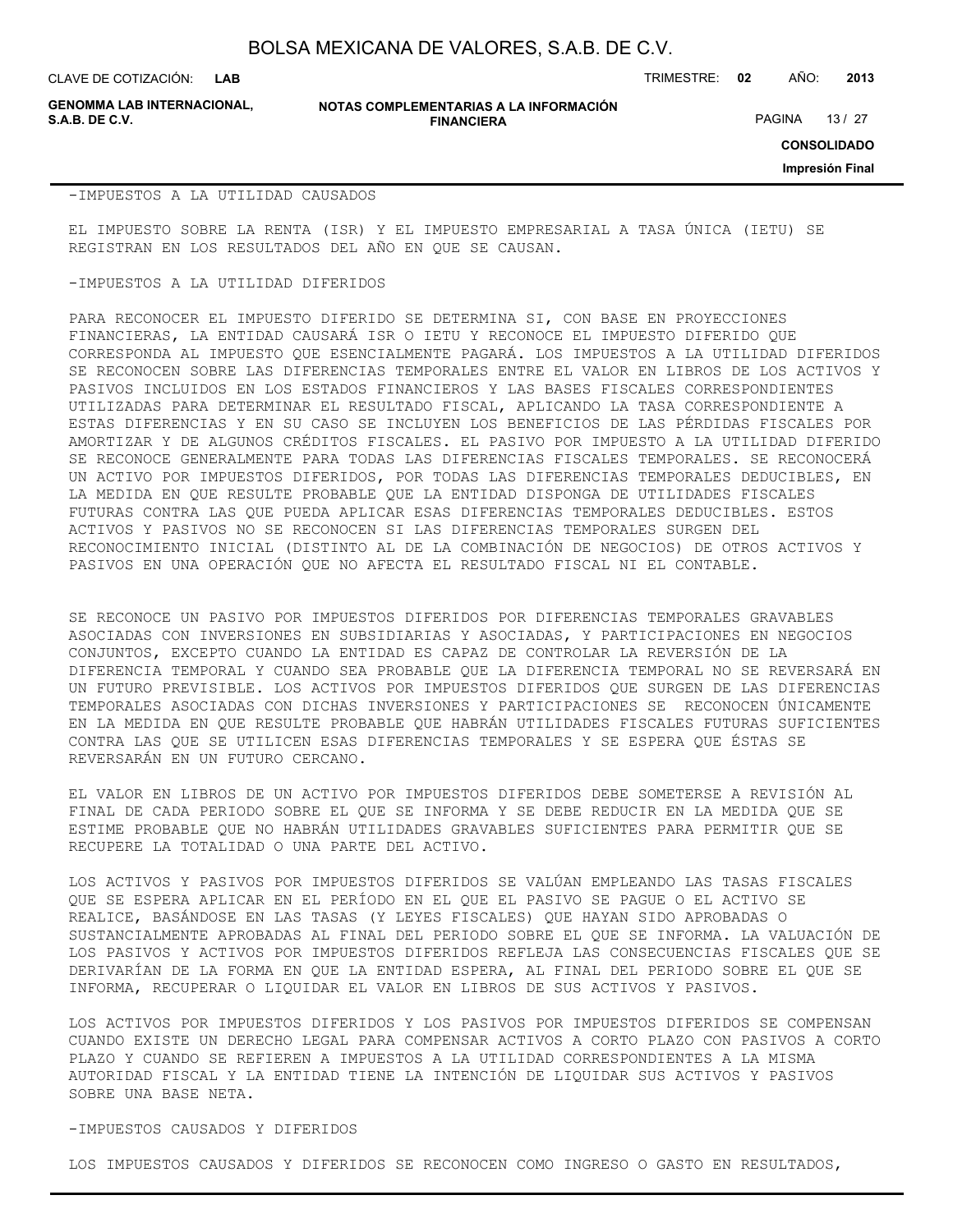CLAVE DE COTIZACIÓN: TRIMESTRE: **02** AÑO: **2013**

PAGINA 13 / 27

**GENOMMA LAB INTERNACIONAL,**

**NOTAS COMPLEMENTARIAS A LA INFORMACIÓN FINANCIERA**

**CONSOLIDADO**

**Impresión Final**

#### -IMPUESTOS A LA UTILIDAD CAUSADOS

EL IMPUESTO SOBRE LA RENTA (ISR) Y EL IMPUESTO EMPRESARIAL A TASA ÚNICA (IETU) SE REGISTRAN EN LOS RESULTADOS DEL AÑO EN QUE SE CAUSAN.

#### -IMPUESTOS A LA UTILIDAD DIFERIDOS

PARA RECONOCER EL IMPUESTO DIFERIDO SE DETERMINA SI, CON BASE EN PROYECCIONES FINANCIERAS, LA ENTIDAD CAUSARÁ ISR O IETU Y RECONOCE EL IMPUESTO DIFERIDO QUE CORRESPONDA AL IMPUESTO QUE ESENCIALMENTE PAGARÁ. LOS IMPUESTOS A LA UTILIDAD DIFERIDOS SE RECONOCEN SOBRE LAS DIFERENCIAS TEMPORALES ENTRE EL VALOR EN LIBROS DE LOS ACTIVOS Y PASIVOS INCLUIDOS EN LOS ESTADOS FINANCIEROS Y LAS BASES FISCALES CORRESPONDIENTES UTILIZADAS PARA DETERMINAR EL RESULTADO FISCAL, APLICANDO LA TASA CORRESPONDIENTE A ESTAS DIFERENCIAS Y EN SU CASO SE INCLUYEN LOS BENEFICIOS DE LAS PÉRDIDAS FISCALES POR AMORTIZAR Y DE ALGUNOS CRÉDITOS FISCALES. EL PASIVO POR IMPUESTO A LA UTILIDAD DIFERIDO SE RECONOCE GENERALMENTE PARA TODAS LAS DIFERENCIAS FISCALES TEMPORALES. SE RECONOCERÁ UN ACTIVO POR IMPUESTOS DIFERIDOS, POR TODAS LAS DIFERENCIAS TEMPORALES DEDUCIBLES, EN LA MEDIDA EN QUE RESULTE PROBABLE QUE LA ENTIDAD DISPONGA DE UTILIDADES FISCALES FUTURAS CONTRA LAS QUE PUEDA APLICAR ESAS DIFERENCIAS TEMPORALES DEDUCIBLES. ESTOS ACTIVOS Y PASIVOS NO SE RECONOCEN SI LAS DIFERENCIAS TEMPORALES SURGEN DEL RECONOCIMIENTO INICIAL (DISTINTO AL DE LA COMBINACIÓN DE NEGOCIOS) DE OTROS ACTIVOS Y PASIVOS EN UNA OPERACIÓN QUE NO AFECTA EL RESULTADO FISCAL NI EL CONTABLE.

SE RECONOCE UN PASIVO POR IMPUESTOS DIFERIDOS POR DIFERENCIAS TEMPORALES GRAVABLES ASOCIADAS CON INVERSIONES EN SUBSIDIARIAS Y ASOCIADAS, Y PARTICIPACIONES EN NEGOCIOS CONJUNTOS, EXCEPTO CUANDO LA ENTIDAD ES CAPAZ DE CONTROLAR LA REVERSIÓN DE LA DIFERENCIA TEMPORAL Y CUANDO SEA PROBABLE QUE LA DIFERENCIA TEMPORAL NO SE REVERSARÁ EN UN FUTURO PREVISIBLE. LOS ACTIVOS POR IMPUESTOS DIFERIDOS QUE SURGEN DE LAS DIFERENCIAS TEMPORALES ASOCIADAS CON DICHAS INVERSIONES Y PARTICIPACIONES SE RECONOCEN ÚNICAMENTE EN LA MEDIDA EN QUE RESULTE PROBABLE QUE HABRÁN UTILIDADES FISCALES FUTURAS SUFICIENTES CONTRA LAS QUE SE UTILICEN ESAS DIFERENCIAS TEMPORALES Y SE ESPERA QUE ÉSTAS SE REVERSARÁN EN UN FUTURO CERCANO.

EL VALOR EN LIBROS DE UN ACTIVO POR IMPUESTOS DIFERIDOS DEBE SOMETERSE A REVISIÓN AL FINAL DE CADA PERIODO SOBRE EL QUE SE INFORMA Y SE DEBE REDUCIR EN LA MEDIDA QUE SE ESTIME PROBABLE QUE NO HABRÁN UTILIDADES GRAVABLES SUFICIENTES PARA PERMITIR QUE SE RECUPERE LA TOTALIDAD O UNA PARTE DEL ACTIVO.

LOS ACTIVOS Y PASIVOS POR IMPUESTOS DIFERIDOS SE VALÚAN EMPLEANDO LAS TASAS FISCALES QUE SE ESPERA APLICAR EN EL PERÍODO EN EL QUE EL PASIVO SE PAGUE O EL ACTIVO SE REALICE, BASÁNDOSE EN LAS TASAS (Y LEYES FISCALES) QUE HAYAN SIDO APROBADAS O SUSTANCIALMENTE APROBADAS AL FINAL DEL PERIODO SOBRE EL QUE SE INFORMA. LA VALUACIÓN DE LOS PASIVOS Y ACTIVOS POR IMPUESTOS DIFERIDOS REFLEJA LAS CONSECUENCIAS FISCALES QUE SE DERIVARÍAN DE LA FORMA EN QUE LA ENTIDAD ESPERA, AL FINAL DEL PERIODO SOBRE EL QUE SE INFORMA, RECUPERAR O LIQUIDAR EL VALOR EN LIBROS DE SUS ACTIVOS Y PASIVOS.

LOS ACTIVOS POR IMPUESTOS DIFERIDOS Y LOS PASIVOS POR IMPUESTOS DIFERIDOS SE COMPENSAN CUANDO EXISTE UN DERECHO LEGAL PARA COMPENSAR ACTIVOS A CORTO PLAZO CON PASIVOS A CORTO PLAZO Y CUANDO SE REFIEREN A IMPUESTOS A LA UTILIDAD CORRESPONDIENTES A LA MISMA AUTORIDAD FISCAL Y LA ENTIDAD TIENE LA INTENCIÓN DE LIQUIDAR SUS ACTIVOS Y PASIVOS SOBRE UNA BASE NETA.

#### -IMPUESTOS CAUSADOS Y DIFERIDOS

LOS IMPUESTOS CAUSADOS Y DIFERIDOS SE RECONOCEN COMO INGRESO O GASTO EN RESULTADOS,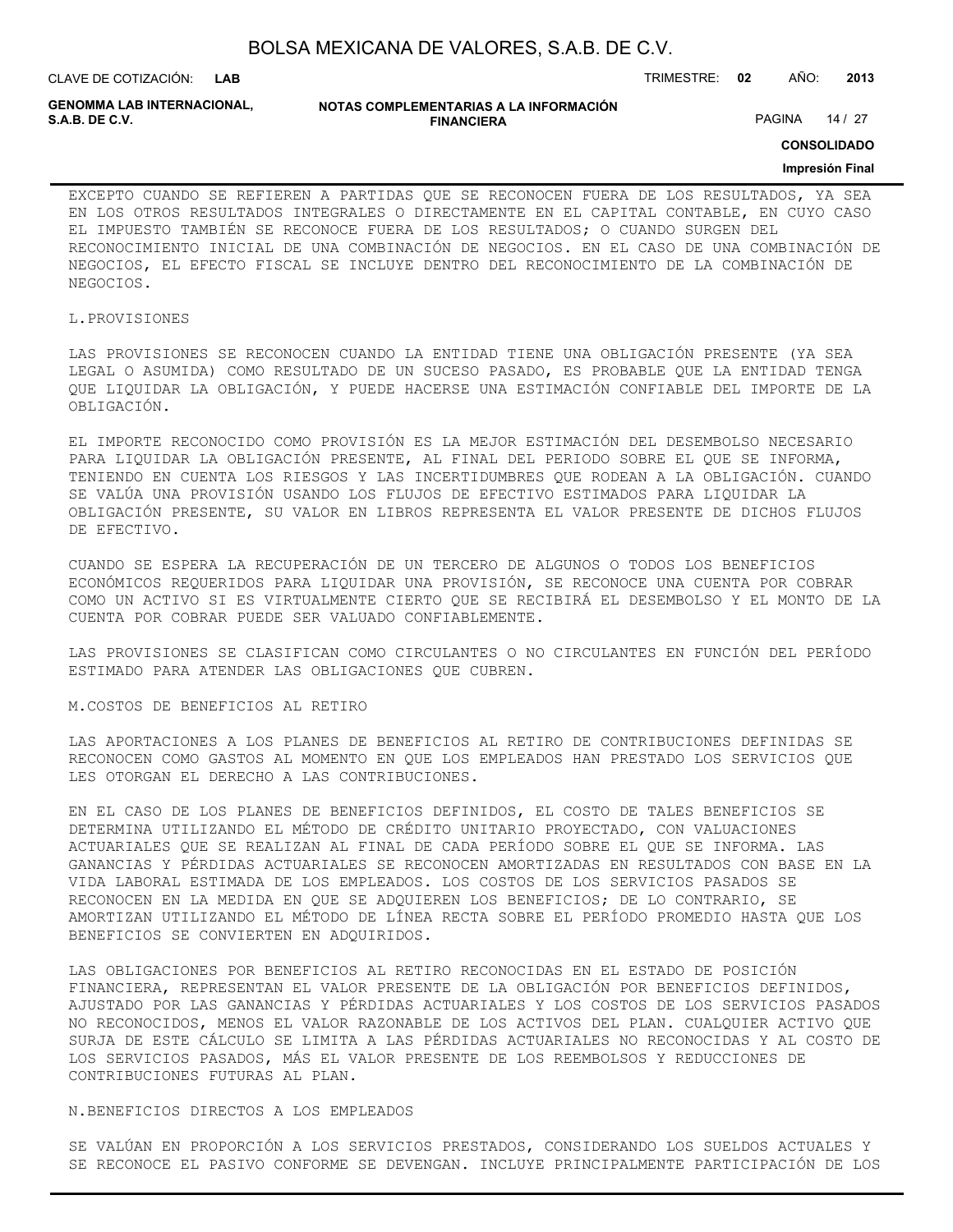| BOLSA MEXICANA DE VALORES, S.A.B. DE C.V. |  |  |  |
|-------------------------------------------|--|--|--|
|-------------------------------------------|--|--|--|

**GENOMMA LAB INTERNACIONAL,**

**NOTAS COMPLEMENTARIAS A LA INFORMACIÓN FINANCIERA**

PAGINA 14 / 27

**CONSOLIDADO**

#### **Impresión Final**

EXCEPTO CUANDO SE REFIEREN A PARTIDAS QUE SE RECONOCEN FUERA DE LOS RESULTADOS, YA SEA EN LOS OTROS RESULTADOS INTEGRALES O DIRECTAMENTE EN EL CAPITAL CONTABLE, EN CUYO CASO EL IMPUESTO TAMBIÉN SE RECONOCE FUERA DE LOS RESULTADOS; O CUANDO SURGEN DEL RECONOCIMIENTO INICIAL DE UNA COMBINACIÓN DE NEGOCIOS. EN EL CASO DE UNA COMBINACIÓN DE NEGOCIOS, EL EFECTO FISCAL SE INCLUYE DENTRO DEL RECONOCIMIENTO DE LA COMBINACIÓN DE NEGOCIOS.

#### L.PROVISIONES

LAS PROVISIONES SE RECONOCEN CUANDO LA ENTIDAD TIENE UNA OBLIGACIÓN PRESENTE (YA SEA LEGAL O ASUMIDA) COMO RESULTADO DE UN SUCESO PASADO, ES PROBABLE QUE LA ENTIDAD TENGA QUE LIQUIDAR LA OBLIGACIÓN, Y PUEDE HACERSE UNA ESTIMACIÓN CONFIABLE DEL IMPORTE DE LA OBLIGACIÓN.

EL IMPORTE RECONOCIDO COMO PROVISIÓN ES LA MEJOR ESTIMACIÓN DEL DESEMBOLSO NECESARIO PARA LIQUIDAR LA OBLIGACIÓN PRESENTE, AL FINAL DEL PERIODO SOBRE EL QUE SE INFORMA, TENIENDO EN CUENTA LOS RIESGOS Y LAS INCERTIDUMBRES QUE RODEAN A LA OBLIGACIÓN. CUANDO SE VALÚA UNA PROVISIÓN USANDO LOS FLUJOS DE EFECTIVO ESTIMADOS PARA LIQUIDAR LA OBLIGACIÓN PRESENTE, SU VALOR EN LIBROS REPRESENTA EL VALOR PRESENTE DE DICHOS FLUJOS DE EFECTIVO.

CUANDO SE ESPERA LA RECUPERACIÓN DE UN TERCERO DE ALGUNOS O TODOS LOS BENEFICIOS ECONÓMICOS REQUERIDOS PARA LIQUIDAR UNA PROVISIÓN, SE RECONOCE UNA CUENTA POR COBRAR COMO UN ACTIVO SI ES VIRTUALMENTE CIERTO QUE SE RECIBIRÁ EL DESEMBOLSO Y EL MONTO DE LA CUENTA POR COBRAR PUEDE SER VALUADO CONFIABLEMENTE.

LAS PROVISIONES SE CLASIFICAN COMO CIRCULANTES O NO CIRCULANTES EN FUNCIÓN DEL PERÍODO ESTIMADO PARA ATENDER LAS OBLIGACIONES QUE CUBREN.

#### M.COSTOS DE BENEFICIOS AL RETIRO

LAS APORTACIONES A LOS PLANES DE BENEFICIOS AL RETIRO DE CONTRIBUCIONES DEFINIDAS SE RECONOCEN COMO GASTOS AL MOMENTO EN QUE LOS EMPLEADOS HAN PRESTADO LOS SERVICIOS QUE LES OTORGAN EL DERECHO A LAS CONTRIBUCIONES.

EN EL CASO DE LOS PLANES DE BENEFICIOS DEFINIDOS, EL COSTO DE TALES BENEFICIOS SE DETERMINA UTILIZANDO EL MÉTODO DE CRÉDITO UNITARIO PROYECTADO, CON VALUACIONES ACTUARIALES QUE SE REALIZAN AL FINAL DE CADA PERÍODO SOBRE EL QUE SE INFORMA. LAS GANANCIAS Y PÉRDIDAS ACTUARIALES SE RECONOCEN AMORTIZADAS EN RESULTADOS CON BASE EN LA VIDA LABORAL ESTIMADA DE LOS EMPLEADOS. LOS COSTOS DE LOS SERVICIOS PASADOS SE RECONOCEN EN LA MEDIDA EN QUE SE ADQUIEREN LOS BENEFICIOS; DE LO CONTRARIO, SE AMORTIZAN UTILIZANDO EL MÉTODO DE LÍNEA RECTA SOBRE EL PERÍODO PROMEDIO HASTA QUE LOS BENEFICIOS SE CONVIERTEN EN ADQUIRIDOS.

LAS OBLIGACIONES POR BENEFICIOS AL RETIRO RECONOCIDAS EN EL ESTADO DE POSICIÓN FINANCIERA, REPRESENTAN EL VALOR PRESENTE DE LA OBLIGACIÓN POR BENEFICIOS DEFINIDOS, AJUSTADO POR LAS GANANCIAS Y PÉRDIDAS ACTUARIALES Y LOS COSTOS DE LOS SERVICIOS PASADOS NO RECONOCIDOS, MENOS EL VALOR RAZONABLE DE LOS ACTIVOS DEL PLAN. CUALQUIER ACTIVO QUE SURJA DE ESTE CÁLCULO SE LIMITA A LAS PÉRDIDAS ACTUARIALES NO RECONOCIDAS Y AL COSTO DE LOS SERVICIOS PASADOS, MÁS EL VALOR PRESENTE DE LOS REEMBOLSOS Y REDUCCIONES DE CONTRIBUCIONES FUTURAS AL PLAN.

#### N.BENEFICIOS DIRECTOS A LOS EMPLEADOS

SE VALÚAN EN PROPORCIÓN A LOS SERVICIOS PRESTADOS, CONSIDERANDO LOS SUELDOS ACTUALES Y SE RECONOCE EL PASIVO CONFORME SE DEVENGAN. INCLUYE PRINCIPALMENTE PARTICIPACIÓN DE LOS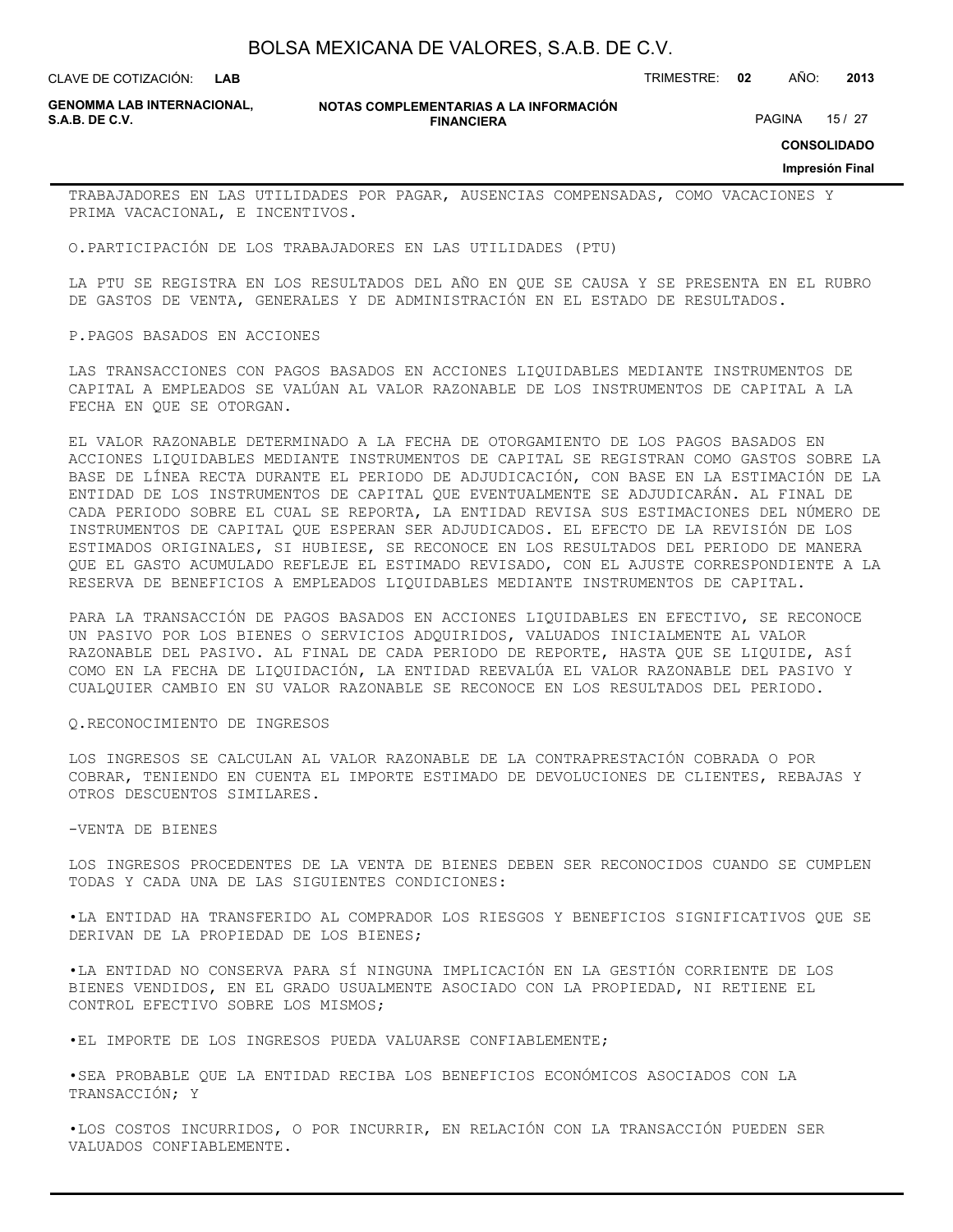**LAB**

CLAVE DE COTIZACIÓN: TRIMESTRE: **02** AÑO: **2013**

**GENOMMA LAB INTERNACIONAL,**

**NOTAS COMPLEMENTARIAS A LA INFORMACIÓN FINANCIERA**

PAGINA 15 / 27

**CONSOLIDADO**

**Impresión Final**

TRABAJADORES EN LAS UTILIDADES POR PAGAR, AUSENCIAS COMPENSADAS, COMO VACACIONES Y PRIMA VACACIONAL, E INCENTIVOS.

O.PARTICIPACIÓN DE LOS TRABAJADORES EN LAS UTILIDADES (PTU)

LA PTU SE REGISTRA EN LOS RESULTADOS DEL AÑO EN QUE SE CAUSA Y SE PRESENTA EN EL RUBRO DE GASTOS DE VENTA, GENERALES Y DE ADMINISTRACIÓN EN EL ESTADO DE RESULTADOS.

#### P.PAGOS BASADOS EN ACCIONES

LAS TRANSACCIONES CON PAGOS BASADOS EN ACCIONES LIQUIDABLES MEDIANTE INSTRUMENTOS DE CAPITAL A EMPLEADOS SE VALÚAN AL VALOR RAZONABLE DE LOS INSTRUMENTOS DE CAPITAL A LA FECHA EN QUE SE OTORGAN.

EL VALOR RAZONABLE DETERMINADO A LA FECHA DE OTORGAMIENTO DE LOS PAGOS BASADOS EN ACCIONES LIQUIDABLES MEDIANTE INSTRUMENTOS DE CAPITAL SE REGISTRAN COMO GASTOS SOBRE LA BASE DE LÍNEA RECTA DURANTE EL PERIODO DE ADJUDICACIÓN, CON BASE EN LA ESTIMACIÓN DE LA ENTIDAD DE LOS INSTRUMENTOS DE CAPITAL QUE EVENTUALMENTE SE ADJUDICARÁN. AL FINAL DE CADA PERIODO SOBRE EL CUAL SE REPORTA, LA ENTIDAD REVISA SUS ESTIMACIONES DEL NÚMERO DE INSTRUMENTOS DE CAPITAL QUE ESPERAN SER ADJUDICADOS. EL EFECTO DE LA REVISIÓN DE LOS ESTIMADOS ORIGINALES, SI HUBIESE, SE RECONOCE EN LOS RESULTADOS DEL PERIODO DE MANERA QUE EL GASTO ACUMULADO REFLEJE EL ESTIMADO REVISADO, CON EL AJUSTE CORRESPONDIENTE A LA RESERVA DE BENEFICIOS A EMPLEADOS LIQUIDABLES MEDIANTE INSTRUMENTOS DE CAPITAL.

PARA LA TRANSACCIÓN DE PAGOS BASADOS EN ACCIONES LIQUIDABLES EN EFECTIVO, SE RECONOCE UN PASIVO POR LOS BIENES O SERVICIOS ADQUIRIDOS, VALUADOS INICIALMENTE AL VALOR RAZONABLE DEL PASIVO. AL FINAL DE CADA PERIODO DE REPORTE, HASTA QUE SE LIQUIDE, ASÍ COMO EN LA FECHA DE LIQUIDACIÓN, LA ENTIDAD REEVALÚA EL VALOR RAZONABLE DEL PASIVO Y CUALQUIER CAMBIO EN SU VALOR RAZONABLE SE RECONOCE EN LOS RESULTADOS DEL PERIODO.

#### Q.RECONOCIMIENTO DE INGRESOS

LOS INGRESOS SE CALCULAN AL VALOR RAZONABLE DE LA CONTRAPRESTACIÓN COBRADA O POR COBRAR, TENIENDO EN CUENTA EL IMPORTE ESTIMADO DE DEVOLUCIONES DE CLIENTES, REBAJAS Y OTROS DESCUENTOS SIMILARES.

#### -VENTA DE BIENES

LOS INGRESOS PROCEDENTES DE LA VENTA DE BIENES DEBEN SER RECONOCIDOS CUANDO SE CUMPLEN TODAS Y CADA UNA DE LAS SIGUIENTES CONDICIONES:

•LA ENTIDAD HA TRANSFERIDO AL COMPRADOR LOS RIESGOS Y BENEFICIOS SIGNIFICATIVOS QUE SE DERIVAN DE LA PROPIEDAD DE LOS BIENES;

•LA ENTIDAD NO CONSERVA PARA SÍ NINGUNA IMPLICACIÓN EN LA GESTIÓN CORRIENTE DE LOS BIENES VENDIDOS, EN EL GRADO USUALMENTE ASOCIADO CON LA PROPIEDAD, NI RETIENE EL CONTROL EFECTIVO SOBRE LOS MISMOS;

•EL IMPORTE DE LOS INGRESOS PUEDA VALUARSE CONFIABLEMENTE;

•SEA PROBABLE QUE LA ENTIDAD RECIBA LOS BENEFICIOS ECONÓMICOS ASOCIADOS CON LA TRANSACCIÓN; Y

•LOS COSTOS INCURRIDOS, O POR INCURRIR, EN RELACIÓN CON LA TRANSACCIÓN PUEDEN SER VALUADOS CONFIABLEMENTE.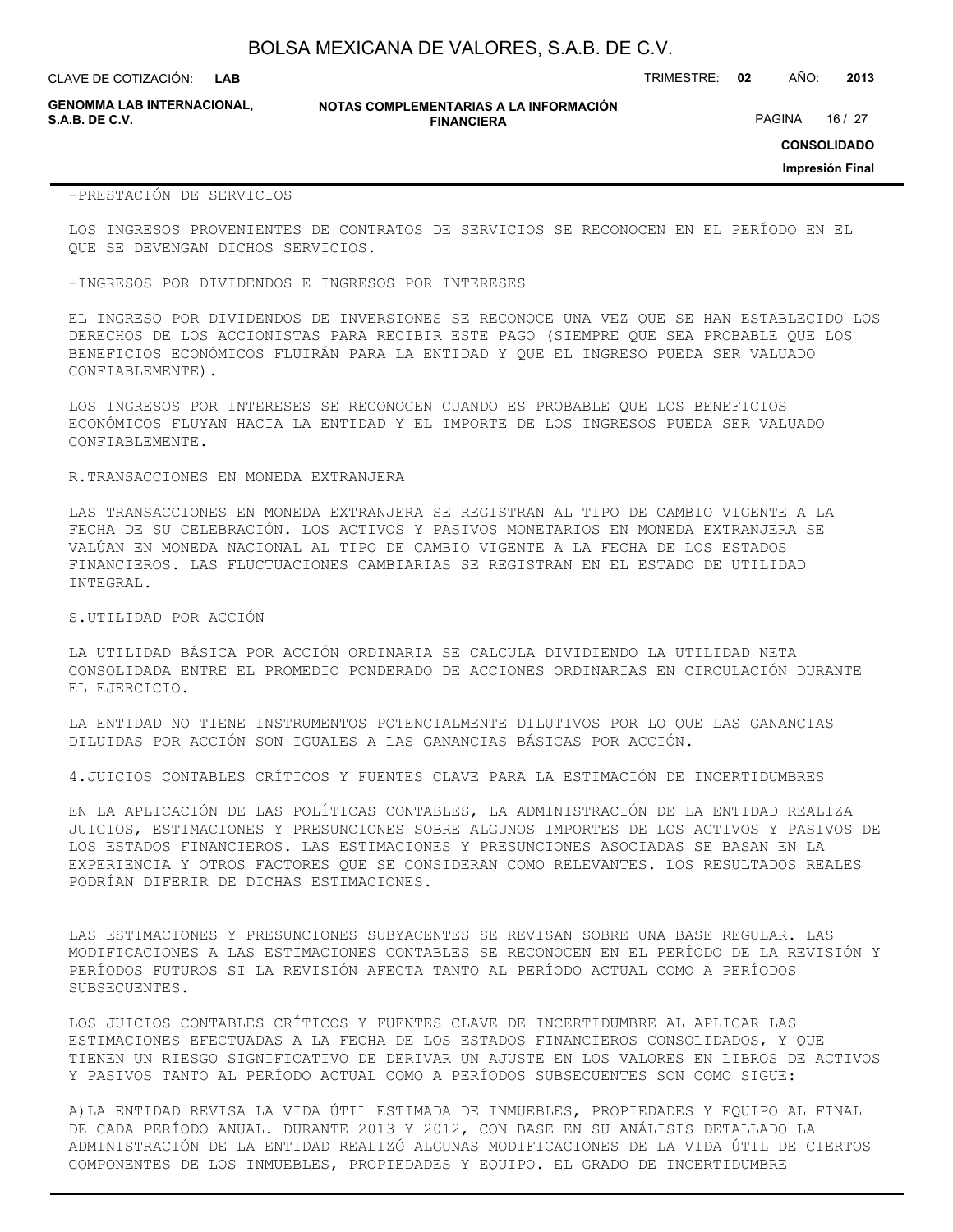CLAVE DE COTIZACIÓN: TRIMESTRE: **02** AÑO: **2013**

**GENOMMA LAB INTERNACIONAL,**

#### **NOTAS COMPLEMENTARIAS A LA INFORMACIÓN FINANCIERA**

PAGINA 16 / 27

**CONSOLIDADO**

**Impresión Final**

#### -PRESTACIÓN DE SERVICIOS

LOS INGRESOS PROVENIENTES DE CONTRATOS DE SERVICIOS SE RECONOCEN EN EL PERÍODO EN EL QUE SE DEVENGAN DICHOS SERVICIOS.

#### -INGRESOS POR DIVIDENDOS E INGRESOS POR INTERESES

EL INGRESO POR DIVIDENDOS DE INVERSIONES SE RECONOCE UNA VEZ QUE SE HAN ESTABLECIDO LOS DERECHOS DE LOS ACCIONISTAS PARA RECIBIR ESTE PAGO (SIEMPRE QUE SEA PROBABLE QUE LOS BENEFICIOS ECONÓMICOS FLUIRÁN PARA LA ENTIDAD Y QUE EL INGRESO PUEDA SER VALUADO CONFIABLEMENTE).

LOS INGRESOS POR INTERESES SE RECONOCEN CUANDO ES PROBABLE QUE LOS BENEFICIOS ECONÓMICOS FLUYAN HACIA LA ENTIDAD Y EL IMPORTE DE LOS INGRESOS PUEDA SER VALUADO CONFIABLEMENTE.

#### R.TRANSACCIONES EN MONEDA EXTRANJERA

LAS TRANSACCIONES EN MONEDA EXTRANJERA SE REGISTRAN AL TIPO DE CAMBIO VIGENTE A LA FECHA DE SU CELEBRACIÓN. LOS ACTIVOS Y PASIVOS MONETARIOS EN MONEDA EXTRANJERA SE VALÚAN EN MONEDA NACIONAL AL TIPO DE CAMBIO VIGENTE A LA FECHA DE LOS ESTADOS FINANCIEROS. LAS FLUCTUACIONES CAMBIARIAS SE REGISTRAN EN EL ESTADO DE UTILIDAD INTEGRAL.

#### S.UTILIDAD POR ACCIÓN

LA UTILIDAD BÁSICA POR ACCIÓN ORDINARIA SE CALCULA DIVIDIENDO LA UTILIDAD NETA CONSOLIDADA ENTRE EL PROMEDIO PONDERADO DE ACCIONES ORDINARIAS EN CIRCULACIÓN DURANTE EL EJERCICIO.

LA ENTIDAD NO TIENE INSTRUMENTOS POTENCIALMENTE DILUTIVOS POR LO QUE LAS GANANCIAS DILUIDAS POR ACCIÓN SON IGUALES A LAS GANANCIAS BÁSICAS POR ACCIÓN.

4.JUICIOS CONTABLES CRÍTICOS Y FUENTES CLAVE PARA LA ESTIMACIÓN DE INCERTIDUMBRES

EN LA APLICACIÓN DE LAS POLÍTICAS CONTABLES, LA ADMINISTRACIÓN DE LA ENTIDAD REALIZA JUICIOS, ESTIMACIONES Y PRESUNCIONES SOBRE ALGUNOS IMPORTES DE LOS ACTIVOS Y PASIVOS DE LOS ESTADOS FINANCIEROS. LAS ESTIMACIONES Y PRESUNCIONES ASOCIADAS SE BASAN EN LA EXPERIENCIA Y OTROS FACTORES QUE SE CONSIDERAN COMO RELEVANTES. LOS RESULTADOS REALES PODRÍAN DIFERIR DE DICHAS ESTIMACIONES.

LAS ESTIMACIONES Y PRESUNCIONES SUBYACENTES SE REVISAN SOBRE UNA BASE REGULAR. LAS MODIFICACIONES A LAS ESTIMACIONES CONTABLES SE RECONOCEN EN EL PERÍODO DE LA REVISIÓN Y PERÍODOS FUTUROS SI LA REVISIÓN AFECTA TANTO AL PERÍODO ACTUAL COMO A PERÍODOS SUBSECUENTES.

LOS JUICIOS CONTABLES CRÍTICOS Y FUENTES CLAVE DE INCERTIDUMBRE AL APLICAR LAS ESTIMACIONES EFECTUADAS A LA FECHA DE LOS ESTADOS FINANCIEROS CONSOLIDADOS, Y QUE TIENEN UN RIESGO SIGNIFICATIVO DE DERIVAR UN AJUSTE EN LOS VALORES EN LIBROS DE ACTIVOS Y PASIVOS TANTO AL PERÍODO ACTUAL COMO A PERÍODOS SUBSECUENTES SON COMO SIGUE:

A)LA ENTIDAD REVISA LA VIDA ÚTIL ESTIMADA DE INMUEBLES, PROPIEDADES Y EQUIPO AL FINAL DE CADA PERÍODO ANUAL. DURANTE 2013 Y 2012, CON BASE EN SU ANÁLISIS DETALLADO LA ADMINISTRACIÓN DE LA ENTIDAD REALIZÓ ALGUNAS MODIFICACIONES DE LA VIDA ÚTIL DE CIERTOS COMPONENTES DE LOS INMUEBLES, PROPIEDADES Y EQUIPO. EL GRADO DE INCERTIDUMBRE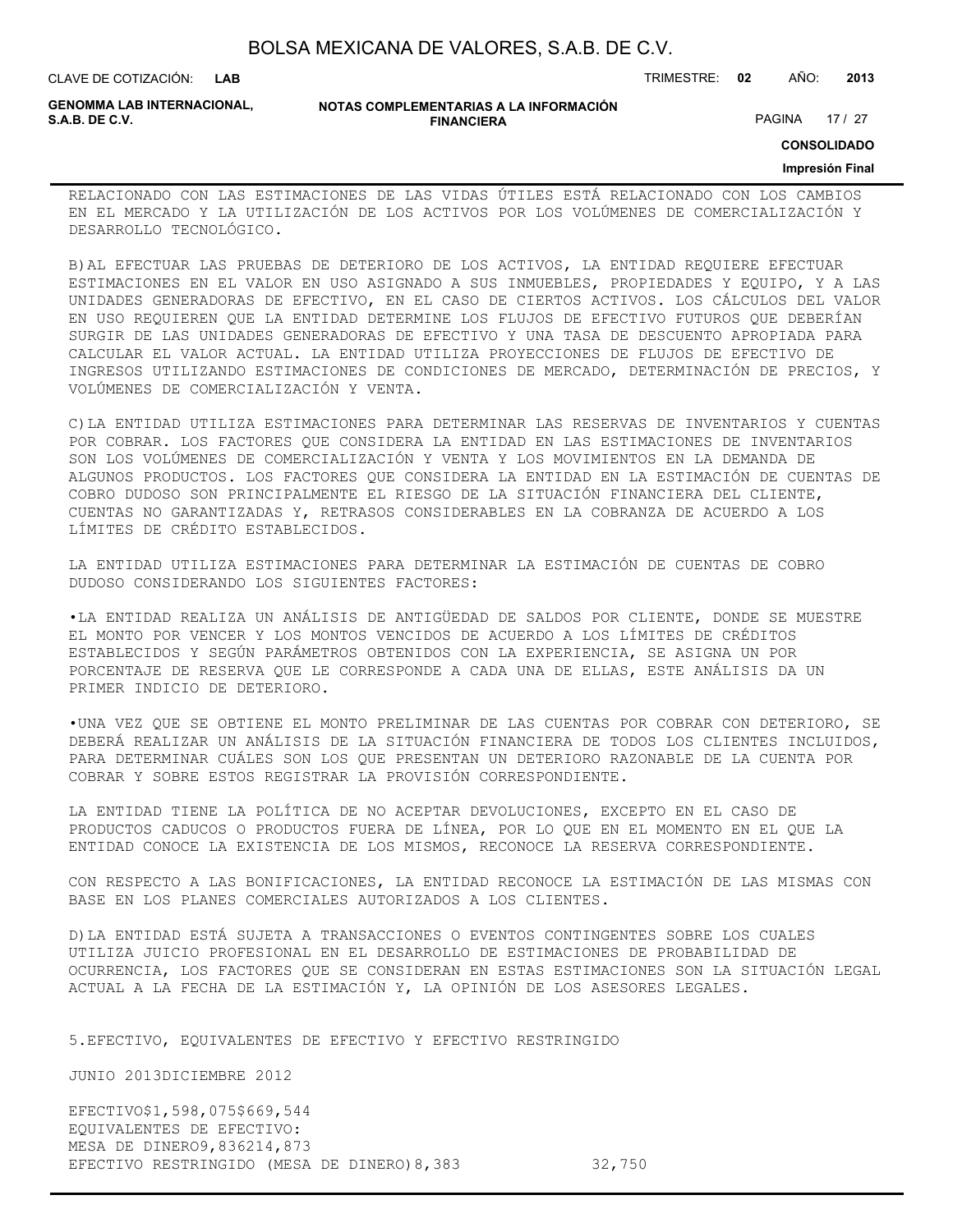| BOLSA MEXICANA DE VALORES, S.A.B. DE C.V. |  |  |  |
|-------------------------------------------|--|--|--|
|-------------------------------------------|--|--|--|

CLAVE DE COTIZACIÓN: TRIMESTRE: **02** AÑO: **2013**

**GENOMMA LAB INTERNACIONAL,**

**NOTAS COMPLEMENTARIAS A LA INFORMACIÓN FINANCIERA**

PAGINA 17 / 27

**CONSOLIDADO**

#### **Impresión Final**

RELACIONADO CON LAS ESTIMACIONES DE LAS VIDAS ÚTILES ESTÁ RELACIONADO CON LOS CAMBIOS EN EL MERCADO Y LA UTILIZACIÓN DE LOS ACTIVOS POR LOS VOLÚMENES DE COMERCIALIZACIÓN Y DESARROLLO TECNOLÓGICO.

B)AL EFECTUAR LAS PRUEBAS DE DETERIORO DE LOS ACTIVOS, LA ENTIDAD REQUIERE EFECTUAR ESTIMACIONES EN EL VALOR EN USO ASIGNADO A SUS INMUEBLES, PROPIEDADES Y EQUIPO, Y A LAS UNIDADES GENERADORAS DE EFECTIVO, EN EL CASO DE CIERTOS ACTIVOS. LOS CÁLCULOS DEL VALOR EN USO REQUIEREN QUE LA ENTIDAD DETERMINE LOS FLUJOS DE EFECTIVO FUTUROS QUE DEBERÍAN SURGIR DE LAS UNIDADES GENERADORAS DE EFECTIVO Y UNA TASA DE DESCUENTO APROPIADA PARA CALCULAR EL VALOR ACTUAL. LA ENTIDAD UTILIZA PROYECCIONES DE FLUJOS DE EFECTIVO DE INGRESOS UTILIZANDO ESTIMACIONES DE CONDICIONES DE MERCADO, DETERMINACIÓN DE PRECIOS, Y VOLÚMENES DE COMERCIALIZACIÓN Y VENTA.

C)LA ENTIDAD UTILIZA ESTIMACIONES PARA DETERMINAR LAS RESERVAS DE INVENTARIOS Y CUENTAS POR COBRAR. LOS FACTORES QUE CONSIDERA LA ENTIDAD EN LAS ESTIMACIONES DE INVENTARIOS SON LOS VOLÚMENES DE COMERCIALIZACIÓN Y VENTA Y LOS MOVIMIENTOS EN LA DEMANDA DE ALGUNOS PRODUCTOS. LOS FACTORES QUE CONSIDERA LA ENTIDAD EN LA ESTIMACIÓN DE CUENTAS DE COBRO DUDOSO SON PRINCIPALMENTE EL RIESGO DE LA SITUACIÓN FINANCIERA DEL CLIENTE, CUENTAS NO GARANTIZADAS Y, RETRASOS CONSIDERABLES EN LA COBRANZA DE ACUERDO A LOS LÍMITES DE CRÉDITO ESTABLECIDOS.

LA ENTIDAD UTILIZA ESTIMACIONES PARA DETERMINAR LA ESTIMACIÓN DE CUENTAS DE COBRO DUDOSO CONSIDERANDO LOS SIGUIENTES FACTORES:

•LA ENTIDAD REALIZA UN ANÁLISIS DE ANTIGÜEDAD DE SALDOS POR CLIENTE, DONDE SE MUESTRE EL MONTO POR VENCER Y LOS MONTOS VENCIDOS DE ACUERDO A LOS LÍMITES DE CRÉDITOS ESTABLECIDOS Y SEGÚN PARÁMETROS OBTENIDOS CON LA EXPERIENCIA, SE ASIGNA UN POR PORCENTAJE DE RESERVA QUE LE CORRESPONDE A CADA UNA DE ELLAS, ESTE ANÁLISIS DA UN PRIMER INDICIO DE DETERIORO.

•UNA VEZ QUE SE OBTIENE EL MONTO PRELIMINAR DE LAS CUENTAS POR COBRAR CON DETERIORO, SE DEBERÁ REALIZAR UN ANÁLISIS DE LA SITUACIÓN FINANCIERA DE TODOS LOS CLIENTES INCLUIDOS, PARA DETERMINAR CUÁLES SON LOS QUE PRESENTAN UN DETERIORO RAZONABLE DE LA CUENTA POR COBRAR Y SOBRE ESTOS REGISTRAR LA PROVISIÓN CORRESPONDIENTE.

LA ENTIDAD TIENE LA POLÍTICA DE NO ACEPTAR DEVOLUCIONES, EXCEPTO EN EL CASO DE PRODUCTOS CADUCOS O PRODUCTOS FUERA DE LÍNEA, POR LO QUE EN EL MOMENTO EN EL QUE LA ENTIDAD CONOCE LA EXISTENCIA DE LOS MISMOS, RECONOCE LA RESERVA CORRESPONDIENTE.

CON RESPECTO A LAS BONIFICACIONES, LA ENTIDAD RECONOCE LA ESTIMACIÓN DE LAS MISMAS CON BASE EN LOS PLANES COMERCIALES AUTORIZADOS A LOS CLIENTES.

D)LA ENTIDAD ESTÁ SUJETA A TRANSACCIONES O EVENTOS CONTINGENTES SOBRE LOS CUALES UTILIZA JUICIO PROFESIONAL EN EL DESARROLLO DE ESTIMACIONES DE PROBABILIDAD DE OCURRENCIA, LOS FACTORES QUE SE CONSIDERAN EN ESTAS ESTIMACIONES SON LA SITUACIÓN LEGAL ACTUAL A LA FECHA DE LA ESTIMACIÓN Y, LA OPINIÓN DE LOS ASESORES LEGALES.

5.EFECTIVO, EQUIVALENTES DE EFECTIVO Y EFECTIVO RESTRINGIDO

JUNIO 2013DICIEMBRE 2012

EFECTIVO\$1,598,075\$669,544 EQUIVALENTES DE EFECTIVO: MESA DE DINERO9,836214,873 EFECTIVO RESTRINGIDO (MESA DE DINERO) 8,383 32,750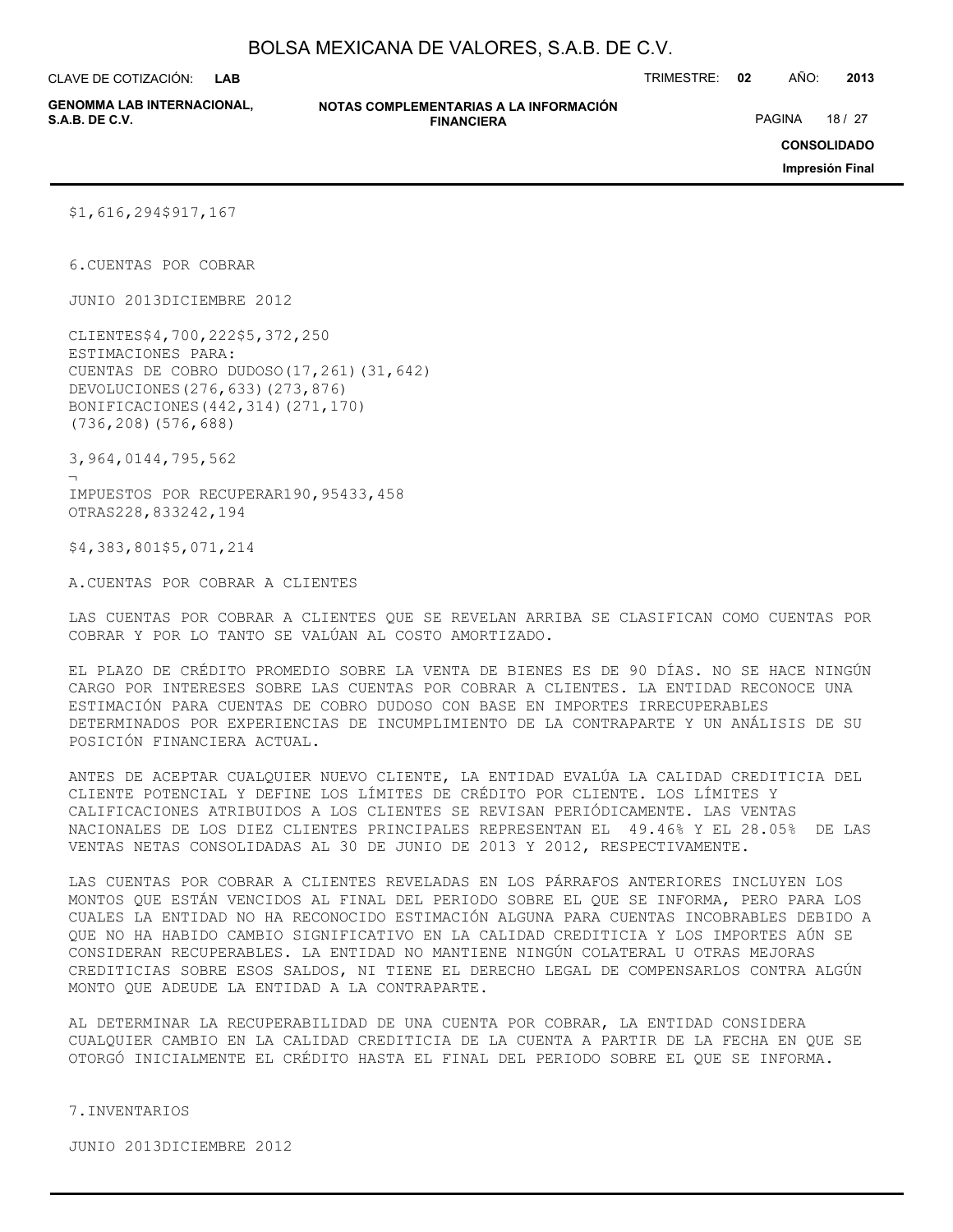**LAB**

CLAVE DE COTIZACIÓN: TRIMESTRE: **02** AÑO: **2013**

**GENOMMA LAB INTERNACIONAL,**

**NOTAS COMPLEMENTARIAS A LA INFORMACIÓN FINANCIERA S.A.B. DE C.V.** PAGINA 18 / 27

**CONSOLIDADO**

**Impresión Final**

\$1,616,294\$917,167

6.CUENTAS POR COBRAR

JUNIO 2013DICIEMBRE 2012

CLIENTES\$4,700,222\$5,372,250 ESTIMACIONES PARA: CUENTAS DE COBRO DUDOSO(17,261)(31,642) DEVOLUCIONES(276,633)(273,876) BONIFICACIONES(442,314)(271,170) (736,208)(576,688)

3,964,0144,795,562

¬ IMPUESTOS POR RECUPERAR190,95433,458 OTRAS228,833242,194

\$4,383,801\$5,071,214

A.CUENTAS POR COBRAR A CLIENTES

LAS CUENTAS POR COBRAR A CLIENTES QUE SE REVELAN ARRIBA SE CLASIFICAN COMO CUENTAS POR COBRAR Y POR LO TANTO SE VALÚAN AL COSTO AMORTIZADO.

EL PLAZO DE CRÉDITO PROMEDIO SOBRE LA VENTA DE BIENES ES DE 90 DÍAS. NO SE HACE NINGÚN CARGO POR INTERESES SOBRE LAS CUENTAS POR COBRAR A CLIENTES. LA ENTIDAD RECONOCE UNA ESTIMACIÓN PARA CUENTAS DE COBRO DUDOSO CON BASE EN IMPORTES IRRECUPERABLES DETERMINADOS POR EXPERIENCIAS DE INCUMPLIMIENTO DE LA CONTRAPARTE Y UN ANÁLISIS DE SU POSICIÓN FINANCIERA ACTUAL.

ANTES DE ACEPTAR CUALQUIER NUEVO CLIENTE, LA ENTIDAD EVALÚA LA CALIDAD CREDITICIA DEL CLIENTE POTENCIAL Y DEFINE LOS LÍMITES DE CRÉDITO POR CLIENTE. LOS LÍMITES Y CALIFICACIONES ATRIBUIDOS A LOS CLIENTES SE REVISAN PERIÓDICAMENTE. LAS VENTAS NACIONALES DE LOS DIEZ CLIENTES PRINCIPALES REPRESENTAN EL 49.46% Y EL 28.05% DE LAS VENTAS NETAS CONSOLIDADAS AL 30 DE JUNIO DE 2013 Y 2012, RESPECTIVAMENTE.

LAS CUENTAS POR COBRAR A CLIENTES REVELADAS EN LOS PÁRRAFOS ANTERIORES INCLUYEN LOS MONTOS QUE ESTÁN VENCIDOS AL FINAL DEL PERIODO SOBRE EL QUE SE INFORMA, PERO PARA LOS CUALES LA ENTIDAD NO HA RECONOCIDO ESTIMACIÓN ALGUNA PARA CUENTAS INCOBRABLES DEBIDO A QUE NO HA HABIDO CAMBIO SIGNIFICATIVO EN LA CALIDAD CREDITICIA Y LOS IMPORTES AÚN SE CONSIDERAN RECUPERABLES. LA ENTIDAD NO MANTIENE NINGÚN COLATERAL U OTRAS MEJORAS CREDITICIAS SOBRE ESOS SALDOS, NI TIENE EL DERECHO LEGAL DE COMPENSARLOS CONTRA ALGÚN MONTO QUE ADEUDE LA ENTIDAD A LA CONTRAPARTE.

AL DETERMINAR LA RECUPERABILIDAD DE UNA CUENTA POR COBRAR, LA ENTIDAD CONSIDERA CUALQUIER CAMBIO EN LA CALIDAD CREDITICIA DE LA CUENTA A PARTIR DE LA FECHA EN QUE SE OTORGÓ INICIALMENTE EL CRÉDITO HASTA EL FINAL DEL PERIODO SOBRE EL QUE SE INFORMA.

7.INVENTARIOS

JUNIO 2013DICIEMBRE 2012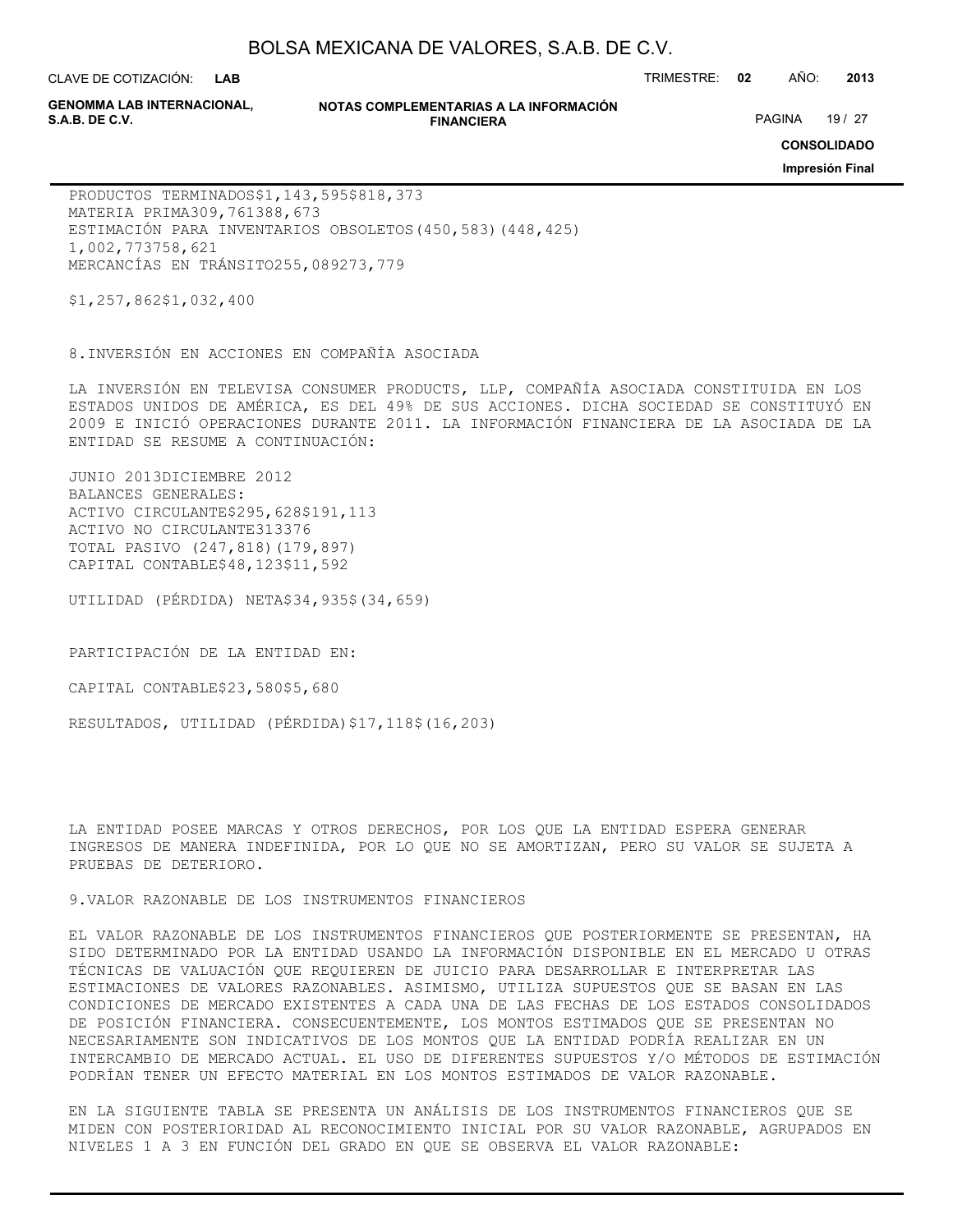CLAVE DE COTIZACIÓN: TRIMESTRE: **02** AÑO: **2013 LAB**

**GENOMMA LAB INTERNACIONAL,**

#### **NOTAS COMPLEMENTARIAS A LA INFORMACIÓN FINANCIERA**

PAGINA 19 / 27

**CONSOLIDADO**

**Impresión Final**

PRODUCTOS TERMINADOS\$1,143,595\$818,373 MATERIA PRIMA309,761388,673 ESTIMACIÓN PARA INVENTARIOS OBSOLETOS(450,583)(448,425) 1,002,773758,621 MERCANCÍAS EN TRÁNSITO255,089273,779

\$1,257,862\$1,032,400

8.INVERSIÓN EN ACCIONES EN COMPAÑÍA ASOCIADA

LA INVERSIÓN EN TELEVISA CONSUMER PRODUCTS, LLP, COMPAÑÍA ASOCIADA CONSTITUIDA EN LOS ESTADOS UNIDOS DE AMÉRICA, ES DEL 49% DE SUS ACCIONES. DICHA SOCIEDAD SE CONSTITUYÓ EN 2009 E INICIÓ OPERACIONES DURANTE 2011. LA INFORMACIÓN FINANCIERA DE LA ASOCIADA DE LA ENTIDAD SE RESUME A CONTINUACIÓN:

JUNIO 2013DICIEMBRE 2012 BALANCES GENERALES: ACTIVO CIRCULANTE\$295,628\$191,113 ACTIVO NO CIRCULANTE313376 TOTAL PASIVO (247,818)(179,897) CAPITAL CONTABLE\$48,123\$11,592

UTILIDAD (PÉRDIDA) NETA\$34,935\$(34,659)

PARTICIPACIÓN DE LA ENTIDAD EN:

CAPITAL CONTABLE\$23,580\$5,680

RESULTADOS, UTILIDAD (PÉRDIDA)\$17,118\$(16,203)

LA ENTIDAD POSEE MARCAS Y OTROS DERECHOS, POR LOS QUE LA ENTIDAD ESPERA GENERAR INGRESOS DE MANERA INDEFINIDA, POR LO QUE NO SE AMORTIZAN, PERO SU VALOR SE SUJETA A PRUEBAS DE DETERIORO.

9.VALOR RAZONABLE DE LOS INSTRUMENTOS FINANCIEROS

EL VALOR RAZONABLE DE LOS INSTRUMENTOS FINANCIEROS QUE POSTERIORMENTE SE PRESENTAN, HA SIDO DETERMINADO POR LA ENTIDAD USANDO LA INFORMACIÓN DISPONIBLE EN EL MERCADO U OTRAS TÉCNICAS DE VALUACIÓN QUE REQUIEREN DE JUICIO PARA DESARROLLAR E INTERPRETAR LAS ESTIMACIONES DE VALORES RAZONABLES. ASIMISMO, UTILIZA SUPUESTOS QUE SE BASAN EN LAS CONDICIONES DE MERCADO EXISTENTES A CADA UNA DE LAS FECHAS DE LOS ESTADOS CONSOLIDADOS DE POSICIÓN FINANCIERA. CONSECUENTEMENTE, LOS MONTOS ESTIMADOS QUE SE PRESENTAN NO NECESARIAMENTE SON INDICATIVOS DE LOS MONTOS QUE LA ENTIDAD PODRÍA REALIZAR EN UN INTERCAMBIO DE MERCADO ACTUAL. EL USO DE DIFERENTES SUPUESTOS Y/O MÉTODOS DE ESTIMACIÓN PODRÍAN TENER UN EFECTO MATERIAL EN LOS MONTOS ESTIMADOS DE VALOR RAZONABLE.

EN LA SIGUIENTE TABLA SE PRESENTA UN ANÁLISIS DE LOS INSTRUMENTOS FINANCIEROS QUE SE MIDEN CON POSTERIORIDAD AL RECONOCIMIENTO INICIAL POR SU VALOR RAZONABLE, AGRUPADOS EN NIVELES 1 A 3 EN FUNCIÓN DEL GRADO EN QUE SE OBSERVA EL VALOR RAZONABLE: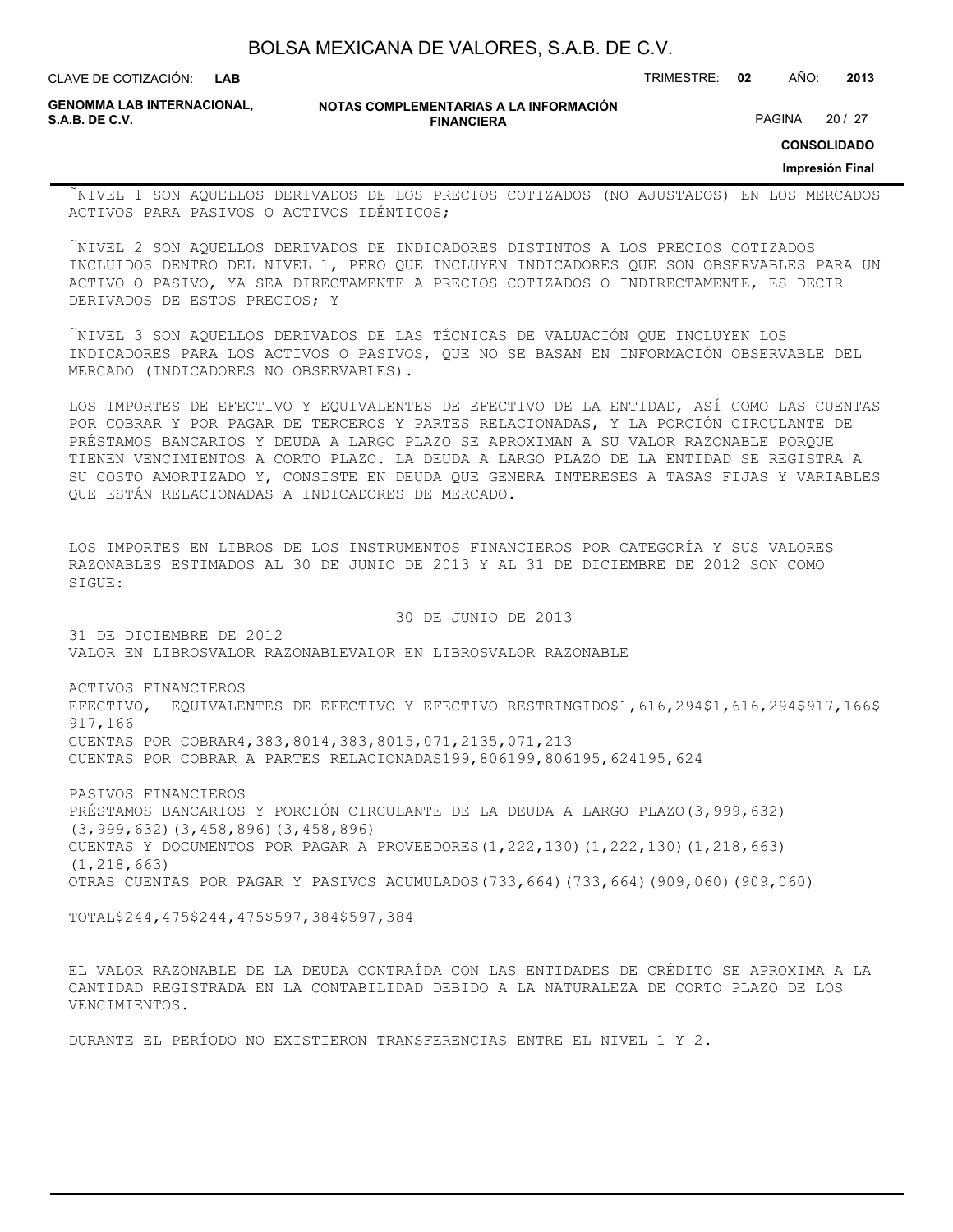| BOLSA MEXICANA DE VALORES, S.A.B. DE C.V. |  |  |
|-------------------------------------------|--|--|
|-------------------------------------------|--|--|

CLAVE DE COTIZACIÓN: TRIMESTRE: **02** AÑO: **2013**

**GENOMMA LAB INTERNACIONAL,**

**NOTAS COMPLEMENTARIAS A LA INFORMACIÓN FINANCIERA**

PAGINA 20 / 27

**CONSOLIDADO**

**Impresión Final**

NIVEL 1 SON AQUELLOS DERIVADOS DE LOS PRECIOS COTIZADOS (NO AJUSTADOS) EN LOS MERCADOS ACTIVOS PARA PASIVOS O ACTIVOS IDÉNTICOS;

NIVEL 2 SON AQUELLOS DERIVADOS DE INDICADORES DISTINTOS A LOS PRECIOS COTIZADOS INCLUIDOS DENTRO DEL NIVEL 1, PERO QUE INCLUYEN INDICADORES QUE SON OBSERVABLES PARA UN ACTIVO O PASIVO, YA SEA DIRECTAMENTE A PRECIOS COTIZADOS O INDIRECTAMENTE, ES DECIR DERIVADOS DE ESTOS PRECIOS; Y

NIVEL 3 SON AQUELLOS DERIVADOS DE LAS TÉCNICAS DE VALUACIÓN QUE INCLUYEN LOS INDICADORES PARA LOS ACTIVOS O PASIVOS, QUE NO SE BASAN EN INFORMACIÓN OBSERVABLE DEL MERCADO (INDICADORES NO OBSERVABLES).

LOS IMPORTES DE EFECTIVO Y EQUIVALENTES DE EFECTIVO DE LA ENTIDAD, ASÍ COMO LAS CUENTAS POR COBRAR Y POR PAGAR DE TERCEROS Y PARTES RELACIONADAS, Y LA PORCIÓN CIRCULANTE DE PRÉSTAMOS BANCARIOS Y DEUDA A LARGO PLAZO SE APROXIMAN A SU VALOR RAZONABLE PORQUE TIENEN VENCIMIENTOS A CORTO PLAZO. LA DEUDA A LARGO PLAZO DE LA ENTIDAD SE REGISTRA A SU COSTO AMORTIZADO Y, CONSISTE EN DEUDA QUE GENERA INTERESES A TASAS FIJAS Y VARIABLES QUE ESTÁN RELACIONADAS A INDICADORES DE MERCADO.

LOS IMPORTES EN LIBROS DE LOS INSTRUMENTOS FINANCIEROS POR CATEGORÍA Y SUS VALORES RAZONABLES ESTIMADOS AL 30 DE JUNIO DE 2013 Y AL 31 DE DICIEMBRE DE 2012 SON COMO SIGUE:

30 DE JUNIO DE 2013

31 DE DICIEMBRE DE 2012 VALOR EN LIBROSVALOR RAZONABLEVALOR EN LIBROSVALOR RAZONABLE

ACTIVOS FINANCIEROS EFECTIVO, EQUIVALENTES DE EFECTIVO Y EFECTIVO RESTRINGIDO\$1,616,294\$1,616,294\$917,166\$ 917,166 CUENTAS POR COBRAR4,383,8014,383,8015,071,2135,071,213 CUENTAS POR COBRAR A PARTES RELACIONADAS199,806199,806195,624195,624

PASIVOS FINANCIEROS PRÉSTAMOS BANCARIOS Y PORCIÓN CIRCULANTE DE LA DEUDA A LARGO PLAZO(3,999,632) (3,999,632)(3,458,896)(3,458,896) CUENTAS Y DOCUMENTOS POR PAGAR A PROVEEDORES(1,222,130)(1,222,130)(1,218,663) (1,218,663) OTRAS CUENTAS POR PAGAR Y PASIVOS ACUMULADOS(733,664)(733,664)(909,060)(909,060)

TOTAL\$244,475\$244,475\$597,384\$597,384

EL VALOR RAZONABLE DE LA DEUDA CONTRAÍDA CON LAS ENTIDADES DE CRÉDITO SE APROXIMA A LA CANTIDAD REGISTRADA EN LA CONTABILIDAD DEBIDO A LA NATURALEZA DE CORTO PLAZO DE LOS VENCIMIENTOS.

DURANTE EL PERÍODO NO EXISTIERON TRANSFERENCIAS ENTRE EL NIVEL 1 Y 2.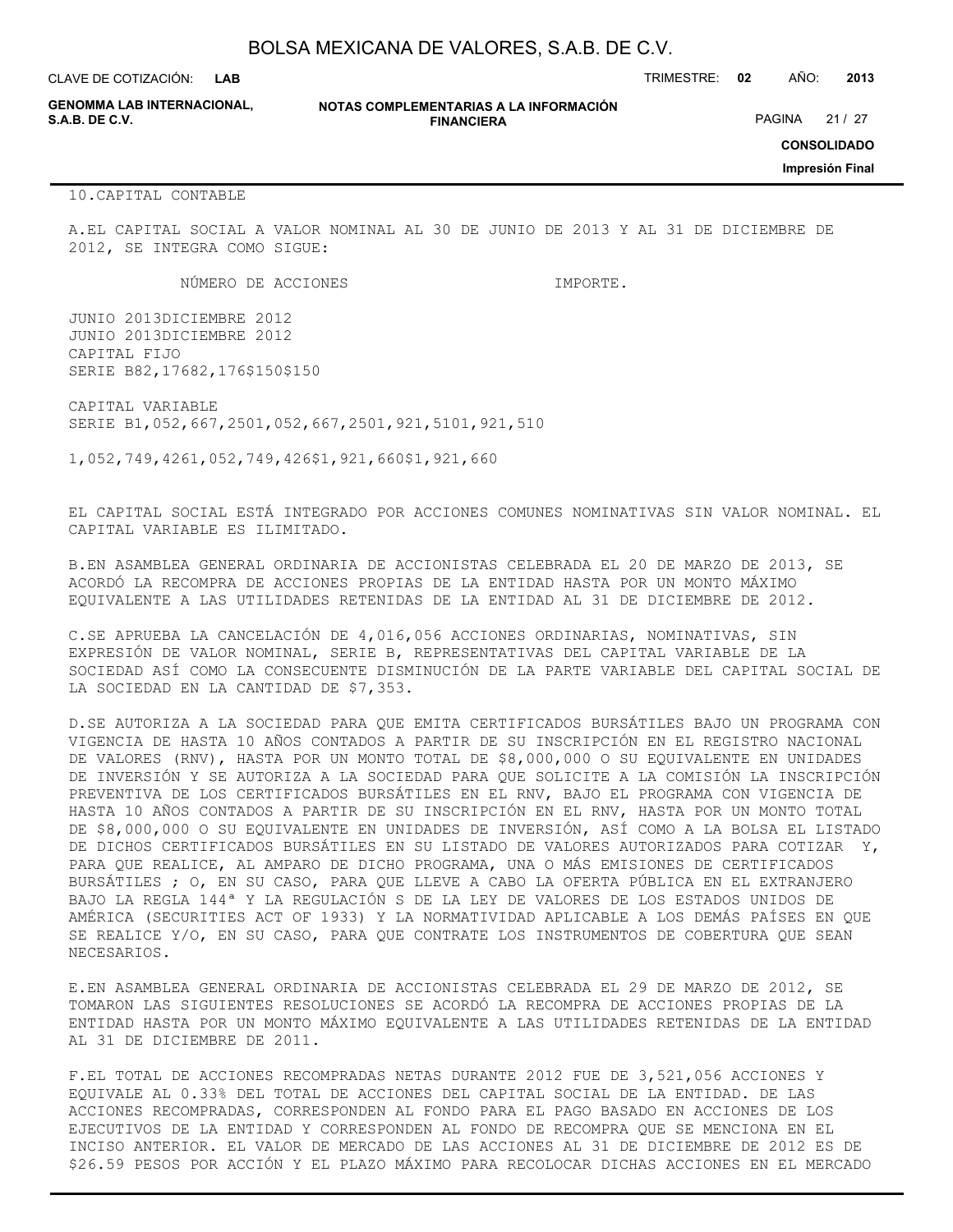CLAVE DE COTIZACIÓN: TRIMESTRE: **02** AÑO: **2013 LAB**

**GENOMMA LAB INTERNACIONAL,**

#### **NOTAS COMPLEMENTARIAS A LA INFORMACIÓN FINANCIERA**

**CONSOLIDADO**

PAGINA 21 / 27

**Impresión Final**

#### 10.CAPITAL CONTABLE

A.EL CAPITAL SOCIAL A VALOR NOMINAL AL 30 DE JUNIO DE 2013 Y AL 31 DE DICIEMBRE DE 2012, SE INTEGRA COMO SIGUE:

NÚMERO DE ACCIONES IMPORTE.

JUNIO 2013DICIEMBRE 2012 JUNIO 2013DICIEMBRE 2012 CAPITAL FIJO SERIE B82,17682,176\$150\$150

CAPITAL VARIABLE SERIE B1,052,667,2501,052,667,2501,921,5101,921,510

1,052,749,4261,052,749,426\$1,921,660\$1,921,660

EL CAPITAL SOCIAL ESTÁ INTEGRADO POR ACCIONES COMUNES NOMINATIVAS SIN VALOR NOMINAL. EL CAPITAL VARIABLE ES ILIMITADO.

B.EN ASAMBLEA GENERAL ORDINARIA DE ACCIONISTAS CELEBRADA EL 20 DE MARZO DE 2013, SE ACORDÓ LA RECOMPRA DE ACCIONES PROPIAS DE LA ENTIDAD HASTA POR UN MONTO MÁXIMO EQUIVALENTE A LAS UTILIDADES RETENIDAS DE LA ENTIDAD AL 31 DE DICIEMBRE DE 2012.

C.SE APRUEBA LA CANCELACIÓN DE 4,016,056 ACCIONES ORDINARIAS, NOMINATIVAS, SIN EXPRESIÓN DE VALOR NOMINAL, SERIE B, REPRESENTATIVAS DEL CAPITAL VARIABLE DE LA SOCIEDAD ASÍ COMO LA CONSECUENTE DISMINUCIÓN DE LA PARTE VARIABLE DEL CAPITAL SOCIAL DE LA SOCIEDAD EN LA CANTIDAD DE \$7,353.

D.SE AUTORIZA A LA SOCIEDAD PARA QUE EMITA CERTIFICADOS BURSÁTILES BAJO UN PROGRAMA CON VIGENCIA DE HASTA 10 AÑOS CONTADOS A PARTIR DE SU INSCRIPCIÓN EN EL REGISTRO NACIONAL DE VALORES (RNV), HASTA POR UN MONTO TOTAL DE \$8,000,000 O SU EQUIVALENTE EN UNIDADES DE INVERSIÓN Y SE AUTORIZA A LA SOCIEDAD PARA QUE SOLICITE A LA COMISIÓN LA INSCRIPCIÓN PREVENTIVA DE LOS CERTIFICADOS BURSÁTILES EN EL RNV, BAJO EL PROGRAMA CON VIGENCIA DE HASTA 10 AÑOS CONTADOS A PARTIR DE SU INSCRIPCIÓN EN EL RNV, HASTA POR UN MONTO TOTAL DE \$8,000,000 O SU EQUIVALENTE EN UNIDADES DE INVERSIÓN, ASÍ COMO A LA BOLSA EL LISTADO DE DICHOS CERTIFICADOS BURSÁTILES EN SU LISTADO DE VALORES AUTORIZADOS PARA COTIZAR Y, PARA QUE REALICE, AL AMPARO DE DICHO PROGRAMA, UNA O MÁS EMISIONES DE CERTIFICADOS BURSÁTILES ; O, EN SU CASO, PARA QUE LLEVE A CABO LA OFERTA PÚBLICA EN EL EXTRANJERO BAJO LA REGLA 144ª Y LA REGULACIÓN S DE LA LEY DE VALORES DE LOS ESTADOS UNIDOS DE AMÉRICA (SECURITIES ACT OF 1933) Y LA NORMATIVIDAD APLICABLE A LOS DEMÁS PAÍSES EN QUE SE REALICE Y/O, EN SU CASO, PARA QUE CONTRATE LOS INSTRUMENTOS DE COBERTURA QUE SEAN NECESARIOS.

E.EN ASAMBLEA GENERAL ORDINARIA DE ACCIONISTAS CELEBRADA EL 29 DE MARZO DE 2012, SE TOMARON LAS SIGUIENTES RESOLUCIONES SE ACORDÓ LA RECOMPRA DE ACCIONES PROPIAS DE LA ENTIDAD HASTA POR UN MONTO MÁXIMO EQUIVALENTE A LAS UTILIDADES RETENIDAS DE LA ENTIDAD AL 31 DE DICIEMBRE DE 2011.

F.EL TOTAL DE ACCIONES RECOMPRADAS NETAS DURANTE 2012 FUE DE 3,521,056 ACCIONES Y EQUIVALE AL 0.33% DEL TOTAL DE ACCIONES DEL CAPITAL SOCIAL DE LA ENTIDAD. DE LAS ACCIONES RECOMPRADAS, CORRESPONDEN AL FONDO PARA EL PAGO BASADO EN ACCIONES DE LOS EJECUTIVOS DE LA ENTIDAD Y CORRESPONDEN AL FONDO DE RECOMPRA QUE SE MENCIONA EN EL INCISO ANTERIOR. EL VALOR DE MERCADO DE LAS ACCIONES AL 31 DE DICIEMBRE DE 2012 ES DE \$26.59 PESOS POR ACCIÓN Y EL PLAZO MÁXIMO PARA RECOLOCAR DICHAS ACCIONES EN EL MERCADO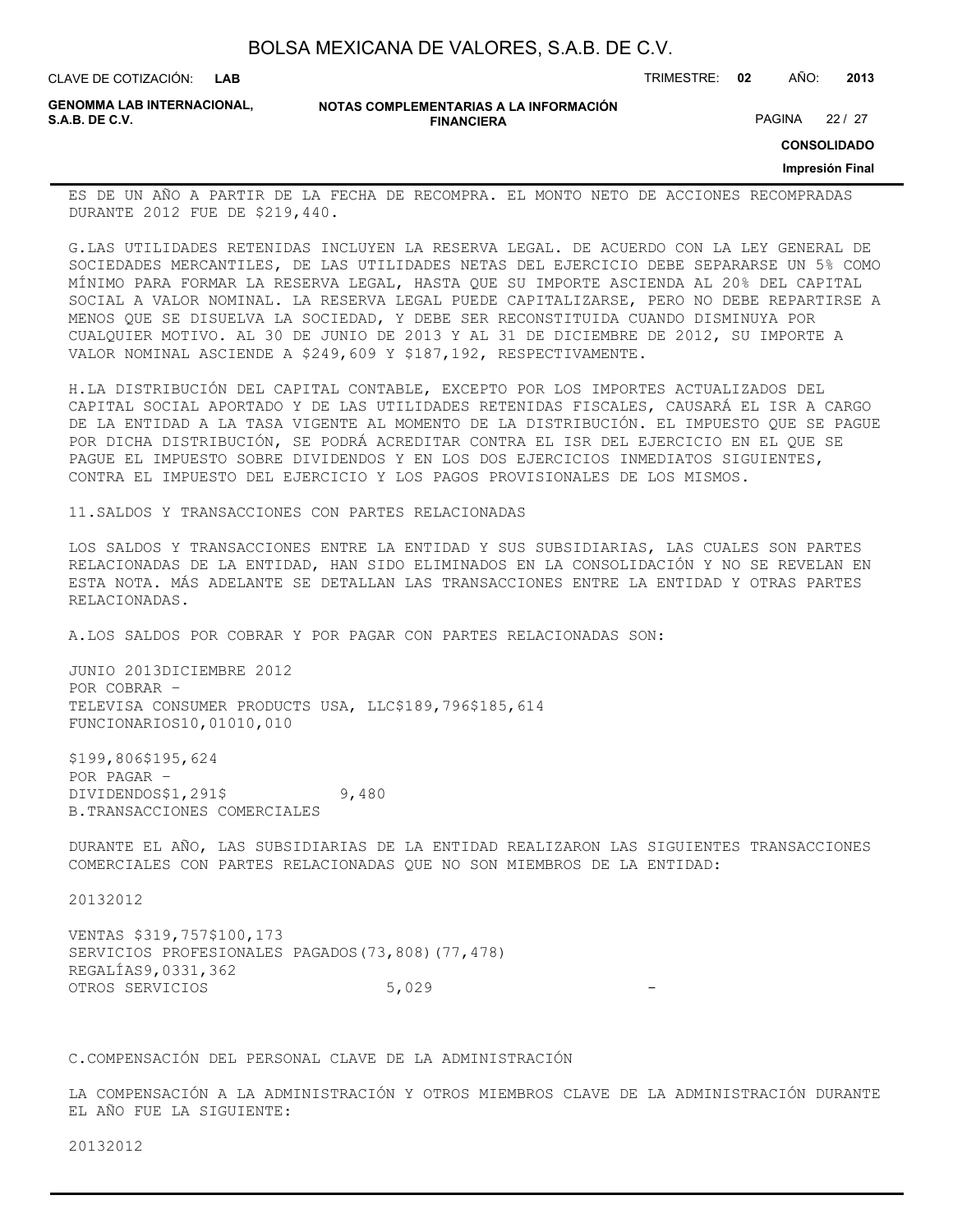| BOLSA MEXICANA DE VALORES, S.A.B. DE C.V. |  |  |
|-------------------------------------------|--|--|
|-------------------------------------------|--|--|

**GENOMMA LAB INTERNACIONAL,**

**NOTAS COMPLEMENTARIAS A LA INFORMACIÓN FINANCIERA**

PAGINA 22 / 27

**CONSOLIDADO**

### **Impresión Final**

ES DE UN AÑO A PARTIR DE LA FECHA DE RECOMPRA. EL MONTO NETO DE ACCIONES RECOMPRADAS DURANTE 2012 FUE DE \$219,440.

G.LAS UTILIDADES RETENIDAS INCLUYEN LA RESERVA LEGAL. DE ACUERDO CON LA LEY GENERAL DE SOCIEDADES MERCANTILES, DE LAS UTILIDADES NETAS DEL EJERCICIO DEBE SEPARARSE UN 5% COMO MÍNIMO PARA FORMAR LA RESERVA LEGAL, HASTA QUE SU IMPORTE ASCIENDA AL 20% DEL CAPITAL SOCIAL A VALOR NOMINAL. LA RESERVA LEGAL PUEDE CAPITALIZARSE, PERO NO DEBE REPARTIRSE A MENOS QUE SE DISUELVA LA SOCIEDAD, Y DEBE SER RECONSTITUIDA CUANDO DISMINUYA POR CUALQUIER MOTIVO. AL 30 DE JUNIO DE 2013 Y AL 31 DE DICIEMBRE DE 2012, SU IMPORTE A VALOR NOMINAL ASCIENDE A \$249,609 Y \$187,192, RESPECTIVAMENTE.

H.LA DISTRIBUCIÓN DEL CAPITAL CONTABLE, EXCEPTO POR LOS IMPORTES ACTUALIZADOS DEL CAPITAL SOCIAL APORTADO Y DE LAS UTILIDADES RETENIDAS FISCALES, CAUSARÁ EL ISR A CARGO DE LA ENTIDAD A LA TASA VIGENTE AL MOMENTO DE LA DISTRIBUCIÓN. EL IMPUESTO QUE SE PAGUE POR DICHA DISTRIBUCIÓN, SE PODRÁ ACREDITAR CONTRA EL ISR DEL EJERCICIO EN EL QUE SE PAGUE EL IMPUESTO SOBRE DIVIDENDOS Y EN LOS DOS EJERCICIOS INMEDIATOS SIGUIENTES, CONTRA EL IMPUESTO DEL EJERCICIO Y LOS PAGOS PROVISIONALES DE LOS MISMOS.

11.SALDOS Y TRANSACCIONES CON PARTES RELACIONADAS

LOS SALDOS Y TRANSACCIONES ENTRE LA ENTIDAD Y SUS SUBSIDIARIAS, LAS CUALES SON PARTES RELACIONADAS DE LA ENTIDAD, HAN SIDO ELIMINADOS EN LA CONSOLIDACIÓN Y NO SE REVELAN EN ESTA NOTA. MÁS ADELANTE SE DETALLAN LAS TRANSACCIONES ENTRE LA ENTIDAD Y OTRAS PARTES RELACIONADAS.

A.LOS SALDOS POR COBRAR Y POR PAGAR CON PARTES RELACIONADAS SON:

JUNIO 2013DICIEMBRE 2012 POR COBRAR – TELEVISA CONSUMER PRODUCTS USA, LLC\$189,796\$185,614 FUNCIONARIOS10,01010,010

\$199,806\$195,624 POR PAGAR – DIVIDENDOS\$1,291\$ 9,480 B.TRANSACCIONES COMERCIALES

DURANTE EL AÑO, LAS SUBSIDIARIAS DE LA ENTIDAD REALIZARON LAS SIGUIENTES TRANSACCIONES COMERCIALES CON PARTES RELACIONADAS QUE NO SON MIEMBROS DE LA ENTIDAD:

20132012

VENTAS \$319,757\$100,173 SERVICIOS PROFESIONALES PAGADOS(73,808)(77,478) REGALÍAS9,0331,362 OTROS SERVICIOS 5,029

C.COMPENSACIÓN DEL PERSONAL CLAVE DE LA ADMINISTRACIÓN

LA COMPENSACIÓN A LA ADMINISTRACIÓN Y OTROS MIEMBROS CLAVE DE LA ADMINISTRACIÓN DURANTE EL AÑO FUE LA SIGUIENTE:

20132012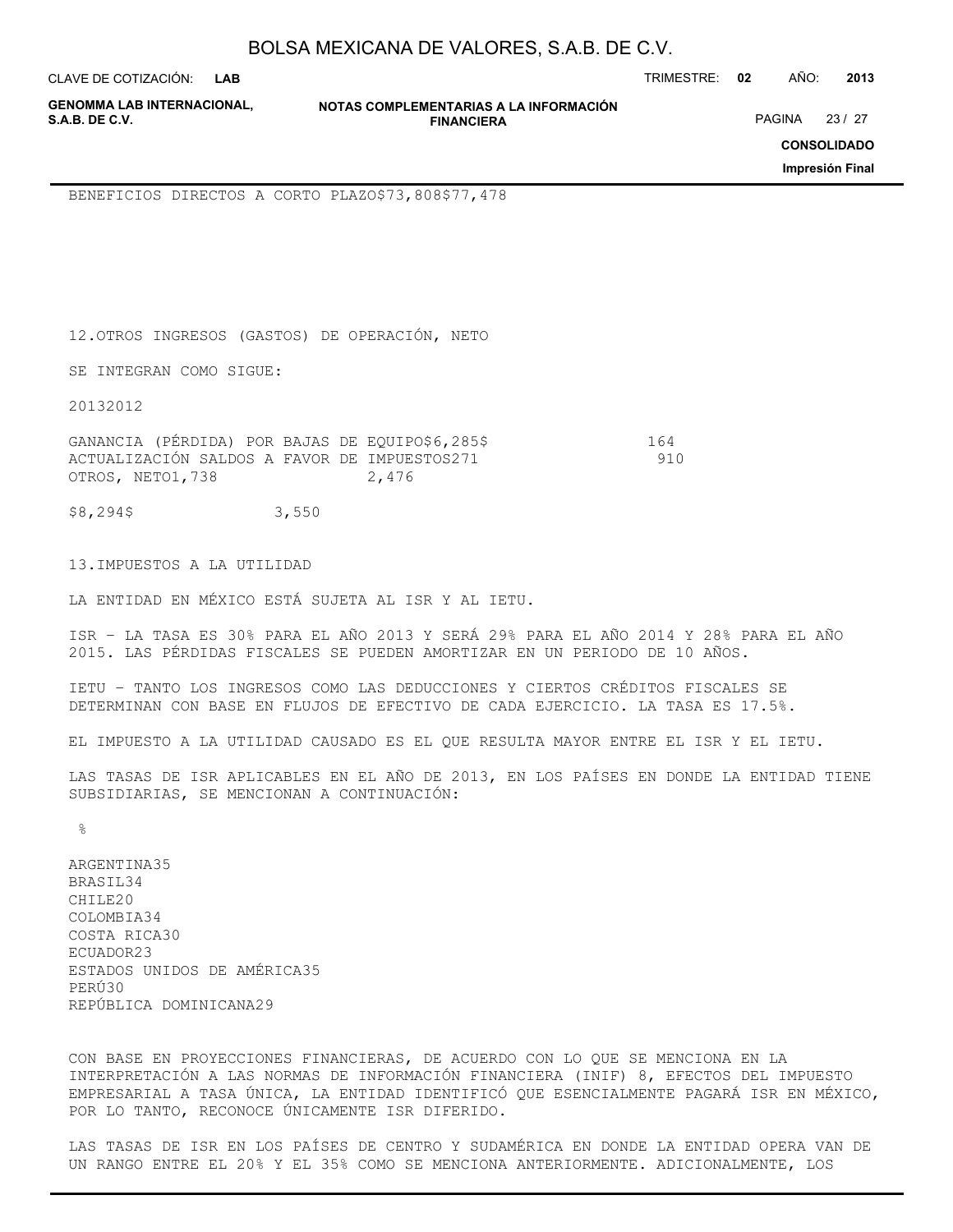| BOLSA MEXICANA DE VALORES, S.A.B. DE C.V. |  |  |
|-------------------------------------------|--|--|
|-------------------------------------------|--|--|

CLAVE DE COTIZACIÓN: TRIMESTRE: **02** AÑO: **2013**

**GENOMMA LAB INTERNACIONAL,**

**NOTAS COMPLEMENTARIAS A LA INFORMACIÓN FINANCIERA**

PAGINA 23 / 27

**CONSOLIDADO**

**Impresión Final**

BENEFICIOS DIRECTOS A CORTO PLAZO\$73,808\$77,478

12.OTROS INGRESOS (GASTOS) DE OPERACIÓN, NETO

SE INTEGRAN COMO SIGUE:

20132012

GANANCIA (PÉRDIDA) POR BAJAS DE EQUIPO\$6,285\$ 164 ACTUALIZACIÓN SALDOS A FAVOR DE IMPUESTOS271 910 OTROS, NETO1, 738 2, 476

\$8,294\$ 3,550

13.IMPUESTOS A LA UTILIDAD

LA ENTIDAD EN MÉXICO ESTÁ SUJETA AL ISR Y AL IETU.

ISR – LA TASA ES 30% PARA EL AÑO 2013 Y SERÁ 29% PARA EL AÑO 2014 Y 28% PARA EL AÑO 2015. LAS PÉRDIDAS FISCALES SE PUEDEN AMORTIZAR EN UN PERIODO DE 10 AÑOS.

IETU – TANTO LOS INGRESOS COMO LAS DEDUCCIONES Y CIERTOS CRÉDITOS FISCALES SE DETERMINAN CON BASE EN FLUJOS DE EFECTIVO DE CADA EJERCICIO. LA TASA ES 17.5%.

EL IMPUESTO A LA UTILIDAD CAUSADO ES EL QUE RESULTA MAYOR ENTRE EL ISR Y EL IETU.

LAS TASAS DE ISR APLICABLES EN EL AÑO DE 2013, EN LOS PAÍSES EN DONDE LA ENTIDAD TIENE SUBSIDIARIAS, SE MENCIONAN A CONTINUACIÓN:

 $\frac{6}{6}$ 

ARGENTINA35 BRASIL34 CHILE20 COLOMBIA34 COSTA RICA30 ECUADOR23 ESTADOS UNIDOS DE AMÉRICA35 PERÚ30 REPÚBLICA DOMINICANA29

CON BASE EN PROYECCIONES FINANCIERAS, DE ACUERDO CON LO QUE SE MENCIONA EN LA INTERPRETACIÓN A LAS NORMAS DE INFORMACIÓN FINANCIERA (INIF) 8, EFECTOS DEL IMPUESTO EMPRESARIAL A TASA ÚNICA, LA ENTIDAD IDENTIFICÓ QUE ESENCIALMENTE PAGARÁ ISR EN MÉXICO, POR LO TANTO, RECONOCE ÚNICAMENTE ISR DIFERIDO.

LAS TASAS DE ISR EN LOS PAÍSES DE CENTRO Y SUDAMÉRICA EN DONDE LA ENTIDAD OPERA VAN DE UN RANGO ENTRE EL 20% Y EL 35% COMO SE MENCIONA ANTERIORMENTE. ADICIONALMENTE, LOS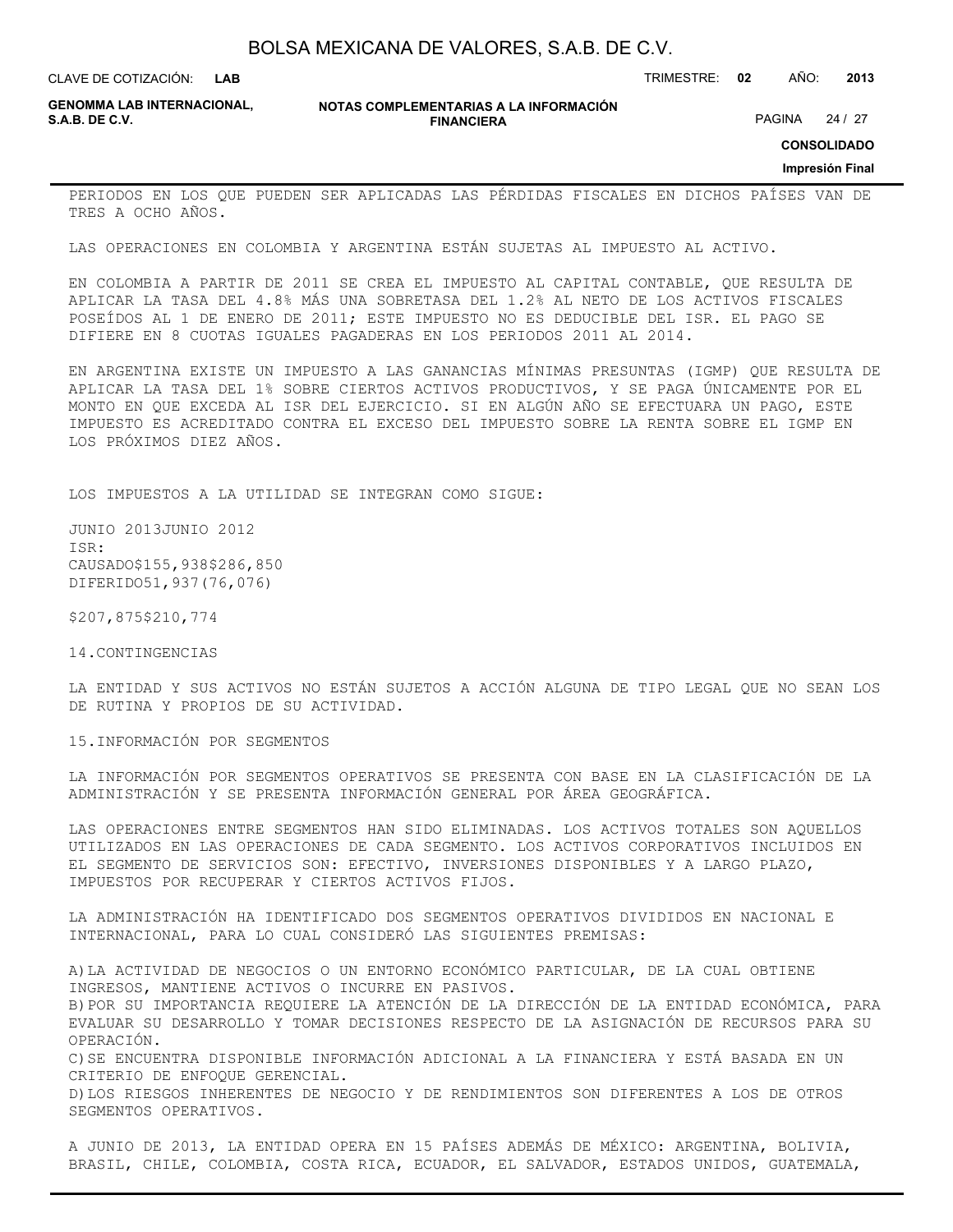**LAB**

CLAVE DE COTIZACIÓN: TRIMESTRE: **02** AÑO: **2013**

**GENOMMA LAB INTERNACIONAL,**

**NOTAS COMPLEMENTARIAS A LA INFORMACIÓN FINANCIERA**

PAGINA 24 / 27

**CONSOLIDADO**

**Impresión Final**

PERIODOS EN LOS QUE PUEDEN SER APLICADAS LAS PÉRDIDAS FISCALES EN DICHOS PAÍSES VAN DE TRES A OCHO AÑOS.

LAS OPERACIONES EN COLOMBIA Y ARGENTINA ESTÁN SUJETAS AL IMPUESTO AL ACTIVO.

EN COLOMBIA A PARTIR DE 2011 SE CREA EL IMPUESTO AL CAPITAL CONTABLE, QUE RESULTA DE APLICAR LA TASA DEL 4.8% MÁS UNA SOBRETASA DEL 1.2% AL NETO DE LOS ACTIVOS FISCALES POSEÍDOS AL 1 DE ENERO DE 2011; ESTE IMPUESTO NO ES DEDUCIBLE DEL ISR. EL PAGO SE DIFIERE EN 8 CUOTAS IGUALES PAGADERAS EN LOS PERIODOS 2011 AL 2014.

EN ARGENTINA EXISTE UN IMPUESTO A LAS GANANCIAS MÍNIMAS PRESUNTAS (IGMP) QUE RESULTA DE APLICAR LA TASA DEL 1% SOBRE CIERTOS ACTIVOS PRODUCTIVOS, Y SE PAGA ÚNICAMENTE POR EL MONTO EN QUE EXCEDA AL ISR DEL EJERCICIO. SI EN ALGÚN AÑO SE EFECTUARA UN PAGO, ESTE IMPUESTO ES ACREDITADO CONTRA EL EXCESO DEL IMPUESTO SOBRE LA RENTA SOBRE EL IGMP EN LOS PRÓXIMOS DIEZ AÑOS.

LOS IMPUESTOS A LA UTILIDAD SE INTEGRAN COMO SIGUE:

JUNIO 2013JUNIO 2012 ISR: CAUSADO\$155,938\$286,850 DIFERIDO51,937(76,076)

\$207,875\$210,774

14.CONTINGENCIAS

LA ENTIDAD Y SUS ACTIVOS NO ESTÁN SUJETOS A ACCIÓN ALGUNA DE TIPO LEGAL QUE NO SEAN LOS DE RUTINA Y PROPIOS DE SU ACTIVIDAD.

15.INFORMACIÓN POR SEGMENTOS

LA INFORMACIÓN POR SEGMENTOS OPERATIVOS SE PRESENTA CON BASE EN LA CLASIFICACIÓN DE LA ADMINISTRACIÓN Y SE PRESENTA INFORMACIÓN GENERAL POR ÁREA GEOGRÁFICA.

LAS OPERACIONES ENTRE SEGMENTOS HAN SIDO ELIMINADAS. LOS ACTIVOS TOTALES SON AQUELLOS UTILIZADOS EN LAS OPERACIONES DE CADA SEGMENTO. LOS ACTIVOS CORPORATIVOS INCLUIDOS EN EL SEGMENTO DE SERVICIOS SON: EFECTIVO, INVERSIONES DISPONIBLES Y A LARGO PLAZO, IMPUESTOS POR RECUPERAR Y CIERTOS ACTIVOS FIJOS.

LA ADMINISTRACIÓN HA IDENTIFICADO DOS SEGMENTOS OPERATIVOS DIVIDIDOS EN NACIONAL E INTERNACIONAL, PARA LO CUAL CONSIDERÓ LAS SIGUIENTES PREMISAS:

A)LA ACTIVIDAD DE NEGOCIOS O UN ENTORNO ECONÓMICO PARTICULAR, DE LA CUAL OBTIENE INGRESOS, MANTIENE ACTIVOS O INCURRE EN PASIVOS. B)POR SU IMPORTANCIA REQUIERE LA ATENCIÓN DE LA DIRECCIÓN DE LA ENTIDAD ECONÓMICA, PARA EVALUAR SU DESARROLLO Y TOMAR DECISIONES RESPECTO DE LA ASIGNACIÓN DE RECURSOS PARA SU OPERACIÓN. C)SE ENCUENTRA DISPONIBLE INFORMACIÓN ADICIONAL A LA FINANCIERA Y ESTÁ BASADA EN UN CRITERIO DE ENFOQUE GERENCIAL. D)LOS RIESGOS INHERENTES DE NEGOCIO Y DE RENDIMIENTOS SON DIFERENTES A LOS DE OTROS SEGMENTOS OPERATIVOS.

A JUNIO DE 2013, LA ENTIDAD OPERA EN 15 PAÍSES ADEMÁS DE MÉXICO: ARGENTINA, BOLIVIA, BRASIL, CHILE, COLOMBIA, COSTA RICA, ECUADOR, EL SALVADOR, ESTADOS UNIDOS, GUATEMALA,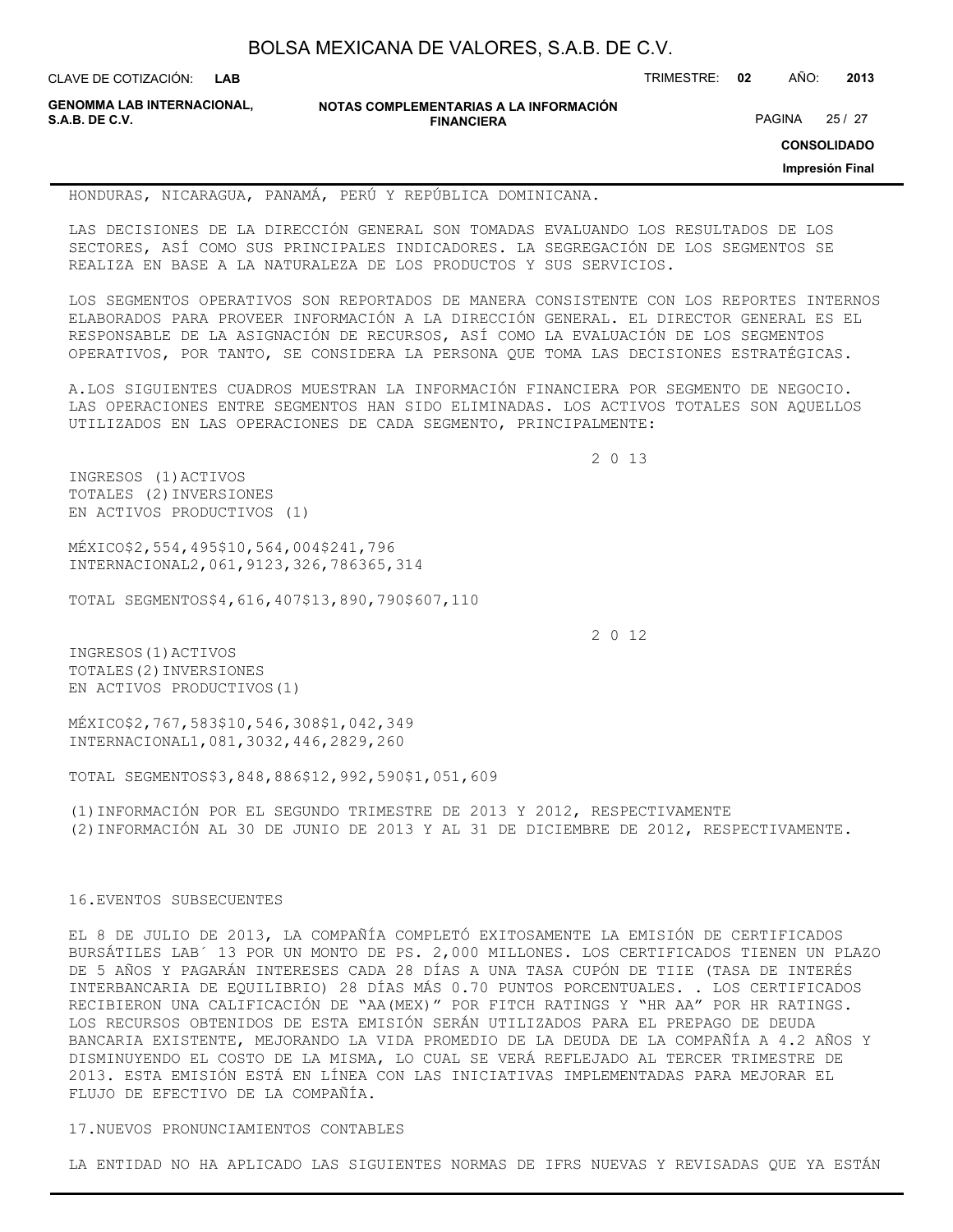**LAB**

CLAVE DE COTIZACIÓN: TRIMESTRE: **02** AÑO: **2013**

**GENOMMA LAB INTERNACIONAL,**

**NOTAS COMPLEMENTARIAS A LA INFORMACIÓN FINANCIERA**

PAGINA 25 / 27

**CONSOLIDADO**

**Impresión Final**

HONDURAS, NICARAGUA, PANAMÁ, PERÚ Y REPÚBLICA DOMINICANA.

LAS DECISIONES DE LA DIRECCIÓN GENERAL SON TOMADAS EVALUANDO LOS RESULTADOS DE LOS SECTORES, ASÍ COMO SUS PRINCIPALES INDICADORES. LA SEGREGACIÓN DE LOS SEGMENTOS SE REALIZA EN BASE A LA NATURALEZA DE LOS PRODUCTOS Y SUS SERVICIOS.

LOS SEGMENTOS OPERATIVOS SON REPORTADOS DE MANERA CONSISTENTE CON LOS REPORTES INTERNOS ELABORADOS PARA PROVEER INFORMACIÓN A LA DIRECCIÓN GENERAL. EL DIRECTOR GENERAL ES EL RESPONSABLE DE LA ASIGNACIÓN DE RECURSOS, ASÍ COMO LA EVALUACIÓN DE LOS SEGMENTOS OPERATIVOS, POR TANTO, SE CONSIDERA LA PERSONA QUE TOMA LAS DECISIONES ESTRATÉGICAS.

A.LOS SIGUIENTES CUADROS MUESTRAN LA INFORMACIÓN FINANCIERA POR SEGMENTO DE NEGOCIO. LAS OPERACIONES ENTRE SEGMENTOS HAN SIDO ELIMINADAS. LOS ACTIVOS TOTALES SON AQUELLOS UTILIZADOS EN LAS OPERACIONES DE CADA SEGMENTO, PRINCIPALMENTE:

2 0 13

INGRESOS (1)ACTIVOS TOTALES (2)INVERSIONES EN ACTIVOS PRODUCTIVOS (1)

MÉXICO\$2,554,495\$10,564,004\$241,796 INTERNACIONAL2,061,9123,326,786365,314

TOTAL SEGMENTOS\$4,616,407\$13,890,790\$607,110

2 0 12

INGRESOS(1)ACTIVOS TOTALES(2)INVERSIONES EN ACTIVOS PRODUCTIVOS(1)

MÉXICO\$2,767,583\$10,546,308\$1,042,349 INTERNACIONAL1,081,3032,446,2829,260

TOTAL SEGMENTOS\$3,848,886\$12,992,590\$1,051,609

(1)INFORMACIÓN POR EL SEGUNDO TRIMESTRE DE 2013 Y 2012, RESPECTIVAMENTE (2)INFORMACIÓN AL 30 DE JUNIO DE 2013 Y AL 31 DE DICIEMBRE DE 2012, RESPECTIVAMENTE.

#### 16.EVENTOS SUBSECUENTES

EL 8 DE JULIO DE 2013, LA COMPAÑÍA COMPLETÓ EXITOSAMENTE LA EMISIÓN DE CERTIFICADOS BURSÁTILES LAB´ 13 POR UN MONTO DE PS. 2,000 MILLONES. LOS CERTIFICADOS TIENEN UN PLAZO DE 5 AÑOS Y PAGARÁN INTERESES CADA 28 DÍAS A UNA TASA CUPÓN DE TIIE (TASA DE INTERÉS INTERBANCARIA DE EQUILIBRIO) 28 DÍAS MÁS 0.70 PUNTOS PORCENTUALES. . LOS CERTIFICADOS RECIBIERON UNA CALIFICACIÓN DE "AA(MEX)" POR FITCH RATINGS Y "HR AA" POR HR RATINGS. LOS RECURSOS OBTENIDOS DE ESTA EMISIÓN SERÁN UTILIZADOS PARA EL PREPAGO DE DEUDA BANCARIA EXISTENTE, MEJORANDO LA VIDA PROMEDIO DE LA DEUDA DE LA COMPAÑÍA A 4.2 AÑOS Y DISMINUYENDO EL COSTO DE LA MISMA, LO CUAL SE VERÁ REFLEJADO AL TERCER TRIMESTRE DE 2013. ESTA EMISIÓN ESTÁ EN LÍNEA CON LAS INICIATIVAS IMPLEMENTADAS PARA MEJORAR EL FLUJO DE EFECTIVO DE LA COMPAÑÍA.

#### 17.NUEVOS PRONUNCIAMIENTOS CONTABLES

LA ENTIDAD NO HA APLICADO LAS SIGUIENTES NORMAS DE IFRS NUEVAS Y REVISADAS QUE YA ESTÁN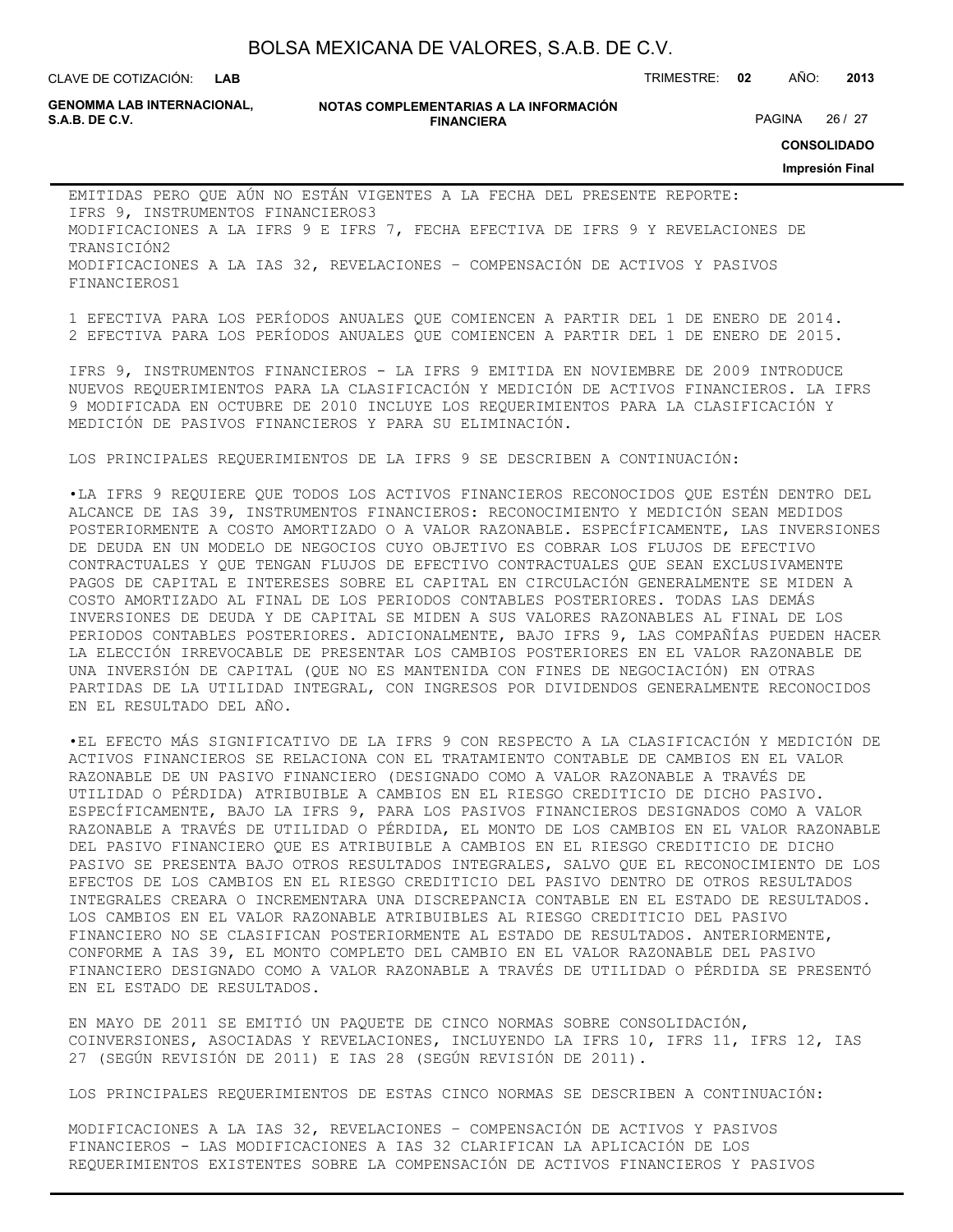**LAB**

CLAVE DE COTIZACIÓN: TRIMESTRE: **02** AÑO: **2013**

**GENOMMA LAB INTERNACIONAL,**

#### **NOTAS COMPLEMENTARIAS A LA INFORMACIÓN FINANCIERA S.A.B. DE C.V.** PAGINA 26 / 27

**CONSOLIDADO**

**Impresión Final**

EMITIDAS PERO QUE AÚN NO ESTÁN VIGENTES A LA FECHA DEL PRESENTE REPORTE: IFRS 9, INSTRUMENTOS FINANCIEROS3 MODIFICACIONES A LA IFRS 9 E IFRS 7, FECHA EFECTIVA DE IFRS 9 Y REVELACIONES DE TRANSICIÓN2 MODIFICACIONES A LA IAS 32, REVELACIONES – COMPENSACIÓN DE ACTIVOS Y PASIVOS FINANCIEROS1

1 EFECTIVA PARA LOS PERÍODOS ANUALES QUE COMIENCEN A PARTIR DEL 1 DE ENERO DE 2014. 2 EFECTIVA PARA LOS PERÍODOS ANUALES QUE COMIENCEN A PARTIR DEL 1 DE ENERO DE 2015.

IFRS 9, INSTRUMENTOS FINANCIEROS - LA IFRS 9 EMITIDA EN NOVIEMBRE DE 2009 INTRODUCE NUEVOS REQUERIMIENTOS PARA LA CLASIFICACIÓN Y MEDICIÓN DE ACTIVOS FINANCIEROS. LA IFRS 9 MODIFICADA EN OCTUBRE DE 2010 INCLUYE LOS REQUERIMIENTOS PARA LA CLASIFICACIÓN Y MEDICIÓN DE PASIVOS FINANCIEROS Y PARA SU ELIMINACIÓN.

LOS PRINCIPALES REQUERIMIENTOS DE LA IFRS 9 SE DESCRIBEN A CONTINUACIÓN:

•LA IFRS 9 REQUIERE QUE TODOS LOS ACTIVOS FINANCIEROS RECONOCIDOS QUE ESTÉN DENTRO DEL ALCANCE DE IAS 39, INSTRUMENTOS FINANCIEROS: RECONOCIMIENTO Y MEDICIÓN SEAN MEDIDOS POSTERIORMENTE A COSTO AMORTIZADO O A VALOR RAZONABLE. ESPECÍFICAMENTE, LAS INVERSIONES DE DEUDA EN UN MODELO DE NEGOCIOS CUYO OBJETIVO ES COBRAR LOS FLUJOS DE EFECTIVO CONTRACTUALES Y QUE TENGAN FLUJOS DE EFECTIVO CONTRACTUALES QUE SEAN EXCLUSIVAMENTE PAGOS DE CAPITAL E INTERESES SOBRE EL CAPITAL EN CIRCULACIÓN GENERALMENTE SE MIDEN A COSTO AMORTIZADO AL FINAL DE LOS PERIODOS CONTABLES POSTERIORES. TODAS LAS DEMÁS INVERSIONES DE DEUDA Y DE CAPITAL SE MIDEN A SUS VALORES RAZONABLES AL FINAL DE LOS PERIODOS CONTABLES POSTERIORES. ADICIONALMENTE, BAJO IFRS 9, LAS COMPAÑÍAS PUEDEN HACER LA ELECCIÓN IRREVOCABLE DE PRESENTAR LOS CAMBIOS POSTERIORES EN EL VALOR RAZONABLE DE UNA INVERSIÓN DE CAPITAL (QUE NO ES MANTENIDA CON FINES DE NEGOCIACIÓN) EN OTRAS PARTIDAS DE LA UTILIDAD INTEGRAL, CON INGRESOS POR DIVIDENDOS GENERALMENTE RECONOCIDOS EN EL RESULTADO DEL AÑO.

•EL EFECTO MÁS SIGNIFICATIVO DE LA IFRS 9 CON RESPECTO A LA CLASIFICACIÓN Y MEDICIÓN DE ACTIVOS FINANCIEROS SE RELACIONA CON EL TRATAMIENTO CONTABLE DE CAMBIOS EN EL VALOR RAZONABLE DE UN PASIVO FINANCIERO (DESIGNADO COMO A VALOR RAZONABLE A TRAVÉS DE UTILIDAD O PÉRDIDA) ATRIBUIBLE A CAMBIOS EN EL RIESGO CREDITICIO DE DICHO PASIVO. ESPECÍFICAMENTE, BAJO LA IFRS 9, PARA LOS PASIVOS FINANCIEROS DESIGNADOS COMO A VALOR RAZONABLE A TRAVÉS DE UTILIDAD O PÉRDIDA, EL MONTO DE LOS CAMBIOS EN EL VALOR RAZONABLE DEL PASIVO FINANCIERO QUE ES ATRIBUIBLE A CAMBIOS EN EL RIESGO CREDITICIO DE DICHO PASIVO SE PRESENTA BAJO OTROS RESULTADOS INTEGRALES, SALVO QUE EL RECONOCIMIENTO DE LOS EFECTOS DE LOS CAMBIOS EN EL RIESGO CREDITICIO DEL PASIVO DENTRO DE OTROS RESULTADOS INTEGRALES CREARA O INCREMENTARA UNA DISCREPANCIA CONTABLE EN EL ESTADO DE RESULTADOS. LOS CAMBIOS EN EL VALOR RAZONABLE ATRIBUIBLES AL RIESGO CREDITICIO DEL PASIVO FINANCIERO NO SE CLASIFICAN POSTERIORMENTE AL ESTADO DE RESULTADOS. ANTERIORMENTE, CONFORME A IAS 39, EL MONTO COMPLETO DEL CAMBIO EN EL VALOR RAZONABLE DEL PASIVO FINANCIERO DESIGNADO COMO A VALOR RAZONABLE A TRAVÉS DE UTILIDAD O PÉRDIDA SE PRESENTÓ EN EL ESTADO DE RESULTADOS.

EN MAYO DE 2011 SE EMITIÓ UN PAQUETE DE CINCO NORMAS SOBRE CONSOLIDACIÓN, COINVERSIONES, ASOCIADAS Y REVELACIONES, INCLUYENDO LA IFRS 10, IFRS 11, IFRS 12, IAS 27 (SEGÚN REVISIÓN DE 2011) E IAS 28 (SEGÚN REVISIÓN DE 2011).

LOS PRINCIPALES REQUERIMIENTOS DE ESTAS CINCO NORMAS SE DESCRIBEN A CONTINUACIÓN:

MODIFICACIONES A LA IAS 32, REVELACIONES – COMPENSACIÓN DE ACTIVOS Y PASIVOS FINANCIEROS - LAS MODIFICACIONES A IAS 32 CLARIFICAN LA APLICACIÓN DE LOS REQUERIMIENTOS EXISTENTES SOBRE LA COMPENSACIÓN DE ACTIVOS FINANCIEROS Y PASIVOS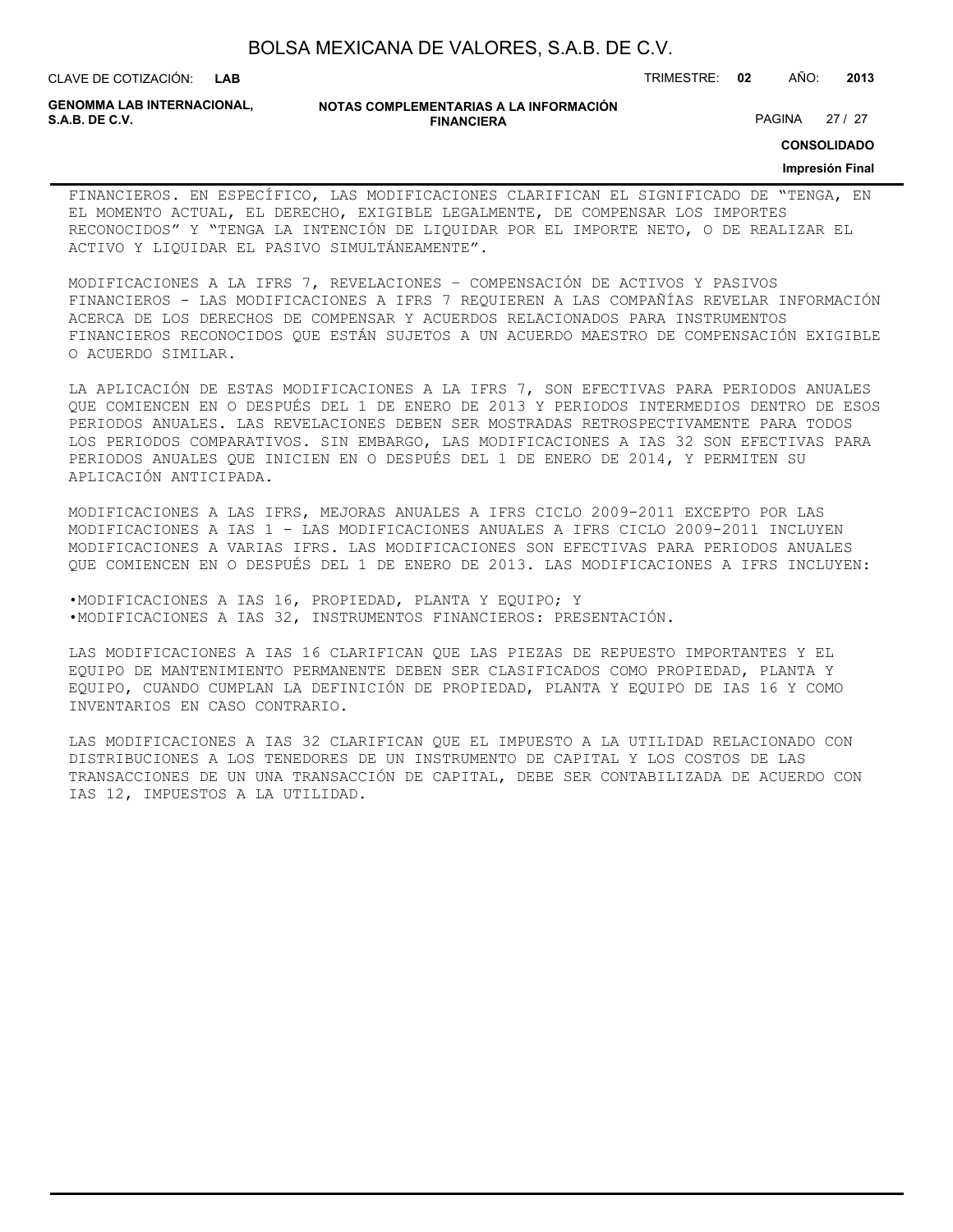| BOLSA MEXICANA DE VALORES, S.A.B. DE C.V. |  |  |
|-------------------------------------------|--|--|
|-------------------------------------------|--|--|

#### **NOTAS COMPLEMENTARIAS A LA INFORMACIÓN GENOMMA LAB INTERNACIONAL, FINANCIERA S.A.B. DE C.V. EXAMPLE 27 / 27 PAGINA 27 / 27 PAGINA 27** / 27

**CONSOLIDADO**

#### **Impresión Final**

FINANCIEROS. EN ESPECÍFICO, LAS MODIFICACIONES CLARIFICAN EL SIGNIFICADO DE "TENGA, EN EL MOMENTO ACTUAL, EL DERECHO, EXIGIBLE LEGALMENTE, DE COMPENSAR LOS IMPORTES RECONOCIDOS" Y "TENGA LA INTENCIÓN DE LIQUIDAR POR EL IMPORTE NETO, O DE REALIZAR EL ACTIVO Y LIQUIDAR EL PASIVO SIMULTÁNEAMENTE".

MODIFICACIONES A LA IFRS 7, REVELACIONES – COMPENSACIÓN DE ACTIVOS Y PASIVOS FINANCIEROS - LAS MODIFICACIONES A IFRS 7 REQUIEREN A LAS COMPAÑÍAS REVELAR INFORMACIÓN ACERCA DE LOS DERECHOS DE COMPENSAR Y ACUERDOS RELACIONADOS PARA INSTRUMENTOS FINANCIEROS RECONOCIDOS QUE ESTÁN SUJETOS A UN ACUERDO MAESTRO DE COMPENSACIÓN EXIGIBLE O ACUERDO SIMILAR.

LA APLICACIÓN DE ESTAS MODIFICACIONES A LA IFRS 7, SON EFECTIVAS PARA PERIODOS ANUALES QUE COMIENCEN EN O DESPUÉS DEL 1 DE ENERO DE 2013 Y PERIODOS INTERMEDIOS DENTRO DE ESOS PERIODOS ANUALES. LAS REVELACIONES DEBEN SER MOSTRADAS RETROSPECTIVAMENTE PARA TODOS LOS PERIODOS COMPARATIVOS. SIN EMBARGO, LAS MODIFICACIONES A IAS 32 SON EFECTIVAS PARA PERIODOS ANUALES QUE INICIEN EN O DESPUÉS DEL 1 DE ENERO DE 2014, Y PERMITEN SU APLICACIÓN ANTICIPADA.

MODIFICACIONES A LAS IFRS, MEJORAS ANUALES A IFRS CICLO 2009-2011 EXCEPTO POR LAS MODIFICACIONES A IAS 1 - LAS MODIFICACIONES ANUALES A IFRS CICLO 2009-2011 INCLUYEN MODIFICACIONES A VARIAS IFRS. LAS MODIFICACIONES SON EFECTIVAS PARA PERIODOS ANUALES QUE COMIENCEN EN O DESPUÉS DEL 1 DE ENERO DE 2013. LAS MODIFICACIONES A IFRS INCLUYEN:

•MODIFICACIONES A IAS 16, PROPIEDAD, PLANTA Y EQUIPO; Y •MODIFICACIONES A IAS 32, INSTRUMENTOS FINANCIEROS: PRESENTACIÓN.

LAS MODIFICACIONES A IAS 16 CLARIFICAN QUE LAS PIEZAS DE REPUESTO IMPORTANTES Y EL EQUIPO DE MANTENIMIENTO PERMANENTE DEBEN SER CLASIFICADOS COMO PROPIEDAD, PLANTA Y EQUIPO, CUANDO CUMPLAN LA DEFINICIÓN DE PROPIEDAD, PLANTA Y EQUIPO DE IAS 16 Y COMO INVENTARIOS EN CASO CONTRARIO.

LAS MODIFICACIONES A IAS 32 CLARIFICAN QUE EL IMPUESTO A LA UTILIDAD RELACIONADO CON DISTRIBUCIONES A LOS TENEDORES DE UN INSTRUMENTO DE CAPITAL Y LOS COSTOS DE LAS TRANSACCIONES DE UN UNA TRANSACCIÓN DE CAPITAL, DEBE SER CONTABILIZADA DE ACUERDO CON IAS 12, IMPUESTOS A LA UTILIDAD.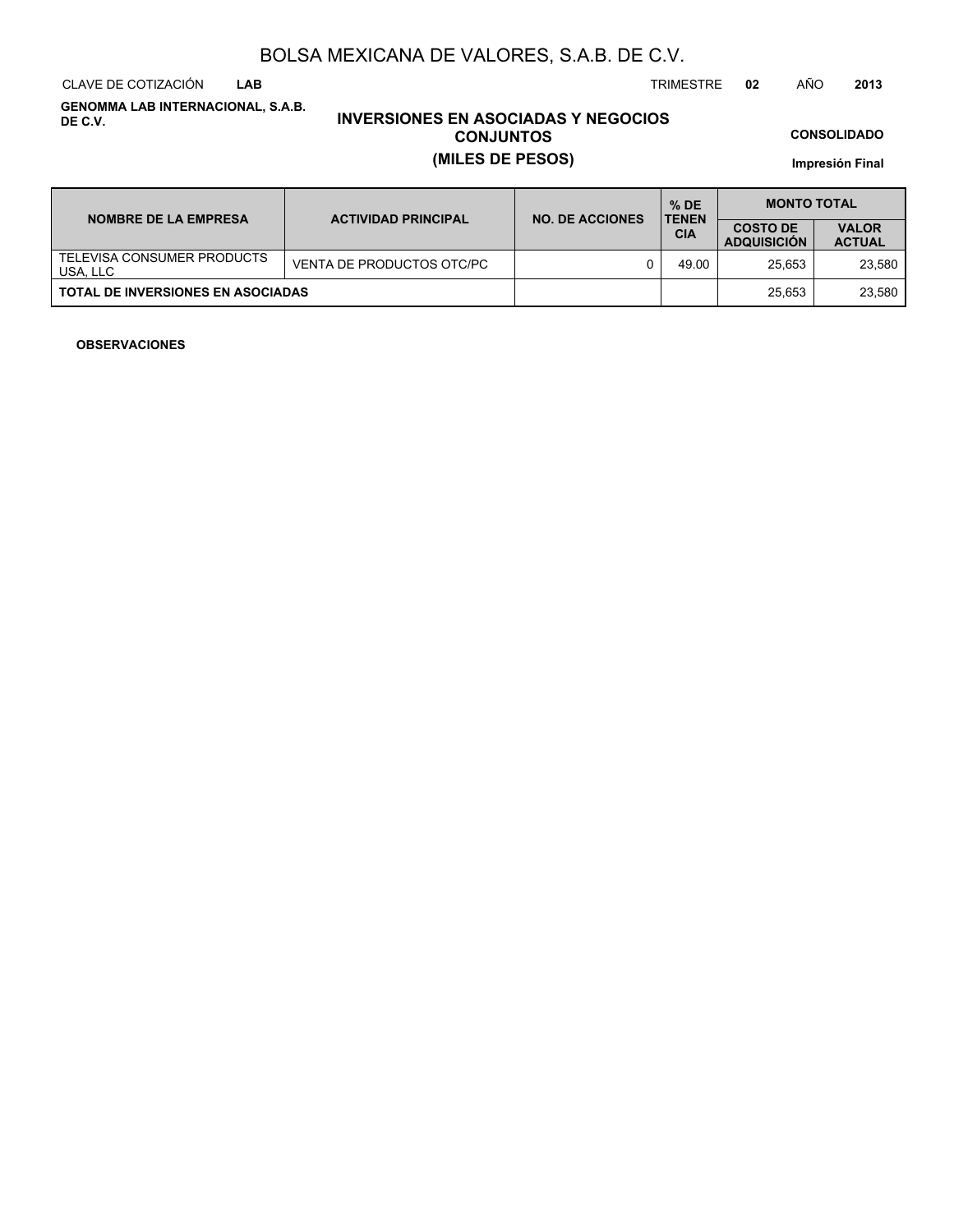CLAVE DE COTIZACIÓN TRIMESTRE **02** AÑO **2013 LAB**

**GENOMMA LAB INTERNACIONAL, S.A.B. DE C.V.**

# **INVERSIONES EN ASOCIADAS Y NEGOCIOS CONJUNTOS (MILES DE PESOS)**

**CONSOLIDADO**

**Impresión Final**

| <b>NOMBRE DE LA EMPRESA</b>              | <b>ACTIVIDAD PRINCIPAL</b> | <b>NO. DE ACCIONES</b> | $%$ DE<br><b>TENEN</b> | <b>MONTO TOTAL</b>                    |                               |  |
|------------------------------------------|----------------------------|------------------------|------------------------|---------------------------------------|-------------------------------|--|
|                                          |                            |                        | <b>CIA</b>             | <b>COSTO DE</b><br><b>ADQUISICION</b> | <b>VALOR</b><br><b>ACTUAL</b> |  |
| TELEVISA CONSUMER PRODUCTS<br>USA, LLC   | VENTA DE PRODUCTOS OTC/PC  |                        | 49.00                  | 25.653                                | 23.580                        |  |
| <b>TOTAL DE INVERSIONES EN ASOCIADAS</b> |                            |                        |                        | 25.653                                | 23.580                        |  |

### **OBSERVACIONES**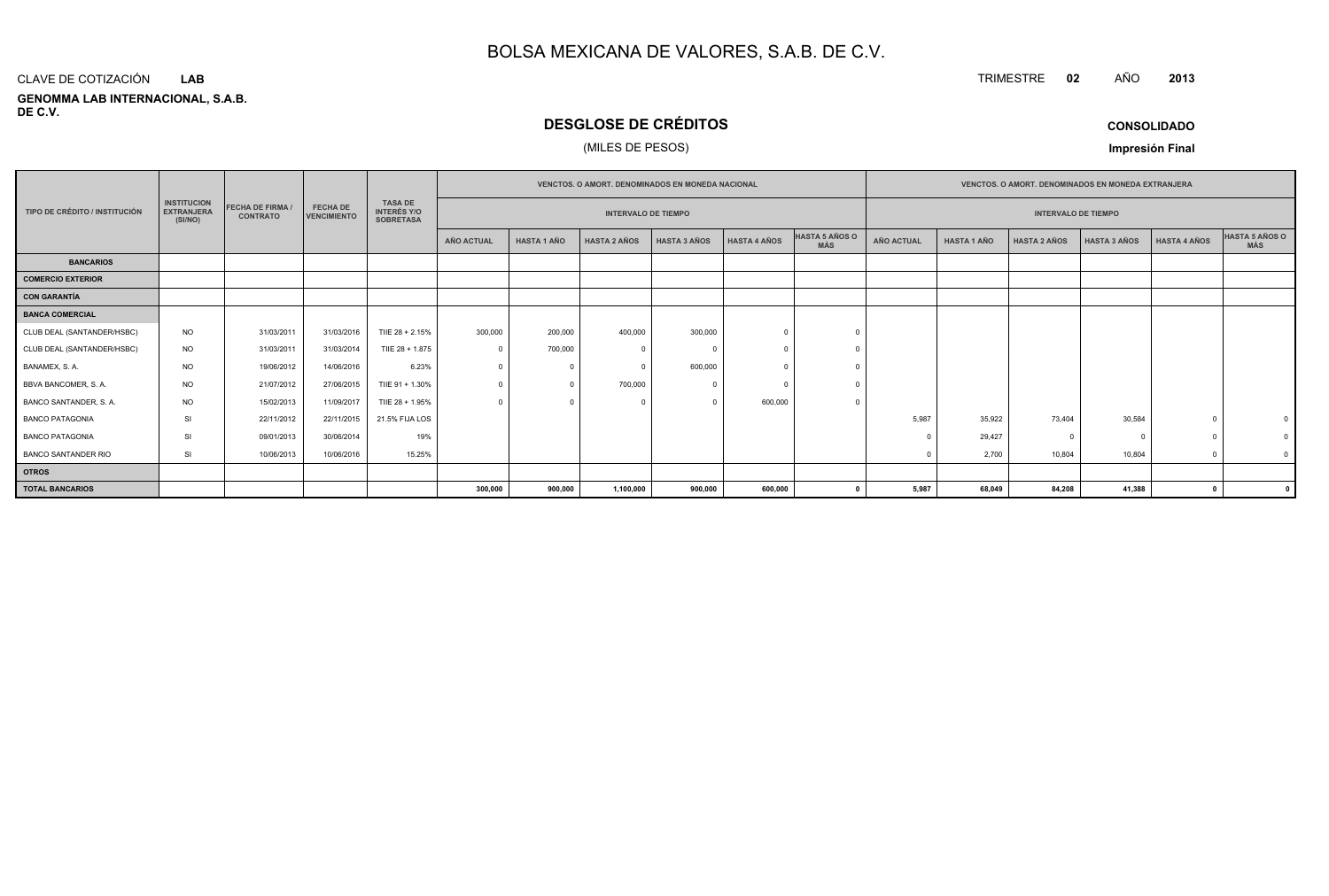#### **GENOMMA LAB INTERNACIONAL, S.A.B. DE C.V.**CLAVE DE COTIZACIÓN**LAB**

# **DESGLOSE DE CRÉDITOS**

## (MILES DE PESOS)

| <b>CONSOLIDADO</b> |  |
|--------------------|--|
|--------------------|--|

**<sup>2013</sup>**

**Impresión Final**

|                               |                                                    |                                          |                                       |                                                          | <b>VENCTOS, O AMORT, DENOMINADOS EN MONEDA NACIONAL</b> |                    |                            |                     | <b>VENCTOS, O AMORT, DENOMINADOS EN MONEDA EXTRANJERA</b> |                       |                            |                    |                     |                     |                     |                              |
|-------------------------------|----------------------------------------------------|------------------------------------------|---------------------------------------|----------------------------------------------------------|---------------------------------------------------------|--------------------|----------------------------|---------------------|-----------------------------------------------------------|-----------------------|----------------------------|--------------------|---------------------|---------------------|---------------------|------------------------------|
| TIPO DE CRÉDITO / INSTITUCIÓN | <b>INSTITUCION</b><br><b>EXTRANJERA</b><br>(SI/NO) | <b>FECHA DE FIRMA</b><br><b>CONTRATO</b> | <b>FECHA DE</b><br><b>VENCIMIENTO</b> | <b>TASA DE</b><br><b>INTERÉS Y/O</b><br><b>SOBRETASA</b> |                                                         |                    | <b>INTERVALO DE TIEMPO</b> |                     |                                                           |                       | <b>INTERVALO DE TIEMPO</b> |                    |                     |                     |                     |                              |
|                               |                                                    |                                          |                                       |                                                          | AÑO ACTUAL                                              | <b>HASTA 1 AÑO</b> | <b>HASTA 2 AÑOS</b>        | <b>HASTA 3 AÑOS</b> | <b>HASTA 4 AÑOS</b>                                       | HASTA 5 AÑOS O<br>MÁS | <b>AÑO ACTUAL</b>          | <b>HASTA 1 AÑO</b> | <b>HASTA 2 AÑOS</b> | <b>HASTA 3 AÑOS</b> | <b>HASTA 4 AÑOS</b> | <b>HASTA 5 AÑOS O</b><br>MÁS |
| <b>BANCARIOS</b>              |                                                    |                                          |                                       |                                                          |                                                         |                    |                            |                     |                                                           |                       |                            |                    |                     |                     |                     |                              |
| <b>COMERCIO EXTERIOR</b>      |                                                    |                                          |                                       |                                                          |                                                         |                    |                            |                     |                                                           |                       |                            |                    |                     |                     |                     |                              |
| <b>CON GARANTÍA</b>           |                                                    |                                          |                                       |                                                          |                                                         |                    |                            |                     |                                                           |                       |                            |                    |                     |                     |                     |                              |
| <b>BANCA COMERCIAL</b>        |                                                    |                                          |                                       |                                                          |                                                         |                    |                            |                     |                                                           |                       |                            |                    |                     |                     |                     |                              |
| CLUB DEAL (SANTANDER/HSBC)    | NO                                                 | 31/03/2011                               | 31/03/2016                            | TIIE 28 + 2.15%                                          | 300,000                                                 | 200,000            | 400,000                    | 300,000             |                                                           |                       |                            |                    |                     |                     |                     |                              |
| CLUB DEAL (SANTANDER/HSBC)    | <b>NO</b>                                          | 31/03/2011                               | 31/03/2014                            | TIIE 28 + 1.875                                          | $\Omega$                                                | 700,000            | -C                         |                     |                                                           |                       |                            |                    |                     |                     |                     |                              |
| BANAMEX, S.A.                 | <b>NO</b>                                          | 19/06/2012                               | 14/06/2016                            | 6.23%                                                    |                                                         | $\Omega$           | $\Omega$                   | 600,000             |                                                           |                       |                            |                    |                     |                     |                     |                              |
| BBVA BANCOMER, S.A.           | <b>NO</b>                                          | 21/07/2012                               | 27/06/2015                            | TIIE 91 + 1.30%                                          |                                                         | $\Omega$           | 700,000                    |                     |                                                           |                       |                            |                    |                     |                     |                     |                              |
| BANCO SANTANDER, S.A.         | <b>NO</b>                                          | 15/02/2013                               | 11/09/2017                            | TIIE 28 + 1.95%                                          | $\Omega$                                                |                    |                            |                     | 600,000                                                   |                       |                            |                    |                     |                     |                     |                              |
| <b>BANCO PATAGONIA</b>        | SI                                                 | 22/11/2012                               | 22/11/2015                            | 21.5% FIJA LOS                                           |                                                         |                    |                            |                     |                                                           |                       | 5,987                      | 35,922             | 73,404              | 30,584              |                     |                              |
| <b>BANCO PATAGONIA</b>        | SI                                                 | 09/01/2013                               | 30/06/2014                            | 19%                                                      |                                                         |                    |                            |                     |                                                           |                       |                            | 29,427             |                     | $\Omega$            |                     |                              |
| <b>BANCO SANTANDER RIO</b>    | SI                                                 | 10/06/2013                               | 10/06/2016                            | 15.25%                                                   |                                                         |                    |                            |                     |                                                           |                       |                            | 2,700              | 10,804              | 10,804              |                     |                              |
| <b>OTROS</b>                  |                                                    |                                          |                                       |                                                          |                                                         |                    |                            |                     |                                                           |                       |                            |                    |                     |                     |                     |                              |
| <b>TOTAL BANCARIOS</b>        |                                                    |                                          |                                       |                                                          | 300,000                                                 | 900,000            | 1,100,000                  | 900,000             | 600,000                                                   |                       | 5,987                      | 68,049             | 84,208              | 41,388              | - 0                 |                              |

TRIMESTRE **<sup>02</sup>** AÑO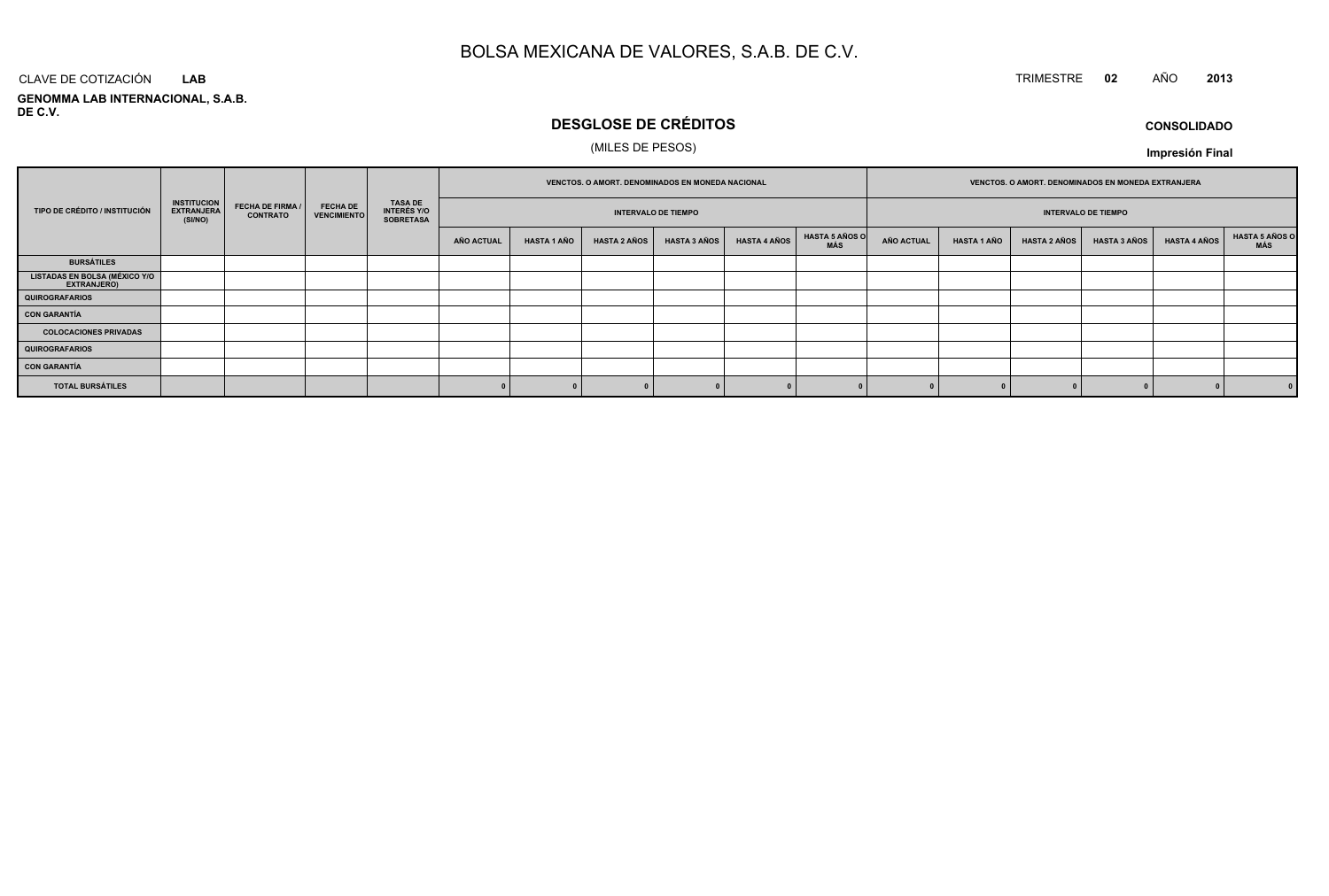# TRIMESTRE **<sup>02</sup>** AÑO **<sup>2013</sup>**

**GENOMMA LAB INTERNACIONAL, S.A.B. DE C.V.**CLAVE DE COTIZACIÓN**LAB**

# **DESGLOSE DE CRÉDITOS**

## (MILES DE PESOS)

**CONSOLIDADOImpresión Final**

|                                                      | <b>INSTITUCION</b><br><b>FECHA DE FIRMA /</b><br><b>EXTRANJERA</b><br><b>CONTRATO</b><br>(SI/NO) |  |                                       | VENCTOS. O AMORT. DENOMINADOS EN MONEDA NACIONAL         |            |                            |                     |                     | VENCTOS. O AMORT. DENOMINADOS EN MONEDA EXTRANJERA |                              |                   |                    |                     |                            |                     |                       |  |  |  |
|------------------------------------------------------|--------------------------------------------------------------------------------------------------|--|---------------------------------------|----------------------------------------------------------|------------|----------------------------|---------------------|---------------------|----------------------------------------------------|------------------------------|-------------------|--------------------|---------------------|----------------------------|---------------------|-----------------------|--|--|--|
| TIPO DE CRÉDITO / INSTITUCIÓN                        |                                                                                                  |  | <b>FECHA DE</b><br><b>VENCIMIENTO</b> | <b>TASA DE</b><br><b>INTERÉS Y/O</b><br><b>SOBRETASA</b> |            | <b>INTERVALO DE TIEMPO</b> |                     |                     |                                                    |                              |                   |                    |                     | <b>INTERVALO DE TIEMPO</b> |                     |                       |  |  |  |
|                                                      |                                                                                                  |  |                                       |                                                          | AÑO ACTUAL | <b>HASTA 1 AÑO</b>         | <b>HASTA 2 AÑOS</b> | <b>HASTA 3 AÑOS</b> | <b>HASTA 4 AÑOS</b>                                | <b>HASTA 5 AÑOS O</b><br>MÁS | <b>AÑO ACTUAL</b> | <b>HASTA 1 AÑO</b> | <b>HASTA 2 AÑOS</b> | <b>HASTA 3 AÑOS</b>        | <b>HASTA 4 AÑOS</b> | HASTA 5 AÑOS C<br>MÁS |  |  |  |
| <b>BURSÁTILES</b>                                    |                                                                                                  |  |                                       |                                                          |            |                            |                     |                     |                                                    |                              |                   |                    |                     |                            |                     |                       |  |  |  |
| <b>LISTADAS EN BOLSA (MÉXICO Y/O<br/>EXTRANJERO)</b> |                                                                                                  |  |                                       |                                                          |            |                            |                     |                     |                                                    |                              |                   |                    |                     |                            |                     |                       |  |  |  |
| <b>QUIROGRAFARIOS</b>                                |                                                                                                  |  |                                       |                                                          |            |                            |                     |                     |                                                    |                              |                   |                    |                     |                            |                     |                       |  |  |  |
| <b>CON GARANTÍA</b>                                  |                                                                                                  |  |                                       |                                                          |            |                            |                     |                     |                                                    |                              |                   |                    |                     |                            |                     |                       |  |  |  |
| <b>COLOCACIONES PRIVADAS</b>                         |                                                                                                  |  |                                       |                                                          |            |                            |                     |                     |                                                    |                              |                   |                    |                     |                            |                     |                       |  |  |  |
| <b>QUIROGRAFARIOS</b>                                |                                                                                                  |  |                                       |                                                          |            |                            |                     |                     |                                                    |                              |                   |                    |                     |                            |                     |                       |  |  |  |
| <b>CON GARANTÍA</b>                                  |                                                                                                  |  |                                       |                                                          |            |                            |                     |                     |                                                    |                              |                   |                    |                     |                            |                     |                       |  |  |  |
| <b>TOTAL BURSÁTILES</b>                              |                                                                                                  |  |                                       |                                                          |            |                            |                     |                     |                                                    |                              |                   |                    |                     |                            |                     | 0                     |  |  |  |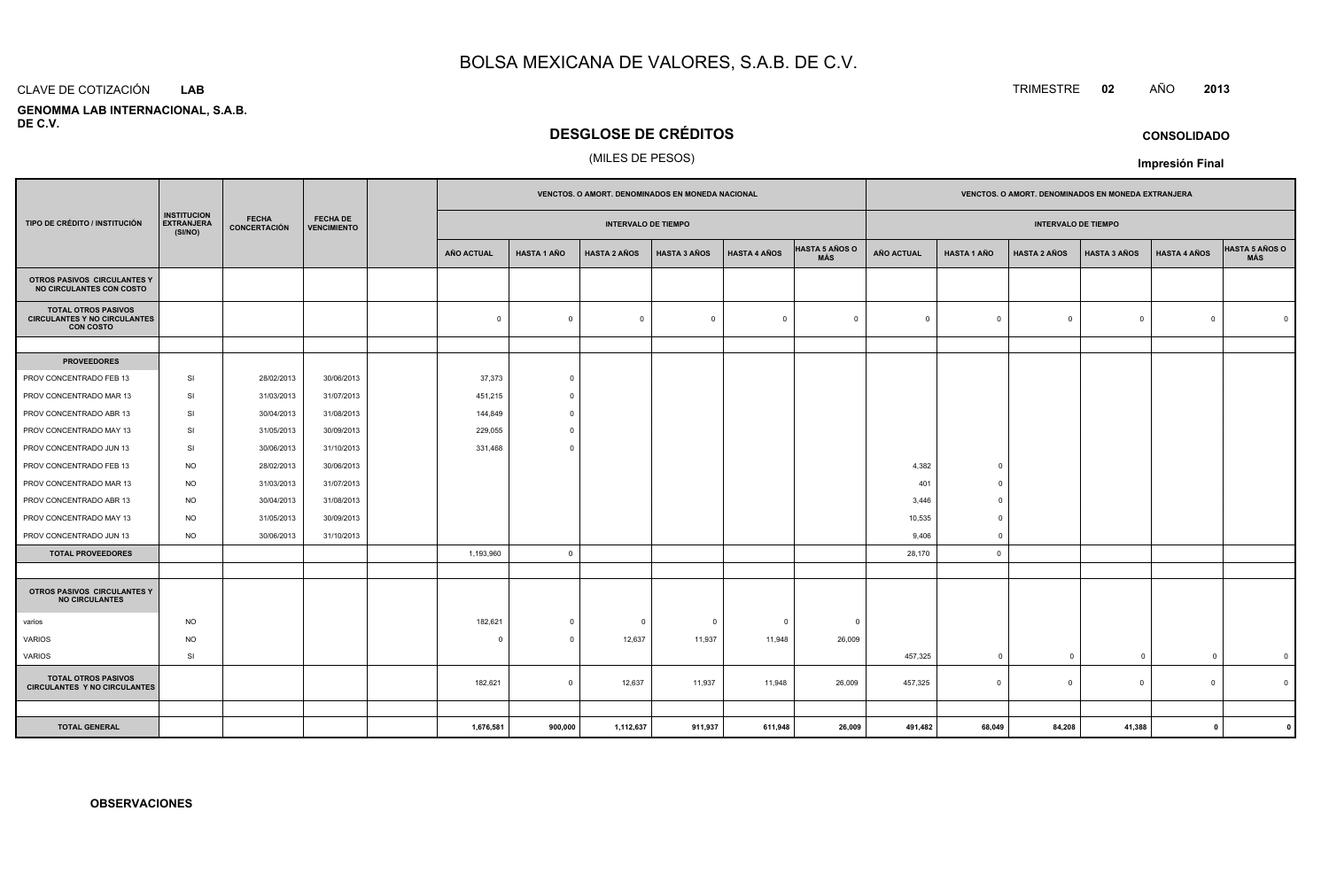#### CLAVE DE COTIZACIÓN**LAB**

 **GENOMMA LAB INTERNACIONAL, S.A.B.DE C.V.**

# **DESGLOSE DE CRÉDITOS**

### (MILES DE PESOS)

|                                                                                       |                                                    |                                     |                                       | VENCTOS. O AMORT. DENOMINADOS EN MONEDA NACIONAL |                   |                    |                            |                         |                     | VENCTOS. O AMORT. DENOMINADOS EN MONEDA EXTRANJERA |                            |                    |                     |                     |                     |                |
|---------------------------------------------------------------------------------------|----------------------------------------------------|-------------------------------------|---------------------------------------|--------------------------------------------------|-------------------|--------------------|----------------------------|-------------------------|---------------------|----------------------------------------------------|----------------------------|--------------------|---------------------|---------------------|---------------------|----------------|
| TIPO DE CRÉDITO / INSTITUCIÓN                                                         | <b>INSTITUCION</b><br><b>EXTRANJERA</b><br>(SI/NO) | <b>FECHA</b><br><b>CONCERTACIÓN</b> | <b>FECHA DE</b><br><b>VENCIMIENTO</b> |                                                  |                   |                    | <b>INTERVALO DE TIEMPO</b> |                         |                     |                                                    | <b>INTERVALO DE TIEMPO</b> |                    |                     |                     |                     |                |
|                                                                                       |                                                    |                                     |                                       |                                                  | <b>AÑO ACTUAL</b> | <b>HASTA 1 AÑO</b> | <b>HASTA 2 AÑOS</b>        | <b>HASTA 3 AÑOS</b>     | <b>HASTA 4 AÑOS</b> | <b>HASTA 5 AÑOS O</b><br>MÁS                       | AÑO ACTUAL                 | <b>HASTA 1 AÑO</b> | <b>HASTA 2 AÑOS</b> | <b>HASTA 3 AÑOS</b> | <b>HASTA 4 AÑOS</b> | HASTA 5 AÑOS O |
| OTROS PASIVOS CIRCULANTES Y<br>NO CIRCULANTES CON COSTO                               |                                                    |                                     |                                       |                                                  |                   |                    |                            |                         |                     |                                                    |                            |                    |                     |                     |                     |                |
| <b>TOTAL OTROS PASIVOS</b><br><b>CIRCULANTES Y NO CIRCULANTES</b><br><b>CON COSTO</b> |                                                    |                                     |                                       |                                                  | $\mathbf 0$       | $\Omega$           | $\mathbf 0$                | $\overline{\mathbf{0}}$ | $\overline{0}$      | $\overline{0}$                                     | $\Omega$                   | $\overline{0}$     | $\Omega$            | $\mathsf 0$         | $\Omega$            | $\Omega$       |
|                                                                                       |                                                    |                                     |                                       |                                                  |                   |                    |                            |                         |                     |                                                    |                            |                    |                     |                     |                     |                |
| <b>PROVEEDORES</b>                                                                    |                                                    |                                     |                                       |                                                  |                   |                    |                            |                         |                     |                                                    |                            |                    |                     |                     |                     |                |
| PROV CONCENTRADO FEB 13                                                               | SI                                                 | 28/02/2013                          | 30/06/2013                            |                                                  | 37,373            | $\circ$            |                            |                         |                     |                                                    |                            |                    |                     |                     |                     |                |
| PROV CONCENTRADO MAR 13                                                               | SI                                                 | 31/03/2013                          | 31/07/2013                            |                                                  | 451,215           | $\Omega$           |                            |                         |                     |                                                    |                            |                    |                     |                     |                     |                |
| PROV CONCENTRADO ABR 13                                                               | SI                                                 | 30/04/2013                          | 31/08/2013                            |                                                  | 144,849           | $\Omega$           |                            |                         |                     |                                                    |                            |                    |                     |                     |                     |                |
| PROV CONCENTRADO MAY 13                                                               | SI                                                 | 31/05/2013                          | 30/09/2013                            |                                                  | 229,055           | $\Omega$           |                            |                         |                     |                                                    |                            |                    |                     |                     |                     |                |
| PROV CONCENTRADO JUN 13                                                               | <b>SI</b>                                          | 30/06/2013                          | 31/10/2013                            |                                                  | 331,468           | $\Omega$           |                            |                         |                     |                                                    |                            |                    |                     |                     |                     |                |
| PROV CONCENTRADO FEB 13                                                               | <b>NO</b>                                          | 28/02/2013                          | 30/06/2013                            |                                                  |                   |                    |                            |                         |                     |                                                    | 4,382                      | $\Omega$           |                     |                     |                     |                |
| PROV CONCENTRADO MAR 13                                                               | <b>NO</b>                                          | 31/03/2013                          | 31/07/2013                            |                                                  |                   |                    |                            |                         |                     |                                                    | 401                        | $\overline{0}$     |                     |                     |                     |                |
| PROV CONCENTRADO ABR 13                                                               | <b>NO</b>                                          | 30/04/2013                          | 31/08/2013                            |                                                  |                   |                    |                            |                         |                     |                                                    | 3,446                      | $\Omega$           |                     |                     |                     |                |
| PROV CONCENTRADO MAY 13                                                               | <b>NO</b>                                          | 31/05/2013                          | 30/09/2013                            |                                                  |                   |                    |                            |                         |                     |                                                    | 10,535                     | $\overline{0}$     |                     |                     |                     |                |
| PROV CONCENTRADO JUN 13                                                               | <b>NO</b>                                          | 30/06/2013                          | 31/10/2013                            |                                                  |                   |                    |                            |                         |                     |                                                    | 9,406                      | $\Omega$           |                     |                     |                     |                |
| <b>TOTAL PROVEEDORES</b>                                                              |                                                    |                                     |                                       |                                                  | 1,193,960         | $\Omega$           |                            |                         |                     |                                                    | 28,170                     | $\circ$            |                     |                     |                     |                |
|                                                                                       |                                                    |                                     |                                       |                                                  |                   |                    |                            |                         |                     |                                                    |                            |                    |                     |                     |                     |                |
| OTROS PASIVOS CIRCULANTES Y<br><b>NO CIRCULANTES</b>                                  |                                                    |                                     |                                       |                                                  |                   |                    |                            |                         |                     |                                                    |                            |                    |                     |                     |                     |                |
| varios                                                                                | <b>NO</b>                                          |                                     |                                       |                                                  | 182,621           | $\mathbf 0$        | $\overline{0}$             | $\overline{\mathbf{0}}$ | $^{\circ}$          | $\Omega$                                           |                            |                    |                     |                     |                     |                |
| <b>VARIOS</b>                                                                         | <b>NO</b>                                          |                                     |                                       |                                                  | $\Omega$          | $\Omega$           | 12,637                     | 11,937                  | 11,948              | 26,009                                             |                            |                    |                     |                     |                     |                |
| VARIOS                                                                                | SI                                                 |                                     |                                       |                                                  |                   |                    |                            |                         |                     |                                                    | 457,325                    | $\overline{0}$     | $\overline{0}$      | $\mathbf 0$         | $\overline{0}$      | $\mathbf 0$    |
| <b>TOTAL OTROS PASIVOS</b><br><b>CIRCULANTES Y NO CIRCULANTES</b>                     |                                                    |                                     |                                       |                                                  | 182,621           | $\mathbf 0$        | 12,637                     | 11,937                  | 11,948              | 26,009                                             | 457,325                    | $\mathbf 0$        | $\Omega$            | $\mathbf 0$         | $\mathbf 0$         | $\Omega$       |
|                                                                                       |                                                    |                                     |                                       |                                                  |                   |                    |                            |                         |                     |                                                    |                            |                    |                     |                     |                     |                |
| <b>TOTAL GENERAL</b>                                                                  |                                                    |                                     |                                       |                                                  | 1,676,581         | 900,000            | 1,112,637                  | 911,937                 | 611,948             | 26,009                                             | 491,482                    | 68,049             | 84,208              | 41,388              | $\mathbf{0}$        |                |

# TRIMESTRE **<sup>02</sup>** AÑO **<sup>2013</sup>**

**CONSOLIDADO**

**Impresión Final**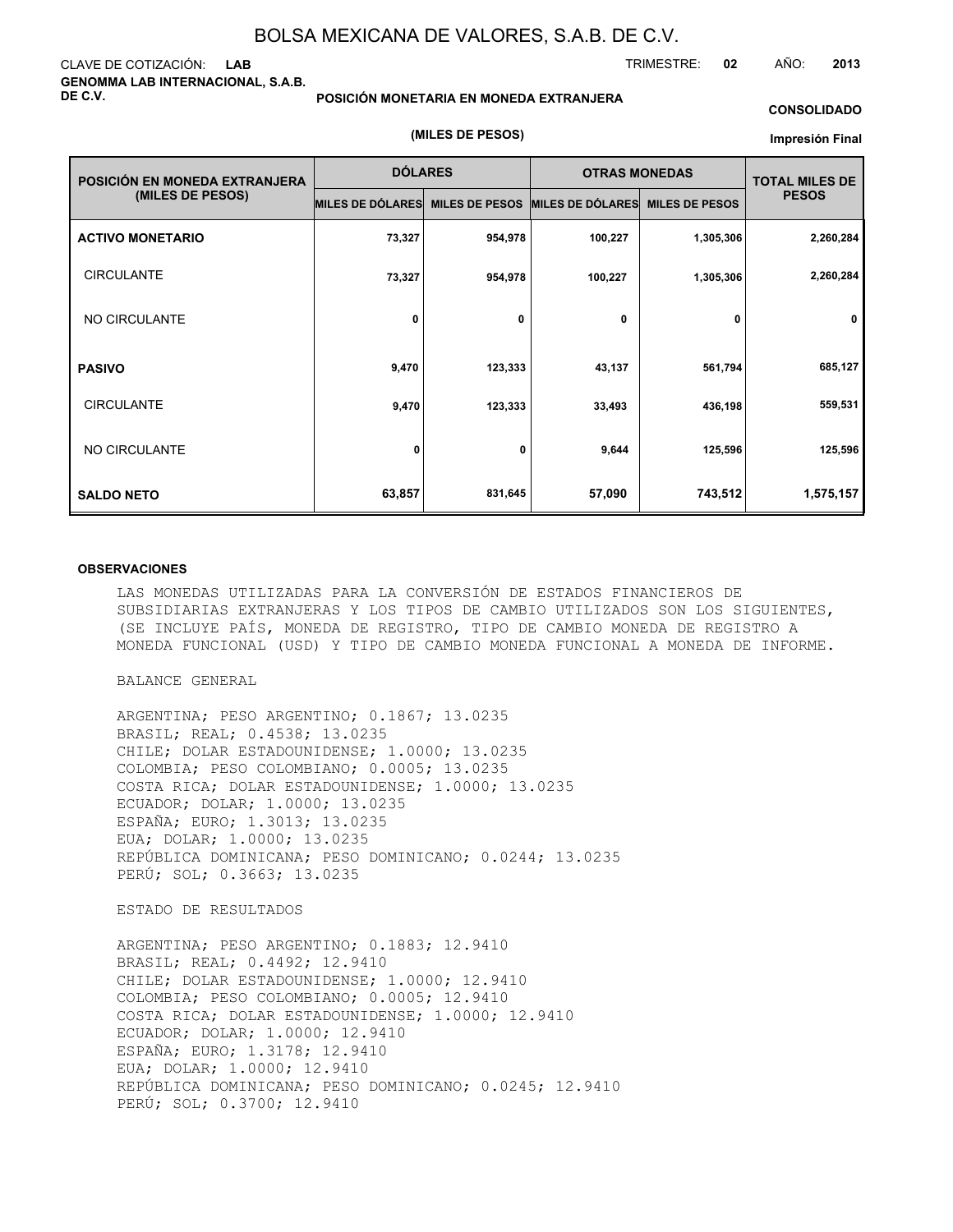### CLAVE DE COTIZACIÓN: **LAB GENOMMA LAB INTERNACIONAL, S.A.B. DE C.V.**

#### **POSICIÓN MONETARIA EN MONEDA EXTRANJERA**

#### **CONSOLIDADO**

#### **(MILES DE PESOS)**

#### **Impresión Final**

| POSICIÓN EN MONEDA EXTRANJERA | <b>DÓLARES</b>          |                       | <b>OTRAS MONEDAS</b>    | <b>TOTAL MILES DE</b> |              |
|-------------------------------|-------------------------|-----------------------|-------------------------|-----------------------|--------------|
| (MILES DE PESOS)              | <b>MILES DE DÓLARES</b> | <b>MILES DE PESOS</b> | <b>MILES DE DÓLARES</b> | <b>MILES DE PESOS</b> | <b>PESOS</b> |
| <b>ACTIVO MONETARIO</b>       | 73,327                  | 954,978               | 100,227                 | 1,305,306             | 2,260,284    |
| <b>CIRCULANTE</b>             | 73,327                  | 954,978               | 100,227                 | 1,305,306             | 2,260,284    |
| NO CIRCULANTE                 | 0                       | 0                     | 0                       | 0                     | $\mathbf 0$  |
| <b>PASIVO</b>                 | 9,470                   | 123,333               | 43,137                  | 561,794               | 685,127      |
| <b>CIRCULANTE</b>             | 9,470                   | 123,333               | 33,493                  | 436,198               | 559,531      |
| NO CIRCULANTE                 | 0                       | 0                     | 9,644                   | 125,596               | 125,596      |
| <b>SALDO NETO</b>             | 63,857                  | 831,645               | 57,090                  | 743,512               | 1,575,157    |

#### **OBSERVACIONES**

LAS MONEDAS UTILIZADAS PARA LA CONVERSIÓN DE ESTADOS FINANCIEROS DE SUBSIDIARIAS EXTRANJERAS Y LOS TIPOS DE CAMBIO UTILIZADOS SON LOS SIGUIENTES, (SE INCLUYE PAÍS, MONEDA DE REGISTRO, TIPO DE CAMBIO MONEDA DE REGISTRO A MONEDA FUNCIONAL (USD) Y TIPO DE CAMBIO MONEDA FUNCIONAL A MONEDA DE INFORME.

BALANCE GENERAL

ARGENTINA; PESO ARGENTINO; 0.1867; 13.0235 BRASIL; REAL; 0.4538; 13.0235 CHILE; DOLAR ESTADOUNIDENSE; 1.0000; 13.0235 COLOMBIA; PESO COLOMBIANO; 0.0005; 13.0235 COSTA RICA; DOLAR ESTADOUNIDENSE; 1.0000; 13.0235 ECUADOR; DOLAR; 1.0000; 13.0235 ESPAÑA; EURO; 1.3013; 13.0235 EUA; DOLAR; 1.0000; 13.0235 REPÚBLICA DOMINICANA; PESO DOMINICANO; 0.0244; 13.0235 PERÚ; SOL; 0.3663; 13.0235

#### ESTADO DE RESULTADOS

ARGENTINA; PESO ARGENTINO; 0.1883; 12.9410 BRASIL; REAL; 0.4492; 12.9410 CHILE; DOLAR ESTADOUNIDENSE; 1.0000; 12.9410 COLOMBIA; PESO COLOMBIANO; 0.0005; 12.9410 COSTA RICA; DOLAR ESTADOUNIDENSE; 1.0000; 12.9410 ECUADOR; DOLAR; 1.0000; 12.9410 ESPAÑA; EURO; 1.3178; 12.9410 EUA; DOLAR; 1.0000; 12.9410 REPÚBLICA DOMINICANA; PESO DOMINICANO; 0.0245; 12.9410 PERÚ; SOL; 0.3700; 12.9410

TRIMESTRE: **02** AÑO: **2013**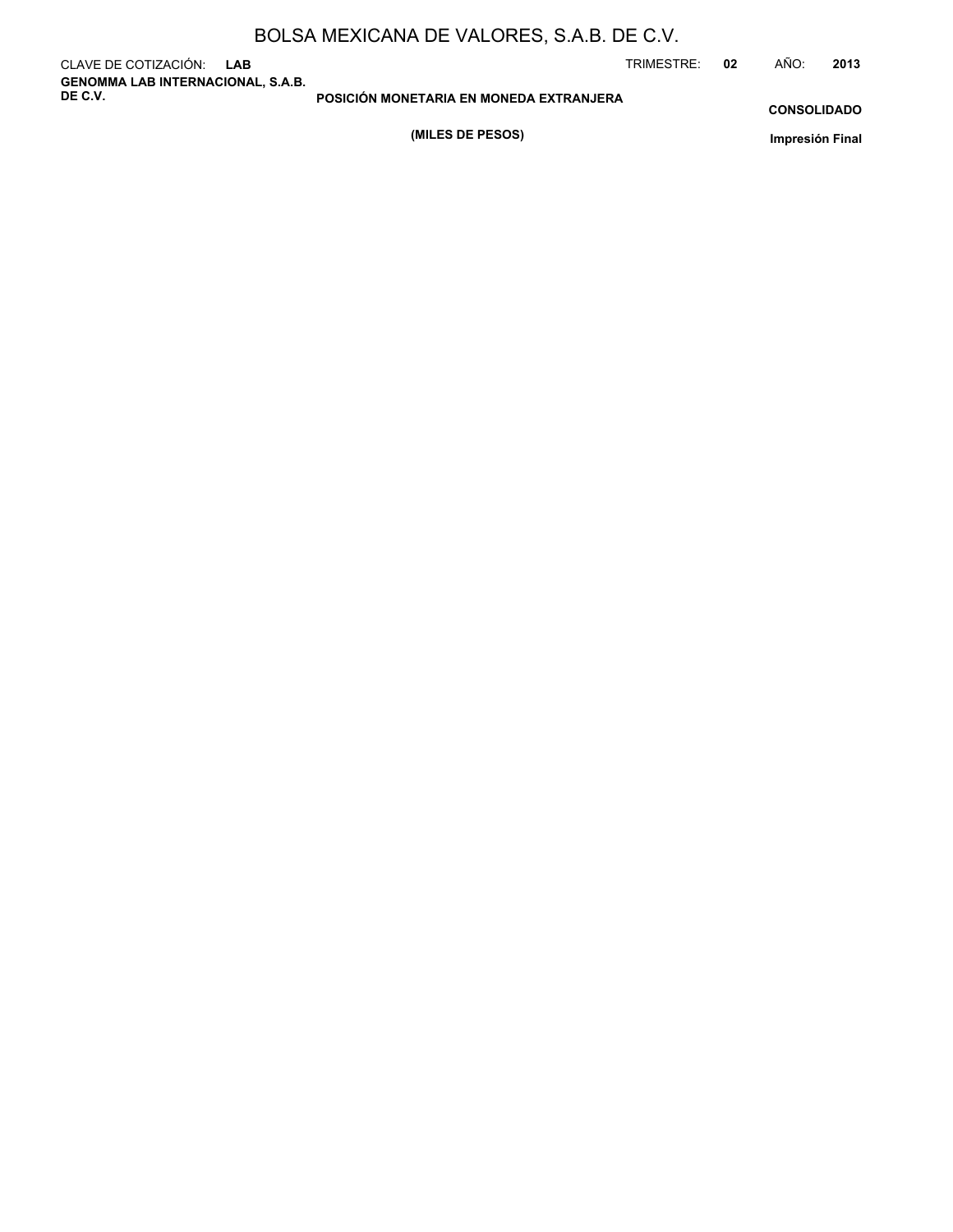|  | BOLSA MEXICANA DE VALORES, S.A.B. DE C.V. |
|--|-------------------------------------------|
|--|-------------------------------------------|

CLAVE DE COTIZACIÓN: **LAB GENOMMA LAB INTERNACIONAL, S.A.B. DE C.V.**

TRIMESTRE: **02** AÑO: **2013**

**CONSOLIDADO**

**(MILES DE PESOS)**

**POSICIÓN MONETARIA EN MONEDA EXTRANJERA**

**Impresión Final**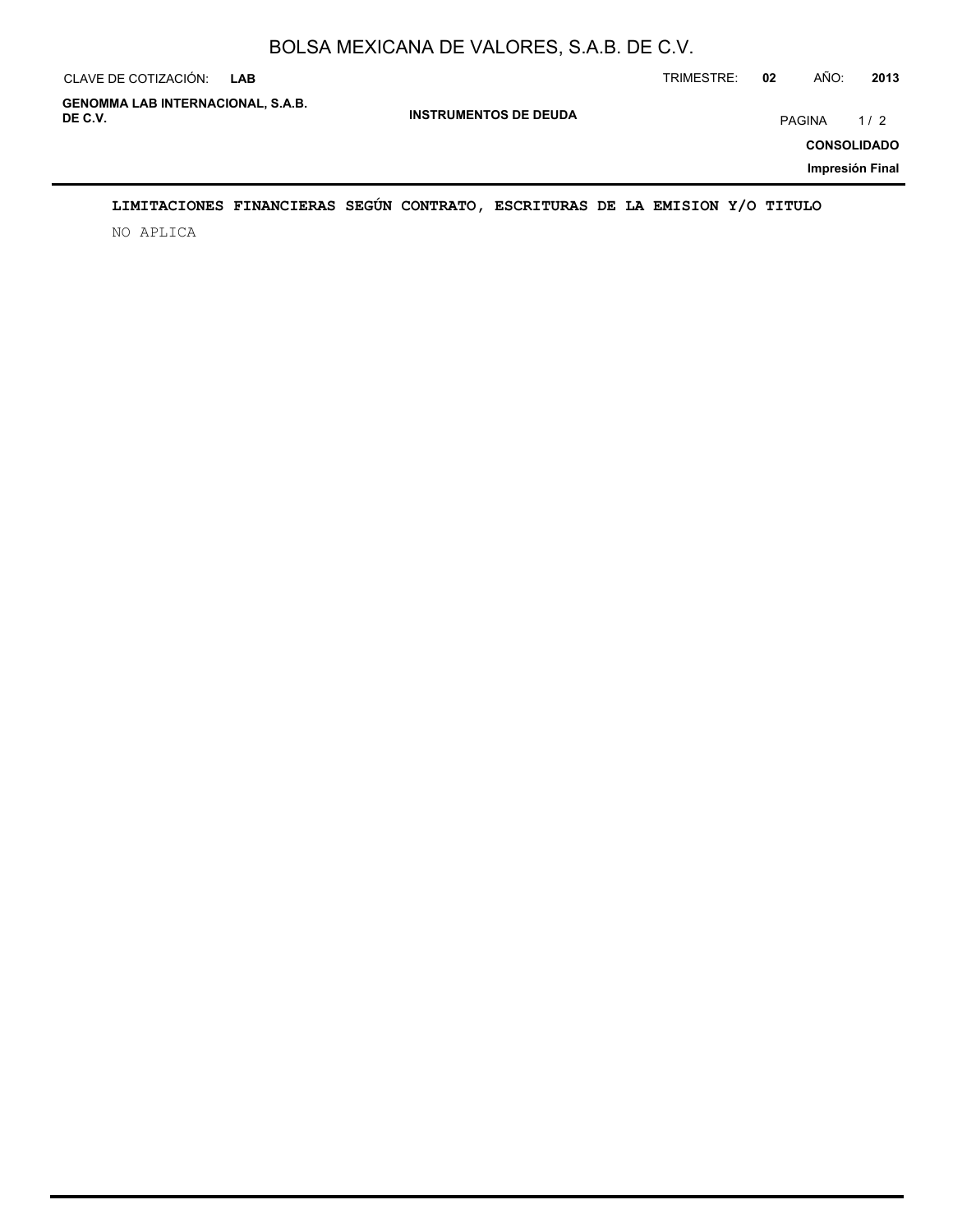| CLAVE DE COTIZACIÓN:                                | LAB                          | TRIMESTRE:<br>02 | AÑO:                         | 2013 |
|-----------------------------------------------------|------------------------------|------------------|------------------------------|------|
| <b>GENOMMA LAB INTERNACIONAL, S.A.B.</b><br>DE C.V. | <b>INSTRUMENTOS DE DEUDA</b> |                  | PAGINA<br><b>CONSOLIDADO</b> | 1/2  |
|                                                     |                              |                  | Impresión Final              |      |

# **LIMITACIONES FINANCIERAS SEGÚN CONTRATO, ESCRITURAS DE LA EMISION Y/O TITULO**

NO APLICA

÷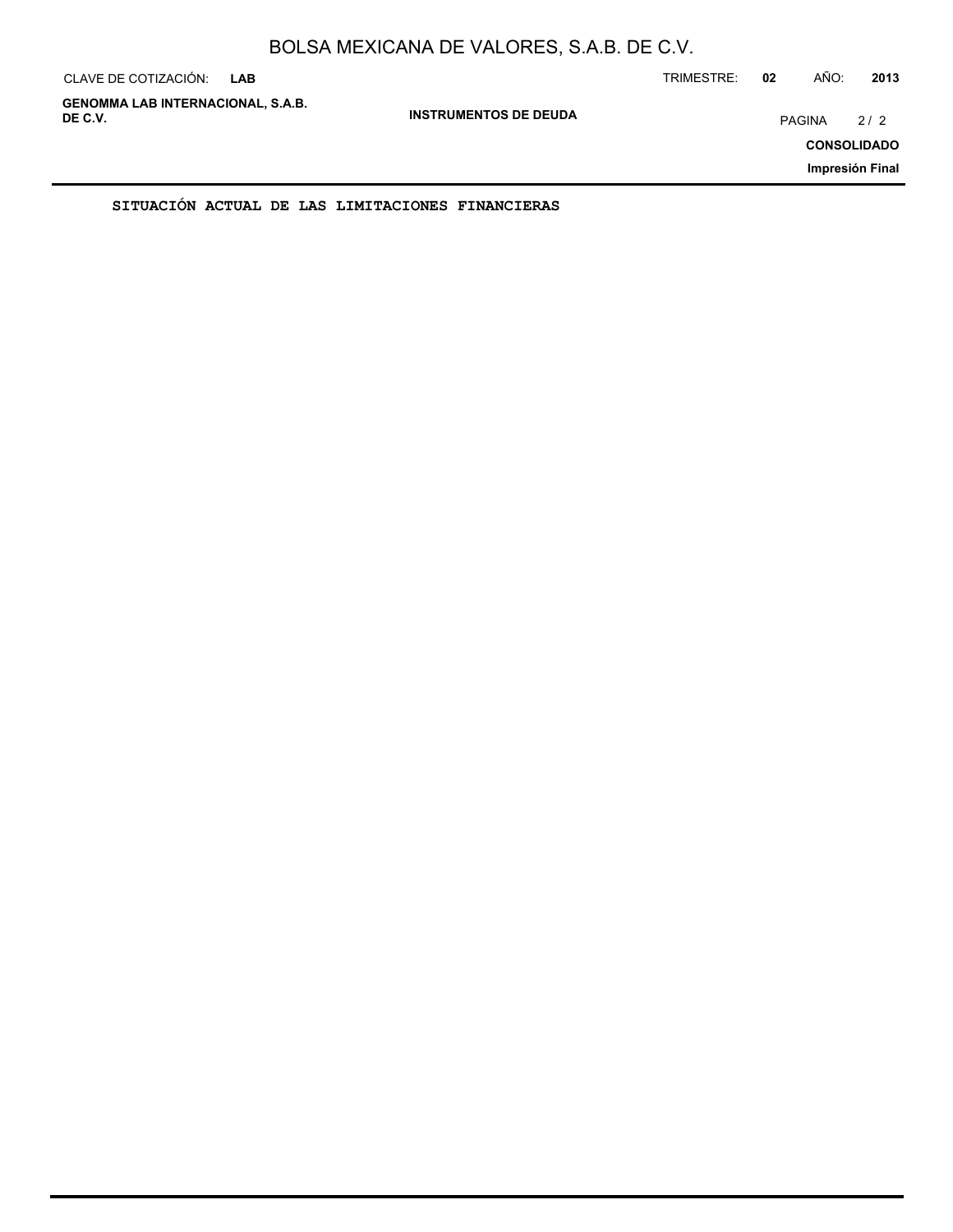| CLAVE DE COTIZACIÓN:                                | <b>LAB</b> |                              | TRIMESTRE: | 02            | AÑO: | 2013                                         |
|-----------------------------------------------------|------------|------------------------------|------------|---------------|------|----------------------------------------------|
| <b>GENOMMA LAB INTERNACIONAL, S.A.B.</b><br>DE C.V. |            | <b>INSTRUMENTOS DE DEUDA</b> |            | <b>PAGINA</b> |      | 2/2<br><b>CONSOLIDADO</b><br>Impresión Final |
|                                                     |            |                              |            |               |      |                                              |

**SITUACIÓN ACTUAL DE LAS LIMITACIONES FINANCIERAS**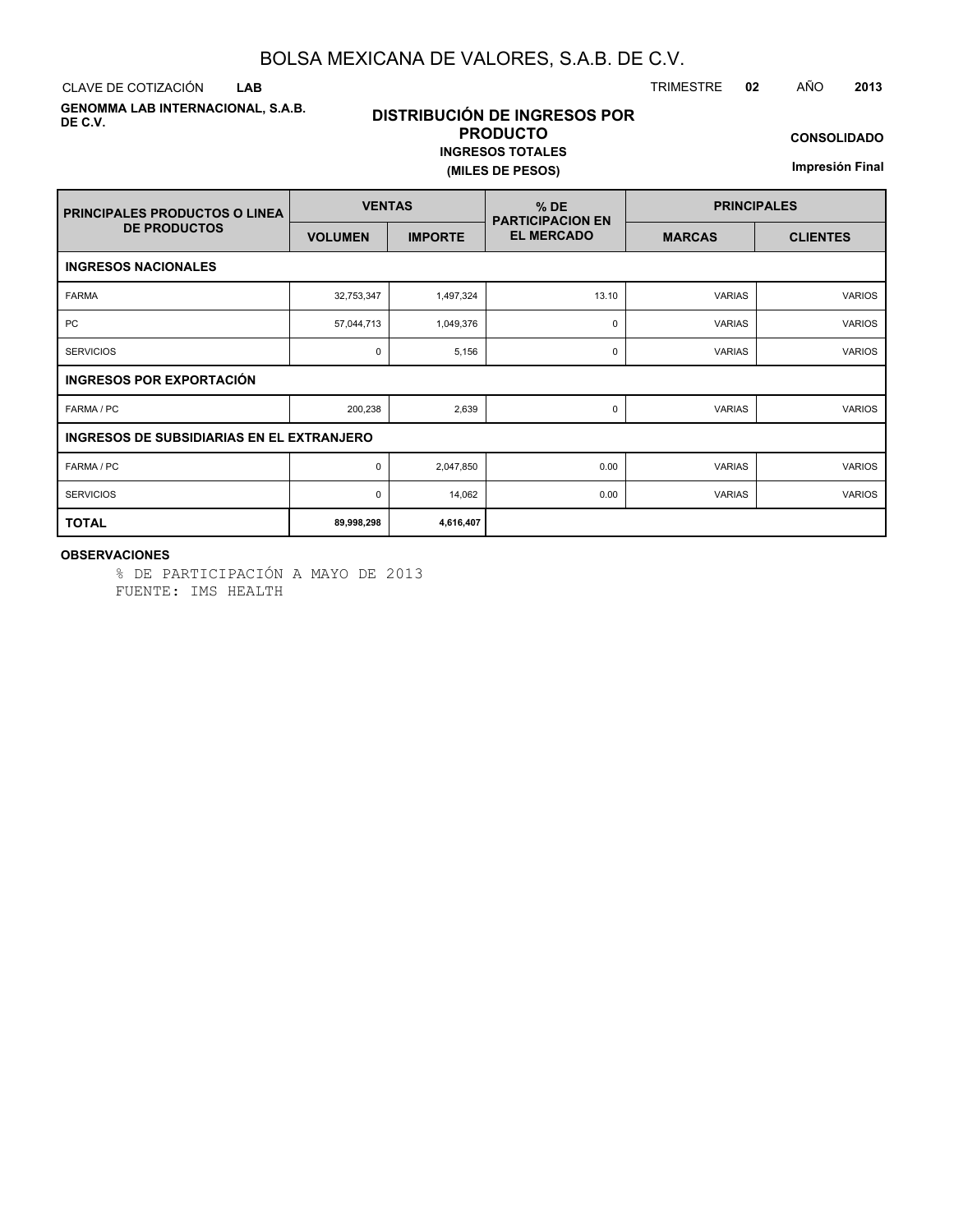CLAVE DE COTIZACIÓN TRIMESTRE **02** AÑO **2013 LAB**

**GENOMMA LAB INTERNACIONAL, S.A.B. DE C.V.**

# **DISTRIBUCIÓN DE INGRESOS POR PRODUCTO INGRESOS TOTALES**

# **(MILES DE PESOS)**

**CONSOLIDADO**

**Impresión Final**

| <b>PRINCIPALES PRODUCTOS O LINEA</b>      | <b>VENTAS</b>  |                | $%$ DE<br><b>PARTICIPACION EN</b> | <b>PRINCIPALES</b> |                 |  |  |  |  |  |
|-------------------------------------------|----------------|----------------|-----------------------------------|--------------------|-----------------|--|--|--|--|--|
| <b>DE PRODUCTOS</b>                       | <b>VOLUMEN</b> | <b>IMPORTE</b> | <b>EL MERCADO</b>                 | <b>MARCAS</b>      | <b>CLIENTES</b> |  |  |  |  |  |
| <b>INGRESOS NACIONALES</b>                |                |                |                                   |                    |                 |  |  |  |  |  |
| <b>FARMA</b>                              | 32,753,347     | 1,497,324      | 13.10                             | <b>VARIAS</b>      | <b>VARIOS</b>   |  |  |  |  |  |
| <b>PC</b>                                 | 57,044,713     | 1,049,376      | 0                                 | <b>VARIAS</b>      | <b>VARIOS</b>   |  |  |  |  |  |
| <b>SERVICIOS</b>                          | 0              | 5,156          | 0                                 | <b>VARIAS</b>      | <b>VARIOS</b>   |  |  |  |  |  |
| INGRESOS POR EXPORTACIÓN                  |                |                |                                   |                    |                 |  |  |  |  |  |
| FARMA / PC                                | 200,238        | 2,639          | 0                                 | <b>VARIAS</b>      | <b>VARIOS</b>   |  |  |  |  |  |
| INGRESOS DE SUBSIDIARIAS EN EL EXTRANJERO |                |                |                                   |                    |                 |  |  |  |  |  |
| FARMA / PC                                | 0              | 2,047,850      | 0.00                              | <b>VARIAS</b>      | <b>VARIOS</b>   |  |  |  |  |  |
| <b>SERVICIOS</b>                          | 0              | 14,062         | 0.00                              | <b>VARIAS</b>      | <b>VARIOS</b>   |  |  |  |  |  |
| <b>TOTAL</b>                              | 89,998,298     | 4,616,407      |                                   |                    |                 |  |  |  |  |  |

### **OBSERVACIONES**

% DE PARTICIPACIÓN A MAYO DE 2013 FUENTE: IMS HEALTH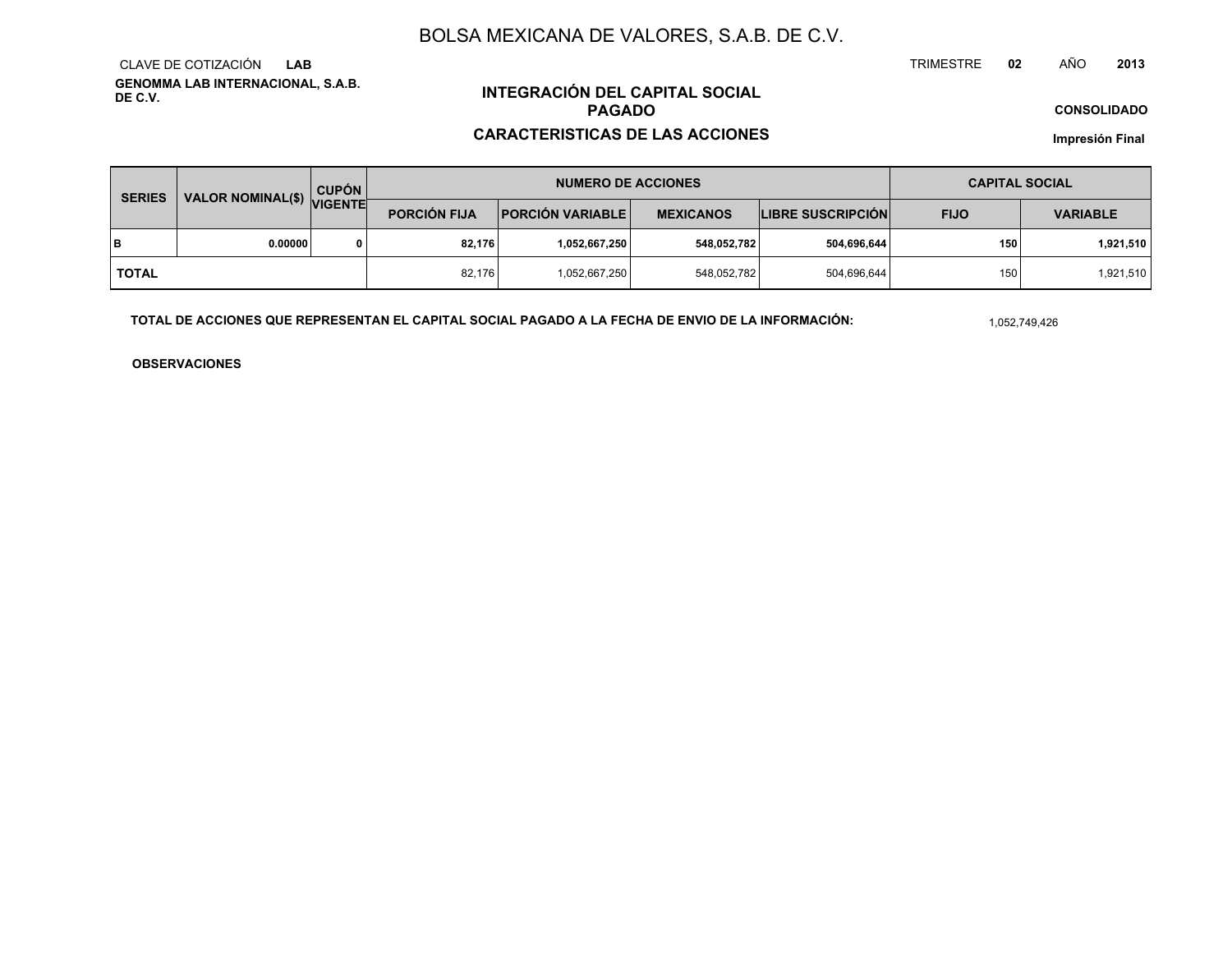**GENOMMA LAB INTERNACIONAL, S.A.B. DE C.V.**CLAVE DE COTIZACIÓN**LAB**

# **INTEGRACIÓN DEL CAPITAL SOCIALPAGADO**

### **CARACTERISTICAS DE LAS ACCIONES**

**CONSOLIDADO**

**Impresión Final**

| <b>SERIES</b> |                           | <b>CUPÓN</b> |                     | <b>NUMERO DE ACCIONES</b> | <b>CAPITAL SOCIAL</b> |                          |             |                 |  |
|---------------|---------------------------|--------------|---------------------|---------------------------|-----------------------|--------------------------|-------------|-----------------|--|
|               | VALOR NOMINAL(\$) VIGENTE |              | <b>PORCIÓN FIJA</b> | <b>PORCIÓN VARIABLE  </b> | <b>MEXICANOS</b>      | <b>LIBRE SUSCRIPCIÓN</b> | <b>FIJO</b> | <b>VARIABLE</b> |  |
| lв            | 0.00000                   | 0            | 82.176              | 1,052,667,250             | 548,052,782           | 504,696,644              | 150         | 1,921,510       |  |
| TOTAL         |                           |              | 82,176              | 1,052,667,250             | 548,052,782           | 504,696,644              | 150         | 1,921,510       |  |

**TOTAL DE ACCIONES QUE REPRESENTAN EL CAPITAL SOCIAL PAGADO A LA FECHA DE ENVIO DE LA INFORMACIÓN:**

1,052,749,426

TRIMESTRE

**OBSERVACIONES**

 **<sup>02</sup>** AÑO**<sup>2013</sup>**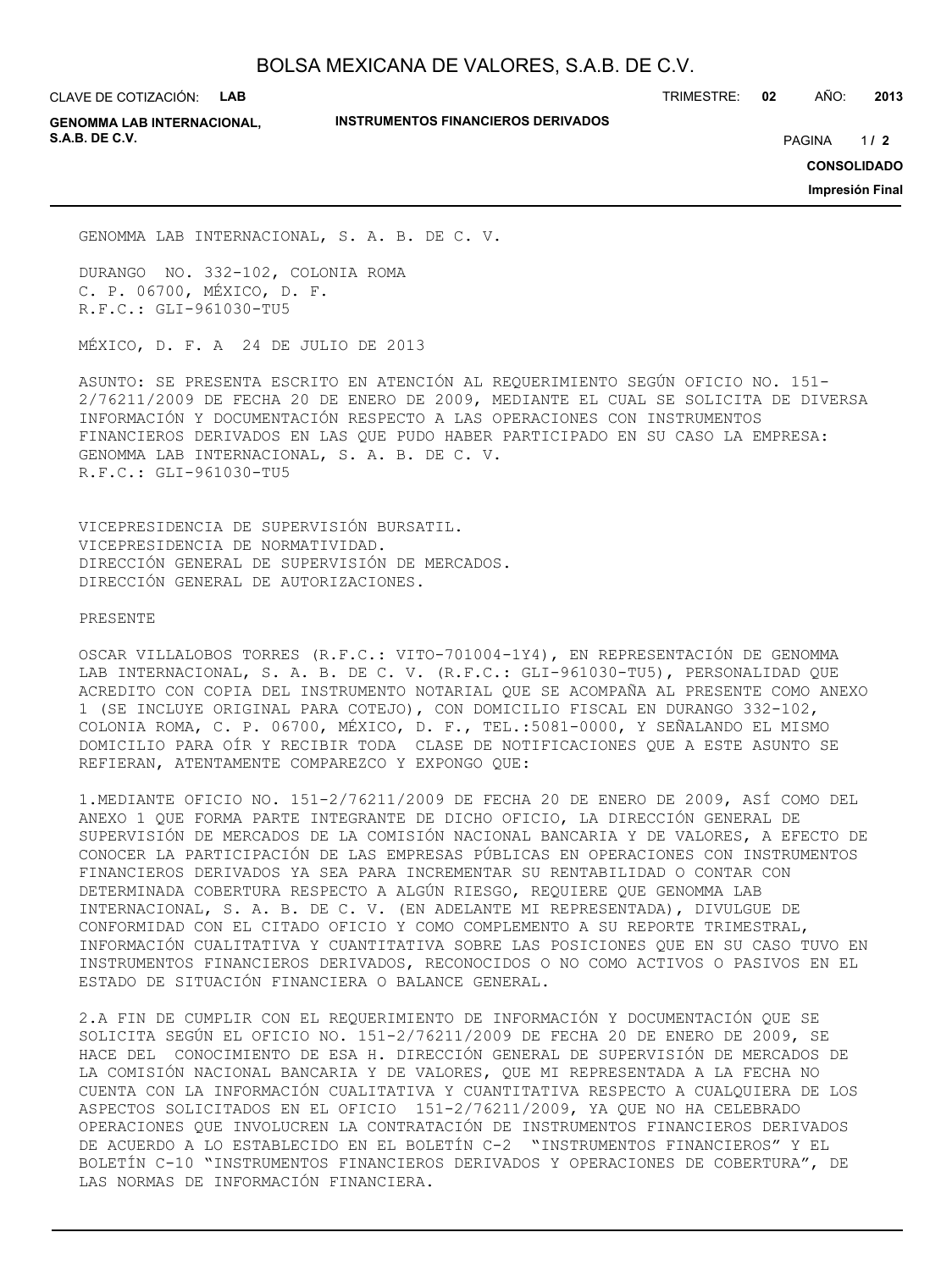CLAVE DE COTIZACIÓN: **LAB**

**INSTRUMENTOS FINANCIEROS DERIVADOS**

TRIMESTRE: **02** AÑO: **2013**

**GENOMMA LAB INTERNACIONAL, S.A.B. DE C.V.** PAGINA **/ 2**

 $1/2$ 

**CONSOLIDADO**

**Impresión Final**

GENOMMA LAB INTERNACIONAL, S. A. B. DE C. V.

DURANGO NO. 332-102, COLONIA ROMA C. P. 06700, MÉXICO, D. F. R.F.C.: GLI-961030-TU5

MÉXICO, D. F. A 24 DE JULIO DE 2013

ASUNTO: SE PRESENTA ESCRITO EN ATENCIÓN AL REQUERIMIENTO SEGÚN OFICIO NO. 151- 2/76211/2009 DE FECHA 20 DE ENERO DE 2009, MEDIANTE EL CUAL SE SOLICITA DE DIVERSA INFORMACIÓN Y DOCUMENTACIÓN RESPECTO A LAS OPERACIONES CON INSTRUMENTOS FINANCIEROS DERIVADOS EN LAS QUE PUDO HABER PARTICIPADO EN SU CASO LA EMPRESA: GENOMMA LAB INTERNACIONAL, S. A. B. DE C. V. R.F.C.: GLI-961030-TU5

VICEPRESIDENCIA DE SUPERVISIÓN BURSATIL. VICEPRESIDENCIA DE NORMATIVIDAD. DIRECCIÓN GENERAL DE SUPERVISIÓN DE MERCADOS. DIRECCIÓN GENERAL DE AUTORIZACIONES.

PRESENTE

OSCAR VILLALOBOS TORRES (R.F.C.: VITO-701004-1Y4), EN REPRESENTACIÓN DE GENOMMA LAB INTERNACIONAL, S. A. B. DE C. V. (R.F.C.: GLI-961030-TU5), PERSONALIDAD QUE ACREDITO CON COPIA DEL INSTRUMENTO NOTARIAL QUE SE ACOMPAÑA AL PRESENTE COMO ANEXO 1 (SE INCLUYE ORIGINAL PARA COTEJO), CON DOMICILIO FISCAL EN DURANGO 332-102, COLONIA ROMA, C. P. 06700, MÉXICO, D. F., TEL.:5081-0000, Y SEÑALANDO EL MISMO DOMICILIO PARA OÍR Y RECIBIR TODA CLASE DE NOTIFICACIONES QUE A ESTE ASUNTO SE REFIERAN, ATENTAMENTE COMPAREZCO Y EXPONGO QUE:

1.MEDIANTE OFICIO NO. 151-2/76211/2009 DE FECHA 20 DE ENERO DE 2009, ASÍ COMO DEL ANEXO 1 QUE FORMA PARTE INTEGRANTE DE DICHO OFICIO, LA DIRECCIÓN GENERAL DE SUPERVISIÓN DE MERCADOS DE LA COMISIÓN NACIONAL BANCARIA Y DE VALORES, A EFECTO DE CONOCER LA PARTICIPACIÓN DE LAS EMPRESAS PÚBLICAS EN OPERACIONES CON INSTRUMENTOS FINANCIEROS DERIVADOS YA SEA PARA INCREMENTAR SU RENTABILIDAD O CONTAR CON DETERMINADA COBERTURA RESPECTO A ALGÚN RIESGO, REQUIERE QUE GENOMMA LAB INTERNACIONAL, S. A. B. DE C. V. (EN ADELANTE MI REPRESENTADA), DIVULGUE DE CONFORMIDAD CON EL CITADO OFICIO Y COMO COMPLEMENTO A SU REPORTE TRIMESTRAL, INFORMACIÓN CUALITATIVA Y CUANTITATIVA SOBRE LAS POSICIONES QUE EN SU CASO TUVO EN INSTRUMENTOS FINANCIEROS DERIVADOS, RECONOCIDOS O NO COMO ACTIVOS O PASIVOS EN EL ESTADO DE SITUACIÓN FINANCIERA O BALANCE GENERAL.

2.A FIN DE CUMPLIR CON EL REQUERIMIENTO DE INFORMACIÓN Y DOCUMENTACIÓN QUE SE SOLICITA SEGÚN EL OFICIO NO. 151-2/76211/2009 DE FECHA 20 DE ENERO DE 2009, SE HACE DEL CONOCIMIENTO DE ESA H. DIRECCIÓN GENERAL DE SUPERVISIÓN DE MERCADOS DE LA COMISIÓN NACIONAL BANCARIA Y DE VALORES, QUE MI REPRESENTADA A LA FECHA NO CUENTA CON LA INFORMACIÓN CUALITATIVA Y CUANTITATIVA RESPECTO A CUALQUIERA DE LOS ASPECTOS SOLICITADOS EN EL OFICIO 151-2/76211/2009, YA QUE NO HA CELEBRADO OPERACIONES QUE INVOLUCREN LA CONTRATACIÓN DE INSTRUMENTOS FINANCIEROS DERIVADOS DE ACUERDO A LO ESTABLECIDO EN EL BOLETÍN C-2 "INSTRUMENTOS FINANCIEROS" Y EL BOLETÍN C-10 "INSTRUMENTOS FINANCIEROS DERIVADOS Y OPERACIONES DE COBERTURA", DE LAS NORMAS DE INFORMACIÓN FINANCIERA.